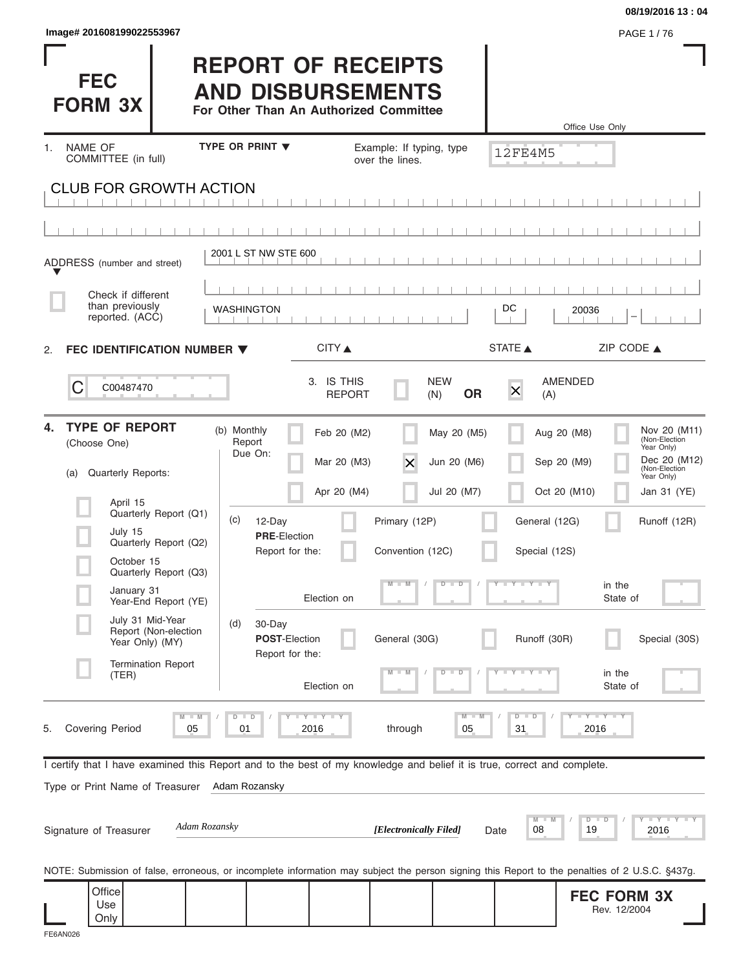## **REPORT OF RECEIPTS AND DISBURSEMENTS**

|                                                                                                                                                |                                                                                                 |                             |                                |                            | 08/19/2016 13:04                                      |
|------------------------------------------------------------------------------------------------------------------------------------------------|-------------------------------------------------------------------------------------------------|-----------------------------|--------------------------------|----------------------------|-------------------------------------------------------|
| Image# 201608199022553967                                                                                                                      |                                                                                                 |                             |                                |                            | PAGE 1/76                                             |
| <b>FEC</b><br><b>FORM 3X</b>                                                                                                                   | <b>REPORT OF RECEIPTS</b><br><b>AND DISBURSEMENTS</b><br>For Other Than An Authorized Committee |                             |                                | Office Use Only            |                                                       |
| <b>NAME OF</b><br>1.                                                                                                                           | <b>TYPE OR PRINT ▼</b>                                                                          | Example: If typing, type    |                                |                            |                                                       |
| COMMITTEE (in full)                                                                                                                            |                                                                                                 | over the lines.             |                                | <b>12FE4M5</b>             |                                                       |
| <b>CLUB FOR GROWTH ACTION</b>                                                                                                                  |                                                                                                 |                             |                                |                            |                                                       |
|                                                                                                                                                |                                                                                                 |                             |                                |                            |                                                       |
|                                                                                                                                                |                                                                                                 |                             |                                |                            |                                                       |
| ADDRESS (number and street)                                                                                                                    | 2001 L ST NW STE 600                                                                            |                             |                                |                            |                                                       |
| Check if different                                                                                                                             |                                                                                                 |                             |                                |                            |                                                       |
| than previously<br>reported. (ACC)                                                                                                             | <b>WASHINGTON</b>                                                                               |                             |                                | DC<br>20036                |                                                       |
| FEC IDENTIFICATION NUMBER $\blacktriangledown$<br>2.                                                                                           |                                                                                                 | CITY ▲                      |                                | STATE A                    | ZIP CODE ▲                                            |
|                                                                                                                                                |                                                                                                 |                             |                                |                            |                                                       |
| C<br>C00487470                                                                                                                                 |                                                                                                 | 3. IS THIS<br><b>REPORT</b> | <b>NEW</b><br><b>OR</b><br>(N) | AMENDED<br>$\times$<br>(A) |                                                       |
| <b>TYPE OF REPORT</b><br>4.                                                                                                                    | (b) Monthly                                                                                     | Feb 20 (M2)                 | May 20 (M5)                    | Aug 20 (M8)                | Nov 20 (M11)<br>(Non-Election                         |
| (Choose One)                                                                                                                                   | Report<br>Due On:                                                                               | Mar 20 (M3)<br>X            | Jun 20 (M6)                    | Sep 20 (M9)                | Year Only)<br>Dec 20 (M12)                            |
| Quarterly Reports:<br>(a)                                                                                                                      |                                                                                                 |                             |                                |                            | (Non-Election<br>Year Only)                           |
| April 15<br>Quarterly Report (Q1)                                                                                                              |                                                                                                 | Apr 20 (M4)                 | Jul 20 (M7)                    | Oct 20 (M10)               | Jan 31 (YE)                                           |
| July 15                                                                                                                                        | (c)<br>12-Day<br><b>PRE-Election</b>                                                            | Primary (12P)               |                                | General (12G)              | Runoff (12R)                                          |
| Quarterly Report (Q2)<br>October 15                                                                                                            | Report for the:                                                                                 | Convention (12C)            |                                | Special (12S)              |                                                       |
| Quarterly Report (Q3)<br>January 31                                                                                                            |                                                                                                 | $\blacksquare$              | $D$ $D$                        | $Y - Y - Y - Y$            | in the                                                |
| Year-End Report (YE)                                                                                                                           | Election on                                                                                     |                             |                                |                            | State of                                              |
| July 31 Mid-Year<br>Report (Non-election<br>Year Only) (MY)                                                                                    | (d)<br>30-Day<br>POST-Election<br>Report for the:                                               | General (30G)               |                                | Runoff (30R)               | Special (30S)                                         |
| <b>Termination Report</b><br>(TER)                                                                                                             | Election on                                                                                     |                             | $\overline{\mathbf{D}}$<br>D   |                            | in the<br>State of                                    |
| $M - M$<br>Covering Period<br>5.<br>05                                                                                                         | Y LY LY<br>$D$ $D$<br>01<br>2016                                                                | through                     | $M - M$<br>05                  | $D$ $D$<br>31<br>2016      | $+Y+Y+Y$                                              |
| I certify that I have examined this Report and to the best of my knowledge and belief it is true, correct and complete.                        |                                                                                                 |                             |                                |                            |                                                       |
| Type or Print Name of Treasurer                                                                                                                | Adam Rozansky                                                                                   |                             |                                |                            |                                                       |
| Adam Rozansky<br>Signature of Treasurer                                                                                                        |                                                                                                 | [Electronically Filed]      | Date                           | M<br>D<br>08<br>19         | $-\sqrt{1 + \gamma} - \sqrt{1 + \gamma}$<br>D<br>2016 |
| NOTE: Submission of false, erroneous, or incomplete information may subject the person signing this Report to the penalties of 2 U.S.C. §437g. |                                                                                                 |                             |                                |                            |                                                       |
| Office<br>Use<br>Only                                                                                                                          |                                                                                                 |                             |                                |                            | <b>FEC FORM 3X</b><br>Rev. 12/2004                    |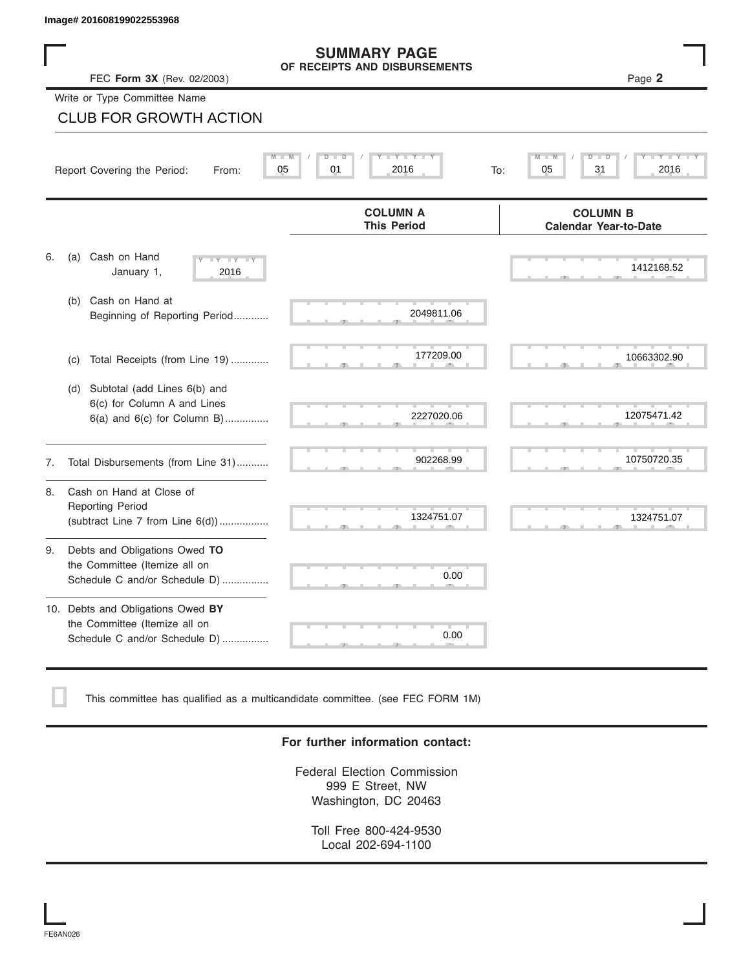### **SUMMARY PAGE OF RECEIPTS AND DISBURSEMENTS**

|    | Image# 201608199022553968                                                                             |                                                      |                                                 |
|----|-------------------------------------------------------------------------------------------------------|------------------------------------------------------|-------------------------------------------------|
|    | FEC Form 3X (Rev. 02/2003)                                                                            | <b>SUMMARY PAGE</b><br>OF RECEIPTS AND DISBURSEMENTS | Page 2                                          |
|    | Write or Type Committee Name                                                                          |                                                      |                                                 |
|    | <b>CLUB FOR GROWTH ACTION</b>                                                                         |                                                      |                                                 |
|    | Report Covering the Period:<br>From:                                                                  | $Y - Y - I$<br>05<br>01<br>2016<br>To:               | 05<br>31<br>2016                                |
|    |                                                                                                       | <b>COLUMN A</b><br><b>This Period</b>                | <b>COLUMN B</b><br><b>Calendar Year-to-Date</b> |
| 6. | Cash on Hand<br>(a)<br>$-Y - Y - Y$<br>January 1,<br>2016                                             |                                                      | 1412168.52                                      |
|    | Cash on Hand at<br>(b)<br>Beginning of Reporting Period                                               | 2049811.06                                           |                                                 |
|    | Total Receipts (from Line 19)<br>(c)                                                                  | 177209.00                                            | 10663302.90                                     |
|    | Subtotal (add Lines 6(b) and<br>(d)<br>6(c) for Column A and Lines<br>$6(a)$ and $6(c)$ for Column B) | 2227020.06                                           | 12075471.42                                     |
| 7. | Total Disbursements (from Line 31)                                                                    | 902268.99                                            | 10750720.35                                     |
| 8. | Cash on Hand at Close of<br><b>Reporting Period</b><br>(subtract Line $7$ from Line $6(d)$ )          | 1324751.07                                           | 1324751.07                                      |
| 9. | Debts and Obligations Owed TO<br>the Committee (Itemize all on<br>Schedule C and/or Schedule D)       | 0.00                                                 |                                                 |
|    | 10. Debts and Obligations Owed BY<br>the Committee (Itemize all on<br>Schedule C and/or Schedule D)   | T<br>0.00                                            |                                                 |

This committee has qualified as a multicandidate committee. (see FEC FORM 1M)

## **For further information contact:**

Federal Election Commission 999 E Street, NW Washington, DC 20463

Toll Free 800-424-9530 Local 202-694-1100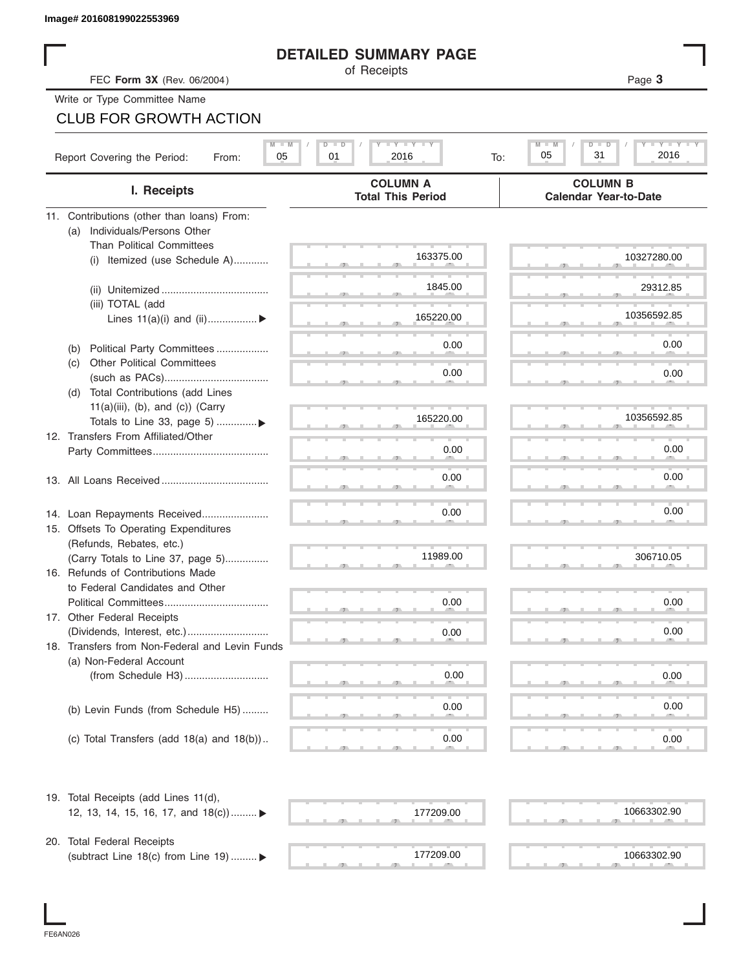## **DETAILED SUMMARY PAGE**

| FEC Form 3X (Rev. 06/2004)<br>Write or Type Committee Name<br><b>CLUB FOR GROWTH ACTION</b><br>Report Covering the Period: | $D$ $\Box$<br>05<br>01<br>From: | <b>DETAILED SUMMARY PAGE</b><br>of Receipts<br>$\mathbf{I}$ $\mathbf{Y}$ $\mathbf{I}$ $\mathbf{Y}$ $\mathbf{I}$ $\mathbf{Y}$<br>2016<br>To: | Page 3                                                 |
|----------------------------------------------------------------------------------------------------------------------------|---------------------------------|---------------------------------------------------------------------------------------------------------------------------------------------|--------------------------------------------------------|
|                                                                                                                            |                                 |                                                                                                                                             |                                                        |
|                                                                                                                            |                                 |                                                                                                                                             |                                                        |
|                                                                                                                            |                                 |                                                                                                                                             |                                                        |
|                                                                                                                            |                                 |                                                                                                                                             |                                                        |
|                                                                                                                            |                                 |                                                                                                                                             | $Y - Y -$<br>$M$ $\Box$<br>$D - I$<br>31<br>05<br>2016 |
| I. Receipts                                                                                                                |                                 | <b>COLUMN A</b><br><b>Total This Period</b>                                                                                                 | <b>COLUMN B</b><br><b>Calendar Year-to-Date</b>        |
| 11. Contributions (other than loans) From:                                                                                 |                                 |                                                                                                                                             |                                                        |
| Individuals/Persons Other<br>(a)                                                                                           |                                 |                                                                                                                                             |                                                        |
| <b>Than Political Committees</b>                                                                                           |                                 | 163375.00                                                                                                                                   | 10327280.00                                            |
| (i) Itemized (use Schedule A)                                                                                              |                                 |                                                                                                                                             |                                                        |
|                                                                                                                            |                                 | 1845.00                                                                                                                                     | 29312.85                                               |
| (iii) TOTAL (add                                                                                                           |                                 |                                                                                                                                             |                                                        |
| Lines $11(a)(i)$ and $(ii)$                                                                                                |                                 | 165220.00                                                                                                                                   | 10356592.85                                            |
|                                                                                                                            |                                 |                                                                                                                                             |                                                        |
| Political Party Committees<br>(b)                                                                                          |                                 | 0.00                                                                                                                                        | 0.00                                                   |
| <b>Other Political Committees</b><br>(c)                                                                                   |                                 | 0.00                                                                                                                                        | 0.00                                                   |
| Total Contributions (add Lines<br>(d)                                                                                      |                                 |                                                                                                                                             |                                                        |
| $11(a)(iii)$ , (b), and (c)) (Carry                                                                                        |                                 |                                                                                                                                             |                                                        |
| Totals to Line 33, page 5) ▶                                                                                               |                                 | 165220.00                                                                                                                                   | 10356592.85                                            |
| 12. Transfers From Affiliated/Other                                                                                        |                                 |                                                                                                                                             |                                                        |
|                                                                                                                            |                                 | 0.00                                                                                                                                        | 0.00                                                   |
|                                                                                                                            |                                 | 0.00                                                                                                                                        | 0.00                                                   |
|                                                                                                                            |                                 |                                                                                                                                             |                                                        |
|                                                                                                                            |                                 | 0.00                                                                                                                                        | 0.00                                                   |
| 14. Loan Repayments Received<br>15. Offsets To Operating Expenditures                                                      |                                 |                                                                                                                                             |                                                        |
| (Refunds, Rebates, etc.)                                                                                                   |                                 |                                                                                                                                             |                                                        |
| (Carry Totals to Line 37, page 5)                                                                                          |                                 | 11989.00                                                                                                                                    | 306710.05                                              |
| 16. Refunds of Contributions Made                                                                                          |                                 |                                                                                                                                             |                                                        |
| to Federal Candidates and Other                                                                                            |                                 |                                                                                                                                             |                                                        |
| Political Committees                                                                                                       |                                 | 0.00                                                                                                                                        | 0.00                                                   |
| 17. Other Federal Receipts                                                                                                 |                                 |                                                                                                                                             | 0.00                                                   |
| 18. Transfers from Non-Federal and Levin Funds                                                                             |                                 | 0.00                                                                                                                                        |                                                        |
| (a) Non-Federal Account                                                                                                    |                                 |                                                                                                                                             |                                                        |
|                                                                                                                            |                                 | 0.00                                                                                                                                        | 0.00                                                   |
|                                                                                                                            |                                 |                                                                                                                                             |                                                        |
| (b) Levin Funds (from Schedule H5)                                                                                         |                                 | 0.00                                                                                                                                        | 0.00                                                   |
|                                                                                                                            |                                 |                                                                                                                                             |                                                        |
| (c) Total Transfers (add $18(a)$ and $18(b)$ )                                                                             |                                 | 0.00                                                                                                                                        | 0.00                                                   |
| 19. Total Receipts (add Lines 11(d),                                                                                       |                                 |                                                                                                                                             |                                                        |
| 12, 13, 14, 15, 16, 17, and 18(c)) ▶                                                                                       |                                 | 177209.00                                                                                                                                   | 10663302.90                                            |
|                                                                                                                            |                                 |                                                                                                                                             |                                                        |
| 20. Total Federal Receipts<br>(subtract Line 18(c) from Line 19)  ▶                                                        |                                 | 177209.00                                                                                                                                   | 10663302.90                                            |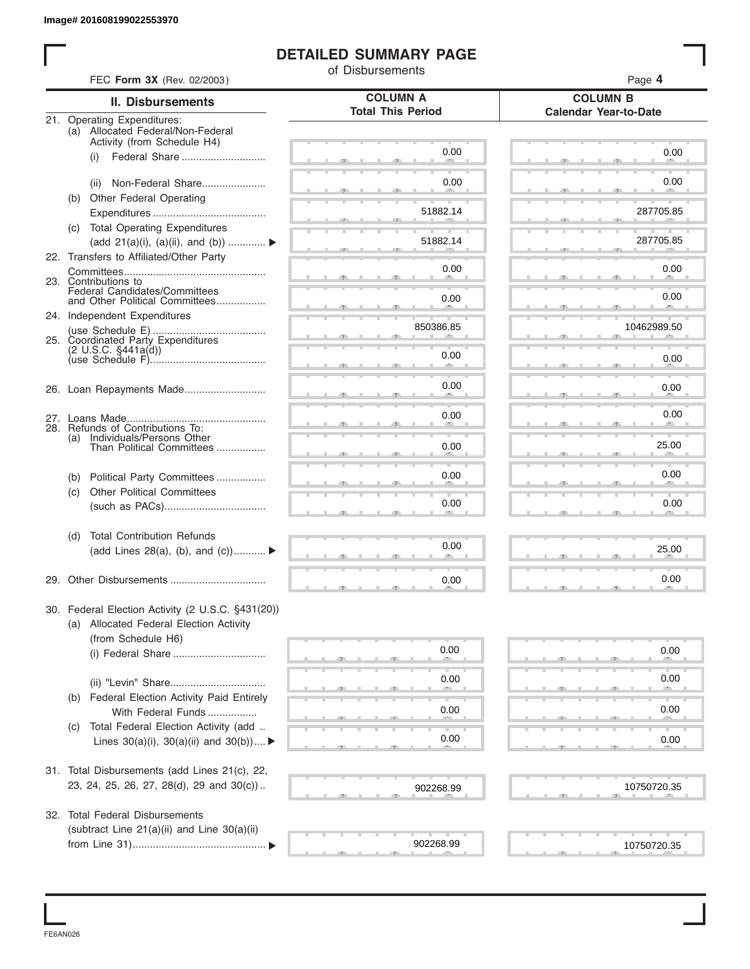## **DETAILED SUMMARY PAGE**

|     |                                                                  | of Disbursements                            |                                                 |
|-----|------------------------------------------------------------------|---------------------------------------------|-------------------------------------------------|
|     | FEC Form 3X (Rev. 02/2003)                                       |                                             | Page 4                                          |
|     | <b>II. Disbursements</b>                                         | <b>COLUMN A</b><br><b>Total This Period</b> | <b>COLUMN B</b><br><b>Calendar Year-to-Date</b> |
|     | 21. Operating Expenditures:<br>(a) Allocated Federal/Non-Federal |                                             |                                                 |
|     | Activity (from Schedule H4)                                      |                                             |                                                 |
|     | Federal Share<br>(i)                                             | 0.00                                        | 0.00                                            |
|     |                                                                  |                                             |                                                 |
|     | Non-Federal Share<br>(ii)                                        | 0.00                                        | 0.00                                            |
|     | (b) Other Federal Operating                                      |                                             |                                                 |
|     |                                                                  | 51882.14                                    | 287705.85                                       |
|     | (c) Total Operating Expenditures                                 | 51882.14                                    | 287705.85                                       |
|     | (add 21(a)(i), (a)(ii), and (b))                                 |                                             |                                                 |
|     | 22. Transfers to Affiliated/Other Party                          | 0.00                                        | 0.00                                            |
|     | 23. Contributions to                                             |                                             |                                                 |
|     | Federal Candidates/Committees<br>and Other Political Committees  | 0.00                                        | 0.00                                            |
|     | 24. Independent Expenditures                                     |                                             |                                                 |
|     |                                                                  | 850386.85                                   | 10462989.50                                     |
|     | 25. Coordinated Party Expenditures                               |                                             |                                                 |
|     | (2 U.S.C. §441a(d))                                              | 0.00                                        | 0.00                                            |
|     |                                                                  |                                             |                                                 |
|     | 26. Loan Repayments Made                                         | 0.00                                        | 0.00                                            |
|     |                                                                  |                                             |                                                 |
|     |                                                                  | 0.00                                        | 0.00                                            |
|     | 28. Refunds of Contributions To:                                 |                                             |                                                 |
| (a) | Individuals/Persons Other<br>Than Political Committees           | 0.00                                        | 25.00                                           |
|     |                                                                  |                                             |                                                 |
| (b) | Political Party Committees                                       | 0.00                                        | 0.00                                            |
| (c) | <b>Other Political Committees</b>                                |                                             |                                                 |
|     |                                                                  | 0.00                                        | 0.00                                            |
|     |                                                                  |                                             |                                                 |
| (d) | <b>Total Contribution Refunds</b>                                |                                             |                                                 |
|     | (add Lines 28(a), (b), and (c))                                  | 0.00                                        | 25.00                                           |
|     |                                                                  |                                             |                                                 |
|     |                                                                  | 0.00                                        | 0.00                                            |
|     |                                                                  |                                             |                                                 |
|     | 30. Federal Election Activity (2 U.S.C. §431(20))                |                                             |                                                 |
|     | (a) Allocated Federal Election Activity                          |                                             |                                                 |
|     | (from Schedule H6)                                               |                                             |                                                 |
|     | (i) Federal Share                                                | 0.00                                        | 0.00                                            |
|     |                                                                  |                                             |                                                 |
|     |                                                                  | 0.00                                        | 0.00                                            |
| (b) | Federal Election Activity Paid Entirely                          |                                             |                                                 |
|     | With Federal Funds                                               | 0.00                                        | 0.00                                            |
| (C) | Total Federal Election Activity (add                             |                                             |                                                 |
|     | Lines $30(a)(i)$ , $30(a)(ii)$ and $30(b))$                      | 0.00                                        | 0.00                                            |
|     |                                                                  |                                             |                                                 |
|     | 31. Total Disbursements (add Lines 21(c), 22,                    |                                             |                                                 |
|     | 23, 24, 25, 26, 27, 28(d), 29 and 30(c))                         | 902268.99                                   | 10750720.35                                     |
|     |                                                                  |                                             |                                                 |
|     | 32. Total Federal Disbursements                                  |                                             |                                                 |
|     | (subtract Line 21(a)(ii) and Line 30(a)(ii)                      |                                             |                                                 |
|     |                                                                  | 902268.99                                   | 10750720.35                                     |

FE6AN026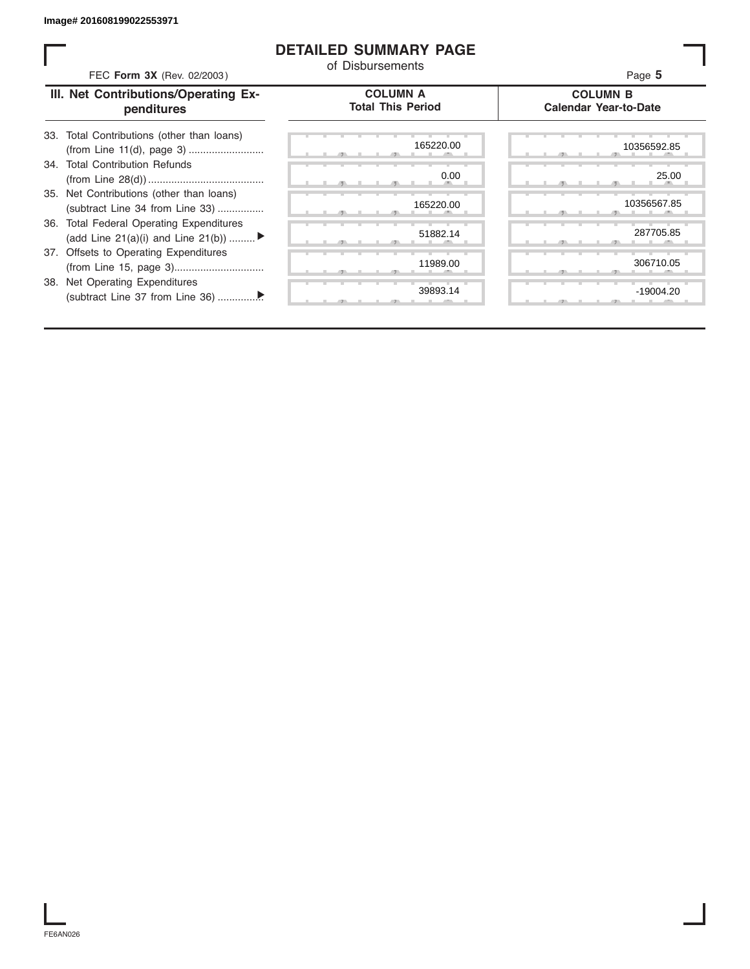## **DETAILED SUMMARY PAGE**

| FEC Form 3X (Rev. 02/2003)                                                     | <b>DETAILED SUMMARY PAGE</b><br>of Disbursements | Page 5                                          |
|--------------------------------------------------------------------------------|--------------------------------------------------|-------------------------------------------------|
| III. Net Contributions/Operating Ex-<br>penditures                             | <b>COLUMN A</b><br><b>Total This Period</b>      | <b>COLUMN B</b><br><b>Calendar Year-to-Date</b> |
| 33. Total Contributions (other than loans)                                     | 165220.00                                        | 10356592.85                                     |
| 34. Total Contribution Refunds                                                 | 0.00                                             | 25.00                                           |
| 35. Net Contributions (other than loans)<br>(subtract Line 34 from Line 33)    | 165220.00                                        | 10356567.85                                     |
| 36. Total Federal Operating Expenditures<br>(add Line 21(a)(i) and Line 21(b)) | 51882.14                                         | 287705.85                                       |
| 37. Offsets to Operating Expenditures                                          | 11989.00                                         | 306710.05                                       |
| 38. Net Operating Expenditures                                                 | 39893.14                                         | $-19004.20$                                     |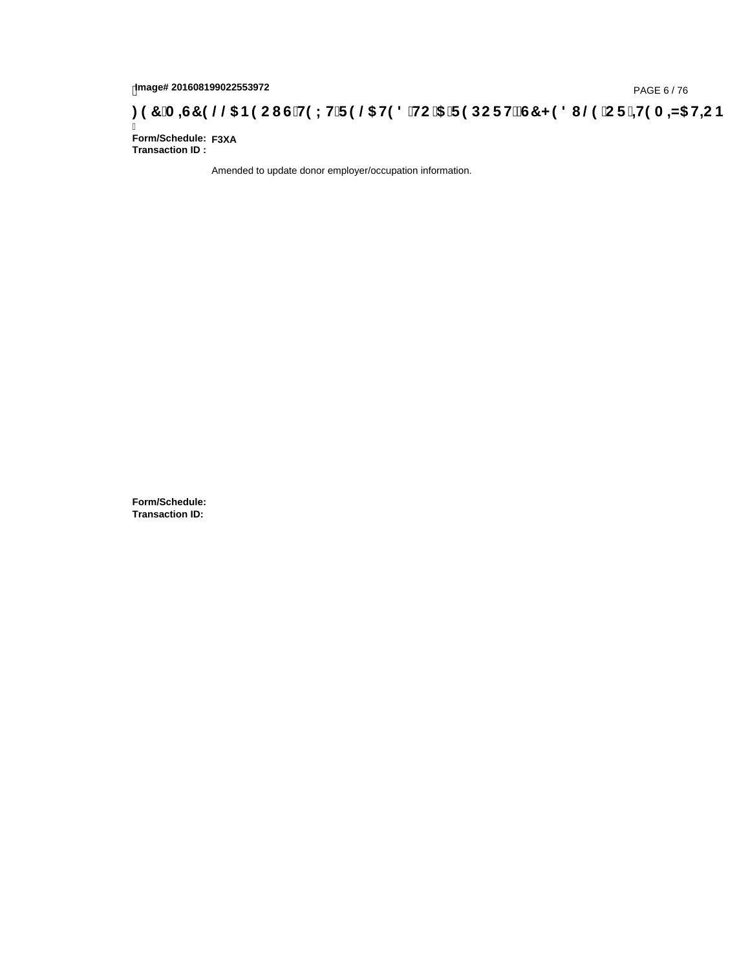# 1mage# 201608199022553972<br>**: 97 `A =G7 9 @@ B9CI G`H9LH`F9 @ H98 `HC`5 `F9DCFHžG7<98I @ `CF`=H9A =N5 H=CB**<br>Form/Schedule: <sub>F3XA</sub>

Ī **Form/Schedule: Transaction ID :** 

Amended to update donor employer/occupation information.

**Form/Schedule: Transaction ID:**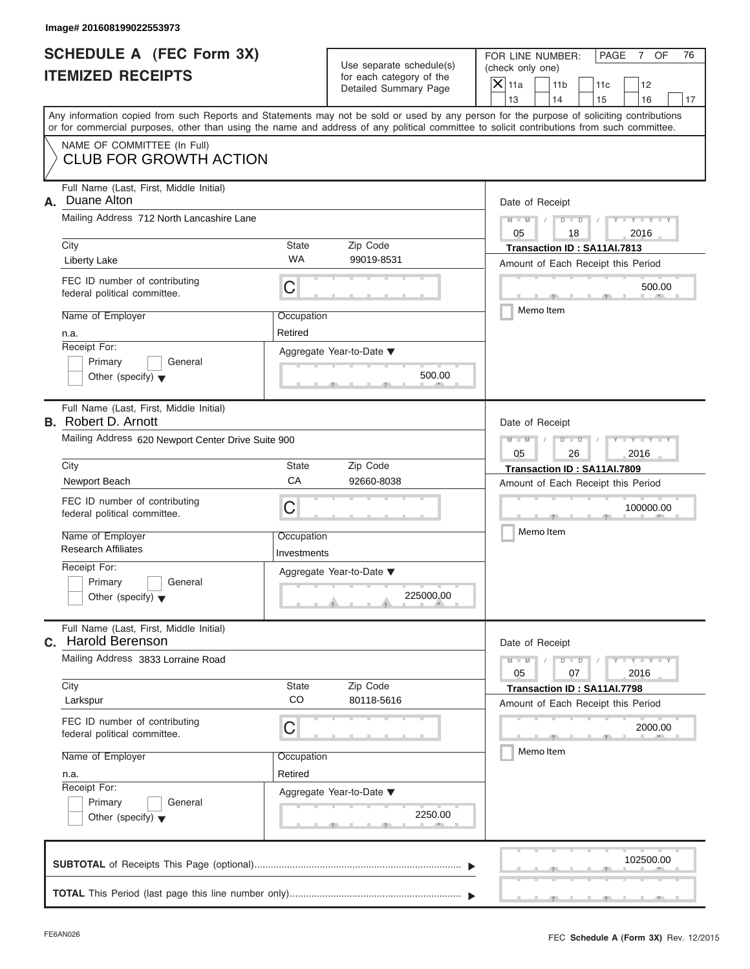|                          | <b>SCHEDULE A (FEC Form 3X)</b> |  |
|--------------------------|---------------------------------|--|
| <b>ITEMIZED RECEIPTS</b> |                                 |  |

|                                                             | Image# 201608199022553973                                                                                                                  |                           |                                                                               |                                                                                                                                                                         |
|-------------------------------------------------------------|--------------------------------------------------------------------------------------------------------------------------------------------|---------------------------|-------------------------------------------------------------------------------|-------------------------------------------------------------------------------------------------------------------------------------------------------------------------|
| <b>SCHEDULE A (FEC Form 3X)</b><br><b>ITEMIZED RECEIPTS</b> |                                                                                                                                            |                           | Use separate schedule(s)<br>for each category of the<br>Detailed Summary Page | FOR LINE NUMBER:<br>PAGE<br>7 OF<br>76<br>(check only one)<br>$\overline{X}$ 11a<br>11 <sub>b</sub><br>11c<br>12                                                        |
|                                                             | or for commercial purposes, other than using the name and address of any political committee to solicit contributions from such committee. |                           |                                                                               | 13<br>14<br>15<br>16<br>17<br>Any information copied from such Reports and Statements may not be sold or used by any person for the purpose of soliciting contributions |
|                                                             | NAME OF COMMITTEE (In Full)<br><b>CLUB FOR GROWTH ACTION</b>                                                                               |                           |                                                                               |                                                                                                                                                                         |
| А.                                                          | Full Name (Last, First, Middle Initial)<br>Duane Alton<br>Mailing Address 712 North Lancashire Lane<br>City                                | State                     | Zip Code                                                                      | Date of Receipt<br>$M - M$<br>$D$ $D$<br>$Y - Y - Y$<br>05<br>2016<br>18<br>Transaction ID: SA11AI.7813                                                                 |
|                                                             | Liberty Lake                                                                                                                               | <b>WA</b>                 | 99019-8531                                                                    | Amount of Each Receipt this Period                                                                                                                                      |
|                                                             | FEC ID number of contributing<br>federal political committee.                                                                              | С                         |                                                                               | 500.00                                                                                                                                                                  |
|                                                             | Name of Employer<br>n.a.<br>Receipt For:                                                                                                   | Occupation<br>Retired     | Aggregate Year-to-Date ▼                                                      | Memo Item                                                                                                                                                               |
|                                                             | Primary<br>General<br>Other (specify) $\blacktriangledown$                                                                                 |                           | 500.00                                                                        |                                                                                                                                                                         |
|                                                             | Full Name (Last, First, Middle Initial)<br><b>B.</b> Robert D. Arnott                                                                      |                           |                                                                               | Date of Receipt                                                                                                                                                         |
|                                                             | Mailing Address 620 Newport Center Drive Suite 900                                                                                         |                           |                                                                               | $D - I - D$<br>$Y - Y - Y - T$<br>$M - M$<br>2016<br>05<br>26                                                                                                           |
|                                                             | City                                                                                                                                       | State                     | Zip Code                                                                      | Transaction ID: SA11AI.7809                                                                                                                                             |
|                                                             | Newport Beach                                                                                                                              | CA                        | 92660-8038                                                                    | Amount of Each Receipt this Period                                                                                                                                      |
|                                                             | FEC ID number of contributing<br>federal political committee.                                                                              | С                         |                                                                               | 100000.00                                                                                                                                                               |
|                                                             | Name of Employer<br><b>Research Affiliates</b>                                                                                             | Occupation<br>Investments |                                                                               | Memo Item                                                                                                                                                               |
|                                                             | Receipt For:<br>Primary<br>General<br>Other (specify) $\blacktriangledown$                                                                 |                           | Aggregate Year-to-Date ▼<br>225000.00                                         |                                                                                                                                                                         |
|                                                             | Full Name (Last, First, Middle Initial)<br>C. Harold Berenson                                                                              |                           |                                                                               | Date of Receipt                                                                                                                                                         |
|                                                             | Mailing Address 3833 Lorraine Road                                                                                                         |                           |                                                                               | $M - M$<br>$Y = Y$<br>$D - D$<br>2016<br>05<br>07                                                                                                                       |
|                                                             | City<br>Larkspur                                                                                                                           | State<br>CO               | Zip Code<br>80118-5616                                                        | Transaction ID: SA11AI.7798<br>Amount of Each Receipt this Period                                                                                                       |
|                                                             | FEC ID number of contributing<br>federal political committee.                                                                              | С                         |                                                                               | 2000.00                                                                                                                                                                 |
|                                                             | Name of Employer                                                                                                                           | Occupation                |                                                                               | Memo Item                                                                                                                                                               |
|                                                             | n.a.<br>Receipt For:                                                                                                                       | Retired                   |                                                                               |                                                                                                                                                                         |
|                                                             | Primary<br>General<br>Other (specify) $\blacktriangledown$                                                                                 |                           | Aggregate Year-to-Date ▼<br>2250.00                                           |                                                                                                                                                                         |
|                                                             |                                                                                                                                            |                           |                                                                               | 102500.00                                                                                                                                                               |
|                                                             |                                                                                                                                            |                           |                                                                               |                                                                                                                                                                         |

S S S , , .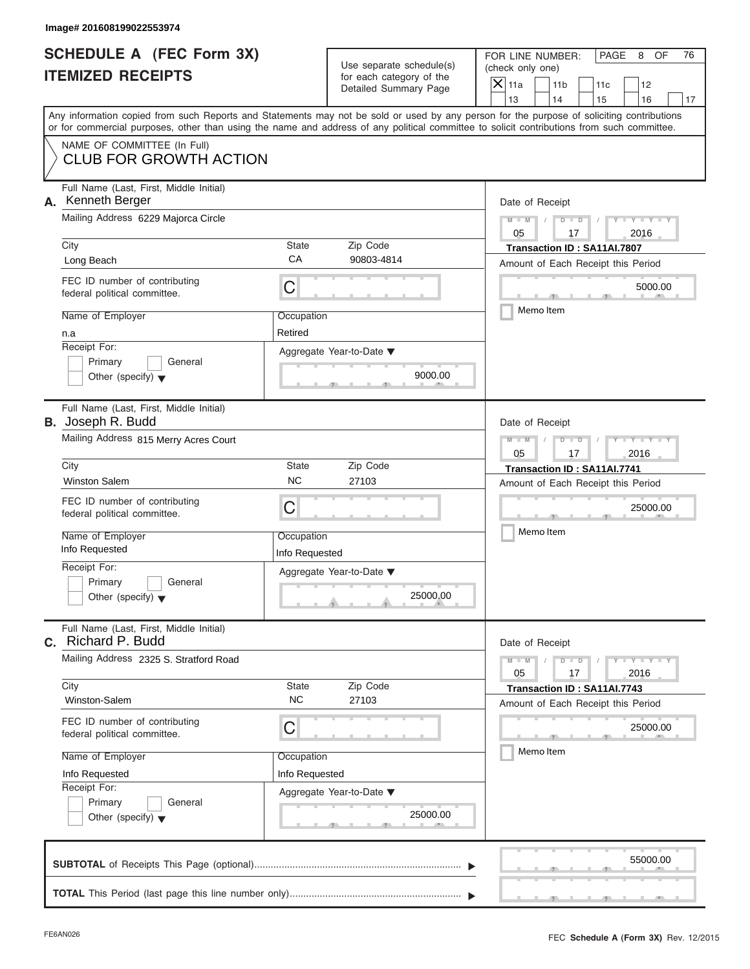|                          | SCHEDULE A (FEC Form 3X) |
|--------------------------|--------------------------|
| <b>ITEMIZED RECEIPTS</b> |                          |

|                                                                 | Image# 201608199022553974                                                                                                                  |                              |                                                                               |                                                                                                                                           |  |
|-----------------------------------------------------------------|--------------------------------------------------------------------------------------------------------------------------------------------|------------------------------|-------------------------------------------------------------------------------|-------------------------------------------------------------------------------------------------------------------------------------------|--|
| <b>SCHEDULE A (FEC Form 3X)</b><br><b>ITEMIZED RECEIPTS</b>     |                                                                                                                                            |                              | Use separate schedule(s)<br>for each category of the<br>Detailed Summary Page | FOR LINE NUMBER:<br>PAGE<br>8<br>OF<br>76<br>(check only one)<br>$\mathsf{X} _{\mathsf{11a}}$<br>11 <sub>b</sub><br>11c<br>12             |  |
|                                                                 |                                                                                                                                            |                              |                                                                               | 13<br>14<br>15<br>16<br>17                                                                                                                |  |
|                                                                 | or for commercial purposes, other than using the name and address of any political committee to solicit contributions from such committee. |                              |                                                                               | Any information copied from such Reports and Statements may not be sold or used by any person for the purpose of soliciting contributions |  |
|                                                                 | NAME OF COMMITTEE (In Full)<br><b>CLUB FOR GROWTH ACTION</b>                                                                               |                              |                                                                               |                                                                                                                                           |  |
| Full Name (Last, First, Middle Initial)<br>Kenneth Berger<br>А. |                                                                                                                                            |                              |                                                                               | Date of Receipt                                                                                                                           |  |
|                                                                 | Mailing Address 6229 Majorca Circle                                                                                                        |                              |                                                                               | $D$ $D$<br>$Y - Y - Y - Y - Y$<br>$M - M$<br>05<br>17<br>2016                                                                             |  |
|                                                                 | City                                                                                                                                       | <b>State</b>                 | Zip Code                                                                      | Transaction ID: SA11AI.7807                                                                                                               |  |
|                                                                 | Long Beach                                                                                                                                 | CA                           | 90803-4814                                                                    | Amount of Each Receipt this Period                                                                                                        |  |
|                                                                 | FEC ID number of contributing<br>federal political committee.                                                                              | C                            |                                                                               | 5000.00                                                                                                                                   |  |
|                                                                 | Name of Employer                                                                                                                           | Occupation                   |                                                                               | Memo Item                                                                                                                                 |  |
|                                                                 | n.a                                                                                                                                        | Retired                      |                                                                               |                                                                                                                                           |  |
|                                                                 | Receipt For:                                                                                                                               |                              | Aggregate Year-to-Date ▼                                                      |                                                                                                                                           |  |
|                                                                 | Primary<br>General<br>Other (specify) $\blacktriangledown$                                                                                 |                              | 9000.00                                                                       |                                                                                                                                           |  |
|                                                                 | Full Name (Last, First, Middle Initial)<br><b>B.</b> Joseph R. Budd                                                                        |                              |                                                                               | Date of Receipt                                                                                                                           |  |
|                                                                 | Mailing Address 815 Merry Acres Court                                                                                                      |                              |                                                                               | Y TYTTYTTY<br>$M - M$<br>$D$ $D$<br>05<br>2016<br>17                                                                                      |  |
|                                                                 | City                                                                                                                                       | <b>State</b>                 | Zip Code                                                                      | Transaction ID: SA11AI.7741                                                                                                               |  |
|                                                                 | <b>Winston Salem</b>                                                                                                                       | <b>NC</b>                    | 27103                                                                         | Amount of Each Receipt this Period                                                                                                        |  |
|                                                                 | FEC ID number of contributing<br>federal political committee.                                                                              | C                            |                                                                               | 25000.00                                                                                                                                  |  |
|                                                                 | Name of Employer<br>Info Requested                                                                                                         | Occupation<br>Info Requested |                                                                               | Memo Item                                                                                                                                 |  |
|                                                                 | Receipt For:                                                                                                                               |                              | Aggregate Year-to-Date ▼                                                      |                                                                                                                                           |  |
|                                                                 | Primary<br>General<br>Other (specify) $\blacktriangledown$                                                                                 |                              | 25000.00                                                                      |                                                                                                                                           |  |
| C.                                                              | Full Name (Last, First, Middle Initial)<br>Richard P. Budd                                                                                 |                              |                                                                               | Date of Receipt                                                                                                                           |  |
|                                                                 | Mailing Address 2325 S. Stratford Road                                                                                                     |                              |                                                                               | $Y = Y$<br>$M - M$<br>$D$ $D$<br>2016<br>05<br>17                                                                                         |  |
|                                                                 | City<br>Winston-Salem                                                                                                                      | State<br><b>NC</b>           | Zip Code<br>27103                                                             | Transaction ID: SA11AI.7743<br>Amount of Each Receipt this Period                                                                         |  |
|                                                                 | FEC ID number of contributing<br>federal political committee.                                                                              | C                            |                                                                               | 25000.00                                                                                                                                  |  |
|                                                                 | Name of Employer                                                                                                                           | Occupation                   |                                                                               | Memo Item                                                                                                                                 |  |
|                                                                 | Info Requested                                                                                                                             | Info Requested               |                                                                               |                                                                                                                                           |  |
|                                                                 | Receipt For:                                                                                                                               |                              | Aggregate Year-to-Date ▼                                                      |                                                                                                                                           |  |
|                                                                 | Primary<br>General<br>Other (specify) $\blacktriangledown$                                                                                 |                              | 25000.00                                                                      |                                                                                                                                           |  |
|                                                                 |                                                                                                                                            |                              |                                                                               | 55000.00                                                                                                                                  |  |
|                                                                 |                                                                                                                                            |                              |                                                                               |                                                                                                                                           |  |

S S S , , .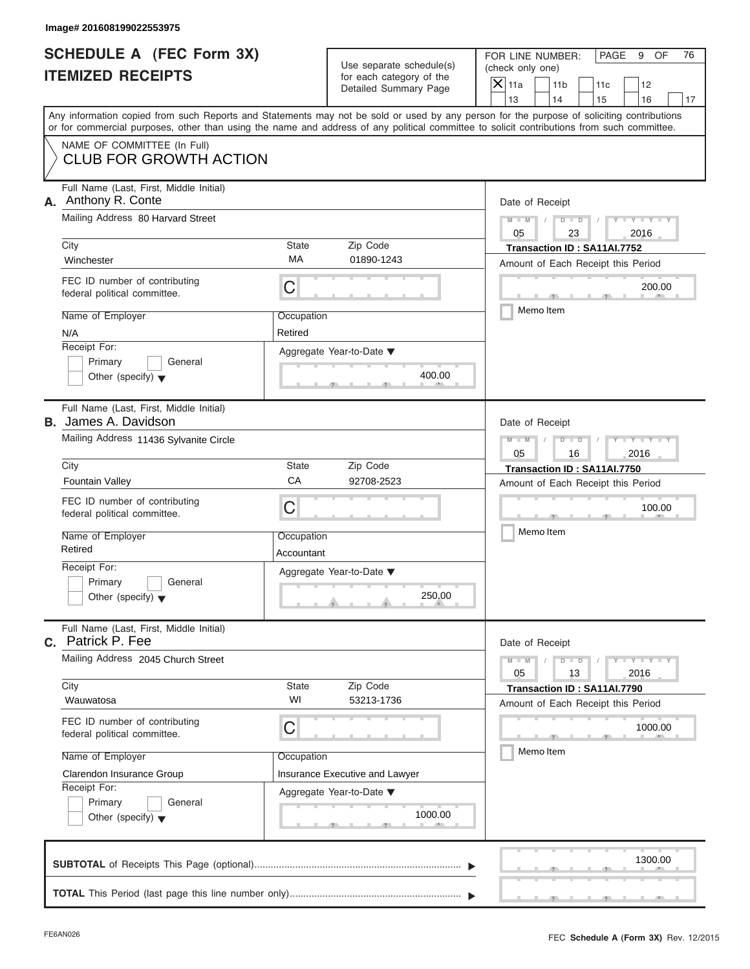| SCHEDULE A (FEC Form 3X) |  |
|--------------------------|--|
| <b>ITEMIZED RECEIPTS</b> |  |

|                                                                   | Image# 201608199022553975                                                                                                                  |                          |                                                                               |                                                                                                                                                                         |  |
|-------------------------------------------------------------------|--------------------------------------------------------------------------------------------------------------------------------------------|--------------------------|-------------------------------------------------------------------------------|-------------------------------------------------------------------------------------------------------------------------------------------------------------------------|--|
| <b>SCHEDULE A (FEC Form 3X)</b><br><b>ITEMIZED RECEIPTS</b>       |                                                                                                                                            |                          | Use separate schedule(s)<br>for each category of the<br>Detailed Summary Page | FOR LINE NUMBER:<br>PAGE<br>9<br>OF<br>76<br>(check only one)<br>$\mathsf{X} _{\mathsf{11a}}$<br>11 <sub>b</sub><br>11c<br>12                                           |  |
|                                                                   |                                                                                                                                            |                          |                                                                               | 13<br>14<br>15<br>16<br>17<br>Any information copied from such Reports and Statements may not be sold or used by any person for the purpose of soliciting contributions |  |
|                                                                   | or for commercial purposes, other than using the name and address of any political committee to solicit contributions from such committee. |                          |                                                                               |                                                                                                                                                                         |  |
|                                                                   | NAME OF COMMITTEE (In Full)<br><b>CLUB FOR GROWTH ACTION</b>                                                                               |                          |                                                                               |                                                                                                                                                                         |  |
| Full Name (Last, First, Middle Initial)<br>Anthony R. Conte<br>А. |                                                                                                                                            |                          |                                                                               | Date of Receipt                                                                                                                                                         |  |
|                                                                   | Mailing Address 80 Harvard Street                                                                                                          |                          |                                                                               | $D - D$<br>$Y - Y - Y - Y - Y$<br>$M - M$<br>05<br>2016<br>23                                                                                                           |  |
|                                                                   | City<br>Winchester                                                                                                                         | <b>State</b><br>МA       | Zip Code<br>01890-1243                                                        | Transaction ID: SA11AI.7752<br>Amount of Each Receipt this Period                                                                                                       |  |
|                                                                   | FEC ID number of contributing<br>federal political committee.                                                                              | C                        |                                                                               | 200.00                                                                                                                                                                  |  |
|                                                                   | Name of Employer<br>N/A                                                                                                                    | Occupation<br>Retired    |                                                                               | Memo Item                                                                                                                                                               |  |
|                                                                   | Receipt For:<br>Primary<br>General<br>Other (specify) $\blacktriangledown$                                                                 |                          | Aggregate Year-to-Date ▼<br>400.00                                            |                                                                                                                                                                         |  |
|                                                                   | Full Name (Last, First, Middle Initial)<br><b>B.</b> James A. Davidson                                                                     |                          |                                                                               | Date of Receipt                                                                                                                                                         |  |
|                                                                   | Mailing Address 11436 Sylvanite Circle                                                                                                     |                          |                                                                               | Y TYTTYTTY<br>$M - M$<br>$D$ $D$<br>05<br>2016<br>16                                                                                                                    |  |
|                                                                   | City<br>Fountain Valley                                                                                                                    | <b>State</b><br>CA       | Zip Code<br>92708-2523                                                        | Transaction ID: SA11AI.7750<br>Amount of Each Receipt this Period                                                                                                       |  |
|                                                                   | FEC ID number of contributing<br>federal political committee.                                                                              | C                        |                                                                               | 100.00                                                                                                                                                                  |  |
|                                                                   | Name of Employer<br>Retired                                                                                                                | Occupation<br>Accountant |                                                                               | Memo Item                                                                                                                                                               |  |
|                                                                   | Receipt For:<br>Primary<br>General<br>Other (specify) $\blacktriangledown$                                                                 |                          | Aggregate Year-to-Date ▼<br>250.00                                            |                                                                                                                                                                         |  |
| C.                                                                | Full Name (Last, First, Middle Initial)<br>Patrick P. Fee                                                                                  |                          |                                                                               | Date of Receipt                                                                                                                                                         |  |
|                                                                   | Mailing Address 2045 Church Street                                                                                                         |                          | $Y = Y$<br>$M - M$<br>$D$ $D$<br>2016<br>05<br>13                             |                                                                                                                                                                         |  |
|                                                                   | City<br>Wauwatosa                                                                                                                          | State<br>WI              | Zip Code<br>53213-1736                                                        | Transaction ID: SA11AI.7790<br>Amount of Each Receipt this Period                                                                                                       |  |
|                                                                   | FEC ID number of contributing<br>federal political committee.                                                                              | C                        |                                                                               | 1000.00<br>Memo Item                                                                                                                                                    |  |
|                                                                   | Name of Employer<br>Clarendon Insurance Group                                                                                              | Occupation               | Insurance Executive and Lawyer                                                |                                                                                                                                                                         |  |
|                                                                   | Receipt For:<br>Primary<br>General<br>Other (specify) $\blacktriangledown$                                                                 |                          | Aggregate Year-to-Date ▼<br>1000.00                                           |                                                                                                                                                                         |  |
|                                                                   |                                                                                                                                            |                          |                                                                               | 1300.00                                                                                                                                                                 |  |
|                                                                   |                                                                                                                                            |                          |                                                                               |                                                                                                                                                                         |  |

 $S = \{x_1, x_2, \ldots, x_{n-1}, x_{n-1}, \ldots, x_{n-1}, x_{n-1}, \ldots, x_{n-1}, x_{n-1}, \ldots, x_{n-1}, x_{n-1}, \ldots, x_{n-1}, x_{n-1}, \ldots, x_{n-1}, x_{n-1}, \ldots, x_{n-1}, \ldots, x_{n-1}, \ldots, x_{n-1}, \ldots, x_{n-1}, \ldots, x_{n-1}, \ldots, x_{n-1}, \ldots, x_{n-1}, \ldots, x_{n-1}, \ldots, x_{n-1}, \ldots, x_{n-1}, \ldots, x_{n-1}, \ld$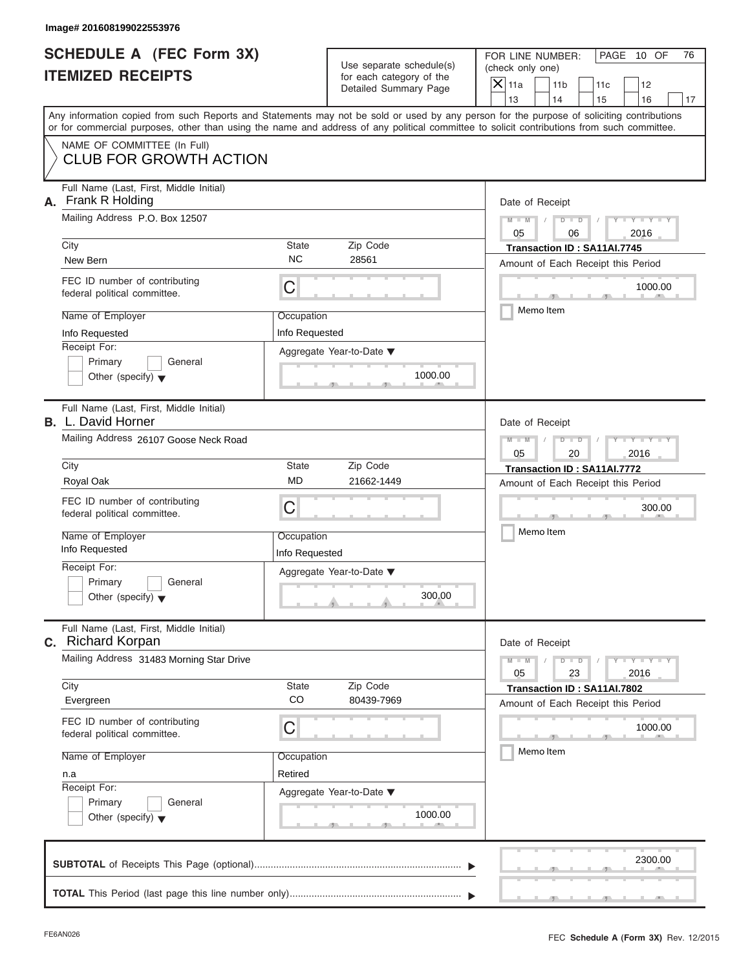| Image# 201608199022553976                                                                                                                                                                                                                                                                                               |                                                                                                                                                                                                                                                                                         |                                                                                                                                                                               |
|-------------------------------------------------------------------------------------------------------------------------------------------------------------------------------------------------------------------------------------------------------------------------------------------------------------------------|-----------------------------------------------------------------------------------------------------------------------------------------------------------------------------------------------------------------------------------------------------------------------------------------|-------------------------------------------------------------------------------------------------------------------------------------------------------------------------------|
| <b>SCHEDULE A (FEC Form 3X)</b><br><b>ITEMIZED RECEIPTS</b>                                                                                                                                                                                                                                                             | Use separate schedule(s)<br>for each category of the<br>Detailed Summary Page                                                                                                                                                                                                           | FOR LINE NUMBER:<br>PAGE 10 OF<br>76<br>(check only one)<br>$\overline{X}$ 11a<br>11 <sub>b</sub><br>11c<br>12<br>13<br>14<br>16<br>15<br>17                                  |
| NAME OF COMMITTEE (In Full)<br><b>CLUB FOR GROWTH ACTION</b>                                                                                                                                                                                                                                                            | Any information copied from such Reports and Statements may not be sold or used by any person for the purpose of soliciting contributions<br>or for commercial purposes, other than using the name and address of any political committee to solicit contributions from such committee. |                                                                                                                                                                               |
| Full Name (Last, First, Middle Initial)<br>Frank R Holding<br>А.<br>Mailing Address P.O. Box 12507<br>City<br>New Bern<br>FEC ID number of contributing<br>federal political committee.<br>Name of Employer<br>Info Requested<br>Receipt For:<br>Primary<br>General<br>Other (specify) $\blacktriangledown$             | State<br>Zip Code<br><b>NC</b><br>28561<br>C<br>Occupation<br>Info Requested<br>Aggregate Year-to-Date ▼<br>1000.00                                                                                                                                                                     | Date of Receipt<br>$Y - Y - Y - Y - Y$<br>$D$ $D$<br>$M - M$<br>05<br>2016<br>06<br>Transaction ID: SA11AI.7745<br>Amount of Each Receipt this Period<br>1000.00<br>Memo Item |
| Full Name (Last, First, Middle Initial)<br><b>B.</b> L. David Horner<br>Mailing Address 26107 Goose Neck Road<br>City<br>Royal Oak<br>FEC ID number of contributing<br>federal political committee.<br>Name of Employer<br>Info Requested<br>Receipt For:<br>Primary<br>General<br>Other (specify) $\blacktriangledown$ | State<br>Zip Code<br><b>MD</b><br>21662-1449<br>C<br>Occupation<br>Info Requested<br>Aggregate Year-to-Date ▼<br>300.00                                                                                                                                                                 | Date of Receipt<br>$D - I - D$<br>$Y = Y = Y$<br>$M - M$<br>05<br>2016<br>20<br>Transaction ID: SA11AI.7772<br>Amount of Each Receipt this Period<br>300.00<br>Memo Item      |
| Full Name (Last, First, Middle Initial)<br><b>c.</b> Richard Korpan<br>Mailing Address 31483 Morning Star Drive<br>City<br>Evergreen<br>FEC ID number of contributing<br>federal political committee.<br>Name of Employer<br>n.a<br>Receipt For:<br>Primary<br>General<br>Other (specify) $\blacktriangledown$          | Zip Code<br>State<br>CO<br>80439-7969<br>С<br>Occupation<br>Retired<br>Aggregate Year-to-Date ▼<br>1000.00                                                                                                                                                                              | Date of Receipt<br>$Y = Y = Y - Y$<br>$M - M$<br>$D$ $D$<br>23<br>2016<br>05<br>Transaction ID: SA11AI.7802<br>Amount of Each Receipt this Period<br>1000.00<br>Memo Item     |
| <b>CURTOTAL</b> of Pescipts This Page (optional)                                                                                                                                                                                                                                                                        |                                                                                                                                                                                                                                                                                         | 2300.00                                                                                                                                                                       |

|  |  |  |  |  | 2300.00 | <u>The contract of the contract of the contract of the contract of the contract of the contract of the contract of the contract of the contract of the contract of the contract of the contract of the contract of the contract </u> |
|--|--|--|--|--|---------|--------------------------------------------------------------------------------------------------------------------------------------------------------------------------------------------------------------------------------------|
|  |  |  |  |  |         | the community of the community of the com-                                                                                                                                                                                           |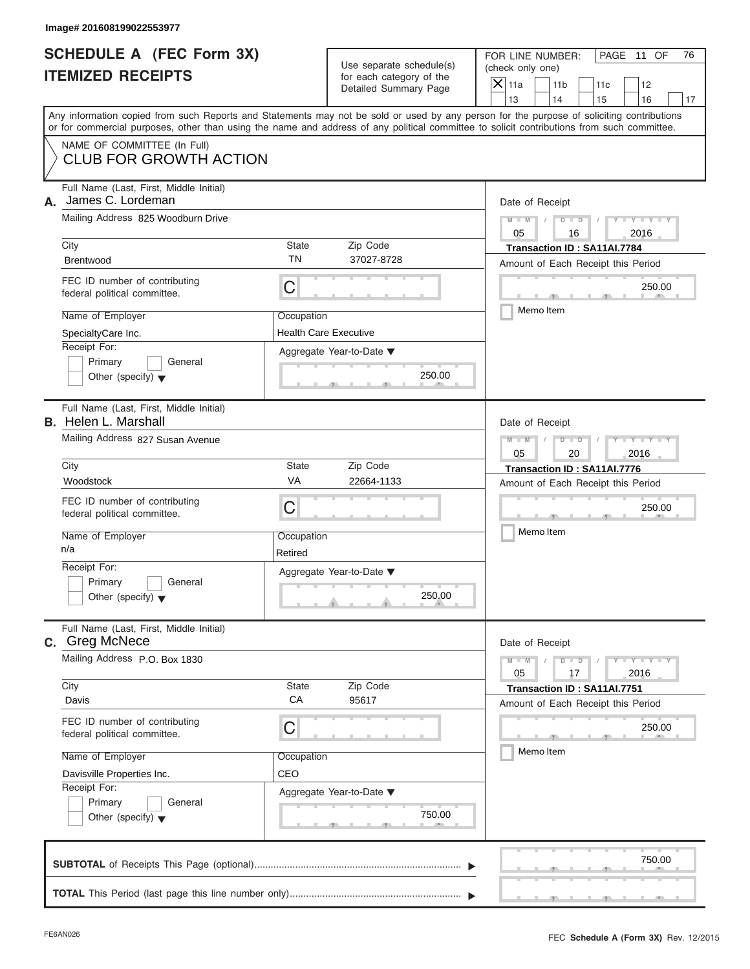| SCHEDULE A (FEC Form 3X) |  |
|--------------------------|--|
| <b>ITEMIZED RECEIPTS</b> |  |

| Image# 201608199022553977                                              |                       |                                                                               |                                                                                                                                                                         |
|------------------------------------------------------------------------|-----------------------|-------------------------------------------------------------------------------|-------------------------------------------------------------------------------------------------------------------------------------------------------------------------|
| <b>SCHEDULE A (FEC Form 3X)</b><br><b>ITEMIZED RECEIPTS</b>            |                       | Use separate schedule(s)<br>for each category of the<br>Detailed Summary Page |                                                                                                                                                                         |
|                                                                        |                       |                                                                               | 13<br>14<br>15<br>16<br>17<br>Any information copied from such Reports and Statements may not be sold or used by any person for the purpose of soliciting contributions |
| NAME OF COMMITTEE (In Full)                                            |                       |                                                                               | or for commercial purposes, other than using the name and address of any political committee to solicit contributions from such committee.                              |
| <b>CLUB FOR GROWTH ACTION</b>                                          |                       |                                                                               |                                                                                                                                                                         |
| Full Name (Last, First, Middle Initial)<br>James C. Lordeman<br>А.     |                       |                                                                               | Date of Receipt                                                                                                                                                         |
| Mailing Address 825 Woodburn Drive                                     |                       |                                                                               | $D$ $D$<br>$Y - Y - Y - Y - Y$<br>$M - M$<br>05<br>2016<br>16                                                                                                           |
| City<br><b>Brentwood</b>                                               | State<br>ΤN           | Zip Code<br>37027-8728                                                        | Transaction ID: SA11AI.7784<br>Amount of Each Receipt this Period                                                                                                       |
| FEC ID number of contributing<br>federal political committee.          | C                     |                                                                               | 250.00                                                                                                                                                                  |
| Name of Employer<br>SpecialtyCare Inc.                                 | Occupation            | <b>Health Care Executive</b>                                                  | Memo Item                                                                                                                                                               |
| Receipt For:<br>Primary<br>Other (specify) $\blacktriangledown$        | General               | Aggregate Year-to-Date ▼<br>250.00                                            |                                                                                                                                                                         |
| Full Name (Last, First, Middle Initial)<br><b>B.</b> Helen L. Marshall |                       |                                                                               | Date of Receipt                                                                                                                                                         |
| Mailing Address 827 Susan Avenue                                       |                       |                                                                               | Y TYTTYTTY<br>$M - M$<br>$D$ $D$<br>05<br>2016<br>20                                                                                                                    |
| City<br>Woodstock                                                      | State<br>VA           | Zip Code<br>22664-1133                                                        | Transaction ID: SA11AI.7776<br>Amount of Each Receipt this Period                                                                                                       |
| FEC ID number of contributing<br>federal political committee.          | C                     |                                                                               | 250.00                                                                                                                                                                  |
| Name of Employer<br>n/a                                                | Occupation<br>Retired |                                                                               | Memo Item                                                                                                                                                               |
| Receipt For:<br>Primary<br>Other (specify) $\blacktriangledown$        | General               | Aggregate Year-to-Date ▼<br>250.00                                            |                                                                                                                                                                         |
| Full Name (Last, First, Middle Initial)<br>C. Greg McNece              |                       |                                                                               | Date of Receipt                                                                                                                                                         |
| Mailing Address P.O. Box 1830                                          |                       |                                                                               | $Y = Y$<br>$M - M$<br>$D$ $D$<br>2016<br>05<br>17                                                                                                                       |
| City<br>Davis                                                          | State<br>CA           | Zip Code<br>95617                                                             | Transaction ID: SA11AI.7751<br>Amount of Each Receipt this Period                                                                                                       |
| FEC ID number of contributing<br>federal political committee.          | С                     |                                                                               | 250.00                                                                                                                                                                  |
| Name of Employer                                                       | Occupation            |                                                                               | Memo Item                                                                                                                                                               |
| Davisville Properties Inc.<br>Receipt For:                             | CEO                   |                                                                               |                                                                                                                                                                         |
| Primary<br>Other (specify) $\blacktriangledown$                        | General               | Aggregate Year-to-Date ▼<br>750.00                                            |                                                                                                                                                                         |
|                                                                        |                       |                                                                               | 750.00                                                                                                                                                                  |
|                                                                        |                       |                                                                               |                                                                                                                                                                         |

 $S = \{x_1, x_2, \ldots, x_{n-1}, x_{n-1}, \ldots, x_{n-1}, x_{n-1}, \ldots, x_{n-1}, x_{n-1}, \ldots, x_{n-1}, x_{n-1}, \ldots, x_{n-1}, x_{n-1}, \ldots, x_{n-1}, x_{n-1}, \ldots, x_{n-1}, \ldots, x_{n-1}, \ldots, x_{n-1}, \ldots, x_{n-1}, \ldots, x_{n-1}, \ldots, x_{n-1}, \ldots, x_{n-1}, \ldots, x_{n-1}, \ldots, x_{n-1}, \ldots, x_{n-1}, \ldots, x_{n-1}, \ld$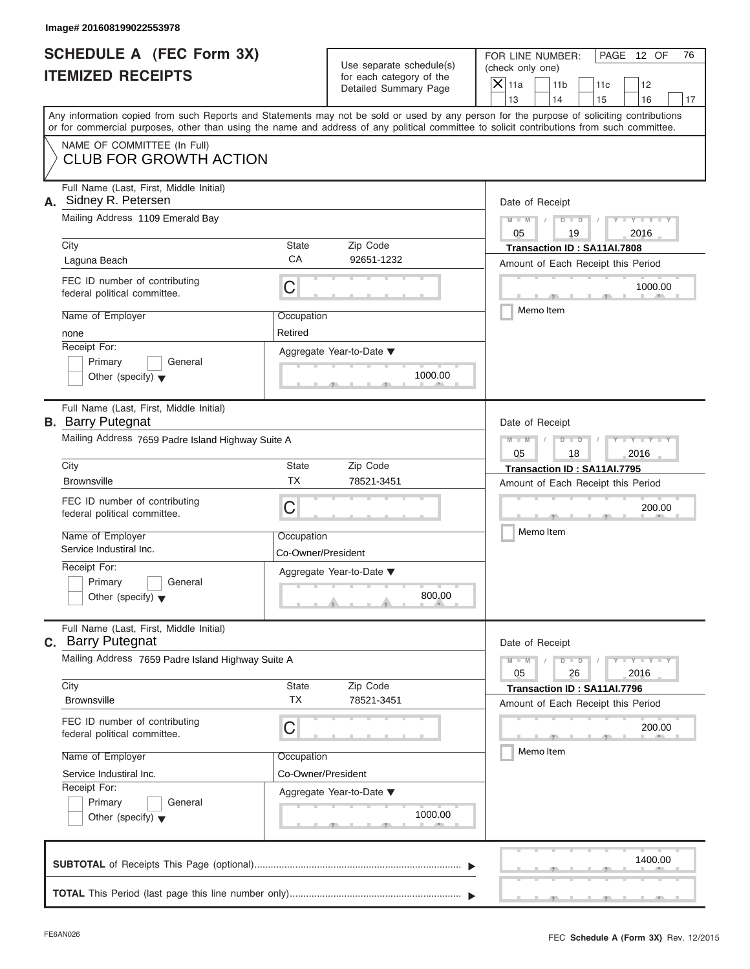| SCHEDULE A (FEC Form 3X) |  |
|--------------------------|--|
| <b>ITEMIZED RECEIPTS</b> |  |

|                                                             | Image# 201608199022553978                                                                            |                                                                               |                                    |                                                                                                                                                                                                                                                                                                                       |
|-------------------------------------------------------------|------------------------------------------------------------------------------------------------------|-------------------------------------------------------------------------------|------------------------------------|-----------------------------------------------------------------------------------------------------------------------------------------------------------------------------------------------------------------------------------------------------------------------------------------------------------------------|
| <b>SCHEDULE A (FEC Form 3X)</b><br><b>ITEMIZED RECEIPTS</b> |                                                                                                      | Use separate schedule(s)<br>for each category of the<br>Detailed Summary Page |                                    |                                                                                                                                                                                                                                                                                                                       |
|                                                             |                                                                                                      |                                                                               |                                    | 13<br>14<br>15<br>16<br>17<br>Any information copied from such Reports and Statements may not be sold or used by any person for the purpose of soliciting contributions<br>or for commercial purposes, other than using the name and address of any political committee to solicit contributions from such committee. |
|                                                             | NAME OF COMMITTEE (In Full)<br><b>CLUB FOR GROWTH ACTION</b>                                         |                                                                               |                                    |                                                                                                                                                                                                                                                                                                                       |
|                                                             | Full Name (Last, First, Middle Initial)<br>A. Sidney R. Petersen<br>Mailing Address 1109 Emerald Bay |                                                                               |                                    | Date of Receipt<br>$D$ $D$<br>$Y - Y - Y - Y - Y$<br>$M - M$                                                                                                                                                                                                                                                          |
|                                                             | City<br>Laguna Beach                                                                                 | <b>State</b><br>CA                                                            | Zip Code<br>92651-1232             | 05<br>19<br>2016<br>Transaction ID: SA11AI.7808                                                                                                                                                                                                                                                                       |
|                                                             | FEC ID number of contributing<br>federal political committee.                                        | C                                                                             |                                    | Amount of Each Receipt this Period<br>1000.00                                                                                                                                                                                                                                                                         |
|                                                             | Name of Employer<br>none<br>Receipt For:                                                             | Occupation<br>Retired                                                         | Aggregate Year-to-Date ▼           | Memo Item                                                                                                                                                                                                                                                                                                             |
|                                                             | Primary<br>General<br>Other (specify) $\blacktriangledown$                                           |                                                                               | 1000.00                            |                                                                                                                                                                                                                                                                                                                       |
|                                                             | Full Name (Last, First, Middle Initial)<br><b>B.</b> Barry Putegnat                                  |                                                                               |                                    | Date of Receipt                                                                                                                                                                                                                                                                                                       |
|                                                             | Mailing Address 7659 Padre Island Highway Suite A                                                    |                                                                               |                                    | Y TYTTYTTY<br>$M - M$<br>$D$ $D$<br>05<br>2016<br>18                                                                                                                                                                                                                                                                  |
|                                                             | City<br><b>Brownsville</b>                                                                           | <b>State</b><br><b>TX</b>                                                     | Zip Code<br>78521-3451             | Transaction ID: SA11AI.7795<br>Amount of Each Receipt this Period                                                                                                                                                                                                                                                     |
|                                                             | FEC ID number of contributing<br>federal political committee.                                        | C                                                                             |                                    | 200.00                                                                                                                                                                                                                                                                                                                |
|                                                             | Name of Employer<br>Service Industiral Inc.                                                          | Occupation<br>Co-Owner/President                                              |                                    | Memo Item                                                                                                                                                                                                                                                                                                             |
|                                                             | Receipt For:<br>Primary<br>General<br>Other (specify) $\blacktriangledown$                           |                                                                               | Aggregate Year-to-Date ▼<br>800.00 |                                                                                                                                                                                                                                                                                                                       |
|                                                             | Full Name (Last, First, Middle Initial)<br><b>c.</b> Barry Putegnat                                  |                                                                               |                                    | Date of Receipt                                                                                                                                                                                                                                                                                                       |
|                                                             | Mailing Address 7659 Padre Island Highway Suite A                                                    |                                                                               |                                    | $Y = Y$<br>$M - M$<br>D<br>$\Box$<br>2016<br>05<br>26                                                                                                                                                                                                                                                                 |
|                                                             | City<br><b>Brownsville</b>                                                                           | State<br><b>TX</b>                                                            | Zip Code<br>78521-3451             | Transaction ID: SA11AI.7796<br>Amount of Each Receipt this Period                                                                                                                                                                                                                                                     |
|                                                             | FEC ID number of contributing<br>federal political committee.                                        | C                                                                             |                                    | 200.00<br>Memo Item                                                                                                                                                                                                                                                                                                   |
|                                                             | Name of Employer<br>Service Industiral Inc.<br>Receipt For:                                          | Occupation<br>Co-Owner/President                                              | Aggregate Year-to-Date ▼           |                                                                                                                                                                                                                                                                                                                       |
|                                                             | Primary<br>General<br>Other (specify) $\blacktriangledown$                                           |                                                                               | 1000.00                            |                                                                                                                                                                                                                                                                                                                       |
|                                                             |                                                                                                      |                                                                               |                                    | 1400.00                                                                                                                                                                                                                                                                                                               |
|                                                             |                                                                                                      |                                                                               |                                    |                                                                                                                                                                                                                                                                                                                       |

S S S , , .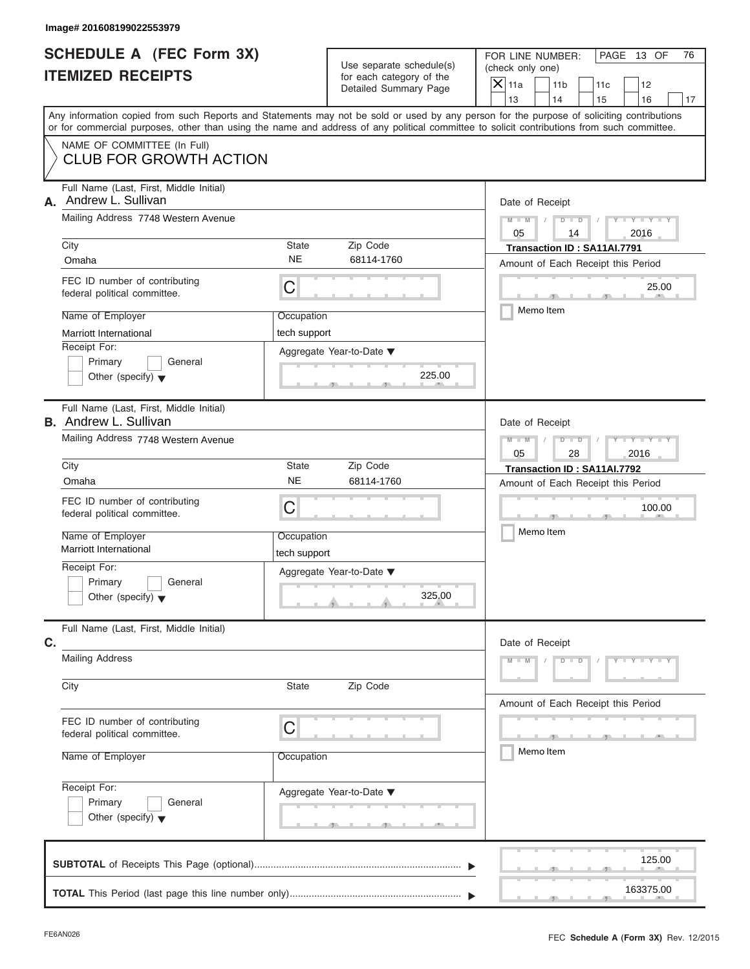|                          | SCHEDULE A (FEC Form 3X) |
|--------------------------|--------------------------|
| <b>ITEMIZED RECEIPTS</b> |                          |

|                                                             | Image# 201608199022553979                                                                                                                  |                            |                                                                               |                                                                                                                                           |
|-------------------------------------------------------------|--------------------------------------------------------------------------------------------------------------------------------------------|----------------------------|-------------------------------------------------------------------------------|-------------------------------------------------------------------------------------------------------------------------------------------|
| <b>SCHEDULE A (FEC Form 3X)</b><br><b>ITEMIZED RECEIPTS</b> |                                                                                                                                            |                            | Use separate schedule(s)<br>for each category of the<br>Detailed Summary Page | PAGE 13 OF<br>FOR LINE NUMBER:<br>76<br>(check only one)<br>$\overline{X}$ 11a<br>11 <sub>b</sub><br>11c<br>12                            |
|                                                             |                                                                                                                                            |                            |                                                                               | 13<br>14<br>15<br>16<br>17                                                                                                                |
|                                                             | or for commercial purposes, other than using the name and address of any political committee to solicit contributions from such committee. |                            |                                                                               | Any information copied from such Reports and Statements may not be sold or used by any person for the purpose of soliciting contributions |
|                                                             | NAME OF COMMITTEE (In Full)<br><b>CLUB FOR GROWTH ACTION</b>                                                                               |                            |                                                                               |                                                                                                                                           |
| А.                                                          | Full Name (Last, First, Middle Initial)<br>Andrew L. Sullivan                                                                              |                            |                                                                               | Date of Receipt                                                                                                                           |
|                                                             | Mailing Address 7748 Western Avenue                                                                                                        |                            |                                                                               | $M - M$<br>$D$ $D$<br>$Y - Y - Y$                                                                                                         |
|                                                             | City                                                                                                                                       | State                      | Zip Code                                                                      | 05<br>2016<br>14<br>Transaction ID: SA11AI.7791                                                                                           |
|                                                             | Omaha                                                                                                                                      | <b>NE</b>                  | 68114-1760                                                                    | Amount of Each Receipt this Period                                                                                                        |
|                                                             | FEC ID number of contributing<br>federal political committee.                                                                              | C                          |                                                                               | 25.00<br>$\sqrt{m}$                                                                                                                       |
|                                                             | Name of Employer                                                                                                                           | Occupation                 |                                                                               | Memo Item                                                                                                                                 |
|                                                             | <b>Marriott International</b>                                                                                                              | tech support               |                                                                               |                                                                                                                                           |
|                                                             | Receipt For:<br>Primary<br>General<br>Other (specify) $\blacktriangledown$                                                                 |                            | Aggregate Year-to-Date ▼<br>225.00                                            |                                                                                                                                           |
|                                                             | Full Name (Last, First, Middle Initial)<br><b>B.</b> Andrew L. Sullivan                                                                    |                            |                                                                               | Date of Receipt                                                                                                                           |
|                                                             | Mailing Address 7748 Western Avenue                                                                                                        |                            |                                                                               | $M - M$<br>$D - I$<br>Y TY TY<br>2016<br>05<br>28                                                                                         |
|                                                             | City                                                                                                                                       | State                      | Zip Code                                                                      | Transaction ID: SA11AI.7792                                                                                                               |
|                                                             | Omaha                                                                                                                                      | <b>NE</b>                  | 68114-1760                                                                    | Amount of Each Receipt this Period                                                                                                        |
|                                                             | FEC ID number of contributing<br>federal political committee.                                                                              | C                          |                                                                               | 100.00                                                                                                                                    |
|                                                             | Name of Employer<br>Marriott International                                                                                                 | Occupation<br>tech support |                                                                               | Memo Item                                                                                                                                 |
|                                                             | Receipt For:                                                                                                                               |                            | Aggregate Year-to-Date ▼                                                      |                                                                                                                                           |
|                                                             | Primary<br>General<br>Other (specify) $\blacktriangledown$                                                                                 |                            | 325.00                                                                        |                                                                                                                                           |
| C.                                                          | Full Name (Last, First, Middle Initial)                                                                                                    |                            |                                                                               | Date of Receipt                                                                                                                           |
|                                                             | <b>Mailing Address</b>                                                                                                                     |                            |                                                                               | $M - M$<br>$D$ $D$<br>$Y - Y - Y - T$                                                                                                     |
|                                                             | City                                                                                                                                       | State                      | Zip Code                                                                      | Amount of Each Receipt this Period                                                                                                        |
|                                                             | FEC ID number of contributing<br>federal political committee.                                                                              | С                          |                                                                               |                                                                                                                                           |
|                                                             | Name of Employer                                                                                                                           | Occupation                 |                                                                               | Memo Item                                                                                                                                 |
|                                                             | Receipt For:<br>Primary<br>General                                                                                                         |                            | Aggregate Year-to-Date ▼                                                      |                                                                                                                                           |
|                                                             | Other (specify) $\blacktriangledown$                                                                                                       |                            | -91-                                                                          |                                                                                                                                           |
|                                                             |                                                                                                                                            |                            |                                                                               | 125.00                                                                                                                                    |
|                                                             |                                                                                                                                            |                            |                                                                               | 163375.00                                                                                                                                 |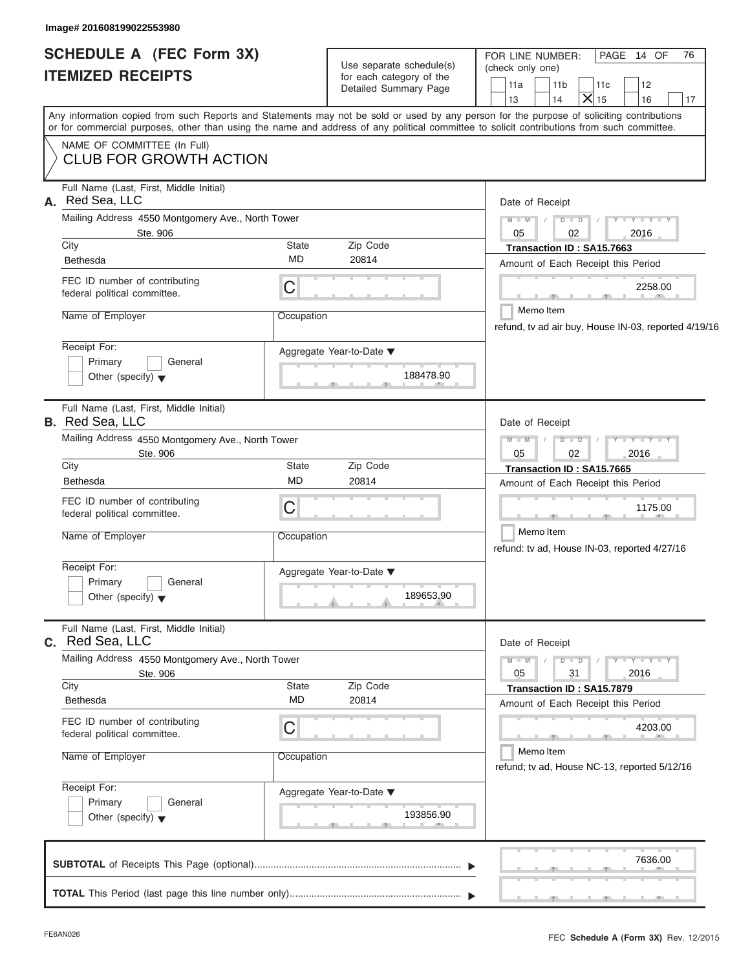|                                                             | Image# 201608199022553980                                                  |                    |                                                                                                                                            |                                                                                                                                                                                                                                                                                         |
|-------------------------------------------------------------|----------------------------------------------------------------------------|--------------------|--------------------------------------------------------------------------------------------------------------------------------------------|-----------------------------------------------------------------------------------------------------------------------------------------------------------------------------------------------------------------------------------------------------------------------------------------|
| <b>SCHEDULE A (FEC Form 3X)</b><br><b>ITEMIZED RECEIPTS</b> |                                                                            |                    | FOR LINE NUMBER:<br>PAGE 14 OF<br>76<br>(check only one)<br>11a<br>11 <sub>b</sub><br>11c<br>12<br>$\mathsf{X}$ 15<br>14<br>13<br>16<br>17 |                                                                                                                                                                                                                                                                                         |
|                                                             |                                                                            |                    |                                                                                                                                            | Any information copied from such Reports and Statements may not be sold or used by any person for the purpose of soliciting contributions<br>or for commercial purposes, other than using the name and address of any political committee to solicit contributions from such committee. |
|                                                             | NAME OF COMMITTEE (In Full)<br><b>CLUB FOR GROWTH ACTION</b>               |                    |                                                                                                                                            |                                                                                                                                                                                                                                                                                         |
| А.                                                          | Full Name (Last, First, Middle Initial)<br>Red Sea, LLC                    |                    |                                                                                                                                            | Date of Receipt                                                                                                                                                                                                                                                                         |
|                                                             | Mailing Address 4550 Montgomery Ave., North Tower<br>Ste. 906              |                    |                                                                                                                                            | $D$ $D$<br>$Y - Y - Y - Y - Y$<br>$M - M$<br>02<br>2016<br>05                                                                                                                                                                                                                           |
|                                                             | City<br>Bethesda                                                           | State<br>MD        | Zip Code<br>20814                                                                                                                          | Transaction ID: SA15.7663<br>Amount of Each Receipt this Period                                                                                                                                                                                                                         |
|                                                             | FEC ID number of contributing<br>federal political committee.              | C                  |                                                                                                                                            | 2258.00<br>$\sim$                                                                                                                                                                                                                                                                       |
|                                                             | Name of Employer                                                           | Occupation         |                                                                                                                                            | Memo Item<br>refund, tv ad air buy, House IN-03, reported 4/19/16                                                                                                                                                                                                                       |
|                                                             | Receipt For:<br>Primary<br>General<br>Other (specify) $\blacktriangledown$ |                    | Aggregate Year-to-Date ▼<br>188478.90                                                                                                      |                                                                                                                                                                                                                                                                                         |
|                                                             | Full Name (Last, First, Middle Initial)<br><b>B.</b> Red Sea, LLC          |                    |                                                                                                                                            | Date of Receipt                                                                                                                                                                                                                                                                         |
|                                                             | Mailing Address 4550 Montgomery Ave., North Tower<br>Ste. 906              |                    |                                                                                                                                            | $Y = Y = Y' + Y'$<br>$M - M$<br>$D$ $D$<br>$\sqrt{2}$<br>2016<br>05<br>02                                                                                                                                                                                                               |
|                                                             | City<br><b>Bethesda</b>                                                    | State<br><b>MD</b> | Zip Code<br>20814                                                                                                                          | Transaction ID: SA15.7665<br>Amount of Each Receipt this Period                                                                                                                                                                                                                         |
|                                                             | FEC ID number of contributing<br>federal political committee.              | C                  |                                                                                                                                            | 1175.00                                                                                                                                                                                                                                                                                 |
|                                                             | Name of Employer                                                           | Occupation         |                                                                                                                                            | Memo Item<br>refund: tv ad, House IN-03, reported 4/27/16                                                                                                                                                                                                                               |
|                                                             | Receipt For:<br>Primary<br>General<br>Other (specify) $\blacktriangledown$ |                    | Aggregate Year-to-Date ▼<br>189653.90                                                                                                      |                                                                                                                                                                                                                                                                                         |
|                                                             | Full Name (Last, First, Middle Initial)<br>C. Red Sea, LLC                 |                    |                                                                                                                                            | Date of Receipt                                                                                                                                                                                                                                                                         |
|                                                             | Mailing Address 4550 Montgomery Ave., North Tower<br>Ste. 906              |                    |                                                                                                                                            | $Y - Y - Y - Y - Y$<br>$D$ $\Box$ $D$<br>$M - M$<br>2016<br>05<br>31                                                                                                                                                                                                                    |
|                                                             | City<br>Bethesda                                                           | State<br><b>MD</b> | Zip Code<br>20814                                                                                                                          | Transaction ID: SA15.7879<br>Amount of Each Receipt this Period                                                                                                                                                                                                                         |
|                                                             | FEC ID number of contributing<br>federal political committee.              | С                  |                                                                                                                                            | 4203.00                                                                                                                                                                                                                                                                                 |
|                                                             | Name of Employer                                                           | Occupation         |                                                                                                                                            | Memo Item<br>refund; tv ad, House NC-13, reported 5/12/16                                                                                                                                                                                                                               |
|                                                             | Receipt For:<br>Primary<br>General<br>Other (specify) $\blacktriangledown$ |                    | Aggregate Year-to-Date ▼<br>193856.90                                                                                                      |                                                                                                                                                                                                                                                                                         |

|  |  |  |  |  | 7636.00<br><b>Contract and Contract and Contract and Contract and Contract and Contract and Contract and Contract and Contract and</b> |  |
|--|--|--|--|--|----------------------------------------------------------------------------------------------------------------------------------------|--|
|  |  |  |  |  | and the control of the control of the control of the con-                                                                              |  |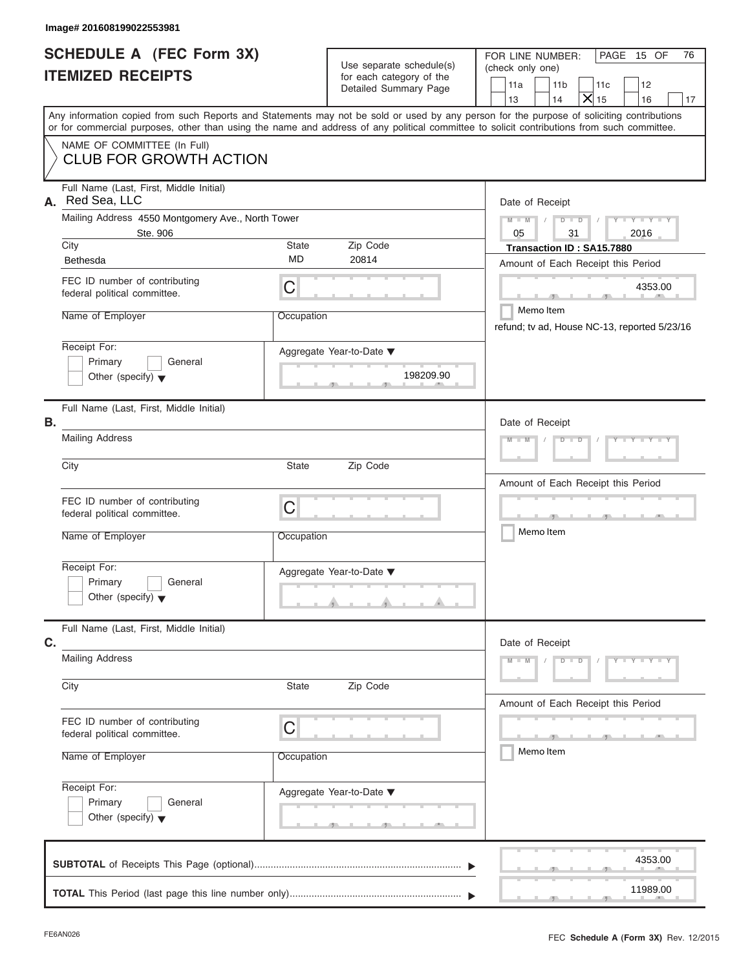## **Image# 201608199022553981**

| <b>SCHEDULE A (FEC Form 3X)</b><br><b>ITEMIZED RECEIPTS</b>                                                                                |                    | Use separate schedule(s)<br>for each category of the<br>Detailed Summary Page | FOR LINE NUMBER:<br>PAGE 15 OF<br>76<br>(check only one)<br>11a<br>11 <sub>b</sub><br>12<br>11c<br>$\overline{X}$ 15<br>13<br>14<br>16<br>17 |
|--------------------------------------------------------------------------------------------------------------------------------------------|--------------------|-------------------------------------------------------------------------------|----------------------------------------------------------------------------------------------------------------------------------------------|
| or for commercial purposes, other than using the name and address of any political committee to solicit contributions from such committee. |                    |                                                                               | Any information copied from such Reports and Statements may not be sold or used by any person for the purpose of soliciting contributions    |
| NAME OF COMMITTEE (In Full)<br>CLUB FOR GROWTH ACTION                                                                                      |                    |                                                                               |                                                                                                                                              |
| Full Name (Last, First, Middle Initial)<br>A. Red Sea, LLC                                                                                 |                    |                                                                               | Date of Receipt                                                                                                                              |
| Mailing Address 4550 Montgomery Ave., North Tower<br>Ste. 906                                                                              |                    |                                                                               | $Y - Y - Y - Y - Y$<br>$M - M$<br>$D$ $D$<br>31<br>2016<br>05                                                                                |
| City<br><b>Bethesda</b>                                                                                                                    | State<br><b>MD</b> | Zip Code<br>20814                                                             | Transaction ID: SA15.7880<br>Amount of Each Receipt this Period                                                                              |
| FEC ID number of contributing<br>federal political committee.                                                                              | C                  |                                                                               | 4353.00                                                                                                                                      |
| Name of Employer                                                                                                                           | Occupation         |                                                                               | Memo Item<br>refund; tv ad, House NC-13, reported 5/23/16                                                                                    |
| Receipt For:<br>Primary<br>General<br>Other (specify) $\blacktriangledown$                                                                 |                    | Aggregate Year-to-Date ▼<br>198209.90                                         |                                                                                                                                              |
| Full Name (Last, First, Middle Initial)<br>В.                                                                                              |                    |                                                                               | Date of Receipt                                                                                                                              |
| <b>Mailing Address</b>                                                                                                                     |                    |                                                                               | $Y - Y - Y - Y - Y$<br>$M - M$<br>$D$ $D$                                                                                                    |
| City                                                                                                                                       | State              | Zip Code                                                                      | Amount of Each Receipt this Period                                                                                                           |
| FEC ID number of contributing<br>federal political committee.<br>Name of Employer                                                          | C<br>Occupation    |                                                                               | Memo Item                                                                                                                                    |
| Receipt For:<br>$\Box$ Primary<br>$\Box$ General<br>Other (specify) $\blacktriangledown$                                                   |                    | Aggregate Year-to-Date ▼<br>$\cdots$                                          |                                                                                                                                              |
| Full Name (Last, First, Middle Initial)                                                                                                    |                    |                                                                               |                                                                                                                                              |
| C.<br><b>Mailing Address</b>                                                                                                               |                    |                                                                               | Date of Receipt<br>$Y - Y - Y - Y - Y$<br>$M - M$<br>$D$ $D$                                                                                 |
| City                                                                                                                                       | State              | Zip Code                                                                      | Amount of Each Receipt this Period                                                                                                           |
| FEC ID number of contributing<br>federal political committee.                                                                              | C                  |                                                                               | $\mathbf{1}$<br>Memo Item                                                                                                                    |
| Name of Employer                                                                                                                           | Occupation         |                                                                               |                                                                                                                                              |
| Receipt For:<br>Primary<br>General<br>Other (specify) $\blacktriangledown$                                                                 |                    | Aggregate Year-to-Date ▼<br><u>20 - Jan Jan 20 - Jan Jan 20</u>               |                                                                                                                                              |
|                                                                                                                                            |                    |                                                                               | 4353.00                                                                                                                                      |
| <b>TOTAL</b> This Pariod (last nage this line number only)                                                                                 |                    |                                                                               | 11989.00                                                                                                                                     |

 $\frac{11989.00}{2}$ 4353.00 **SUBTOTAL** of Receipts This Page (optional) ............................................................................ **TOTAL** This Period (last page this line number only) ............................................................... T T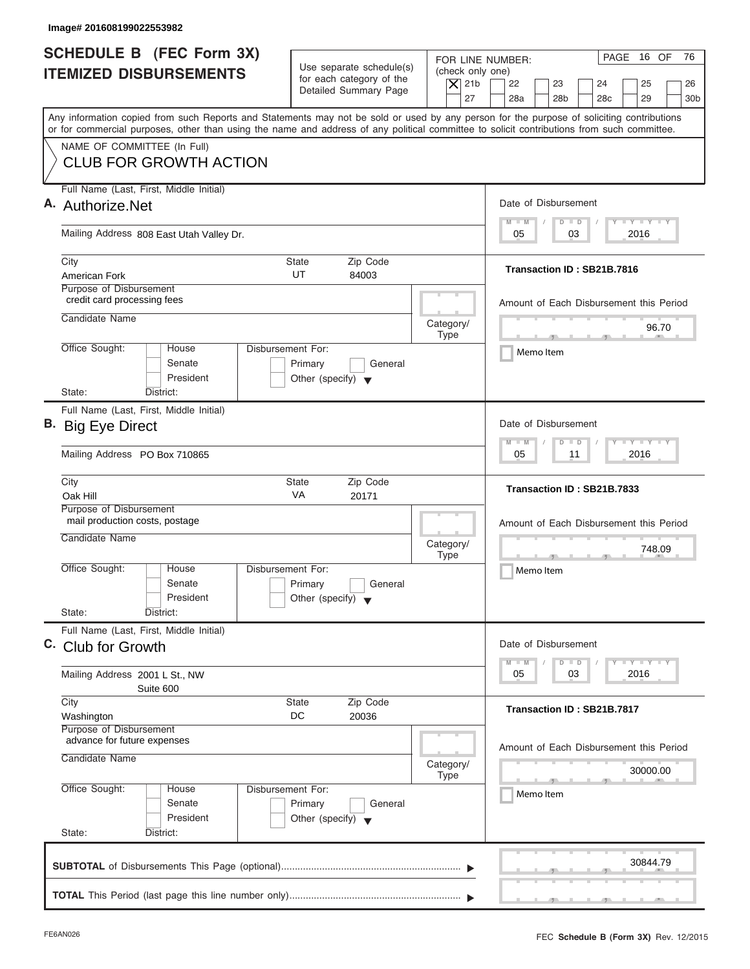| Image# 201608199022553982                                                                                                                                                                                                                                                               |                                                                                                |                                                                                                              |
|-----------------------------------------------------------------------------------------------------------------------------------------------------------------------------------------------------------------------------------------------------------------------------------------|------------------------------------------------------------------------------------------------|--------------------------------------------------------------------------------------------------------------|
| <b>SCHEDULE B</b> (FEC Form 3X)<br><b>ITEMIZED DISBURSEMENTS</b>                                                                                                                                                                                                                        | Use separate schedule(s)<br>for each category of the<br><b>Detailed Summary Page</b>           | PAGE 16 OF<br>76<br>FOR LINE NUMBER:<br>(check only one)<br>$\overline{X}$ 21b<br>22<br>23<br>24<br>25<br>26 |
| Any information copied from such Reports and Statements may not be sold or used by any person for the purpose of soliciting contributions<br>or for commercial purposes, other than using the name and address of any political committee to solicit contributions from such committee. |                                                                                                | 27<br>28a<br>28 <sub>b</sub><br>28 <sub>c</sub><br>29<br>30 <sub>b</sub>                                     |
| NAME OF COMMITTEE (In Full)<br><b>CLUB FOR GROWTH ACTION</b>                                                                                                                                                                                                                            |                                                                                                |                                                                                                              |
| Full Name (Last, First, Middle Initial)<br>A. Authorize.Net                                                                                                                                                                                                                             |                                                                                                | Date of Disbursement                                                                                         |
| Mailing Address 808 East Utah Valley Dr.                                                                                                                                                                                                                                                |                                                                                                | <b>LYLYLY</b><br>$\blacksquare$ M<br>$D$ $D$<br>2016<br>05<br>03                                             |
| City<br>American Fork                                                                                                                                                                                                                                                                   | Transaction ID: SB21B.7816                                                                     |                                                                                                              |
| Purpose of Disbursement<br>credit card processing fees<br>Candidate Name                                                                                                                                                                                                                |                                                                                                | Amount of Each Disbursement this Period                                                                      |
| Office Sought:<br>House                                                                                                                                                                                                                                                                 | Category/<br><b>Type</b><br>Disbursement For:                                                  | 96.70<br>$\mathcal{F}$ and $\mathcal{F}$<br>$-7$                                                             |
| Senate<br>President                                                                                                                                                                                                                                                                     | Primary<br>General<br>Other (specify) $\blacktriangledown$                                     | Memo Item                                                                                                    |
| State:<br>District:<br>Full Name (Last, First, Middle Initial)                                                                                                                                                                                                                          |                                                                                                | Date of Disbursement                                                                                         |
| B. Big Eye Direct<br>Mailing Address PO Box 710865                                                                                                                                                                                                                                      |                                                                                                | $-1$ $-1$ $-1$ $-1$ $-1$<br>M<br>W<br>$\overline{D}$<br>$\Box$<br>2016<br>05<br>11                           |
| City                                                                                                                                                                                                                                                                                    | Zip Code<br><b>State</b>                                                                       |                                                                                                              |
| Oak Hill<br>Purpose of Disbursement                                                                                                                                                                                                                                                     | VA<br>20171                                                                                    | Transaction ID: SB21B.7833                                                                                   |
| mail production costs, postage<br>Candidate Name                                                                                                                                                                                                                                        | Category/<br><b>Type</b>                                                                       | Amount of Each Disbursement this Period<br>748.09                                                            |
| Office Sought:<br>House<br>Senate<br>President                                                                                                                                                                                                                                          | Disbursement For:<br>Primary<br>General<br>Other (specify) $\blacktriangledown$                | Memo Item                                                                                                    |
| State:<br>District:<br>Full Name (Last, First, Middle Initial)                                                                                                                                                                                                                          |                                                                                                |                                                                                                              |
| C. Club for Growth<br>Mailing Address 2001 L St., NW                                                                                                                                                                                                                                    |                                                                                                | Date of Disbursement<br>$T - Y - T - Y - T - Y$<br>M<br>$\blacksquare$ M<br>D<br>$\Box$<br>2016<br>05<br>03  |
| Suite 600<br>City                                                                                                                                                                                                                                                                       | <b>State</b><br>Zip Code                                                                       |                                                                                                              |
| Washington<br>Purpose of Disbursement                                                                                                                                                                                                                                                   | DC<br>20036                                                                                    | Transaction ID: SB21B.7817                                                                                   |
| advance for future expenses<br>Candidate Name                                                                                                                                                                                                                                           | Category/                                                                                      | Amount of Each Disbursement this Period<br>30000.00                                                          |
| Office Sought:<br>House<br>Senate<br>President                                                                                                                                                                                                                                          | <b>Type</b><br>Disbursement For:<br>Primary<br>General<br>Other (specify) $\blacktriangledown$ | Memo Item                                                                                                    |
| State:<br>District:                                                                                                                                                                                                                                                                     |                                                                                                | 30844.79                                                                                                     |
|                                                                                                                                                                                                                                                                                         |                                                                                                |                                                                                                              |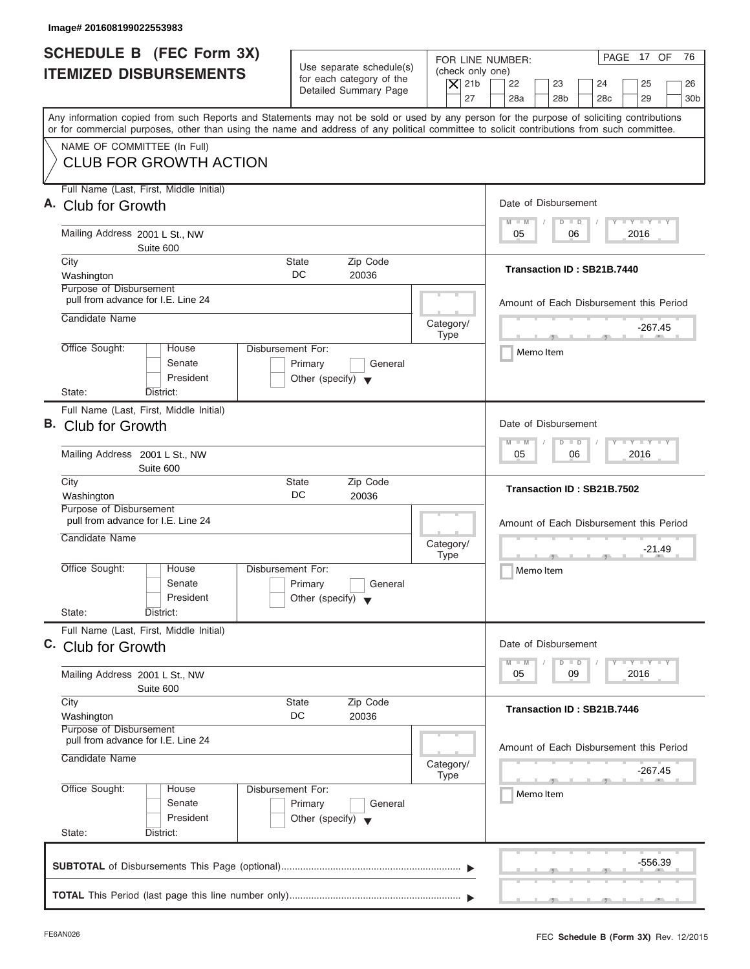| Image# 201608199022553983                                                                                                                                                                                                                                                               |                                                                                                                               |                                                                                                                                          |
|-----------------------------------------------------------------------------------------------------------------------------------------------------------------------------------------------------------------------------------------------------------------------------------------|-------------------------------------------------------------------------------------------------------------------------------|------------------------------------------------------------------------------------------------------------------------------------------|
| <b>SCHEDULE B</b> (FEC Form 3X)<br><b>ITEMIZED DISBURSEMENTS</b>                                                                                                                                                                                                                        | Use separate schedule(s)<br>(check only one)<br>for each category of the<br>$ \mathsf{X} $ 21b<br>Detailed Summary Page<br>27 | PAGE 17 OF<br>76<br>FOR LINE NUMBER:<br>22<br>23<br>24<br>25<br>26<br>28a<br>28 <sub>b</sub><br>28 <sub>c</sub><br>29<br>30 <sub>b</sub> |
| Any information copied from such Reports and Statements may not be sold or used by any person for the purpose of soliciting contributions<br>or for commercial purposes, other than using the name and address of any political committee to solicit contributions from such committee. |                                                                                                                               |                                                                                                                                          |
| NAME OF COMMITTEE (In Full)<br><b>CLUB FOR GROWTH ACTION</b>                                                                                                                                                                                                                            |                                                                                                                               |                                                                                                                                          |
| Full Name (Last, First, Middle Initial)<br>A. Club for Growth                                                                                                                                                                                                                           |                                                                                                                               | Date of Disbursement                                                                                                                     |
| Mailing Address 2001 L St., NW<br>Suite 600                                                                                                                                                                                                                                             |                                                                                                                               | $T - Y = T - Y = T - Y$<br>$M - M$<br>$D$ $D$<br>2016<br>05<br>06                                                                        |
| City<br>Washington<br>Purpose of Disbursement                                                                                                                                                                                                                                           | <b>State</b><br>Zip Code<br>DC.<br>20036                                                                                      | Transaction ID: SB21B.7440                                                                                                               |
| pull from advance for I.E. Line 24<br>Candidate Name                                                                                                                                                                                                                                    | Category/                                                                                                                     | Amount of Each Disbursement this Period                                                                                                  |
| Office Sought:<br>House<br>Senate<br>President                                                                                                                                                                                                                                          | <b>Type</b><br>Disbursement For:<br>Primary<br>General<br>Other (specify) $\blacktriangledown$                                | -267.45<br>$\mathcal{F}$ and $\mathcal{F}$ and $\mathcal{F}$<br>Memo Item                                                                |
| State:<br>District:<br>Full Name (Last, First, Middle Initial)<br>B. Club for Growth                                                                                                                                                                                                    |                                                                                                                               | Date of Disbursement<br>$\mathbf{I} = \mathbf{Y} - \mathbf{I} - \mathbf{Y} - \mathbf{I} - \mathbf{Y}$<br>$M - M$<br>$D$ $D$              |
| Mailing Address 2001 L St., NW<br>Suite 600                                                                                                                                                                                                                                             |                                                                                                                               | 2016<br>05<br>06                                                                                                                         |
| City<br>Washington<br>Purpose of Disbursement                                                                                                                                                                                                                                           | Zip Code<br><b>State</b><br>DC<br>20036                                                                                       | Transaction ID: SB21B.7502                                                                                                               |
| pull from advance for I.E. Line 24<br>Candidate Name                                                                                                                                                                                                                                    | Category/<br><b>Type</b>                                                                                                      | Amount of Each Disbursement this Period<br>$-21.49$<br>$-7$                                                                              |
| Office Sought:<br>House<br>Senate<br>President<br>State:<br>District:                                                                                                                                                                                                                   | Disbursement For:<br>Primary<br>General<br>Other (specify) $\blacktriangledown$                                               | Memo Item                                                                                                                                |
| Full Name (Last, First, Middle Initial)<br>C. Club for Growth                                                                                                                                                                                                                           |                                                                                                                               | Date of Disbursement                                                                                                                     |
| Mailing Address 2001 L St., NW<br>Suite 600                                                                                                                                                                                                                                             |                                                                                                                               | $T - Y$ $T - Y$ $T - Y$<br>$M - M$<br>D<br>$\Box$<br>2016<br>05<br>09                                                                    |
| City<br>Washington<br>Purpose of Disbursement                                                                                                                                                                                                                                           | Zip Code<br><b>State</b><br>DC<br>20036                                                                                       | Transaction ID: SB21B.7446                                                                                                               |
| pull from advance for I.E. Line 24<br>Candidate Name                                                                                                                                                                                                                                    | Category/<br><b>Type</b>                                                                                                      | Amount of Each Disbursement this Period<br>-267.45                                                                                       |
| Office Sought:<br>House<br>Senate<br>President                                                                                                                                                                                                                                          | Disbursement For:<br>Primary<br>General<br>Other (specify) $\blacktriangledown$                                               | Memo Item                                                                                                                                |
| State:<br>District:                                                                                                                                                                                                                                                                     |                                                                                                                               | -556.39                                                                                                                                  |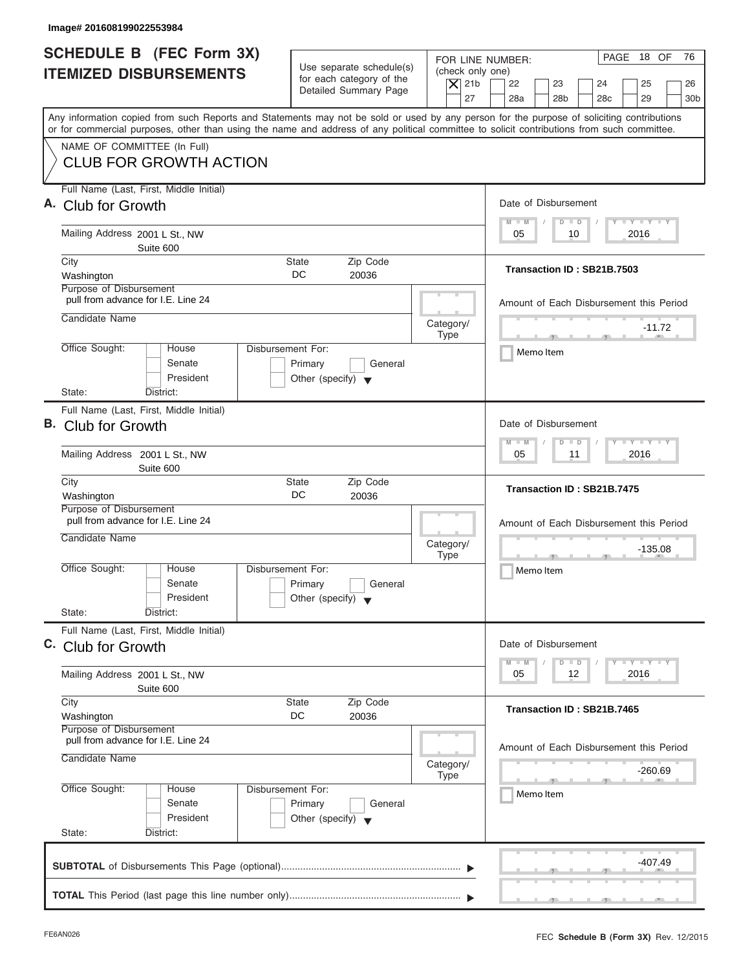| Image# 201608199022553984                                                                                                                                                                                                                                                               |                                                                                                     |                                                                                                             |
|-----------------------------------------------------------------------------------------------------------------------------------------------------------------------------------------------------------------------------------------------------------------------------------------|-----------------------------------------------------------------------------------------------------|-------------------------------------------------------------------------------------------------------------|
| <b>SCHEDULE B</b> (FEC Form 3X)<br><b>ITEMIZED DISBURSEMENTS</b>                                                                                                                                                                                                                        | Use separate schedule(s)<br>for each category of the<br>$ \mathsf{X} $ 21b<br>Detailed Summary Page | PAGE 18 OF<br>76<br>FOR LINE NUMBER:<br>(check only one)<br>22<br>23<br>24<br>25<br>26                      |
| Any information copied from such Reports and Statements may not be sold or used by any person for the purpose of soliciting contributions<br>or for commercial purposes, other than using the name and address of any political committee to solicit contributions from such committee. |                                                                                                     | 27<br>28a<br>28 <sub>b</sub><br>28 <sub>c</sub><br>29<br>30 <sub>b</sub>                                    |
| NAME OF COMMITTEE (In Full)<br><b>CLUB FOR GROWTH ACTION</b>                                                                                                                                                                                                                            |                                                                                                     |                                                                                                             |
| Full Name (Last, First, Middle Initial)<br>A. Club for Growth                                                                                                                                                                                                                           |                                                                                                     | Date of Disbursement<br>$T - Y = T - Y = T - Y$<br>$M - M$<br>$D$ $D$                                       |
| Mailing Address 2001 L St., NW<br>Suite 600                                                                                                                                                                                                                                             |                                                                                                     | 2016<br>05<br>10                                                                                            |
| City<br>Washington<br>Purpose of Disbursement                                                                                                                                                                                                                                           | <b>State</b><br>Zip Code<br>DC.<br>20036                                                            | Transaction ID: SB21B.7503                                                                                  |
| pull from advance for I.E. Line 24<br>Candidate Name                                                                                                                                                                                                                                    | Category/                                                                                           | Amount of Each Disbursement this Period<br>$-11.72$                                                         |
| Office Sought:<br>House<br>Senate<br>President                                                                                                                                                                                                                                          | <b>Type</b><br>Disbursement For:<br>Primary<br>General<br>Other (specify) $\blacktriangledown$      | Memo Item                                                                                                   |
| State:<br>District:<br>Full Name (Last, First, Middle Initial)<br>B. Club for Growth<br>Mailing Address 2001 L St., NW                                                                                                                                                                  |                                                                                                     | Date of Disbursement<br>$-1 - Y - 1 - Y - 1 - Y$<br>$M - M$<br>$\overline{D}$<br>$\Box$<br>2016<br>05<br>11 |
| Suite 600<br>City<br>Washington                                                                                                                                                                                                                                                         | Zip Code<br><b>State</b><br>DC<br>20036                                                             | Transaction ID: SB21B.7475                                                                                  |
| Purpose of Disbursement<br>pull from advance for I.E. Line 24<br>Candidate Name                                                                                                                                                                                                         | Category/<br><b>Type</b>                                                                            | Amount of Each Disbursement this Period<br>$-135.08$<br>$-7$                                                |
| Office Sought:<br>House<br>Senate<br>President<br>State:<br>District:                                                                                                                                                                                                                   | Disbursement For:<br>Primary<br>General<br>Other (specify) $\blacktriangledown$                     | Memo Item                                                                                                   |
| Full Name (Last, First, Middle Initial)<br>C. Club for Growth                                                                                                                                                                                                                           |                                                                                                     | Date of Disbursement                                                                                        |
| Mailing Address 2001 L St., NW<br>Suite 600                                                                                                                                                                                                                                             |                                                                                                     | $T - Y$ $T - Y$ $T - Y$<br>$M - M$<br>D<br>$\Box$<br>2016<br>05<br>12                                       |
| City<br>Washington<br>Purpose of Disbursement                                                                                                                                                                                                                                           | Zip Code<br><b>State</b><br>DC<br>20036                                                             | Transaction ID: SB21B.7465                                                                                  |
| pull from advance for I.E. Line 24<br>Candidate Name                                                                                                                                                                                                                                    | Category/<br><b>Type</b>                                                                            | Amount of Each Disbursement this Period<br>-260.69                                                          |
| Office Sought:<br>House<br>Senate<br>President<br>State:<br>District:                                                                                                                                                                                                                   | Disbursement For:<br>Primary<br>General<br>Other (specify) $\blacktriangledown$                     | Memo Item                                                                                                   |
|                                                                                                                                                                                                                                                                                         |                                                                                                     | -407.49                                                                                                     |
|                                                                                                                                                                                                                                                                                         |                                                                                                     |                                                                                                             |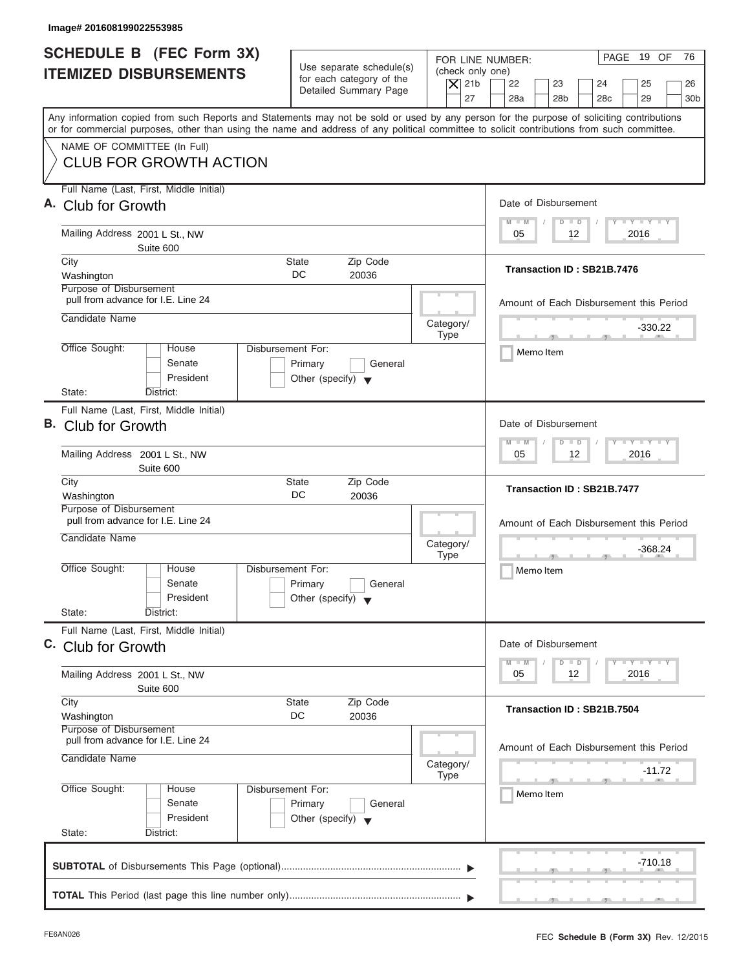| Image# 201608199022553985                                                                                                                  |                                                                                                                         |                                                                                                                         |
|--------------------------------------------------------------------------------------------------------------------------------------------|-------------------------------------------------------------------------------------------------------------------------|-------------------------------------------------------------------------------------------------------------------------|
| <b>SCHEDULE B</b> (FEC Form 3X)<br><b>ITEMIZED DISBURSEMENTS</b>                                                                           | Use separate schedule(s)<br>(check only one)<br>for each category of the<br>$ \mathsf{X} $ 21b<br>Detailed Summary Page | PAGE 19 OF<br>76<br>FOR LINE NUMBER:<br>22<br>23<br>24<br>25<br>26                                                      |
| Any information copied from such Reports and Statements may not be sold or used by any person for the purpose of soliciting contributions  | 27                                                                                                                      | 28a<br>28 <sub>b</sub><br>28 <sub>c</sub><br>29<br>30 <sub>b</sub>                                                      |
| or for commercial purposes, other than using the name and address of any political committee to solicit contributions from such committee. |                                                                                                                         |                                                                                                                         |
| NAME OF COMMITTEE (In Full)<br><b>CLUB FOR GROWTH ACTION</b>                                                                               |                                                                                                                         |                                                                                                                         |
| Full Name (Last, First, Middle Initial)<br>A. Club for Growth                                                                              |                                                                                                                         | Date of Disbursement                                                                                                    |
| Mailing Address 2001 L St., NW<br>Suite 600                                                                                                |                                                                                                                         | $T - Y = T - Y = T - Y$<br>$M - M$<br>$D$ $D$<br>2016<br>05<br>12                                                       |
| City<br>Washington                                                                                                                         | <b>State</b><br>Zip Code<br>DC.<br>20036                                                                                | Transaction ID: SB21B.7476                                                                                              |
| Purpose of Disbursement<br>pull from advance for I.E. Line 24<br>Candidate Name                                                            |                                                                                                                         | Amount of Each Disbursement this Period                                                                                 |
|                                                                                                                                            | Category/<br><b>Type</b>                                                                                                | $-330.22$<br>$\overline{1}$ $\overline{1}$ $\overline{1}$ $\overline{1}$ $\overline{1}$ $\overline{1}$ $\overline{1}$   |
| Office Sought:<br>House<br>Senate<br>President                                                                                             | Disbursement For:<br>Primary<br>General<br>Other (specify) $\blacktriangledown$                                         | Memo Item                                                                                                               |
| State:<br>District:                                                                                                                        |                                                                                                                         |                                                                                                                         |
| Full Name (Last, First, Middle Initial)<br>B. Club for Growth                                                                              |                                                                                                                         | Date of Disbursement<br>$-1 - Y - 1 - Y - 1 - Y$<br>$M - M$<br>$D$ $D$                                                  |
| Mailing Address 2001 L St., NW<br>Suite 600                                                                                                |                                                                                                                         | 12 <sup>°</sup><br>2016<br>05                                                                                           |
| City<br>Washington<br>Purpose of Disbursement                                                                                              | Zip Code<br><b>State</b><br>DC<br>20036                                                                                 | Transaction ID: SB21B.7477                                                                                              |
| pull from advance for I.E. Line 24<br>Candidate Name                                                                                       | Category/<br><b>Type</b>                                                                                                | Amount of Each Disbursement this Period<br>-368.24                                                                      |
| Office Sought:<br>House<br>Senate<br>President                                                                                             | Disbursement For:<br>Primary<br>General<br>Other (specify) $\blacktriangledown$                                         | $-7$<br>Memo Item                                                                                                       |
| State:<br>District:                                                                                                                        |                                                                                                                         |                                                                                                                         |
| Full Name (Last, First, Middle Initial)<br>C. Club for Growth                                                                              |                                                                                                                         | Date of Disbursement                                                                                                    |
| Mailing Address 2001 L St., NW<br>Suite 600                                                                                                |                                                                                                                         | $\mathbf{I}$ $\mathbf{Y}$ $\mathbf{I}$ $\mathbf{Y}$ $\mathbf{I}$ $\mathbf{Y}$<br>$M - M$<br>$D$ $D$<br>2016<br>05<br>12 |
| City<br>Washington<br>Purpose of Disbursement                                                                                              | Zip Code<br><b>State</b><br>DC<br>20036                                                                                 | Transaction ID: SB21B.7504                                                                                              |
| pull from advance for I.E. Line 24<br>Candidate Name                                                                                       | Category/<br><b>Type</b>                                                                                                | Amount of Each Disbursement this Period<br>$-11.72$                                                                     |
| Office Sought:<br>House<br>Senate<br>President                                                                                             | Disbursement For:<br>Primary<br>General<br>Other (specify) $\blacktriangledown$                                         | Memo Item                                                                                                               |
| State:<br>District:                                                                                                                        |                                                                                                                         |                                                                                                                         |
|                                                                                                                                            |                                                                                                                         | -710.18                                                                                                                 |
|                                                                                                                                            |                                                                                                                         |                                                                                                                         |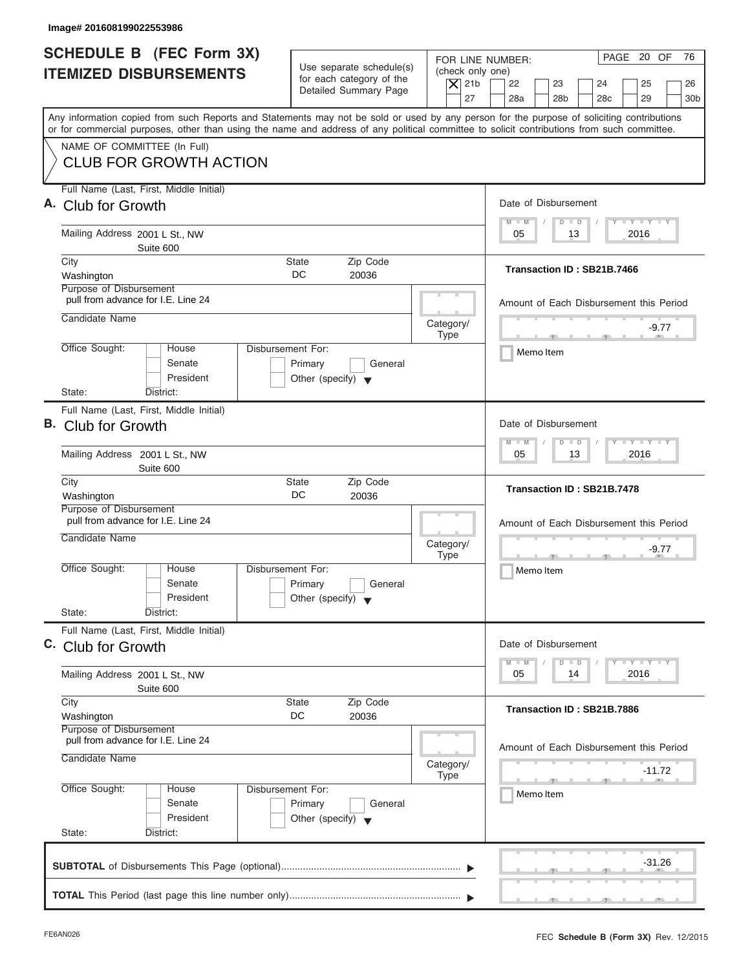| Image# 201608199022553986                                                                                                                  |                                                                                                                         |                                                                       |
|--------------------------------------------------------------------------------------------------------------------------------------------|-------------------------------------------------------------------------------------------------------------------------|-----------------------------------------------------------------------|
| <b>SCHEDULE B</b> (FEC Form 3X)<br><b>ITEMIZED DISBURSEMENTS</b>                                                                           | Use separate schedule(s)<br>(check only one)<br>for each category of the<br>$ \mathsf{X} $ 21b<br>Detailed Summary Page | PAGE 20 OF<br>76<br>FOR LINE NUMBER:<br>22<br>23<br>24<br>25<br>26    |
| Any information copied from such Reports and Statements may not be sold or used by any person for the purpose of soliciting contributions  | 27                                                                                                                      | 28a<br>28 <sub>b</sub><br>28 <sub>c</sub><br>29<br>30 <sub>b</sub>    |
| or for commercial purposes, other than using the name and address of any political committee to solicit contributions from such committee. |                                                                                                                         |                                                                       |
| NAME OF COMMITTEE (In Full)<br><b>CLUB FOR GROWTH ACTION</b>                                                                               |                                                                                                                         |                                                                       |
| Full Name (Last, First, Middle Initial)<br>A. Club for Growth                                                                              |                                                                                                                         | Date of Disbursement                                                  |
| Mailing Address 2001 L St., NW                                                                                                             |                                                                                                                         | $T - Y = T - Y = T - Y$<br>$M - M$<br>$D$ $D$<br>2016<br>05<br>13     |
| Suite 600<br>City<br>Washington                                                                                                            | Zip Code<br><b>State</b><br>DC.<br>20036                                                                                | Transaction ID: SB21B.7466                                            |
| Purpose of Disbursement<br>pull from advance for I.E. Line 24                                                                              |                                                                                                                         | Amount of Each Disbursement this Period                               |
| Candidate Name                                                                                                                             | Category/<br><b>Type</b>                                                                                                | -9.77<br>$\mathcal{F}$ and $\mathcal{F}$ and $\mathcal{F}$            |
| Office Sought:<br>House<br>Senate<br>President                                                                                             | Disbursement For:<br>Primary<br>General<br>Other (specify) $\blacktriangledown$                                         | Memo Item                                                             |
| State:<br>District:                                                                                                                        |                                                                                                                         |                                                                       |
| Full Name (Last, First, Middle Initial)<br>B. Club for Growth                                                                              |                                                                                                                         | Date of Disbursement                                                  |
| Mailing Address 2001 L St., NW<br>Suite 600                                                                                                |                                                                                                                         | $-1 - Y - 1 - Y - 1 - Y$<br>$M - M$<br>$D$ $D$<br>2016<br>05<br>13    |
| City<br>Washington                                                                                                                         | Zip Code<br><b>State</b><br>DC<br>20036                                                                                 | Transaction ID: SB21B.7478                                            |
| Purpose of Disbursement<br>pull from advance for I.E. Line 24<br>Candidate Name                                                            | Category/                                                                                                               | Amount of Each Disbursement this Period<br>-9.77                      |
| Office Sought:<br>House<br>Senate<br>President                                                                                             | <b>Type</b><br>Disbursement For:<br>Primary<br>General<br>Other (specify) $\blacktriangledown$                          | $-7$<br>Memo Item                                                     |
| State:<br>District:                                                                                                                        |                                                                                                                         |                                                                       |
| Full Name (Last, First, Middle Initial)<br>C. Club for Growth                                                                              |                                                                                                                         | Date of Disbursement                                                  |
| Mailing Address 2001 L St., NW<br>Suite 600                                                                                                |                                                                                                                         | $T - Y$ $T - Y$ $T - Y$<br>$M - M$<br>D<br>$\Box$<br>2016<br>05<br>14 |
| City<br>Washington                                                                                                                         | Zip Code<br><b>State</b><br>DC<br>20036                                                                                 | Transaction ID: SB21B.7886                                            |
| Purpose of Disbursement<br>pull from advance for I.E. Line 24<br>Candidate Name                                                            | Category/                                                                                                               | Amount of Each Disbursement this Period<br>$-11.72$                   |
| Office Sought:<br>House<br>Senate<br>President                                                                                             | <b>Type</b><br>Disbursement For:<br>Primary<br>General<br>Other (specify) $\blacktriangledown$                          | Memo Item                                                             |
| State:<br>District:                                                                                                                        |                                                                                                                         |                                                                       |
|                                                                                                                                            |                                                                                                                         | $-31.26$                                                              |
|                                                                                                                                            |                                                                                                                         |                                                                       |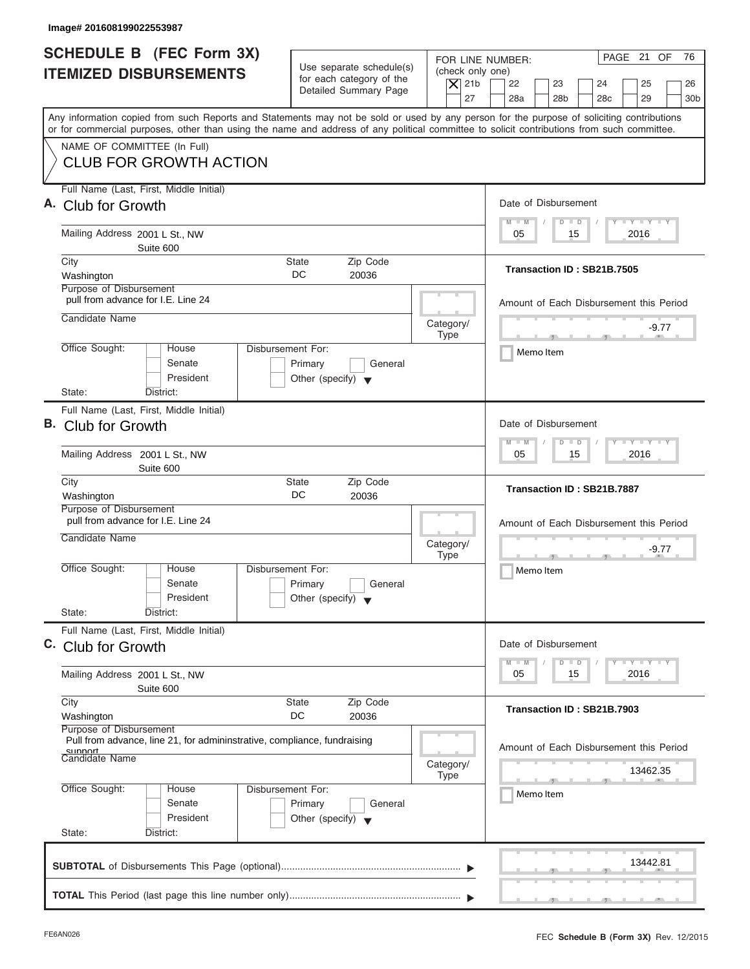| Image# 201608199022553987                                                                                                                                                                                                                                                                                              |                                                                                                           |                                                                                                                                                              |
|------------------------------------------------------------------------------------------------------------------------------------------------------------------------------------------------------------------------------------------------------------------------------------------------------------------------|-----------------------------------------------------------------------------------------------------------|--------------------------------------------------------------------------------------------------------------------------------------------------------------|
| <b>SCHEDULE B</b> (FEC Form 3X)<br><b>ITEMIZED DISBURSEMENTS</b>                                                                                                                                                                                                                                                       | Use separate schedule(s)<br>for each category of the<br>$ \mathsf{X} $ 21b<br>Detailed Summary Page<br>27 | PAGE 21 OF<br>76<br>FOR LINE NUMBER:<br>(check only one)<br>22<br>23<br>24<br>25<br>26<br>28a<br>28 <sub>b</sub><br>28 <sub>c</sub><br>29<br>30 <sub>b</sub> |
| Any information copied from such Reports and Statements may not be sold or used by any person for the purpose of soliciting contributions<br>or for commercial purposes, other than using the name and address of any political committee to solicit contributions from such committee.<br>NAME OF COMMITTEE (In Full) |                                                                                                           |                                                                                                                                                              |
| <b>CLUB FOR GROWTH ACTION</b>                                                                                                                                                                                                                                                                                          |                                                                                                           |                                                                                                                                                              |
| Full Name (Last, First, Middle Initial)<br>A. Club for Growth                                                                                                                                                                                                                                                          |                                                                                                           | Date of Disbursement<br>$T - Y = T - Y = T - Y$<br>$M - M$<br>$D$ $D$                                                                                        |
| Mailing Address 2001 L St., NW<br>Suite 600                                                                                                                                                                                                                                                                            |                                                                                                           | 2016<br>05<br>15                                                                                                                                             |
| City<br>Washington<br>Purpose of Disbursement                                                                                                                                                                                                                                                                          | Zip Code<br><b>State</b><br>DC.<br>20036                                                                  | Transaction ID: SB21B.7505                                                                                                                                   |
| pull from advance for I.E. Line 24<br>Candidate Name                                                                                                                                                                                                                                                                   | Category/                                                                                                 | Amount of Each Disbursement this Period<br>-9.77                                                                                                             |
| Office Sought:<br>House<br>Senate<br>President<br>State:<br>District:                                                                                                                                                                                                                                                  | <b>Type</b><br>Disbursement For:<br>Primary<br>General<br>Other (specify) $\blacktriangledown$            | $\mathcal{F}$ and $\mathcal{F}$ and $\mathcal{F}$<br>Memo Item                                                                                               |
| Full Name (Last, First, Middle Initial)<br>B. Club for Growth<br>Mailing Address 2001 L St., NW                                                                                                                                                                                                                        |                                                                                                           | Date of Disbursement<br>$-1 - Y - 1 - Y - 1 - Y$<br>$M - M$<br>$D$ $D$<br>2016<br>05<br>15                                                                   |
| Suite 600<br>City<br>Washington                                                                                                                                                                                                                                                                                        | Zip Code<br><b>State</b><br>DC<br>20036                                                                   | Transaction ID: SB21B.7887                                                                                                                                   |
| Purpose of Disbursement<br>pull from advance for I.E. Line 24<br>Candidate Name                                                                                                                                                                                                                                        | Category/<br><b>Type</b>                                                                                  | Amount of Each Disbursement this Period<br>-9.77<br>$-7$                                                                                                     |
| Office Sought:<br>House<br>Senate<br>President<br>State:<br>District:                                                                                                                                                                                                                                                  | Disbursement For:<br>Primary<br>General<br>Other (specify) $\blacktriangledown$                           | Memo Item                                                                                                                                                    |
| Full Name (Last, First, Middle Initial)<br>C. Club for Growth                                                                                                                                                                                                                                                          |                                                                                                           | Date of Disbursement                                                                                                                                         |
| Mailing Address 2001 L St., NW<br>Suite 600                                                                                                                                                                                                                                                                            |                                                                                                           | $T - Y$ $T - Y$<br>$M - M$<br>D<br>$\Box$<br>2016<br>05<br>15                                                                                                |
| City<br>Washington<br>Purpose of Disbursement                                                                                                                                                                                                                                                                          | Zip Code<br><b>State</b><br>DC<br>20036                                                                   | Transaction ID: SB21B.7903                                                                                                                                   |
| Pull from advance, line 21, for admininstrative, compliance, fundraising<br>sunnort<br>Candidate Name                                                                                                                                                                                                                  | Category/<br><b>Type</b>                                                                                  | Amount of Each Disbursement this Period<br>13462.35                                                                                                          |
| Office Sought:<br>House<br>Senate<br>President<br>State:<br>District:                                                                                                                                                                                                                                                  | Disbursement For:<br>Primary<br>General<br>Other (specify) $\blacktriangledown$                           | Memo Item                                                                                                                                                    |
|                                                                                                                                                                                                                                                                                                                        |                                                                                                           | 13442.81                                                                                                                                                     |
|                                                                                                                                                                                                                                                                                                                        |                                                                                                           |                                                                                                                                                              |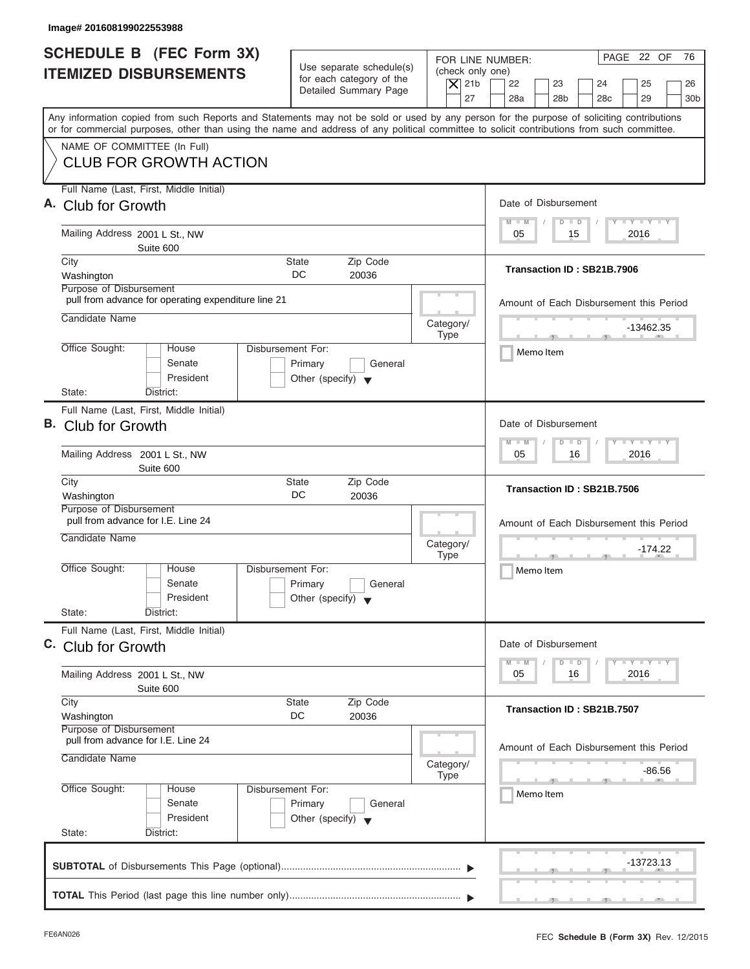| Image# 201608199022553988                                                                                                                  |                                                                                                |                                                                                                                                                                                                                       |
|--------------------------------------------------------------------------------------------------------------------------------------------|------------------------------------------------------------------------------------------------|-----------------------------------------------------------------------------------------------------------------------------------------------------------------------------------------------------------------------|
| <b>SCHEDULE B</b> (FEC Form 3X)<br><b>ITEMIZED DISBURSEMENTS</b>                                                                           | Use separate schedule(s)<br>for each category of the<br>Detailed Summary Page                  | PAGE 22 OF<br>76<br>FOR LINE NUMBER:<br>(check only one)<br>$ \mathsf{X} $ 21b<br>22<br>23<br>24<br>25<br>26                                                                                                          |
| or for commercial purposes, other than using the name and address of any political committee to solicit contributions from such committee. |                                                                                                | 27<br>28a<br>28 <sub>b</sub><br>28 <sub>c</sub><br>29<br>30 <sub>b</sub><br>Any information copied from such Reports and Statements may not be sold or used by any person for the purpose of soliciting contributions |
| NAME OF COMMITTEE (In Full)<br><b>CLUB FOR GROWTH ACTION</b>                                                                               |                                                                                                |                                                                                                                                                                                                                       |
| Full Name (Last, First, Middle Initial)<br>A. Club for Growth                                                                              |                                                                                                | Date of Disbursement                                                                                                                                                                                                  |
| Mailing Address 2001 L St., NW<br>Suite 600                                                                                                |                                                                                                | <b>LY LY LY</b><br>$M - M$<br>$D$ $D$<br>2016<br>05<br>15                                                                                                                                                             |
| City<br>Washington<br>Purpose of Disbursement                                                                                              | Zip Code<br>State<br>DC.<br>20036                                                              | Transaction ID: SB21B.7906                                                                                                                                                                                            |
| pull from advance for operating expenditure line 21<br>Candidate Name                                                                      | Category/                                                                                      | Amount of Each Disbursement this Period                                                                                                                                                                               |
| Office Sought:<br>House<br>Senate<br>President                                                                                             | <b>Type</b><br>Disbursement For:<br>Primary<br>General<br>Other (specify) $\blacktriangledown$ | $-13462.35$<br>$\mathcal{F}$ and $\mathcal{F}$ and $\mathcal{F}$<br>Memo Item                                                                                                                                         |
| State:<br>District:<br>Full Name (Last, First, Middle Initial)<br>B. Club for Growth                                                       |                                                                                                | Date of Disbursement<br>$-1 - Y - 1 - Y - 1 - Y$<br>$M - M$<br>$\Box$<br>$\overline{D}$                                                                                                                               |
| Mailing Address 2001 L St., NW<br>Suite 600                                                                                                |                                                                                                | 2016<br>05<br>16                                                                                                                                                                                                      |
| City<br>Washington<br>Purpose of Disbursement                                                                                              | Zip Code<br><b>State</b><br>DC<br>20036                                                        | Transaction ID: SB21B.7506                                                                                                                                                                                            |
| pull from advance for I.E. Line 24<br>Candidate Name                                                                                       | Category/<br><b>Type</b>                                                                       | Amount of Each Disbursement this Period<br>$-174.22$<br>$-7$                                                                                                                                                          |
| Office Sought:<br>House<br>Senate<br>President<br>State:<br>District:                                                                      | Disbursement For:<br>Primary<br>General<br>Other (specify) $\blacktriangledown$                | Memo Item                                                                                                                                                                                                             |
| Full Name (Last, First, Middle Initial)<br>C. Club for Growth                                                                              |                                                                                                | Date of Disbursement                                                                                                                                                                                                  |
| Mailing Address 2001 L St., NW<br>Suite 600                                                                                                |                                                                                                | $T - Y$ $T - Y$ $T - Y$<br>$M - M$<br>D<br>$\Box$<br>2016<br>05<br>16                                                                                                                                                 |
| City<br>Washington<br>Purpose of Disbursement                                                                                              | Zip Code<br><b>State</b><br>DC<br>20036                                                        | Transaction ID: SB21B.7507                                                                                                                                                                                            |
| pull from advance for I.E. Line 24<br>Candidate Name                                                                                       | Category/<br><b>Type</b>                                                                       | Amount of Each Disbursement this Period<br>$-86.56$                                                                                                                                                                   |
| Office Sought:<br>House<br>Senate<br>President<br>State:<br>District:                                                                      | Disbursement For:<br>Primary<br>General<br>Other (specify) $\blacktriangledown$                | Memo Item                                                                                                                                                                                                             |
|                                                                                                                                            |                                                                                                | -13723.13                                                                                                                                                                                                             |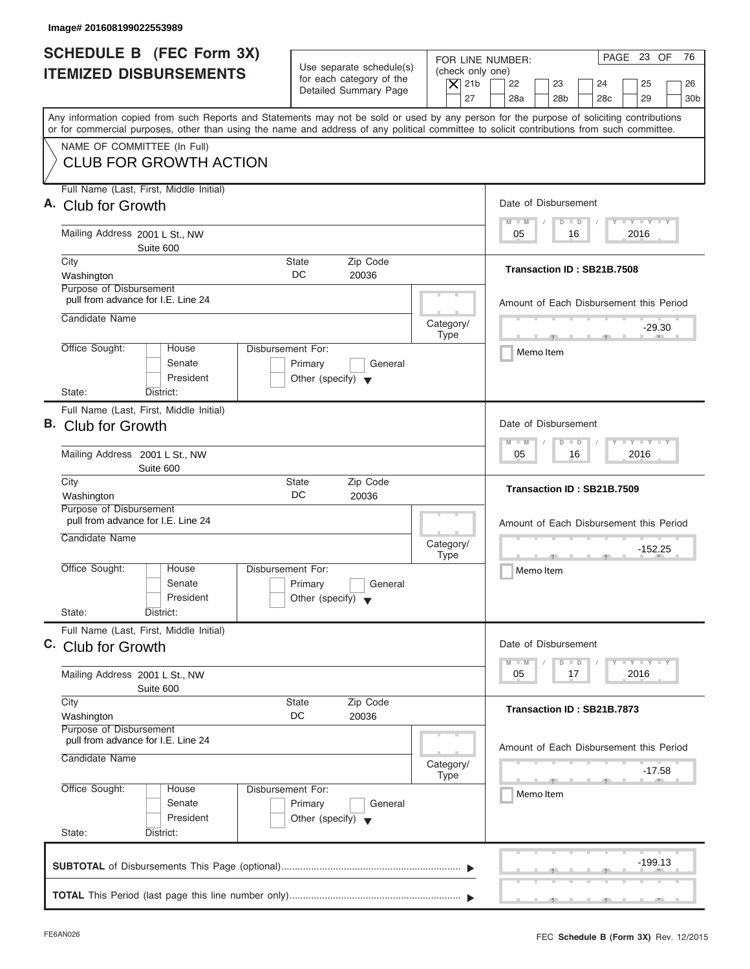| <b>SCHEDULE B</b> (FEC Form 3X)<br><b>ITEMIZED DISBURSEMENTS</b>                                                                           | Use separate schedule(s)<br>for each category of the<br>Detailed Summary Page                  | PAGE 23 OF<br>76<br>FOR LINE NUMBER:<br>(check only one)<br>$ \mathsf{X} $ 21b<br>22<br>23<br>24<br>25<br>26                                                                                                          |
|--------------------------------------------------------------------------------------------------------------------------------------------|------------------------------------------------------------------------------------------------|-----------------------------------------------------------------------------------------------------------------------------------------------------------------------------------------------------------------------|
| or for commercial purposes, other than using the name and address of any political committee to solicit contributions from such committee. |                                                                                                | 27<br>28a<br>28 <sub>b</sub><br>28 <sub>c</sub><br>29<br>30 <sub>b</sub><br>Any information copied from such Reports and Statements may not be sold or used by any person for the purpose of soliciting contributions |
| NAME OF COMMITTEE (In Full)<br><b>CLUB FOR GROWTH ACTION</b>                                                                               |                                                                                                |                                                                                                                                                                                                                       |
| Full Name (Last, First, Middle Initial)<br>A. Club for Growth                                                                              |                                                                                                | Date of Disbursement                                                                                                                                                                                                  |
| Mailing Address 2001 L St., NW<br>Suite 600                                                                                                |                                                                                                | $T - Y = T - Y = T - Y$<br>$M - M$<br>$D$ $D$<br>2016<br>05<br>16                                                                                                                                                     |
| City<br>Washington<br>Purpose of Disbursement                                                                                              | <b>State</b><br>Zip Code<br>DC.<br>20036                                                       | Transaction ID: SB21B.7508                                                                                                                                                                                            |
| pull from advance for I.E. Line 24<br>Candidate Name                                                                                       | Category/                                                                                      | Amount of Each Disbursement this Period                                                                                                                                                                               |
| Office Sought:<br>House<br>Senate<br>President                                                                                             | <b>Type</b><br>Disbursement For:<br>Primary<br>General<br>Other (specify) $\blacktriangledown$ | $-29.30$<br>Memo Item                                                                                                                                                                                                 |
| State:<br>District:<br>Full Name (Last, First, Middle Initial)<br>B. Club for Growth                                                       |                                                                                                | Date of Disbursement<br>$-1 - Y - 1 - Y - 1 - Y$<br>$M - M$<br>$D$ $D$                                                                                                                                                |
| Mailing Address 2001 L St., NW<br>Suite 600<br>City                                                                                        | Zip Code<br><b>State</b>                                                                       | 2016<br>05<br>16                                                                                                                                                                                                      |
| Washington<br>Purpose of Disbursement                                                                                                      | DC<br>20036                                                                                    | Transaction ID: SB21B.7509                                                                                                                                                                                            |
| pull from advance for I.E. Line 24<br>Candidate Name                                                                                       | Category/<br><b>Type</b>                                                                       | Amount of Each Disbursement this Period<br>$-152.25$<br>$-7$                                                                                                                                                          |
| Office Sought:<br>House<br>Senate<br>President<br>State:<br>District:                                                                      | Disbursement For:<br>Primary<br>General<br>Other (specify) $\blacktriangledown$                | Memo Item                                                                                                                                                                                                             |
| Full Name (Last, First, Middle Initial)<br>C. Club for Growth                                                                              |                                                                                                | Date of Disbursement                                                                                                                                                                                                  |
| Mailing Address 2001 L St., NW<br>Suite 600                                                                                                |                                                                                                | $\mathbf{I}$ $\mathbf{Y}$ $\mathbf{I}$ $\mathbf{Y}$ $\mathbf{I}$ $\mathbf{Y}$<br>$M - M$<br>$\overline{D}$<br>$\Box$<br>2016<br>05<br>17                                                                              |
| City<br>Washington<br>Purpose of Disbursement                                                                                              | Zip Code<br><b>State</b><br>DC<br>20036                                                        | Transaction ID: SB21B.7873                                                                                                                                                                                            |
| pull from advance for I.E. Line 24<br>Candidate Name                                                                                       | Category/<br><b>Type</b>                                                                       | Amount of Each Disbursement this Period<br>-17.58                                                                                                                                                                     |
| Office Sought:<br>House<br>Senate<br>President<br>State:<br>District:                                                                      | Disbursement For:<br>Primary<br>General<br>Other (specify) $\blacktriangledown$                | Memo Item                                                                                                                                                                                                             |
|                                                                                                                                            |                                                                                                | -199.13                                                                                                                                                                                                               |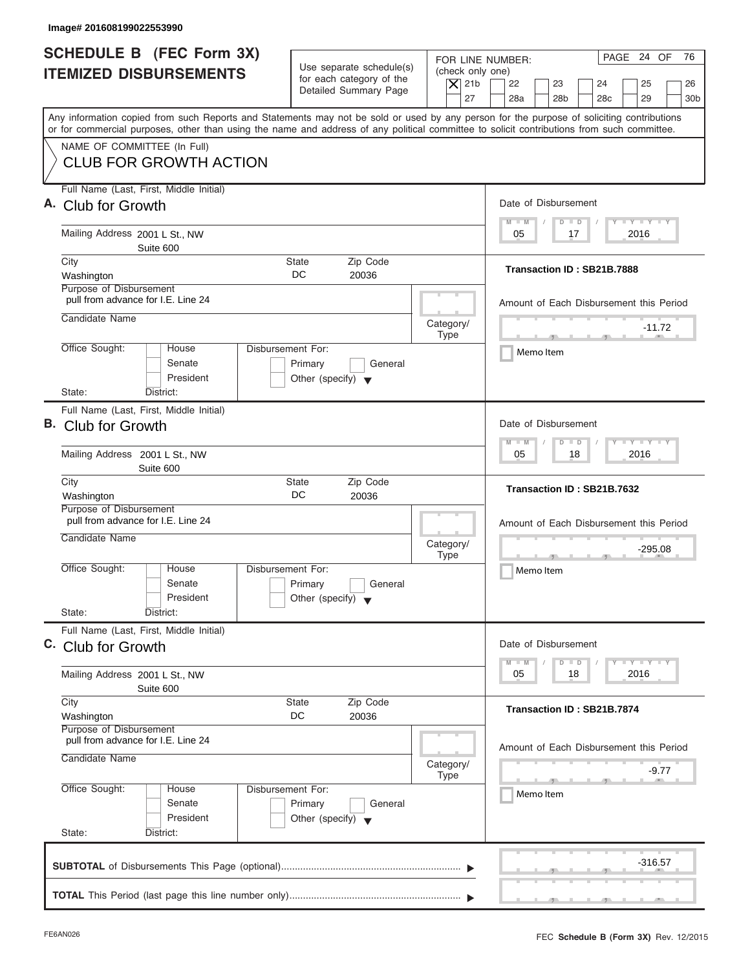| Image# 201608199022553990                                                                                                                                                                                                                                                               |                                                                                                                         |                                                                       |
|-----------------------------------------------------------------------------------------------------------------------------------------------------------------------------------------------------------------------------------------------------------------------------------------|-------------------------------------------------------------------------------------------------------------------------|-----------------------------------------------------------------------|
| <b>SCHEDULE B</b> (FEC Form 3X)<br><b>ITEMIZED DISBURSEMENTS</b>                                                                                                                                                                                                                        | Use separate schedule(s)<br>(check only one)<br>for each category of the<br>$ \mathsf{X} $ 21b<br>Detailed Summary Page | PAGE 24 OF<br>76<br>FOR LINE NUMBER:<br>22<br>23<br>24<br>25<br>26    |
| Any information copied from such Reports and Statements may not be sold or used by any person for the purpose of soliciting contributions<br>or for commercial purposes, other than using the name and address of any political committee to solicit contributions from such committee. | 27                                                                                                                      | 28a<br>28 <sub>b</sub><br>28 <sub>c</sub><br>29<br>30 <sub>b</sub>    |
| NAME OF COMMITTEE (In Full)<br><b>CLUB FOR GROWTH ACTION</b>                                                                                                                                                                                                                            |                                                                                                                         |                                                                       |
| Full Name (Last, First, Middle Initial)<br>A. Club for Growth                                                                                                                                                                                                                           |                                                                                                                         | Date of Disbursement                                                  |
| Mailing Address 2001 L St., NW<br>Suite 600                                                                                                                                                                                                                                             |                                                                                                                         | $T - Y = T - Y = T - Y$<br>$M - M$<br>$D$ $D$<br>2016<br>05<br>17     |
| City<br>Washington<br>Purpose of Disbursement                                                                                                                                                                                                                                           | <b>State</b><br>Zip Code<br>DC.<br>20036                                                                                | Transaction ID: SB21B.7888                                            |
| pull from advance for I.E. Line 24<br>Candidate Name                                                                                                                                                                                                                                    | Category/                                                                                                               | Amount of Each Disbursement this Period<br>$-11.72$                   |
| Office Sought:<br>House<br>Senate<br>President                                                                                                                                                                                                                                          | <b>Type</b><br>Disbursement For:<br>Primary<br>General<br>Other (specify) $\blacktriangledown$                          | Memo Item                                                             |
| State:<br>District:<br>Full Name (Last, First, Middle Initial)<br>B. Club for Growth                                                                                                                                                                                                    |                                                                                                                         | Date of Disbursement                                                  |
| Mailing Address 2001 L St., NW<br>Suite 600                                                                                                                                                                                                                                             |                                                                                                                         | $-1 - Y - 1 - Y - 1 - Y$<br>$M - M$<br>$D$ $D$<br>2016<br>05<br>18    |
| City<br>Washington<br>Purpose of Disbursement                                                                                                                                                                                                                                           | Zip Code<br><b>State</b><br>DC<br>20036                                                                                 | Transaction ID: SB21B.7632                                            |
| pull from advance for I.E. Line 24<br>Candidate Name                                                                                                                                                                                                                                    | Category/<br><b>Type</b>                                                                                                | Amount of Each Disbursement this Period<br>$-295.08$<br>$-7$          |
| Office Sought:<br>House<br>Senate<br>President<br>State:<br>District:                                                                                                                                                                                                                   | Disbursement For:<br>Primary<br>General<br>Other (specify) $\blacktriangledown$                                         | Memo Item                                                             |
| Full Name (Last, First, Middle Initial)<br>C. Club for Growth                                                                                                                                                                                                                           |                                                                                                                         | Date of Disbursement                                                  |
| Mailing Address 2001 L St., NW<br>Suite 600                                                                                                                                                                                                                                             |                                                                                                                         | $T - Y$ $T - Y$ $T - Y$<br>$M - M$<br>D<br>$\Box$<br>2016<br>05<br>18 |
| City<br>Washington<br>Purpose of Disbursement                                                                                                                                                                                                                                           | Zip Code<br><b>State</b><br>DC<br>20036                                                                                 | Transaction ID: SB21B.7874                                            |
| pull from advance for I.E. Line 24<br>Candidate Name                                                                                                                                                                                                                                    | Category/<br><b>Type</b>                                                                                                | Amount of Each Disbursement this Period<br>-9.77                      |
| Office Sought:<br>House<br>Senate<br>President                                                                                                                                                                                                                                          | Disbursement For:<br>Primary<br>General<br>Other (specify) $\blacktriangledown$                                         | Memo Item                                                             |
| State:<br>District:                                                                                                                                                                                                                                                                     |                                                                                                                         | -316.57                                                               |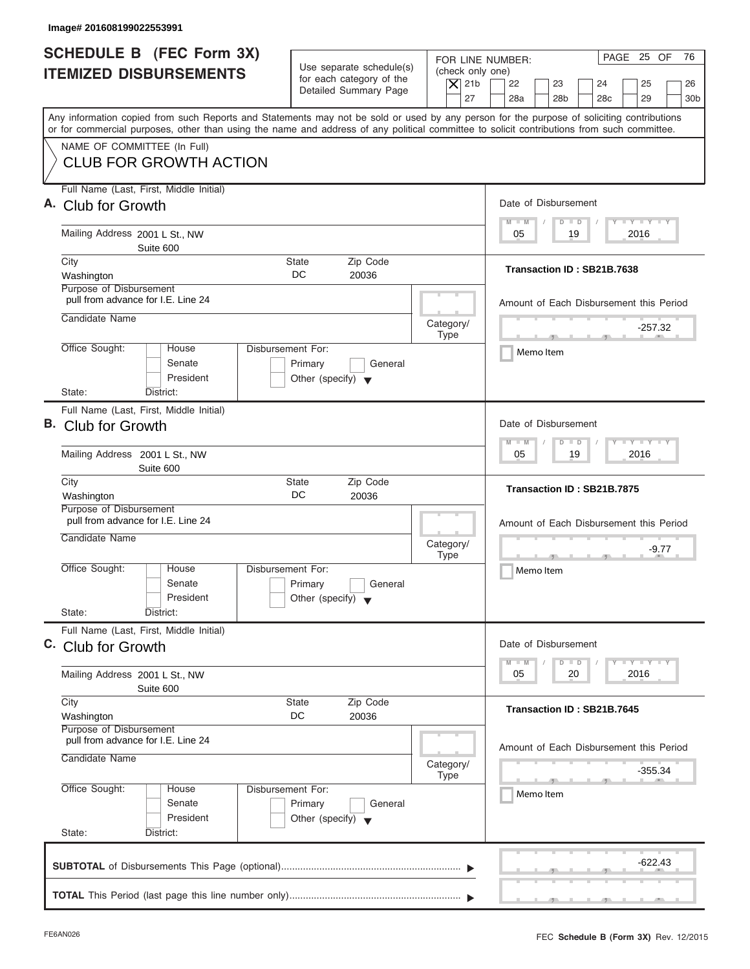| Image# 201608199022553991                                                                                                                                                                                                                                                               |                                                                                                                         |                                                                        |
|-----------------------------------------------------------------------------------------------------------------------------------------------------------------------------------------------------------------------------------------------------------------------------------------|-------------------------------------------------------------------------------------------------------------------------|------------------------------------------------------------------------|
| <b>SCHEDULE B</b> (FEC Form 3X)<br><b>ITEMIZED DISBURSEMENTS</b>                                                                                                                                                                                                                        | Use separate schedule(s)<br>(check only one)<br>for each category of the<br>$ \mathsf{X} $ 21b<br>Detailed Summary Page | PAGE 25 OF<br>76<br>FOR LINE NUMBER:<br>22<br>23<br>24<br>25<br>26     |
| Any information copied from such Reports and Statements may not be sold or used by any person for the purpose of soliciting contributions<br>or for commercial purposes, other than using the name and address of any political committee to solicit contributions from such committee. | 27                                                                                                                      | 28a<br>28 <sub>b</sub><br>28 <sub>c</sub><br>29<br>30 <sub>b</sub>     |
| NAME OF COMMITTEE (In Full)<br><b>CLUB FOR GROWTH ACTION</b>                                                                                                                                                                                                                            |                                                                                                                         |                                                                        |
| Full Name (Last, First, Middle Initial)<br>A. Club for Growth                                                                                                                                                                                                                           |                                                                                                                         | Date of Disbursement                                                   |
| Mailing Address 2001 L St., NW<br>Suite 600                                                                                                                                                                                                                                             |                                                                                                                         | $T - Y = T - Y = T - Y$<br>$M - M$<br>$D$ $D$<br>2016<br>05<br>19      |
| City<br>Washington<br>Purpose of Disbursement                                                                                                                                                                                                                                           | <b>State</b><br>Zip Code<br>DC.<br>20036                                                                                | Transaction ID: SB21B.7638                                             |
| pull from advance for I.E. Line 24<br>Candidate Name                                                                                                                                                                                                                                    | Category/                                                                                                               | Amount of Each Disbursement this Period                                |
| Office Sought:<br>House<br>Senate<br>President                                                                                                                                                                                                                                          | <b>Type</b><br>Disbursement For:<br>Primary<br>General<br>Other (specify) $\blacktriangledown$                          | $-257.32$<br>Memo Item                                                 |
| State:<br>District:<br>Full Name (Last, First, Middle Initial)<br>B. Club for Growth                                                                                                                                                                                                    |                                                                                                                         | Date of Disbursement<br>$-1 - Y - 1 - Y - 1 - Y$<br>$M - M$<br>$D$ $D$ |
| Mailing Address 2001 L St., NW<br>Suite 600                                                                                                                                                                                                                                             |                                                                                                                         | 19<br>2016<br>05                                                       |
| City<br>Washington<br>Purpose of Disbursement                                                                                                                                                                                                                                           | Zip Code<br><b>State</b><br>DC<br>20036                                                                                 | Transaction ID: SB21B.7875                                             |
| pull from advance for I.E. Line 24<br>Candidate Name                                                                                                                                                                                                                                    | Category/<br><b>Type</b>                                                                                                | Amount of Each Disbursement this Period<br>-9.77<br>$-7$               |
| Office Sought:<br>House<br>Senate<br>President<br>State:<br>District:                                                                                                                                                                                                                   | Disbursement For:<br>Primary<br>General<br>Other (specify) $\blacktriangledown$                                         | Memo Item                                                              |
| Full Name (Last, First, Middle Initial)<br>C. Club for Growth                                                                                                                                                                                                                           |                                                                                                                         | Date of Disbursement                                                   |
| Mailing Address 2001 L St., NW<br>Suite 600                                                                                                                                                                                                                                             |                                                                                                                         | $T - Y$ $T - Y$ $T - Y$<br>$M - M$<br>D<br>$\Box$<br>2016<br>05<br>20  |
| City<br>Washington<br>Purpose of Disbursement                                                                                                                                                                                                                                           | Zip Code<br><b>State</b><br>DC<br>20036                                                                                 | Transaction ID: SB21B.7645                                             |
| pull from advance for I.E. Line 24<br>Candidate Name                                                                                                                                                                                                                                    | Category/<br><b>Type</b>                                                                                                | Amount of Each Disbursement this Period<br>-355.34                     |
| Office Sought:<br>House<br>Senate<br>President<br>State:<br>District:                                                                                                                                                                                                                   | Disbursement For:<br>Primary<br>General<br>Other (specify) $\blacktriangledown$                                         | Memo Item                                                              |
|                                                                                                                                                                                                                                                                                         |                                                                                                                         | -622.43                                                                |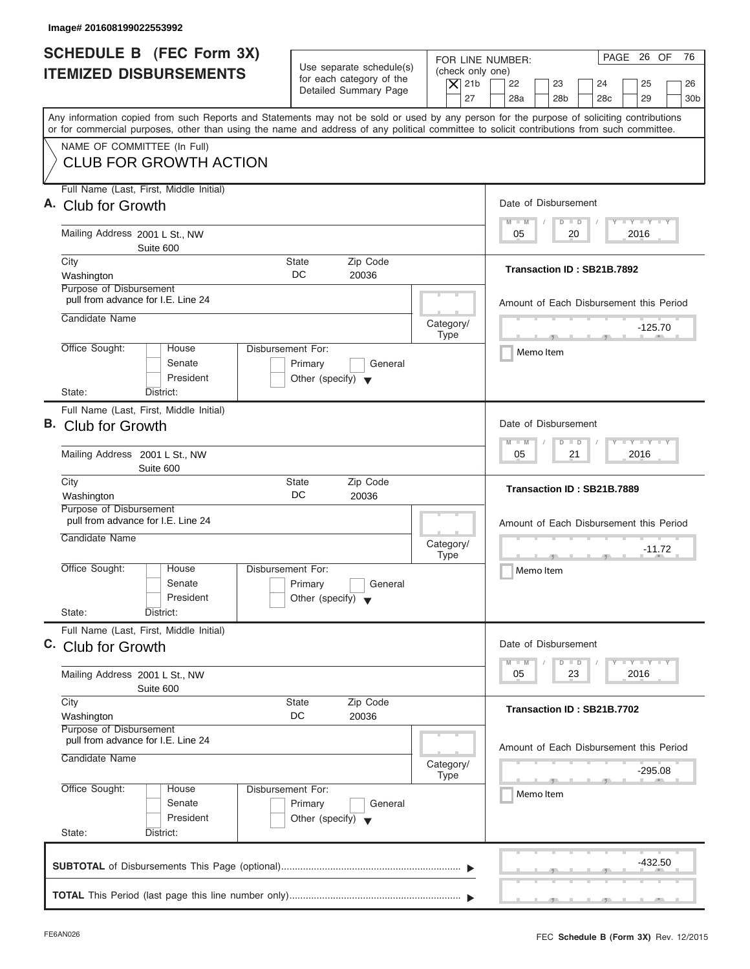| Image# 201608199022553992                                                                                                                                                                                                                                                               |                                                                                 |                                                                  |                                                                                                                      |
|-----------------------------------------------------------------------------------------------------------------------------------------------------------------------------------------------------------------------------------------------------------------------------------------|---------------------------------------------------------------------------------|------------------------------------------------------------------|----------------------------------------------------------------------------------------------------------------------|
| <b>SCHEDULE B</b> (FEC Form 3X)<br><b>ITEMIZED DISBURSEMENTS</b>                                                                                                                                                                                                                        | Use separate schedule(s)<br>for each category of the<br>Detailed Summary Page   | FOR LINE NUMBER:<br>(check only one)<br>$ \mathsf{X} $ 21b<br>27 | PAGE 26 OF<br>76<br>22<br>23<br>24<br>25<br>26<br>28a<br>28 <sub>b</sub><br>28 <sub>c</sub><br>29<br>30 <sub>b</sub> |
| Any information copied from such Reports and Statements may not be sold or used by any person for the purpose of soliciting contributions<br>or for commercial purposes, other than using the name and address of any political committee to solicit contributions from such committee. |                                                                                 |                                                                  |                                                                                                                      |
| NAME OF COMMITTEE (In Full)<br><b>CLUB FOR GROWTH ACTION</b>                                                                                                                                                                                                                            |                                                                                 |                                                                  |                                                                                                                      |
| Full Name (Last, First, Middle Initial)<br>A. Club for Growth                                                                                                                                                                                                                           |                                                                                 |                                                                  | Date of Disbursement                                                                                                 |
| Mailing Address 2001 L St., NW<br>Suite 600                                                                                                                                                                                                                                             |                                                                                 |                                                                  | $T - Y = T - Y = T - Y$<br>$M - M$<br>$D$ $D$<br>20<br>2016<br>05                                                    |
| City<br>Washington<br>Purpose of Disbursement                                                                                                                                                                                                                                           | <b>State</b><br>Zip Code<br>DC.<br>20036                                        |                                                                  | Transaction ID: SB21B.7892                                                                                           |
| pull from advance for I.E. Line 24<br>Candidate Name                                                                                                                                                                                                                                    |                                                                                 |                                                                  | Amount of Each Disbursement this Period                                                                              |
| Office Sought:<br>House<br>Senate<br>President                                                                                                                                                                                                                                          | Disbursement For:<br>Primary<br>General<br>Other (specify) $\blacktriangledown$ | Category/<br><b>Type</b>                                         | $-125.70$<br>Memo Item                                                                                               |
| State:<br>District:<br>Full Name (Last, First, Middle Initial)<br>B. Club for Growth                                                                                                                                                                                                    |                                                                                 |                                                                  | Date of Disbursement<br>$-1 - Y - 1 - Y - 1 - Y$<br>$M - M$<br>$D$ $D$                                               |
| Mailing Address 2001 L St., NW<br>Suite 600                                                                                                                                                                                                                                             |                                                                                 |                                                                  | 2016<br>05<br>21                                                                                                     |
| City<br>Washington<br>Purpose of Disbursement                                                                                                                                                                                                                                           | Zip Code<br><b>State</b><br>DC<br>20036                                         |                                                                  | Transaction ID: SB21B.7889                                                                                           |
| pull from advance for I.E. Line 24<br>Candidate Name                                                                                                                                                                                                                                    |                                                                                 | Category/<br><b>Type</b>                                         | Amount of Each Disbursement this Period<br>$-11.72$<br>$-7$                                                          |
| Office Sought:<br>House<br>Senate<br>President<br>State:<br>District:                                                                                                                                                                                                                   | Disbursement For:<br>Primary<br>General<br>Other (specify) $\blacktriangledown$ |                                                                  | Memo Item                                                                                                            |
| Full Name (Last, First, Middle Initial)<br>C. Club for Growth                                                                                                                                                                                                                           |                                                                                 |                                                                  | Date of Disbursement                                                                                                 |
| Mailing Address 2001 L St., NW<br>Suite 600                                                                                                                                                                                                                                             |                                                                                 |                                                                  | $T - Y$ $T - Y$ $T - Y$<br>$M - M$<br>D<br>$\Box$<br>2016<br>05<br>23                                                |
| City<br>Washington<br>Purpose of Disbursement                                                                                                                                                                                                                                           | Zip Code<br><b>State</b><br>DC<br>20036                                         |                                                                  | Transaction ID: SB21B.7702                                                                                           |
| pull from advance for I.E. Line 24<br>Candidate Name                                                                                                                                                                                                                                    |                                                                                 | Category/<br><b>Type</b>                                         | Amount of Each Disbursement this Period<br>-295.08                                                                   |
| Office Sought:<br>House<br>Senate<br>President<br>State:<br>District:                                                                                                                                                                                                                   | Disbursement For:<br>Primary<br>General<br>Other (specify) $\blacktriangledown$ |                                                                  | Memo Item                                                                                                            |
|                                                                                                                                                                                                                                                                                         |                                                                                 |                                                                  | -432.50                                                                                                              |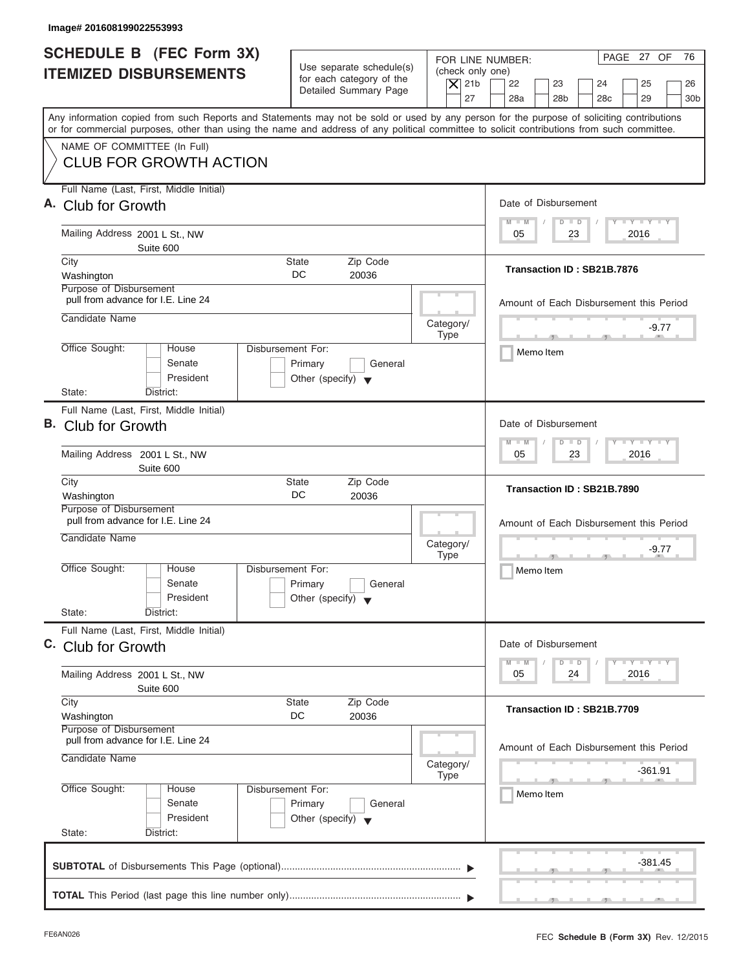| Image# 201608199022553993                                                                                                                                                                                                                                                               |                                                                                                                               |                                                                                                                                          |
|-----------------------------------------------------------------------------------------------------------------------------------------------------------------------------------------------------------------------------------------------------------------------------------------|-------------------------------------------------------------------------------------------------------------------------------|------------------------------------------------------------------------------------------------------------------------------------------|
| <b>SCHEDULE B</b> (FEC Form 3X)<br><b>ITEMIZED DISBURSEMENTS</b>                                                                                                                                                                                                                        | Use separate schedule(s)<br>(check only one)<br>for each category of the<br>$ \mathsf{X} $ 21b<br>Detailed Summary Page<br>27 | PAGE 27 OF<br>76<br>FOR LINE NUMBER:<br>22<br>23<br>24<br>25<br>26<br>28a<br>28 <sub>b</sub><br>28 <sub>c</sub><br>29<br>30 <sub>b</sub> |
| Any information copied from such Reports and Statements may not be sold or used by any person for the purpose of soliciting contributions<br>or for commercial purposes, other than using the name and address of any political committee to solicit contributions from such committee. |                                                                                                                               |                                                                                                                                          |
| NAME OF COMMITTEE (In Full)<br><b>CLUB FOR GROWTH ACTION</b>                                                                                                                                                                                                                            |                                                                                                                               |                                                                                                                                          |
| Full Name (Last, First, Middle Initial)<br>A. Club for Growth                                                                                                                                                                                                                           |                                                                                                                               | Date of Disbursement                                                                                                                     |
| Mailing Address 2001 L St., NW<br>Suite 600                                                                                                                                                                                                                                             |                                                                                                                               | $T - Y = T - Y = T - Y$<br>$M - M$<br>$D$ $D$<br>2016<br>05<br>23                                                                        |
| City<br>Washington<br>Purpose of Disbursement                                                                                                                                                                                                                                           | Zip Code<br><b>State</b><br>DC.<br>20036                                                                                      | Transaction ID: SB21B.7876                                                                                                               |
| pull from advance for I.E. Line 24<br>Candidate Name                                                                                                                                                                                                                                    | Category/                                                                                                                     | Amount of Each Disbursement this Period                                                                                                  |
| Office Sought:<br>House<br>Senate<br>President                                                                                                                                                                                                                                          | <b>Type</b><br>Disbursement For:<br>Primary<br>General<br>Other (specify) $\blacktriangledown$                                | -9.77<br>$\mathcal{F}$ and $\mathcal{F}$ and $\mathcal{F}$<br>Memo Item                                                                  |
| State:<br>District:<br>Full Name (Last, First, Middle Initial)<br>B. Club for Growth                                                                                                                                                                                                    |                                                                                                                               | Date of Disbursement<br>$-1 - Y - 1 - Y - 1 - Y$<br>$M - M$<br>$D$ $D$                                                                   |
| Mailing Address 2001 L St., NW<br>Suite 600                                                                                                                                                                                                                                             |                                                                                                                               | 2016<br>05<br>23                                                                                                                         |
| City<br>Washington<br>Purpose of Disbursement                                                                                                                                                                                                                                           | Zip Code<br><b>State</b><br>DC<br>20036                                                                                       | Transaction ID: SB21B.7890                                                                                                               |
| pull from advance for I.E. Line 24<br>Candidate Name                                                                                                                                                                                                                                    | Category/<br><b>Type</b>                                                                                                      | Amount of Each Disbursement this Period<br>-9.77<br>$-7$                                                                                 |
| Office Sought:<br>House<br>Senate<br>President<br>State:<br>District:                                                                                                                                                                                                                   | Disbursement For:<br>Primary<br>General<br>Other (specify) $\blacktriangledown$                                               | Memo Item                                                                                                                                |
| Full Name (Last, First, Middle Initial)<br>C. Club for Growth                                                                                                                                                                                                                           |                                                                                                                               | Date of Disbursement                                                                                                                     |
| Mailing Address 2001 L St., NW<br>Suite 600                                                                                                                                                                                                                                             |                                                                                                                               | $T - Y$ $T - Y$ $T - Y$<br>$M - M$<br>D<br>$\Box$<br>2016<br>05<br>24                                                                    |
| City<br>Washington<br>Purpose of Disbursement                                                                                                                                                                                                                                           | Zip Code<br><b>State</b><br>DC<br>20036                                                                                       | Transaction ID: SB21B.7709                                                                                                               |
| pull from advance for I.E. Line 24<br>Candidate Name                                                                                                                                                                                                                                    | Category/<br><b>Type</b>                                                                                                      | Amount of Each Disbursement this Period<br>-361.91                                                                                       |
| Office Sought:<br>House<br>Senate<br>President                                                                                                                                                                                                                                          | Disbursement For:<br>Primary<br>General<br>Other (specify) $\blacktriangledown$                                               | Memo Item                                                                                                                                |
| State:<br>District:                                                                                                                                                                                                                                                                     |                                                                                                                               | -381.45                                                                                                                                  |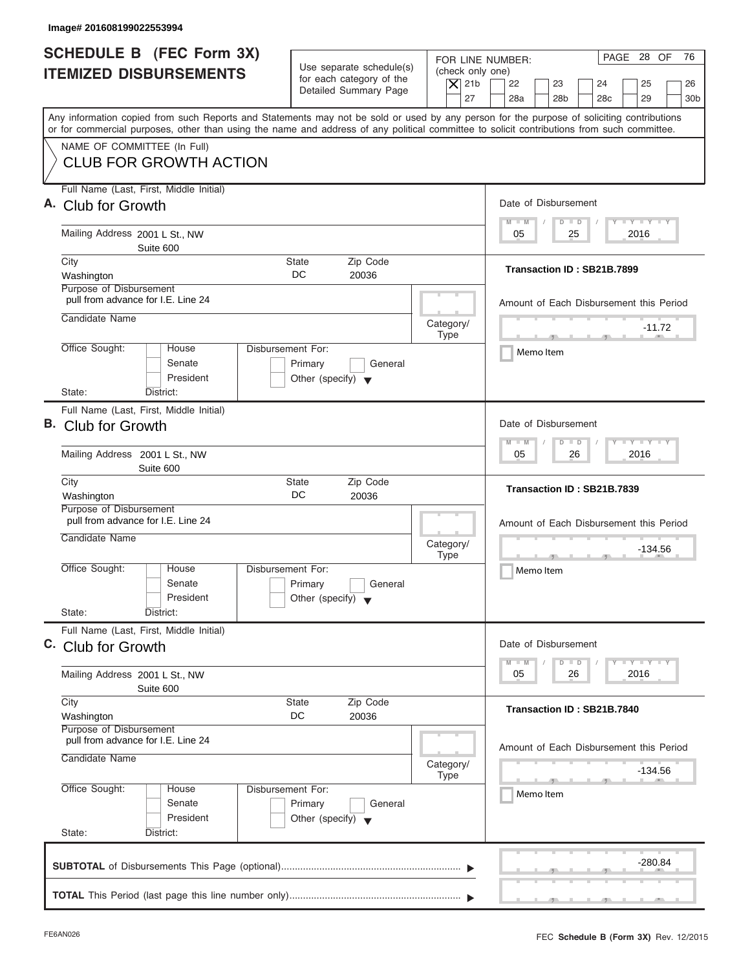| <b>SCHEDULE B</b> (FEC Form 3X)<br><b>ITEMIZED DISBURSEMENTS</b>                     | Use separate schedule(s)<br>for each category of the<br>Detailed Summary Page                  | PAGE 28 OF<br>76<br>FOR LINE NUMBER:<br>(check only one)<br>$ \mathsf{X} $ 21b<br>22<br>23<br>24<br>25<br>26<br>27<br>28a<br>28 <sub>b</sub><br>28 <sub>c</sub><br>29<br>30 <sub>b</sub>                                                                                                |
|--------------------------------------------------------------------------------------|------------------------------------------------------------------------------------------------|-----------------------------------------------------------------------------------------------------------------------------------------------------------------------------------------------------------------------------------------------------------------------------------------|
| NAME OF COMMITTEE (In Full)                                                          |                                                                                                | Any information copied from such Reports and Statements may not be sold or used by any person for the purpose of soliciting contributions<br>or for commercial purposes, other than using the name and address of any political committee to solicit contributions from such committee. |
| <b>CLUB FOR GROWTH ACTION</b>                                                        |                                                                                                |                                                                                                                                                                                                                                                                                         |
| Full Name (Last, First, Middle Initial)<br>A. Club for Growth                        |                                                                                                | Date of Disbursement<br>$T - Y = T - Y = T - Y$<br>$M - M$<br>$D$ $D$                                                                                                                                                                                                                   |
| Mailing Address 2001 L St., NW<br>Suite 600                                          |                                                                                                | 2016<br>05<br>25                                                                                                                                                                                                                                                                        |
| City<br>Washington<br>Purpose of Disbursement                                        | <b>State</b><br>Zip Code<br>DC.<br>20036                                                       | Transaction ID: SB21B.7899                                                                                                                                                                                                                                                              |
| pull from advance for I.E. Line 24<br>Candidate Name                                 | Category/                                                                                      | Amount of Each Disbursement this Period                                                                                                                                                                                                                                                 |
| Office Sought:<br>House<br>Senate<br>President                                       | <b>Type</b><br>Disbursement For:<br>Primary<br>General<br>Other (specify) $\blacktriangledown$ | $-11.72$<br>Memo Item                                                                                                                                                                                                                                                                   |
| State:<br>District:<br>Full Name (Last, First, Middle Initial)                       |                                                                                                | Date of Disbursement                                                                                                                                                                                                                                                                    |
| B. Club for Growth<br>Mailing Address 2001 L St., NW<br>Suite 600                    |                                                                                                | $-1 - Y - 1 - Y - 1 - Y$<br>$M - M$<br>$D$ $D$<br>2016<br>05<br>26                                                                                                                                                                                                                      |
| City<br>Washington                                                                   | Zip Code<br><b>State</b><br>DC<br>20036                                                        | Transaction ID: SB21B.7839                                                                                                                                                                                                                                                              |
| Purpose of Disbursement<br>pull from advance for I.E. Line 24<br>Candidate Name      | Category/<br><b>Type</b>                                                                       | Amount of Each Disbursement this Period<br>$-134.56$<br>$-7$                                                                                                                                                                                                                            |
| Office Sought:<br>House<br>Senate<br>President                                       | Disbursement For:<br>Primary<br>General<br>Other (specify) $\blacktriangledown$                | Memo Item                                                                                                                                                                                                                                                                               |
| State:<br>District:<br>Full Name (Last, First, Middle Initial)<br>C. Club for Growth |                                                                                                | Date of Disbursement                                                                                                                                                                                                                                                                    |
| Mailing Address 2001 L St., NW<br>Suite 600                                          |                                                                                                | $T - Y$ $T - Y$ $T - Y$<br>$M - M$<br>$\overline{D}$<br>$\Box$<br>2016<br>05<br>26                                                                                                                                                                                                      |
| City<br>Washington<br>Purpose of Disbursement                                        | Zip Code<br><b>State</b><br>DC<br>20036                                                        | Transaction ID: SB21B.7840                                                                                                                                                                                                                                                              |
| pull from advance for I.E. Line 24<br>Candidate Name                                 | Category/<br><b>Type</b>                                                                       | Amount of Each Disbursement this Period<br>-134.56                                                                                                                                                                                                                                      |
| Office Sought:<br>House<br>Senate<br>President<br>State:<br>District:                | Disbursement For:<br>Primary<br>General<br>Other (specify) $\blacktriangledown$                | Memo Item                                                                                                                                                                                                                                                                               |
|                                                                                      |                                                                                                | -280.84                                                                                                                                                                                                                                                                                 |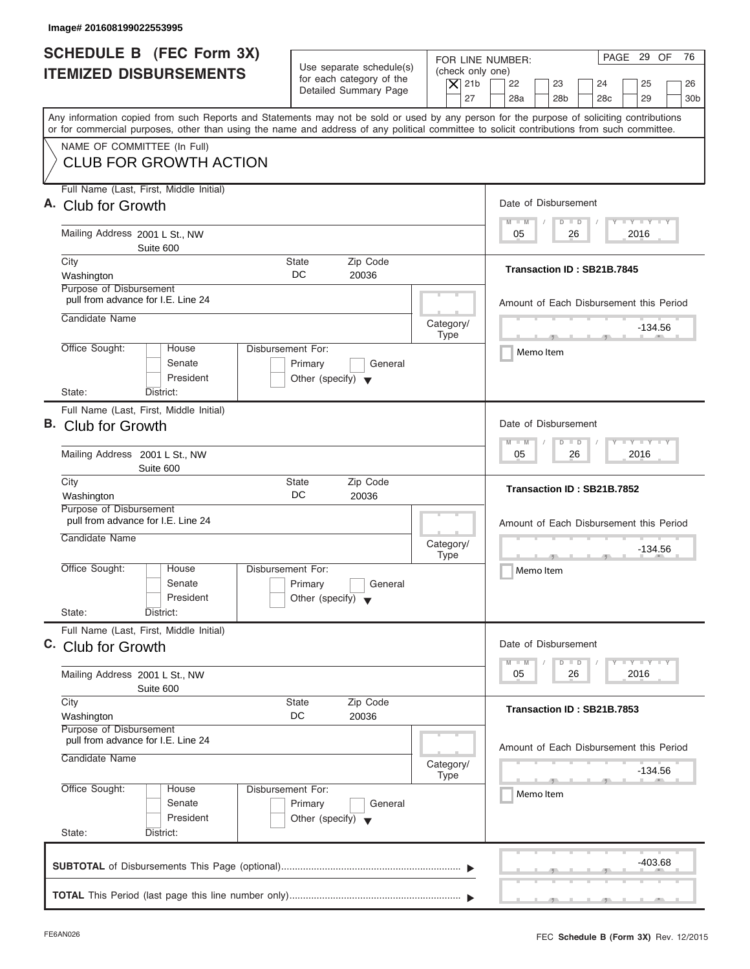| Image# 201608199022553995                                                                                                                                                                                                                                                               |                                                                                                                               |                                                                                                                                          |
|-----------------------------------------------------------------------------------------------------------------------------------------------------------------------------------------------------------------------------------------------------------------------------------------|-------------------------------------------------------------------------------------------------------------------------------|------------------------------------------------------------------------------------------------------------------------------------------|
| <b>SCHEDULE B</b> (FEC Form 3X)<br><b>ITEMIZED DISBURSEMENTS</b>                                                                                                                                                                                                                        | Use separate schedule(s)<br>(check only one)<br>for each category of the<br>$ \mathsf{X} $ 21b<br>Detailed Summary Page<br>27 | PAGE 29 OF<br>76<br>FOR LINE NUMBER:<br>22<br>23<br>24<br>25<br>26<br>28a<br>28 <sub>b</sub><br>28 <sub>c</sub><br>29<br>30 <sub>b</sub> |
| Any information copied from such Reports and Statements may not be sold or used by any person for the purpose of soliciting contributions<br>or for commercial purposes, other than using the name and address of any political committee to solicit contributions from such committee. |                                                                                                                               |                                                                                                                                          |
| NAME OF COMMITTEE (In Full)<br><b>CLUB FOR GROWTH ACTION</b>                                                                                                                                                                                                                            |                                                                                                                               |                                                                                                                                          |
| Full Name (Last, First, Middle Initial)<br>A. Club for Growth                                                                                                                                                                                                                           |                                                                                                                               | Date of Disbursement                                                                                                                     |
| Mailing Address 2001 L St., NW<br>Suite 600                                                                                                                                                                                                                                             |                                                                                                                               | $T - Y = T - Y = T - Y$<br>$M - M$<br>$D$ $D$<br>2016<br>05<br>26                                                                        |
| City<br>Washington<br>Purpose of Disbursement                                                                                                                                                                                                                                           | <b>State</b><br>Zip Code<br>DC.<br>20036                                                                                      | Transaction ID: SB21B.7845                                                                                                               |
| pull from advance for I.E. Line 24<br>Candidate Name                                                                                                                                                                                                                                    | Category/                                                                                                                     | Amount of Each Disbursement this Period                                                                                                  |
| Office Sought:<br>House<br>Senate<br>President                                                                                                                                                                                                                                          | <b>Type</b><br>Disbursement For:<br>Primary<br>General<br>Other (specify) $\blacktriangledown$                                | $-134.56$<br>$\overline{1}$ $\overline{1}$ $\overline{1}$ $\overline{1}$ $\overline{1}$ $\overline{1}$ $\overline{1}$<br>Memo Item       |
| State:<br>District:<br>Full Name (Last, First, Middle Initial)<br>B. Club for Growth                                                                                                                                                                                                    |                                                                                                                               | Date of Disbursement<br>$\mathbf{I} = \mathbf{Y} - \mathbf{I} - \mathbf{Y} - \mathbf{I} - \mathbf{Y}$<br>$M - M$<br>$D$ $D$              |
| Mailing Address 2001 L St., NW<br>Suite 600                                                                                                                                                                                                                                             |                                                                                                                               | 2016<br>05<br>26                                                                                                                         |
| City<br>Washington<br>Purpose of Disbursement                                                                                                                                                                                                                                           | Zip Code<br><b>State</b><br>DC<br>20036                                                                                       | Transaction ID: SB21B.7852                                                                                                               |
| pull from advance for I.E. Line 24<br>Candidate Name                                                                                                                                                                                                                                    | Category/<br><b>Type</b>                                                                                                      | Amount of Each Disbursement this Period<br>$-134.56$<br>$-7$                                                                             |
| Office Sought:<br>House<br>Senate<br>President<br>State:<br>District:                                                                                                                                                                                                                   | Disbursement For:<br>Primary<br>General<br>Other (specify) $\blacktriangledown$                                               | Memo Item                                                                                                                                |
| Full Name (Last, First, Middle Initial)<br>C. Club for Growth                                                                                                                                                                                                                           |                                                                                                                               | Date of Disbursement                                                                                                                     |
| Mailing Address 2001 L St., NW<br>Suite 600                                                                                                                                                                                                                                             |                                                                                                                               | $T - Y$ $T - Y$ $T - Y$<br>$M - M$<br>$\overline{D}$<br>$\Box$<br>2016<br>05<br>26                                                       |
| City<br>Washington<br>Purpose of Disbursement                                                                                                                                                                                                                                           | Zip Code<br><b>State</b><br>DC<br>20036                                                                                       | Transaction ID: SB21B.7853                                                                                                               |
| pull from advance for I.E. Line 24<br>Candidate Name                                                                                                                                                                                                                                    | Category/<br><b>Type</b>                                                                                                      | Amount of Each Disbursement this Period<br>-134.56                                                                                       |
| Office Sought:<br>House<br>Senate<br>President                                                                                                                                                                                                                                          | Disbursement For:<br>Primary<br>General<br>Other (specify) $\blacktriangledown$                                               | Memo Item                                                                                                                                |
| State:<br>District:                                                                                                                                                                                                                                                                     |                                                                                                                               | -403.68                                                                                                                                  |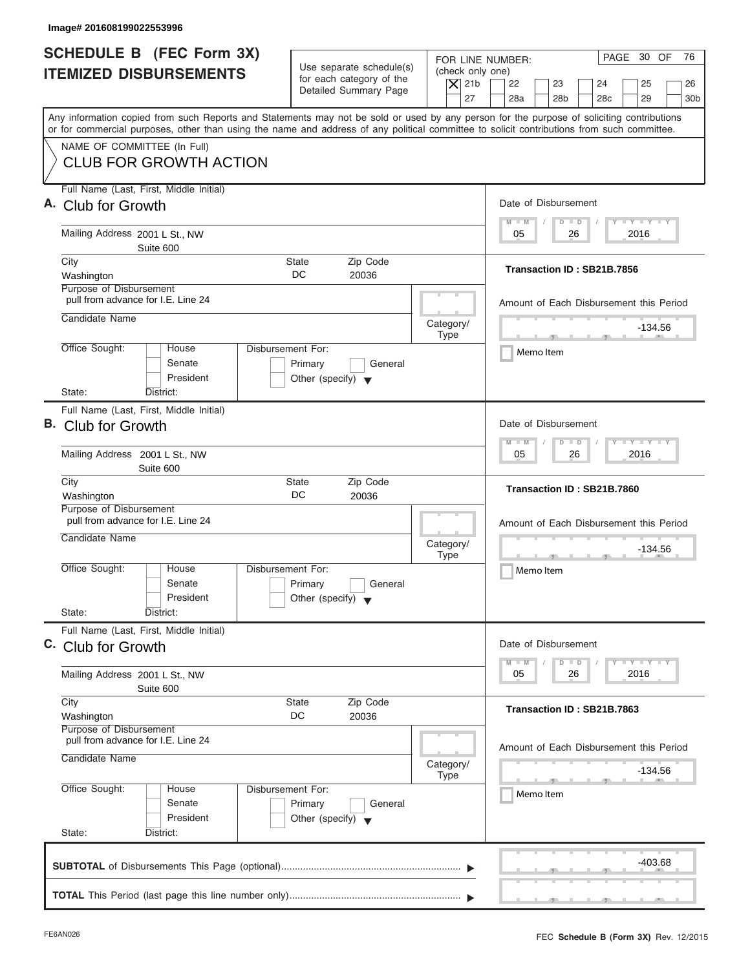| Image# 201608199022553996                                                                                                                                                                                                                                                                                              |                                                                                                                               |                                                                                                                                          |
|------------------------------------------------------------------------------------------------------------------------------------------------------------------------------------------------------------------------------------------------------------------------------------------------------------------------|-------------------------------------------------------------------------------------------------------------------------------|------------------------------------------------------------------------------------------------------------------------------------------|
| <b>SCHEDULE B</b> (FEC Form 3X)<br><b>ITEMIZED DISBURSEMENTS</b>                                                                                                                                                                                                                                                       | Use separate schedule(s)<br>(check only one)<br>for each category of the<br>$ \mathsf{X} $ 21b<br>Detailed Summary Page<br>27 | PAGE 30 OF<br>76<br>FOR LINE NUMBER:<br>22<br>23<br>24<br>25<br>26<br>28a<br>28 <sub>b</sub><br>28 <sub>c</sub><br>29<br>30 <sub>b</sub> |
| Any information copied from such Reports and Statements may not be sold or used by any person for the purpose of soliciting contributions<br>or for commercial purposes, other than using the name and address of any political committee to solicit contributions from such committee.<br>NAME OF COMMITTEE (In Full) |                                                                                                                               |                                                                                                                                          |
| <b>CLUB FOR GROWTH ACTION</b>                                                                                                                                                                                                                                                                                          |                                                                                                                               |                                                                                                                                          |
| Full Name (Last, First, Middle Initial)<br>A. Club for Growth                                                                                                                                                                                                                                                          |                                                                                                                               | Date of Disbursement<br>$T - Y = T - Y = T - Y$<br>$M - M$<br>$D$ $D$                                                                    |
| Mailing Address 2001 L St., NW<br>Suite 600                                                                                                                                                                                                                                                                            |                                                                                                                               | 2016<br>05<br>26                                                                                                                         |
| City<br>Washington<br>Purpose of Disbursement                                                                                                                                                                                                                                                                          | <b>State</b><br>Zip Code<br>DC.<br>20036                                                                                      | Transaction ID: SB21B.7856                                                                                                               |
| pull from advance for I.E. Line 24<br>Candidate Name                                                                                                                                                                                                                                                                   | Category/                                                                                                                     | Amount of Each Disbursement this Period<br>$-134.56$                                                                                     |
| Office Sought:<br>House<br>Senate<br>President                                                                                                                                                                                                                                                                         | <b>Type</b><br>Disbursement For:<br>Primary<br>General<br>Other (specify) $\blacktriangledown$                                | $\overline{1}$ $\overline{1}$ $\overline{1}$ $\overline{1}$ $\overline{1}$ $\overline{1}$ $\overline{1}$<br>Memo Item                    |
| State:<br>District:<br>Full Name (Last, First, Middle Initial)<br>B. Club for Growth<br>Mailing Address 2001 L St., NW                                                                                                                                                                                                 |                                                                                                                               | Date of Disbursement<br>$-1 - Y - 1 - Y - 1 - Y$<br>$M - M$<br>$D$ $D$<br>2016<br>05<br>26                                               |
| Suite 600<br>City<br>Washington                                                                                                                                                                                                                                                                                        | Zip Code<br><b>State</b><br>DC<br>20036                                                                                       | Transaction ID: SB21B.7860                                                                                                               |
| Purpose of Disbursement<br>pull from advance for I.E. Line 24<br>Candidate Name                                                                                                                                                                                                                                        | Category/<br><b>Type</b>                                                                                                      | Amount of Each Disbursement this Period<br>$-134.56$<br>$-7$                                                                             |
| Office Sought:<br>House<br>Senate<br>President<br>State:<br>District:                                                                                                                                                                                                                                                  | Disbursement For:<br>Primary<br>General<br>Other (specify) $\blacktriangledown$                                               | Memo Item                                                                                                                                |
| Full Name (Last, First, Middle Initial)<br>C. Club for Growth                                                                                                                                                                                                                                                          |                                                                                                                               | Date of Disbursement                                                                                                                     |
| Mailing Address 2001 L St., NW<br>Suite 600                                                                                                                                                                                                                                                                            |                                                                                                                               | $T - Y$ $T - Y$ $T - Y$<br>$M - M$<br>$\overline{D}$<br>$\Box$<br>2016<br>05<br>26                                                       |
| City<br>Washington<br>Purpose of Disbursement                                                                                                                                                                                                                                                                          | Zip Code<br><b>State</b><br>DC<br>20036                                                                                       | Transaction ID: SB21B.7863                                                                                                               |
| pull from advance for I.E. Line 24<br>Candidate Name                                                                                                                                                                                                                                                                   | Category/<br><b>Type</b>                                                                                                      | Amount of Each Disbursement this Period<br>-134.56                                                                                       |
| Office Sought:<br>House<br>Senate<br>President<br>State:<br>District:                                                                                                                                                                                                                                                  | Disbursement For:<br>Primary<br>General<br>Other (specify) $\blacktriangledown$                                               | Memo Item                                                                                                                                |
|                                                                                                                                                                                                                                                                                                                        |                                                                                                                               | -403.68                                                                                                                                  |
|                                                                                                                                                                                                                                                                                                                        |                                                                                                                               |                                                                                                                                          |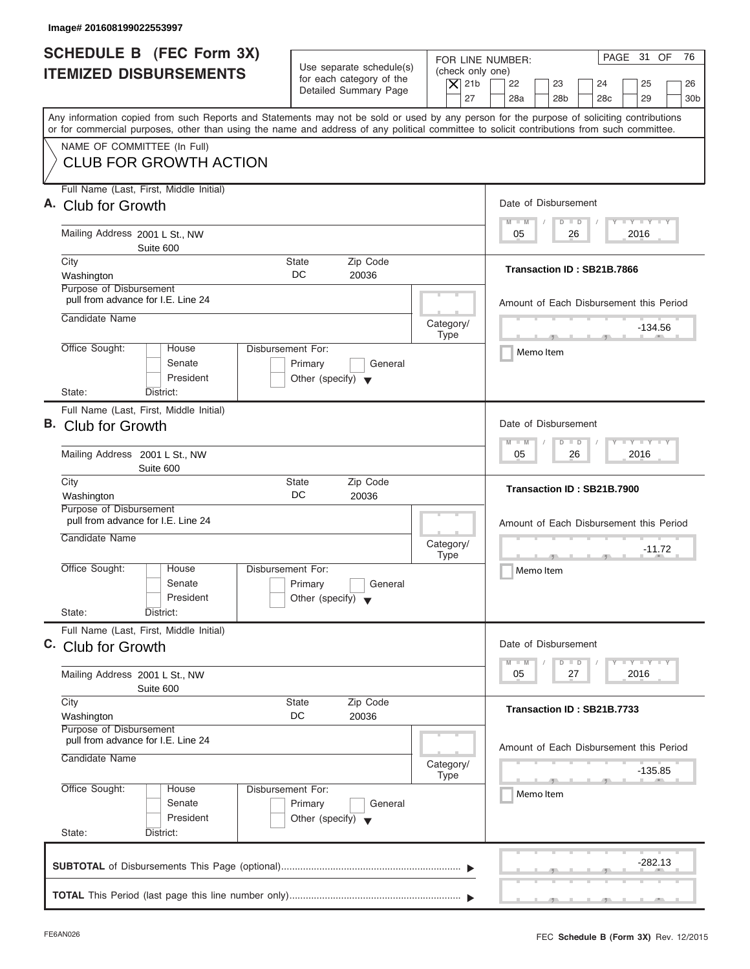| Image# 201608199022553997                                                                                                                  |                                                                                                |                                                                                                                                                                                          |
|--------------------------------------------------------------------------------------------------------------------------------------------|------------------------------------------------------------------------------------------------|------------------------------------------------------------------------------------------------------------------------------------------------------------------------------------------|
| <b>SCHEDULE B</b> (FEC Form 3X)<br><b>ITEMIZED DISBURSEMENTS</b>                                                                           | Use separate schedule(s)<br>for each category of the<br>Detailed Summary Page                  | PAGE 31 OF<br>76<br>FOR LINE NUMBER:<br>(check only one)<br>$ \mathsf{X} $ 21b<br>22<br>23<br>24<br>25<br>26<br>27<br>28a<br>28 <sub>b</sub><br>28 <sub>c</sub><br>29<br>30 <sub>b</sub> |
| or for commercial purposes, other than using the name and address of any political committee to solicit contributions from such committee. |                                                                                                | Any information copied from such Reports and Statements may not be sold or used by any person for the purpose of soliciting contributions                                                |
| NAME OF COMMITTEE (In Full)<br><b>CLUB FOR GROWTH ACTION</b>                                                                               |                                                                                                |                                                                                                                                                                                          |
| Full Name (Last, First, Middle Initial)<br>A. Club for Growth                                                                              |                                                                                                | Date of Disbursement                                                                                                                                                                     |
| Mailing Address 2001 L St., NW<br>Suite 600                                                                                                |                                                                                                | $T - Y = T - Y = T - Y$<br>$M - M$<br>$D$ $D$<br>2016<br>05<br>26                                                                                                                        |
| City<br>Washington<br>Purpose of Disbursement                                                                                              | <b>State</b><br>Zip Code<br>DC.<br>20036                                                       | Transaction ID: SB21B.7866                                                                                                                                                               |
| pull from advance for I.E. Line 24<br>Candidate Name                                                                                       | Category/                                                                                      | Amount of Each Disbursement this Period                                                                                                                                                  |
| Office Sought:<br>House<br>Senate<br>President                                                                                             | <b>Type</b><br>Disbursement For:<br>Primary<br>General<br>Other (specify) $\blacktriangledown$ | $-134.56$<br>$\mathcal{F}$ and $\mathcal{F}$ and $\mathcal{F}$<br>Memo Item                                                                                                              |
| State:<br>District:<br>Full Name (Last, First, Middle Initial)<br>B. Club for Growth                                                       |                                                                                                | Date of Disbursement<br>$-1 - Y - 1 - Y - 1 - Y$<br>$M - M$<br>$D$ $D$                                                                                                                   |
| Mailing Address 2001 L St., NW<br>Suite 600                                                                                                |                                                                                                | 2016<br>05<br>26                                                                                                                                                                         |
| City<br>Washington<br>Purpose of Disbursement                                                                                              | Zip Code<br><b>State</b><br>DC<br>20036                                                        | Transaction ID: SB21B.7900                                                                                                                                                               |
| pull from advance for I.E. Line 24<br>Candidate Name                                                                                       | Category/<br><b>Type</b>                                                                       | Amount of Each Disbursement this Period<br>$-11.72$<br>$-7$                                                                                                                              |
| Office Sought:<br>House<br>Senate<br>President<br>State:<br>District:                                                                      | Disbursement For:<br>Primary<br>General<br>Other (specify) $\blacktriangledown$                | Memo Item                                                                                                                                                                                |
| Full Name (Last, First, Middle Initial)<br>C. Club for Growth                                                                              |                                                                                                | Date of Disbursement                                                                                                                                                                     |
| Mailing Address 2001 L St., NW<br>Suite 600                                                                                                |                                                                                                | $T - Y$ $T - Y$ $T - Y$<br>$M - M$<br>D<br>$\Box$<br>2016<br>05<br>27                                                                                                                    |
| City<br>Washington<br>Purpose of Disbursement                                                                                              | Zip Code<br><b>State</b><br>DC<br>20036                                                        | Transaction ID: SB21B.7733                                                                                                                                                               |
| pull from advance for I.E. Line 24<br>Candidate Name                                                                                       | Category/<br><b>Type</b>                                                                       | Amount of Each Disbursement this Period<br>-135.85                                                                                                                                       |
| Office Sought:<br>House<br>Senate<br>President                                                                                             | Disbursement For:<br>Primary<br>General<br>Other (specify) $\blacktriangledown$                | Memo Item                                                                                                                                                                                |
| State:<br>District:                                                                                                                        |                                                                                                | -282.13                                                                                                                                                                                  |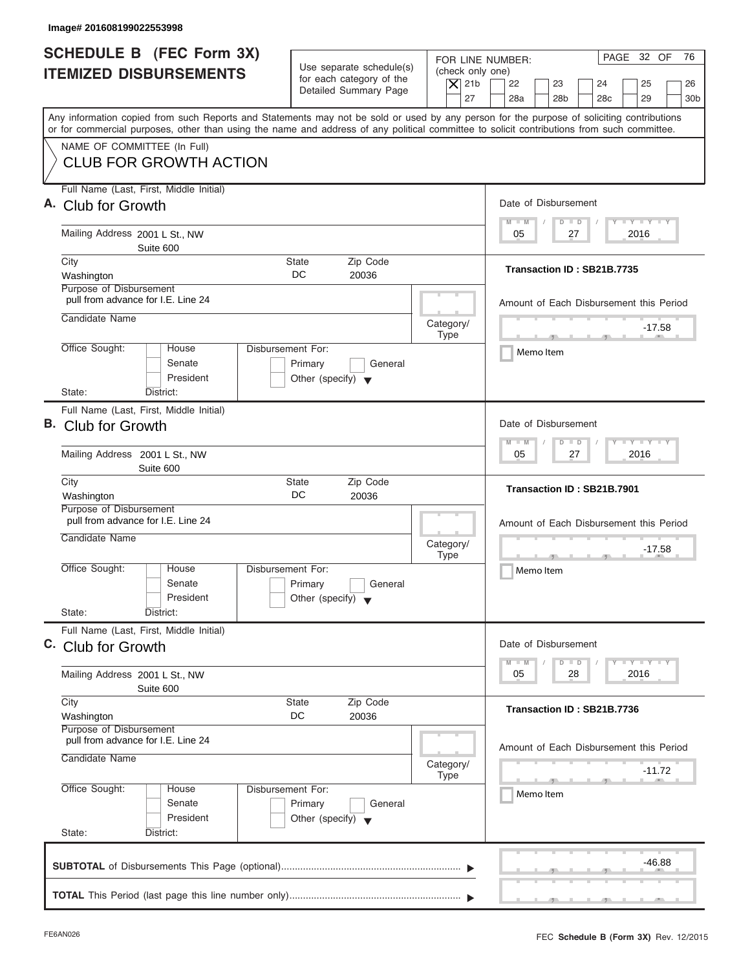| Image# 201608199022553998                                                            |                                                                                 |                                                                                                                                                                                                                                                                                         |
|--------------------------------------------------------------------------------------|---------------------------------------------------------------------------------|-----------------------------------------------------------------------------------------------------------------------------------------------------------------------------------------------------------------------------------------------------------------------------------------|
| <b>SCHEDULE B</b> (FEC Form 3X)<br><b>ITEMIZED DISBURSEMENTS</b>                     | Use separate schedule(s)<br>for each category of the<br>Detailed Summary Page   | PAGE 32 OF<br>76<br>FOR LINE NUMBER:<br>(check only one)<br>$ \mathsf{X} $ 21b<br>22<br>23<br>24<br>25<br>26<br>27<br>28a<br>28 <sub>b</sub><br>28 <sub>c</sub><br>29<br>30 <sub>b</sub>                                                                                                |
|                                                                                      |                                                                                 | Any information copied from such Reports and Statements may not be sold or used by any person for the purpose of soliciting contributions<br>or for commercial purposes, other than using the name and address of any political committee to solicit contributions from such committee. |
| NAME OF COMMITTEE (In Full)<br><b>CLUB FOR GROWTH ACTION</b>                         |                                                                                 |                                                                                                                                                                                                                                                                                         |
| Full Name (Last, First, Middle Initial)<br>A. Club for Growth                        |                                                                                 | Date of Disbursement                                                                                                                                                                                                                                                                    |
| Mailing Address 2001 L St., NW<br>Suite 600                                          |                                                                                 | $T - Y = T - Y = T - Y$<br>$M - M$<br>$D$ $D$<br>2016<br>05<br>27                                                                                                                                                                                                                       |
| City<br>Washington<br>Purpose of Disbursement                                        | <b>State</b><br>Zip Code<br>DC.<br>20036                                        | Transaction ID: SB21B.7735                                                                                                                                                                                                                                                              |
| pull from advance for I.E. Line 24<br>Candidate Name                                 |                                                                                 | Amount of Each Disbursement this Period<br>Category/                                                                                                                                                                                                                                    |
| Office Sought:<br>House<br>Senate<br>President                                       | Disbursement For:<br>Primary<br>General<br>Other (specify) $\blacktriangledown$ | $-17.58$<br><b>Type</b><br>Memo Item                                                                                                                                                                                                                                                    |
| State:<br>District:<br>Full Name (Last, First, Middle Initial)<br>B. Club for Growth |                                                                                 | Date of Disbursement<br>$-1 - Y - 1 - Y - 1 - Y$<br>$M - M$<br>$D$ $D$                                                                                                                                                                                                                  |
| Mailing Address 2001 L St., NW<br>Suite 600                                          |                                                                                 | 2016<br>05<br>27                                                                                                                                                                                                                                                                        |
| City<br>Washington<br>Purpose of Disbursement                                        | Zip Code<br><b>State</b><br>DC<br>20036                                         | Transaction ID: SB21B.7901                                                                                                                                                                                                                                                              |
| pull from advance for I.E. Line 24<br>Candidate Name                                 |                                                                                 | Amount of Each Disbursement this Period<br>Category/<br>$-17.58$<br><b>Type</b><br>$-7$                                                                                                                                                                                                 |
| Office Sought:<br>House<br>Senate<br>President<br>State:<br>District:                | Disbursement For:<br>Primary<br>General<br>Other (specify) $\blacktriangledown$ | Memo Item                                                                                                                                                                                                                                                                               |
| Full Name (Last, First, Middle Initial)<br>C. Club for Growth                        |                                                                                 | Date of Disbursement                                                                                                                                                                                                                                                                    |
| Mailing Address 2001 L St., NW<br>Suite 600                                          |                                                                                 | $T - Y$ $T - Y$ $T - Y$<br>$M - M$<br>$\overline{D}$<br>$\Box$<br>2016<br>05<br>28                                                                                                                                                                                                      |
| City<br>Washington<br>Purpose of Disbursement                                        | Zip Code<br><b>State</b><br>DC<br>20036                                         | Transaction ID: SB21B.7736                                                                                                                                                                                                                                                              |
| pull from advance for I.E. Line 24<br>Candidate Name                                 |                                                                                 | Amount of Each Disbursement this Period<br>Category/<br>$-11.72$<br><b>Type</b>                                                                                                                                                                                                         |
| Office Sought:<br>House<br>Senate<br>President<br>State:<br>District:                | Disbursement For:<br>Primary<br>General<br>Other (specify) $\blacktriangledown$ | Memo Item                                                                                                                                                                                                                                                                               |
|                                                                                      |                                                                                 | -46.88                                                                                                                                                                                                                                                                                  |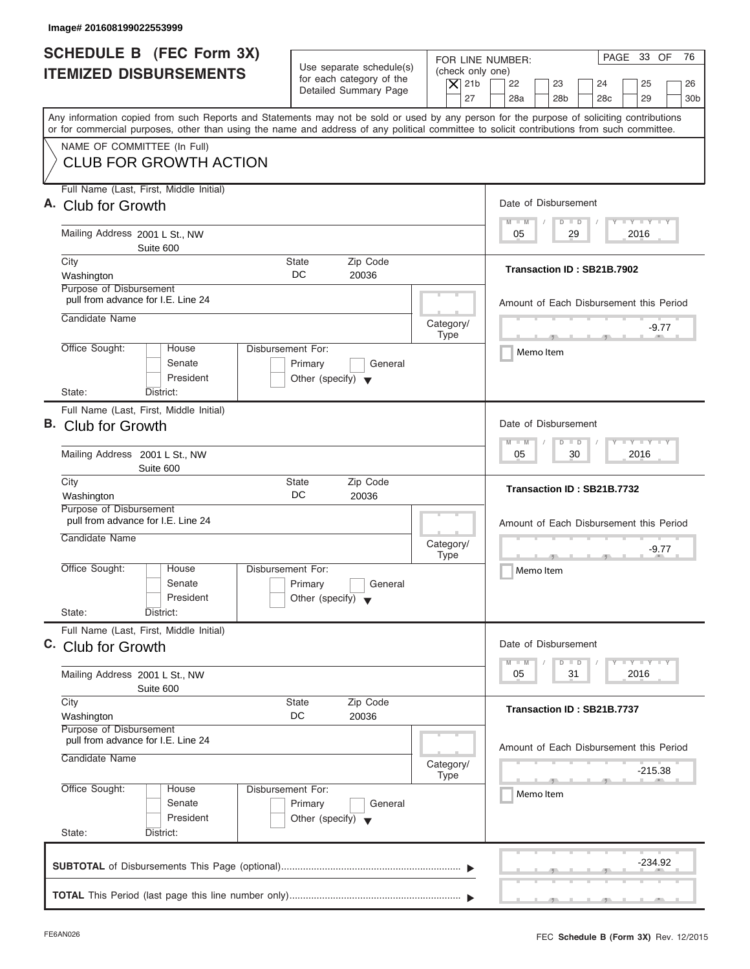| Image# 201608199022553999                                                                                                                                                                                                                                                               |                                                                                                                               |                                                                                                                                          |
|-----------------------------------------------------------------------------------------------------------------------------------------------------------------------------------------------------------------------------------------------------------------------------------------|-------------------------------------------------------------------------------------------------------------------------------|------------------------------------------------------------------------------------------------------------------------------------------|
| <b>SCHEDULE B</b> (FEC Form 3X)<br><b>ITEMIZED DISBURSEMENTS</b>                                                                                                                                                                                                                        | Use separate schedule(s)<br>(check only one)<br>for each category of the<br>$ \mathsf{X} $ 21b<br>Detailed Summary Page<br>27 | PAGE 33 OF<br>76<br>FOR LINE NUMBER:<br>22<br>23<br>24<br>25<br>26<br>28a<br>28 <sub>b</sub><br>28 <sub>c</sub><br>29<br>30 <sub>b</sub> |
| Any information copied from such Reports and Statements may not be sold or used by any person for the purpose of soliciting contributions<br>or for commercial purposes, other than using the name and address of any political committee to solicit contributions from such committee. |                                                                                                                               |                                                                                                                                          |
| NAME OF COMMITTEE (In Full)<br><b>CLUB FOR GROWTH ACTION</b>                                                                                                                                                                                                                            |                                                                                                                               |                                                                                                                                          |
| Full Name (Last, First, Middle Initial)<br>A. Club for Growth                                                                                                                                                                                                                           |                                                                                                                               | Date of Disbursement<br>$T - Y = T - Y = T - Y$<br>$M - M$<br>$D$ $D$                                                                    |
| Mailing Address 2001 L St., NW<br>Suite 600                                                                                                                                                                                                                                             |                                                                                                                               | 29<br>2016<br>05                                                                                                                         |
| City<br>Washington<br>Purpose of Disbursement                                                                                                                                                                                                                                           | Zip Code<br><b>State</b><br>DC.<br>20036                                                                                      | Transaction ID: SB21B.7902                                                                                                               |
| pull from advance for I.E. Line 24<br>Candidate Name                                                                                                                                                                                                                                    | Category/                                                                                                                     | Amount of Each Disbursement this Period<br>-9.77                                                                                         |
| Office Sought:<br>House<br>Senate<br>President<br>State:<br>District:                                                                                                                                                                                                                   | <b>Type</b><br>Disbursement For:<br>Primary<br>General<br>Other (specify) $\blacktriangledown$                                | $\mathcal{F}$ and $\mathcal{F}$ and $\mathcal{F}$<br>Memo Item                                                                           |
| Full Name (Last, First, Middle Initial)<br>B. Club for Growth<br>Mailing Address 2001 L St., NW                                                                                                                                                                                         |                                                                                                                               | Date of Disbursement<br>$-1 - Y - 1 - Y - 1 - Y$<br>$M - M$<br>$D$ $D$<br>2016<br>05<br>30                                               |
| Suite 600<br>City<br>Washington                                                                                                                                                                                                                                                         | Zip Code<br><b>State</b><br>DC<br>20036                                                                                       | Transaction ID: SB21B.7732                                                                                                               |
| Purpose of Disbursement<br>pull from advance for I.E. Line 24<br>Candidate Name                                                                                                                                                                                                         | Category/<br><b>Type</b>                                                                                                      | Amount of Each Disbursement this Period<br>-9.77<br>$-7$                                                                                 |
| Office Sought:<br>House<br>Senate<br>President<br>State:<br>District:                                                                                                                                                                                                                   | Disbursement For:<br>Primary<br>General<br>Other (specify) $\blacktriangledown$                                               | Memo Item                                                                                                                                |
| Full Name (Last, First, Middle Initial)<br>C. Club for Growth                                                                                                                                                                                                                           |                                                                                                                               | Date of Disbursement                                                                                                                     |
| Mailing Address 2001 L St., NW<br>Suite 600                                                                                                                                                                                                                                             |                                                                                                                               | $T - Y$ $T - Y$ $T - Y$<br>$M - M$<br>D<br>$\Box$<br>2016<br>05<br>31                                                                    |
| City<br>Washington<br>Purpose of Disbursement                                                                                                                                                                                                                                           | Zip Code<br><b>State</b><br>DC<br>20036                                                                                       | Transaction ID: SB21B.7737                                                                                                               |
| pull from advance for I.E. Line 24<br>Candidate Name                                                                                                                                                                                                                                    | Category/<br><b>Type</b>                                                                                                      | Amount of Each Disbursement this Period<br>-215.38                                                                                       |
| Office Sought:<br>House<br>Senate<br>President<br>State:<br>District:                                                                                                                                                                                                                   | Disbursement For:<br>Primary<br>General<br>Other (specify) $\blacktriangledown$                                               | Memo Item                                                                                                                                |
|                                                                                                                                                                                                                                                                                         |                                                                                                                               | -234.92                                                                                                                                  |
|                                                                                                                                                                                                                                                                                         |                                                                                                                               |                                                                                                                                          |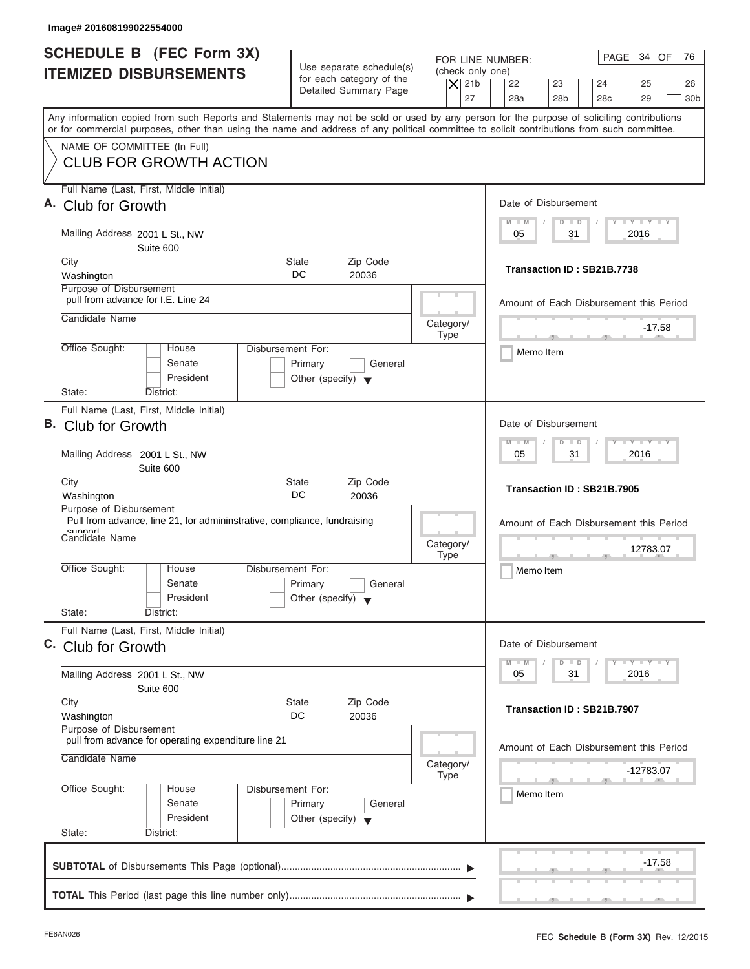| Image# 201608199022554000                                                                                                                                                                                                                                                               |                                                                      |                                                                               |                                        |    |                               |           |                       |                                         |                                  |                             |
|-----------------------------------------------------------------------------------------------------------------------------------------------------------------------------------------------------------------------------------------------------------------------------------------|----------------------------------------------------------------------|-------------------------------------------------------------------------------|----------------------------------------|----|-------------------------------|-----------|-----------------------|-----------------------------------------|----------------------------------|-----------------------------|
| <b>SCHEDULE B</b> (FEC Form 3X)<br><b>ITEMIZED DISBURSEMENTS</b>                                                                                                                                                                                                                        |                                                                      | Use separate schedule(s)<br>for each category of the<br>Detailed Summary Page | (check only one)<br>$ \mathsf{X} $ 21b | 27 | FOR LINE NUMBER:<br>22<br>28a |           | 23<br>28 <sub>b</sub> | 24<br>28 <sub>c</sub>                   | PAGE 34 OF<br>25<br>29           | 76<br>26<br>30 <sub>b</sub> |
| Any information copied from such Reports and Statements may not be sold or used by any person for the purpose of soliciting contributions<br>or for commercial purposes, other than using the name and address of any political committee to solicit contributions from such committee. |                                                                      |                                                                               |                                        |    |                               |           |                       |                                         |                                  |                             |
| NAME OF COMMITTEE (In Full)<br><b>CLUB FOR GROWTH ACTION</b>                                                                                                                                                                                                                            |                                                                      |                                                                               |                                        |    |                               |           |                       |                                         |                                  |                             |
| Full Name (Last, First, Middle Initial)<br>A. Club for Growth                                                                                                                                                                                                                           |                                                                      |                                                                               |                                        |    | Date of Disbursement          |           |                       |                                         |                                  |                             |
| Mailing Address 2001 L St., NW<br>Suite 600                                                                                                                                                                                                                                             |                                                                      |                                                                               |                                        |    | $M - M$<br>05                 |           | $D$ $D$<br>31         |                                         | $T - Y = T - Y = T - Y$<br>2016  |                             |
| City<br>Washington<br>Purpose of Disbursement                                                                                                                                                                                                                                           | State<br>DC                                                          | Zip Code<br>20036                                                             |                                        |    |                               |           |                       | Transaction ID: SB21B.7738              |                                  |                             |
| pull from advance for I.E. Line 24<br>Candidate Name                                                                                                                                                                                                                                    |                                                                      |                                                                               |                                        |    |                               |           |                       | Amount of Each Disbursement this Period |                                  |                             |
| Office Sought:<br>House<br>Senate<br>President<br>State:<br>District:                                                                                                                                                                                                                   | Disbursement For:<br>Primary<br>Other (specify) $\blacktriangledown$ | General                                                                       | Category/<br><b>Type</b>               |    |                               | Memo Item |                       |                                         | $-17.58$                         |                             |
| Full Name (Last, First, Middle Initial)<br>B. Club for Growth                                                                                                                                                                                                                           |                                                                      |                                                                               |                                        |    | Date of Disbursement          |           |                       |                                         |                                  |                             |
| Mailing Address 2001 L St., NW<br>Suite 600                                                                                                                                                                                                                                             |                                                                      |                                                                               |                                        |    | $M - M$<br>05                 |           | $D$ $D$               | 31                                      | $-1 - Y - 1 - Y - 1 - Y$<br>2016 |                             |
| City<br>Washington<br>Purpose of Disbursement                                                                                                                                                                                                                                           | <b>State</b><br><b>DC</b>                                            | Zip Code<br>20036                                                             |                                        |    |                               |           |                       | Transaction ID: SB21B.7905              |                                  |                             |
| Pull from advance, line 21, for admininstrative, compliance, fundraising<br>cunnort<br><b>Candidate Name</b>                                                                                                                                                                            |                                                                      |                                                                               | Category/<br><b>Type</b>               |    |                               |           |                       | Amount of Each Disbursement this Period | 12783.07                         |                             |
| Office Sought:<br>House<br>Senate<br>President                                                                                                                                                                                                                                          | Disbursement For:<br>Primary<br>Other (specify) $\blacktriangledown$ | General                                                                       |                                        |    |                               | Memo Item |                       |                                         |                                  |                             |
| State:<br>District:<br>Full Name (Last, First, Middle Initial)<br>C. Club for Growth                                                                                                                                                                                                    |                                                                      |                                                                               |                                        |    | Date of Disbursement          |           |                       |                                         |                                  |                             |
| Mailing Address 2001 L St., NW<br>Suite 600                                                                                                                                                                                                                                             |                                                                      |                                                                               |                                        |    | $M - M$<br>05                 |           | D<br>31               | $\Box$                                  | $T - Y$ $T - Y$ $T - Y$<br>2016  |                             |
| City<br>Washington<br>Purpose of Disbursement                                                                                                                                                                                                                                           | <b>State</b><br>DC                                                   | Zip Code<br>20036                                                             |                                        |    |                               |           |                       | Transaction ID: SB21B.7907              |                                  |                             |
| pull from advance for operating expenditure line 21<br>Candidate Name                                                                                                                                                                                                                   |                                                                      |                                                                               | Category/<br><b>Type</b>               |    |                               |           |                       | Amount of Each Disbursement this Period | -12783.07                        |                             |
| Office Sought:<br>House<br>Senate<br>President<br>State:<br>District:                                                                                                                                                                                                                   | Disbursement For:<br>Primary<br>Other (specify) $\blacktriangledown$ | General                                                                       |                                        |    |                               | Memo Item |                       |                                         |                                  |                             |
|                                                                                                                                                                                                                                                                                         |                                                                      |                                                                               |                                        |    |                               |           |                       |                                         | -17.58                           |                             |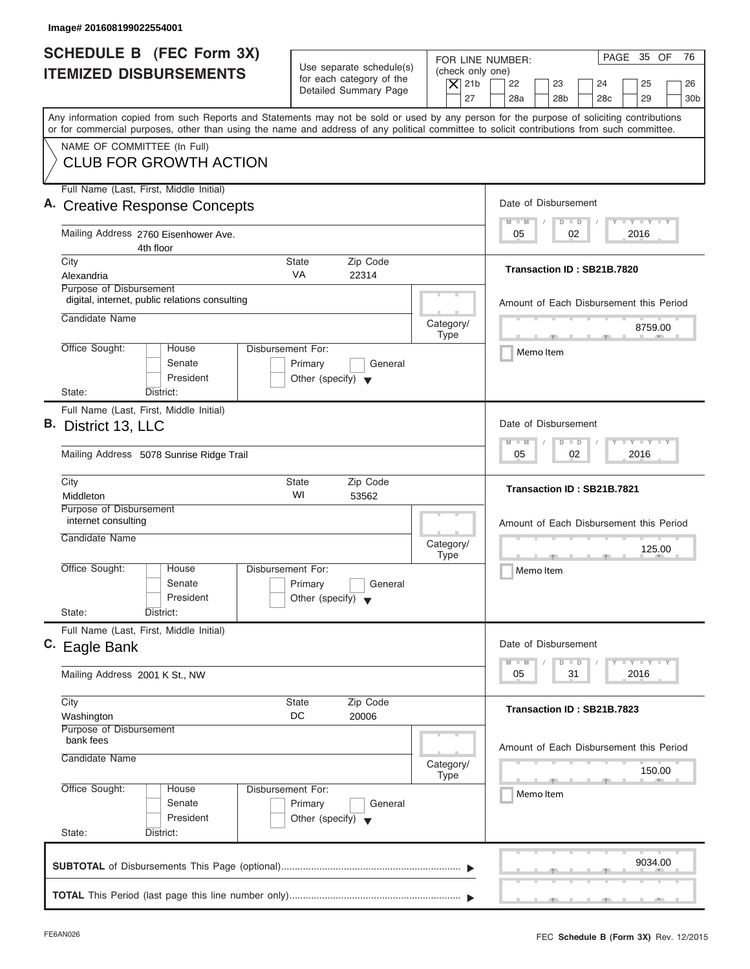| PAGE 35 OF<br>FOR LINE NUMBER:<br>Use separate schedule(s)<br>(check only one)<br>for each category of the<br>$\overline{X}$ 21b<br>22<br>23<br>24<br>25<br>Detailed Summary Page<br>27<br>28a<br>28 <sub>b</sub><br>28 <sub>c</sub><br>29<br>Any information copied from such Reports and Statements may not be sold or used by any person for the purpose of soliciting contributions<br>or for commercial purposes, other than using the name and address of any political committee to solicit contributions from such committee.<br>NAME OF COMMITTEE (In Full)<br><b>CLUB FOR GROWTH ACTION</b><br>Full Name (Last, First, Middle Initial)<br>Date of Disbursement<br><b>Creative Response Concepts</b><br>$I - Y - I - Y - I - Y$<br>$M - M$<br>$D$ $D$<br>Mailing Address 2760 Eisenhower Ave.<br>02<br>2016<br>05<br>4th floor<br>City<br>Zip Code<br>State<br>Transaction ID: SB21B.7820<br><b>VA</b><br>Alexandria<br>22314<br>Purpose of Disbursement<br>digital, internet, public relations consulting<br>Candidate Name<br>Category/<br>8759.00<br><b>Type</b><br>- 11 -<br>$-7$<br>Office Sought:<br>Disbursement For:<br>House<br>Memo Item<br>Senate<br>Primary<br>General<br>President<br>Other (specify) $\blacktriangledown$<br>State:<br>District:<br>Full Name (Last, First, Middle Initial)<br>Date of Disbursement<br>$-Y - Y - Y - I - Y$<br>$M - M$<br>$\Box$<br>$\Box$<br>02<br>2016<br>05<br>Mailing Address 5078 Sunrise Ridge Trail<br>City<br><b>State</b><br>Zip Code<br>Transaction ID: SB21B.7821<br>WI<br>Middleton<br>53562<br>Purpose of Disbursement<br>internet consulting<br>Candidate Name<br>Category/<br>125.00<br><b>Type</b><br>- 51<br>Office Sought:<br>House<br>Disbursement For:<br>Memo Item<br>Senate<br>Primary<br>General<br>President<br>Other (specify) $\blacktriangledown$<br>State:<br>District:<br>Full Name (Last, First, Middle Initial)<br>Date of Disbursement<br>$\mathbf{I}$ $\mathbf{Y}$ $\mathbf{I}$ $\mathbf{Y}$ $\mathbf{I}$ $\mathbf{Y}$<br>$M - M$<br>$\Box$<br>D<br>2016<br>05<br>31<br>Mailing Address 2001 K St., NW<br>City<br>Zip Code<br><b>State</b><br>Transaction ID: SB21B.7823<br>DC<br>20006<br>Washington<br>Purpose of Disbursement<br>bank fees<br>Candidate Name<br>Category/<br>150.00<br>Type<br>Office Sought:<br>Disbursement For:<br>House<br>Memo Item<br>Senate<br>Primary<br>General<br>President<br>Other (specify) $\blacktriangledown$<br>State:<br>District: | Image# 201608199022554001                                        |  |                                         |
|-----------------------------------------------------------------------------------------------------------------------------------------------------------------------------------------------------------------------------------------------------------------------------------------------------------------------------------------------------------------------------------------------------------------------------------------------------------------------------------------------------------------------------------------------------------------------------------------------------------------------------------------------------------------------------------------------------------------------------------------------------------------------------------------------------------------------------------------------------------------------------------------------------------------------------------------------------------------------------------------------------------------------------------------------------------------------------------------------------------------------------------------------------------------------------------------------------------------------------------------------------------------------------------------------------------------------------------------------------------------------------------------------------------------------------------------------------------------------------------------------------------------------------------------------------------------------------------------------------------------------------------------------------------------------------------------------------------------------------------------------------------------------------------------------------------------------------------------------------------------------------------------------------------------------------------------------------------------------------------------------------------------------------------------------------------------------------------------------------------------------------------------------------------------------------------------------------------------------------------------------------------------------------------------------------------------------------------------------------------------------------------------------------------------------------------------------------------------|------------------------------------------------------------------|--|-----------------------------------------|
| B. District 13, LLC<br>C. Eagle Bank                                                                                                                                                                                                                                                                                                                                                                                                                                                                                                                                                                                                                                                                                                                                                                                                                                                                                                                                                                                                                                                                                                                                                                                                                                                                                                                                                                                                                                                                                                                                                                                                                                                                                                                                                                                                                                                                                                                                                                                                                                                                                                                                                                                                                                                                                                                                                                                                                            | <b>SCHEDULE B</b> (FEC Form 3X)<br><b>ITEMIZED DISBURSEMENTS</b> |  | 76<br>26<br>30 <sub>b</sub>             |
|                                                                                                                                                                                                                                                                                                                                                                                                                                                                                                                                                                                                                                                                                                                                                                                                                                                                                                                                                                                                                                                                                                                                                                                                                                                                                                                                                                                                                                                                                                                                                                                                                                                                                                                                                                                                                                                                                                                                                                                                                                                                                                                                                                                                                                                                                                                                                                                                                                                                 |                                                                  |  |                                         |
|                                                                                                                                                                                                                                                                                                                                                                                                                                                                                                                                                                                                                                                                                                                                                                                                                                                                                                                                                                                                                                                                                                                                                                                                                                                                                                                                                                                                                                                                                                                                                                                                                                                                                                                                                                                                                                                                                                                                                                                                                                                                                                                                                                                                                                                                                                                                                                                                                                                                 |                                                                  |  |                                         |
|                                                                                                                                                                                                                                                                                                                                                                                                                                                                                                                                                                                                                                                                                                                                                                                                                                                                                                                                                                                                                                                                                                                                                                                                                                                                                                                                                                                                                                                                                                                                                                                                                                                                                                                                                                                                                                                                                                                                                                                                                                                                                                                                                                                                                                                                                                                                                                                                                                                                 |                                                                  |  |                                         |
|                                                                                                                                                                                                                                                                                                                                                                                                                                                                                                                                                                                                                                                                                                                                                                                                                                                                                                                                                                                                                                                                                                                                                                                                                                                                                                                                                                                                                                                                                                                                                                                                                                                                                                                                                                                                                                                                                                                                                                                                                                                                                                                                                                                                                                                                                                                                                                                                                                                                 |                                                                  |  |                                         |
|                                                                                                                                                                                                                                                                                                                                                                                                                                                                                                                                                                                                                                                                                                                                                                                                                                                                                                                                                                                                                                                                                                                                                                                                                                                                                                                                                                                                                                                                                                                                                                                                                                                                                                                                                                                                                                                                                                                                                                                                                                                                                                                                                                                                                                                                                                                                                                                                                                                                 |                                                                  |  |                                         |
|                                                                                                                                                                                                                                                                                                                                                                                                                                                                                                                                                                                                                                                                                                                                                                                                                                                                                                                                                                                                                                                                                                                                                                                                                                                                                                                                                                                                                                                                                                                                                                                                                                                                                                                                                                                                                                                                                                                                                                                                                                                                                                                                                                                                                                                                                                                                                                                                                                                                 |                                                                  |  | Amount of Each Disbursement this Period |
|                                                                                                                                                                                                                                                                                                                                                                                                                                                                                                                                                                                                                                                                                                                                                                                                                                                                                                                                                                                                                                                                                                                                                                                                                                                                                                                                                                                                                                                                                                                                                                                                                                                                                                                                                                                                                                                                                                                                                                                                                                                                                                                                                                                                                                                                                                                                                                                                                                                                 |                                                                  |  |                                         |
|                                                                                                                                                                                                                                                                                                                                                                                                                                                                                                                                                                                                                                                                                                                                                                                                                                                                                                                                                                                                                                                                                                                                                                                                                                                                                                                                                                                                                                                                                                                                                                                                                                                                                                                                                                                                                                                                                                                                                                                                                                                                                                                                                                                                                                                                                                                                                                                                                                                                 |                                                                  |  |                                         |
|                                                                                                                                                                                                                                                                                                                                                                                                                                                                                                                                                                                                                                                                                                                                                                                                                                                                                                                                                                                                                                                                                                                                                                                                                                                                                                                                                                                                                                                                                                                                                                                                                                                                                                                                                                                                                                                                                                                                                                                                                                                                                                                                                                                                                                                                                                                                                                                                                                                                 |                                                                  |  |                                         |
|                                                                                                                                                                                                                                                                                                                                                                                                                                                                                                                                                                                                                                                                                                                                                                                                                                                                                                                                                                                                                                                                                                                                                                                                                                                                                                                                                                                                                                                                                                                                                                                                                                                                                                                                                                                                                                                                                                                                                                                                                                                                                                                                                                                                                                                                                                                                                                                                                                                                 |                                                                  |  |                                         |
|                                                                                                                                                                                                                                                                                                                                                                                                                                                                                                                                                                                                                                                                                                                                                                                                                                                                                                                                                                                                                                                                                                                                                                                                                                                                                                                                                                                                                                                                                                                                                                                                                                                                                                                                                                                                                                                                                                                                                                                                                                                                                                                                                                                                                                                                                                                                                                                                                                                                 |                                                                  |  |                                         |
|                                                                                                                                                                                                                                                                                                                                                                                                                                                                                                                                                                                                                                                                                                                                                                                                                                                                                                                                                                                                                                                                                                                                                                                                                                                                                                                                                                                                                                                                                                                                                                                                                                                                                                                                                                                                                                                                                                                                                                                                                                                                                                                                                                                                                                                                                                                                                                                                                                                                 |                                                                  |  | Amount of Each Disbursement this Period |
|                                                                                                                                                                                                                                                                                                                                                                                                                                                                                                                                                                                                                                                                                                                                                                                                                                                                                                                                                                                                                                                                                                                                                                                                                                                                                                                                                                                                                                                                                                                                                                                                                                                                                                                                                                                                                                                                                                                                                                                                                                                                                                                                                                                                                                                                                                                                                                                                                                                                 |                                                                  |  |                                         |
|                                                                                                                                                                                                                                                                                                                                                                                                                                                                                                                                                                                                                                                                                                                                                                                                                                                                                                                                                                                                                                                                                                                                                                                                                                                                                                                                                                                                                                                                                                                                                                                                                                                                                                                                                                                                                                                                                                                                                                                                                                                                                                                                                                                                                                                                                                                                                                                                                                                                 |                                                                  |  |                                         |
|                                                                                                                                                                                                                                                                                                                                                                                                                                                                                                                                                                                                                                                                                                                                                                                                                                                                                                                                                                                                                                                                                                                                                                                                                                                                                                                                                                                                                                                                                                                                                                                                                                                                                                                                                                                                                                                                                                                                                                                                                                                                                                                                                                                                                                                                                                                                                                                                                                                                 |                                                                  |  |                                         |
|                                                                                                                                                                                                                                                                                                                                                                                                                                                                                                                                                                                                                                                                                                                                                                                                                                                                                                                                                                                                                                                                                                                                                                                                                                                                                                                                                                                                                                                                                                                                                                                                                                                                                                                                                                                                                                                                                                                                                                                                                                                                                                                                                                                                                                                                                                                                                                                                                                                                 |                                                                  |  |                                         |
|                                                                                                                                                                                                                                                                                                                                                                                                                                                                                                                                                                                                                                                                                                                                                                                                                                                                                                                                                                                                                                                                                                                                                                                                                                                                                                                                                                                                                                                                                                                                                                                                                                                                                                                                                                                                                                                                                                                                                                                                                                                                                                                                                                                                                                                                                                                                                                                                                                                                 |                                                                  |  | Amount of Each Disbursement this Period |
|                                                                                                                                                                                                                                                                                                                                                                                                                                                                                                                                                                                                                                                                                                                                                                                                                                                                                                                                                                                                                                                                                                                                                                                                                                                                                                                                                                                                                                                                                                                                                                                                                                                                                                                                                                                                                                                                                                                                                                                                                                                                                                                                                                                                                                                                                                                                                                                                                                                                 |                                                                  |  |                                         |
|                                                                                                                                                                                                                                                                                                                                                                                                                                                                                                                                                                                                                                                                                                                                                                                                                                                                                                                                                                                                                                                                                                                                                                                                                                                                                                                                                                                                                                                                                                                                                                                                                                                                                                                                                                                                                                                                                                                                                                                                                                                                                                                                                                                                                                                                                                                                                                                                                                                                 |                                                                  |  | 9034.00                                 |

ı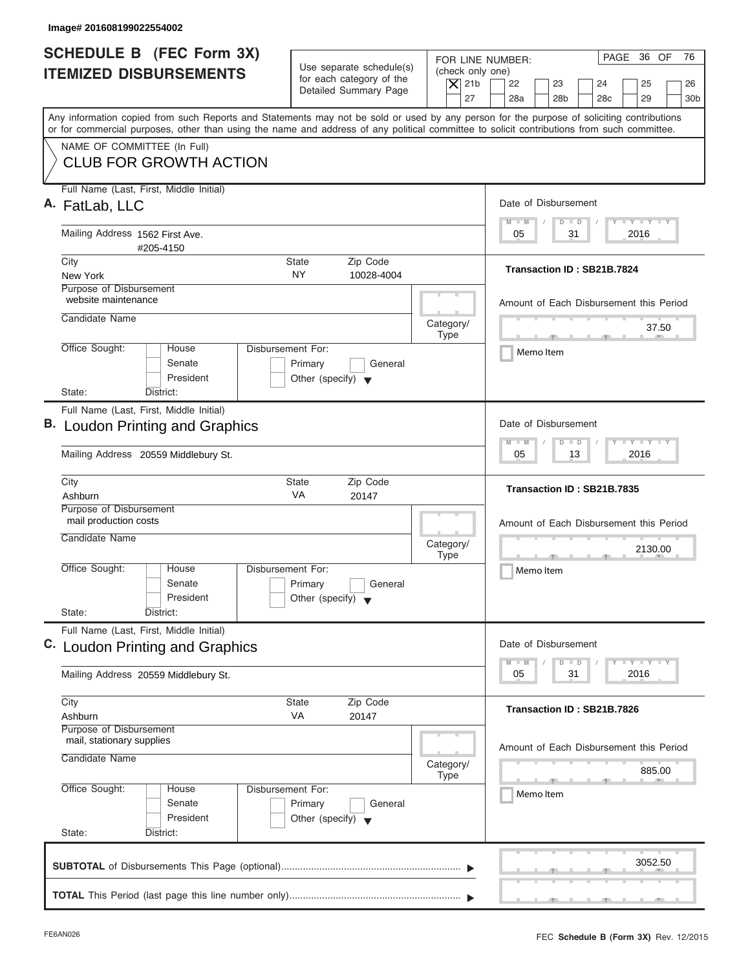| Image# 201608199022554002                                                                                                                                                                                                                                                               |                                                                                                     |                                                                                                                                 |
|-----------------------------------------------------------------------------------------------------------------------------------------------------------------------------------------------------------------------------------------------------------------------------------------|-----------------------------------------------------------------------------------------------------|---------------------------------------------------------------------------------------------------------------------------------|
| <b>SCHEDULE B</b> (FEC Form 3X)<br><b>ITEMIZED DISBURSEMENTS</b>                                                                                                                                                                                                                        | Use separate schedule(s)<br>for each category of the<br>$ \mathsf{X} $ 21b<br>Detailed Summary Page | PAGE 36 OF<br>76<br>FOR LINE NUMBER:<br>(check only one)<br>22<br>23<br>24<br>25<br>26                                          |
| Any information copied from such Reports and Statements may not be sold or used by any person for the purpose of soliciting contributions<br>or for commercial purposes, other than using the name and address of any political committee to solicit contributions from such committee. |                                                                                                     | 27<br>28a<br>28 <sub>b</sub><br>28 <sub>c</sub><br>29<br>30 <sub>b</sub>                                                        |
| NAME OF COMMITTEE (In Full)<br><b>CLUB FOR GROWTH ACTION</b>                                                                                                                                                                                                                            |                                                                                                     |                                                                                                                                 |
| Full Name (Last, First, Middle Initial)<br>A. FatLab, LLC                                                                                                                                                                                                                               |                                                                                                     | Date of Disbursement<br>$T - Y = T - Y = T - Y$                                                                                 |
| Mailing Address 1562 First Ave.<br>#205-4150                                                                                                                                                                                                                                            |                                                                                                     | $M - M$<br>$D$ $D$<br>2016<br>05<br>31                                                                                          |
| City<br>New York                                                                                                                                                                                                                                                                        | Zip Code<br>State<br><b>NY</b><br>10028-4004                                                        | Transaction ID: SB21B.7824                                                                                                      |
| Purpose of Disbursement<br>website maintenance<br>Candidate Name                                                                                                                                                                                                                        |                                                                                                     | Amount of Each Disbursement this Period                                                                                         |
| Office Sought:<br>House                                                                                                                                                                                                                                                                 | Category/<br><b>Type</b><br>Disbursement For:                                                       | 37.50<br><b>The Contract Contract Contract Contract Contract Contract Contract Contract Contract Contract Contract Contract</b> |
| Senate<br>President<br>State:<br>District:                                                                                                                                                                                                                                              | Primary<br>General<br>Other (specify) $\blacktriangledown$                                          | Memo Item                                                                                                                       |
| Full Name (Last, First, Middle Initial)<br><b>B.</b> Loudon Printing and Graphics                                                                                                                                                                                                       |                                                                                                     | Date of Disbursement                                                                                                            |
| Mailing Address 20559 Middlebury St.                                                                                                                                                                                                                                                    |                                                                                                     | $-1 - Y - 1 - Y - 1 - Y$<br>$M - M$<br>$D$ $D$<br>2016<br>05<br>13                                                              |
| City<br>Ashburn                                                                                                                                                                                                                                                                         | Zip Code<br>State<br>VA<br>20147                                                                    | Transaction ID: SB21B.7835                                                                                                      |
| Purpose of Disbursement<br>mail production costs<br>Candidate Name                                                                                                                                                                                                                      | Category/<br><b>Type</b>                                                                            | Amount of Each Disbursement this Period<br>2130.00                                                                              |
| Office Sought:<br>House<br>Senate<br>President                                                                                                                                                                                                                                          | Disbursement For:<br>Primary<br>General<br>Other (specify) $\blacktriangledown$                     | $\frac{1}{2}$<br>Memo Item                                                                                                      |
| State:<br>District:<br>Full Name (Last, First, Middle Initial)<br>C. Loudon Printing and Graphics                                                                                                                                                                                       |                                                                                                     | Date of Disbursement                                                                                                            |
| Mailing Address 20559 Middlebury St.                                                                                                                                                                                                                                                    |                                                                                                     | $T - Y$ $T - Y$ $T - Y$<br>$M - M$<br>D<br>$\Box$<br>2016<br>05<br>31                                                           |
| City<br>Ashburn                                                                                                                                                                                                                                                                         | <b>State</b><br>Zip Code<br>VA<br>20147                                                             | Transaction ID: SB21B.7826                                                                                                      |
| Purpose of Disbursement<br>mail, stationary supplies<br>Candidate Name                                                                                                                                                                                                                  | Category/<br><b>Type</b>                                                                            | Amount of Each Disbursement this Period<br>885.00                                                                               |
| Office Sought:<br>House<br>Senate<br>President                                                                                                                                                                                                                                          | Disbursement For:<br>Primary<br>General<br>Other (specify) $\blacktriangledown$                     | Memo Item                                                                                                                       |
| State:<br>District:                                                                                                                                                                                                                                                                     |                                                                                                     | 3052.50                                                                                                                         |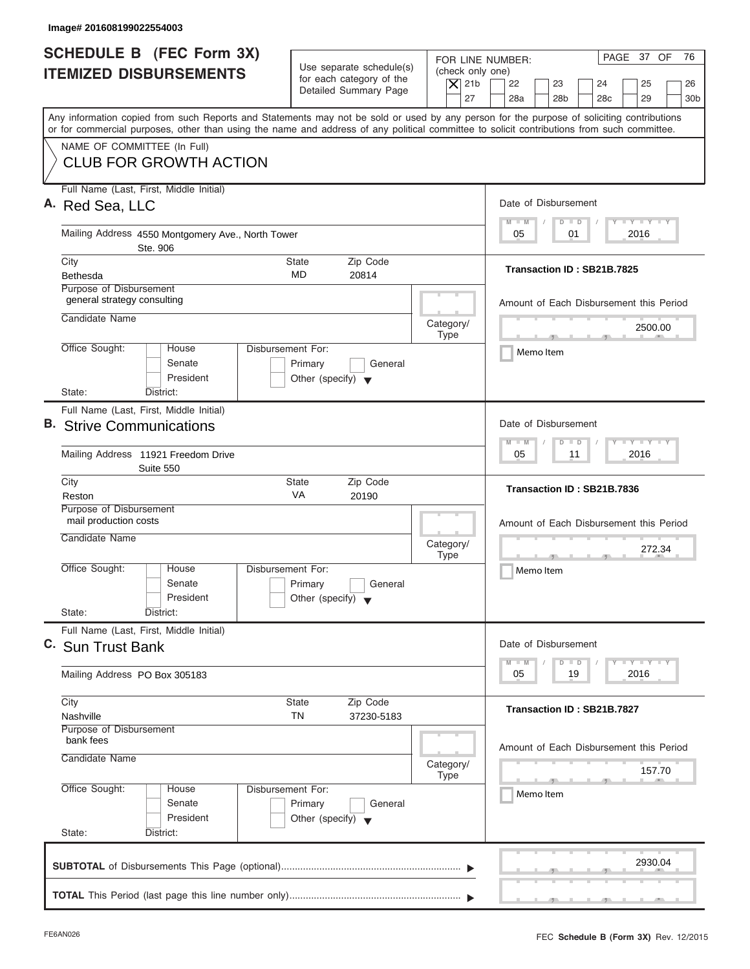| Image# 201608199022554003                                                                                                                                                                                                                                                               |                                                                                        |                                                                  |                                                                                                                      |
|-----------------------------------------------------------------------------------------------------------------------------------------------------------------------------------------------------------------------------------------------------------------------------------------|----------------------------------------------------------------------------------------|------------------------------------------------------------------|----------------------------------------------------------------------------------------------------------------------|
| <b>SCHEDULE B</b> (FEC Form 3X)<br><b>ITEMIZED DISBURSEMENTS</b>                                                                                                                                                                                                                        | Use separate schedule(s)<br>for each category of the<br>Detailed Summary Page          | FOR LINE NUMBER:<br>(check only one)<br>$\overline{X}$ 21b<br>27 | PAGE 37 OF<br>76<br>22<br>23<br>24<br>25<br>26<br>28a<br>28 <sub>b</sub><br>28 <sub>c</sub><br>29<br>30 <sub>b</sub> |
| Any information copied from such Reports and Statements may not be sold or used by any person for the purpose of soliciting contributions<br>or for commercial purposes, other than using the name and address of any political committee to solicit contributions from such committee. |                                                                                        |                                                                  |                                                                                                                      |
| NAME OF COMMITTEE (In Full)<br><b>CLUB FOR GROWTH ACTION</b>                                                                                                                                                                                                                            |                                                                                        |                                                                  |                                                                                                                      |
| Full Name (Last, First, Middle Initial)<br>A. Red Sea, LLC                                                                                                                                                                                                                              |                                                                                        |                                                                  | Date of Disbursement                                                                                                 |
| Mailing Address 4550 Montgomery Ave., North Tower<br>Ste. 906                                                                                                                                                                                                                           |                                                                                        |                                                                  | $I - Y - I - Y - I - Y$<br>$M - M$<br>$D$ $D$<br>2016<br>05<br>01                                                    |
| City<br><b>Bethesda</b><br>Purpose of Disbursement                                                                                                                                                                                                                                      | Zip Code<br>State<br>MD<br>20814                                                       |                                                                  | Transaction ID: SB21B.7825                                                                                           |
| general strategy consulting<br>Candidate Name                                                                                                                                                                                                                                           |                                                                                        | Category/                                                        | Amount of Each Disbursement this Period                                                                              |
| Office Sought:<br>House<br>Senate<br>President                                                                                                                                                                                                                                          | <b>Disbursement For:</b><br>Primary<br>General<br>Other (specify) $\blacktriangledown$ | <b>Type</b>                                                      | 2500.00<br>$\mathcal{F}$<br>Memo Item                                                                                |
| State:<br>District:<br>Full Name (Last, First, Middle Initial)<br><b>B.</b> Strive Communications                                                                                                                                                                                       |                                                                                        |                                                                  | Date of Disbursement<br>$-1$ $-1$ $-1$ $-1$ $-1$<br>$M - M$<br>$\Box$<br>D                                           |
| Mailing Address 11921 Freedom Drive<br>Suite 550                                                                                                                                                                                                                                        |                                                                                        |                                                                  | 2016<br>05<br>11                                                                                                     |
| City<br>Reston                                                                                                                                                                                                                                                                          | <b>State</b><br>Zip Code<br>VA<br>20190                                                |                                                                  | Transaction ID: SB21B.7836                                                                                           |
| Purpose of Disbursement<br>mail production costs<br>Candidate Name                                                                                                                                                                                                                      |                                                                                        | Category/<br><b>Type</b>                                         | Amount of Each Disbursement this Period<br>272.34<br>$\overline{2}$                                                  |
| Office Sought:<br>House<br>Senate<br>President<br>State:<br>District:                                                                                                                                                                                                                   | Disbursement For:<br>Primary<br>General<br>Other (specify) $\blacktriangledown$        |                                                                  | Memo Item                                                                                                            |
| Full Name (Last, First, Middle Initial)<br>C. Sun Trust Bank                                                                                                                                                                                                                            |                                                                                        |                                                                  | Date of Disbursement                                                                                                 |
| Mailing Address PO Box 305183                                                                                                                                                                                                                                                           |                                                                                        |                                                                  | $\Box$ $\Upsilon$ $\Box$ $\Upsilon$ $\Box$ $\Upsilon$<br>$M - M$<br>$\Box$<br>D<br>2016<br>05<br>19                  |
| City<br>Nashville<br>Purpose of Disbursement                                                                                                                                                                                                                                            | Zip Code<br><b>State</b><br>TN<br>37230-5183                                           |                                                                  | Transaction ID: SB21B.7827                                                                                           |
| bank fees<br>Candidate Name                                                                                                                                                                                                                                                             |                                                                                        | Category/<br>Type                                                | Amount of Each Disbursement this Period<br>157.70                                                                    |
| Office Sought:<br>House<br>Senate<br>President<br>State:<br>District:                                                                                                                                                                                                                   | Disbursement For:<br>Primary<br>General<br>Other (specify) $\blacktriangledown$        |                                                                  | Memo Item                                                                                                            |
|                                                                                                                                                                                                                                                                                         |                                                                                        |                                                                  | 2930.04                                                                                                              |
|                                                                                                                                                                                                                                                                                         |                                                                                        |                                                                  |                                                                                                                      |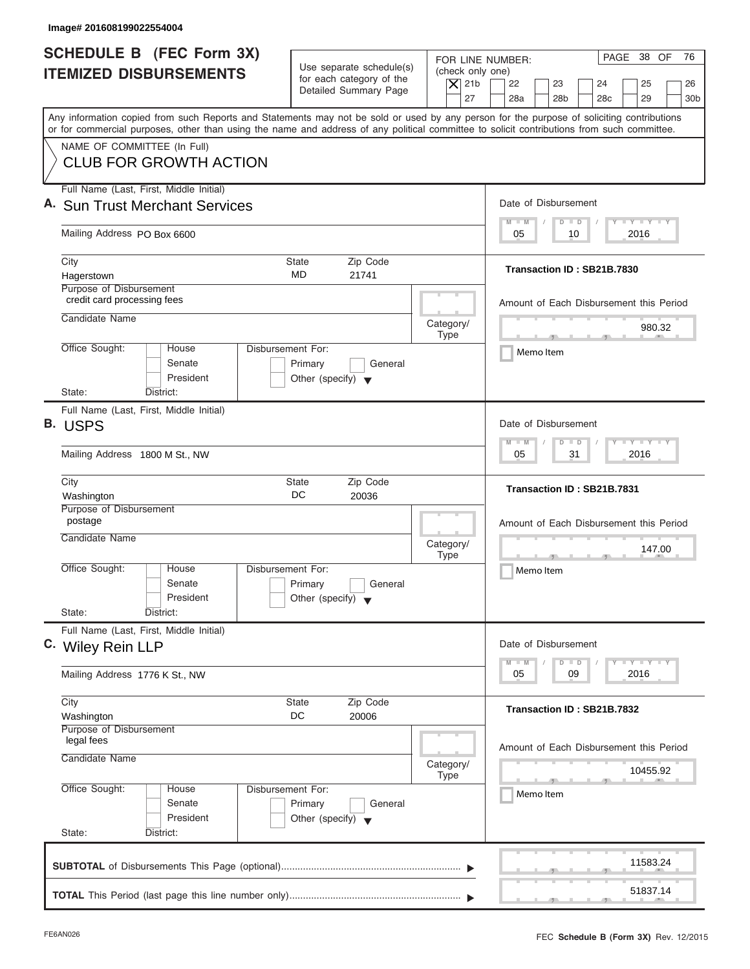| Image# 201608199022554004                                                                                                                                                                                                                                                               |                                                                                                     |                                                                                                                                                                    |
|-----------------------------------------------------------------------------------------------------------------------------------------------------------------------------------------------------------------------------------------------------------------------------------------|-----------------------------------------------------------------------------------------------------|--------------------------------------------------------------------------------------------------------------------------------------------------------------------|
| SCHEDULE B (FEC Form 3X)<br><b>ITEMIZED DISBURSEMENTS</b>                                                                                                                                                                                                                               | Use separate schedule(s)<br>for each category of the<br>$\overline{X}$ 21b<br>Detailed Summary Page | PAGE 38 OF<br>76<br>FOR LINE NUMBER:<br>(check only one)<br>22<br>23<br>24<br>25<br>26<br>27<br>28a<br>28 <sub>b</sub><br>28 <sub>c</sub><br>29<br>30 <sub>b</sub> |
| Any information copied from such Reports and Statements may not be sold or used by any person for the purpose of soliciting contributions<br>or for commercial purposes, other than using the name and address of any political committee to solicit contributions from such committee. |                                                                                                     |                                                                                                                                                                    |
| NAME OF COMMITTEE (In Full)<br><b>CLUB FOR GROWTH ACTION</b>                                                                                                                                                                                                                            |                                                                                                     |                                                                                                                                                                    |
| Full Name (Last, First, Middle Initial)<br>A. Sun Trust Merchant Services                                                                                                                                                                                                               |                                                                                                     | Date of Disbursement                                                                                                                                               |
| Mailing Address PO Box 6600                                                                                                                                                                                                                                                             |                                                                                                     | $T - Y = T - Y = T - Y$<br>$M - M$<br>$D$ $D$<br>2016<br>05<br>10                                                                                                  |
| City                                                                                                                                                                                                                                                                                    | Zip Code<br>State                                                                                   |                                                                                                                                                                    |
| Hagerstown                                                                                                                                                                                                                                                                              | MD<br>21741                                                                                         | Transaction ID: SB21B.7830                                                                                                                                         |
| Purpose of Disbursement<br>credit card processing fees                                                                                                                                                                                                                                  |                                                                                                     | Amount of Each Disbursement this Period                                                                                                                            |
| Candidate Name                                                                                                                                                                                                                                                                          | Category/<br><b>Type</b>                                                                            | 980.32<br>$-1$ $-1$                                                                                                                                                |
| Office Sought:<br>House<br>Senate<br>President                                                                                                                                                                                                                                          | Disbursement For:<br>Primary<br>General<br>Other (specify) $\blacktriangledown$                     | Memo Item                                                                                                                                                          |
| State:<br>District:                                                                                                                                                                                                                                                                     |                                                                                                     |                                                                                                                                                                    |
| Full Name (Last, First, Middle Initial)<br>B. USPS                                                                                                                                                                                                                                      |                                                                                                     | Date of Disbursement                                                                                                                                               |
| Mailing Address 1800 M St., NW                                                                                                                                                                                                                                                          |                                                                                                     | $-1 - Y - 1 - Y - 1 - Y$<br>$M - M$<br>$D$ $D$<br>2016<br>05<br>31                                                                                                 |
| City<br>Washington                                                                                                                                                                                                                                                                      | Zip Code<br><b>State</b><br>DC<br>20036                                                             | Transaction ID: SB21B.7831                                                                                                                                         |
| Purpose of Disbursement<br>postage                                                                                                                                                                                                                                                      |                                                                                                     | Amount of Each Disbursement this Period                                                                                                                            |
| Candidate Name                                                                                                                                                                                                                                                                          | Category/<br><b>Type</b>                                                                            | 147.00                                                                                                                                                             |
| Office Sought:<br>House<br>Senate<br>President<br>State:<br>District:                                                                                                                                                                                                                   | Disbursement For:<br>Primary<br>General<br>Other (specify) $\blacktriangledown$                     | $-7$<br>Memo Item                                                                                                                                                  |
| Full Name (Last, First, Middle Initial)                                                                                                                                                                                                                                                 |                                                                                                     |                                                                                                                                                                    |
| C. Wiley Rein LLP                                                                                                                                                                                                                                                                       |                                                                                                     | Date of Disbursement                                                                                                                                               |
| Mailing Address 1776 K St., NW                                                                                                                                                                                                                                                          |                                                                                                     | $T - Y$ $T - Y$<br>$M - M$<br>D<br>$\Box$<br>2016<br>05<br>09                                                                                                      |
| City<br>Washington                                                                                                                                                                                                                                                                      | Zip Code<br>State<br>DC<br>20006                                                                    | Transaction ID: SB21B.7832                                                                                                                                         |
| Purpose of Disbursement<br>legal fees                                                                                                                                                                                                                                                   |                                                                                                     |                                                                                                                                                                    |
| Candidate Name                                                                                                                                                                                                                                                                          | Category/                                                                                           | Amount of Each Disbursement this Period<br>10455.92                                                                                                                |
| Office Sought:<br>House<br>Senate<br>President                                                                                                                                                                                                                                          | <b>Type</b><br>Disbursement For:<br>Primary<br>General<br>Other (specify) $\blacktriangledown$      | Memo Item                                                                                                                                                          |
| State:<br>District:                                                                                                                                                                                                                                                                     |                                                                                                     |                                                                                                                                                                    |
|                                                                                                                                                                                                                                                                                         |                                                                                                     | 11583.24                                                                                                                                                           |
|                                                                                                                                                                                                                                                                                         |                                                                                                     | 51837.14                                                                                                                                                           |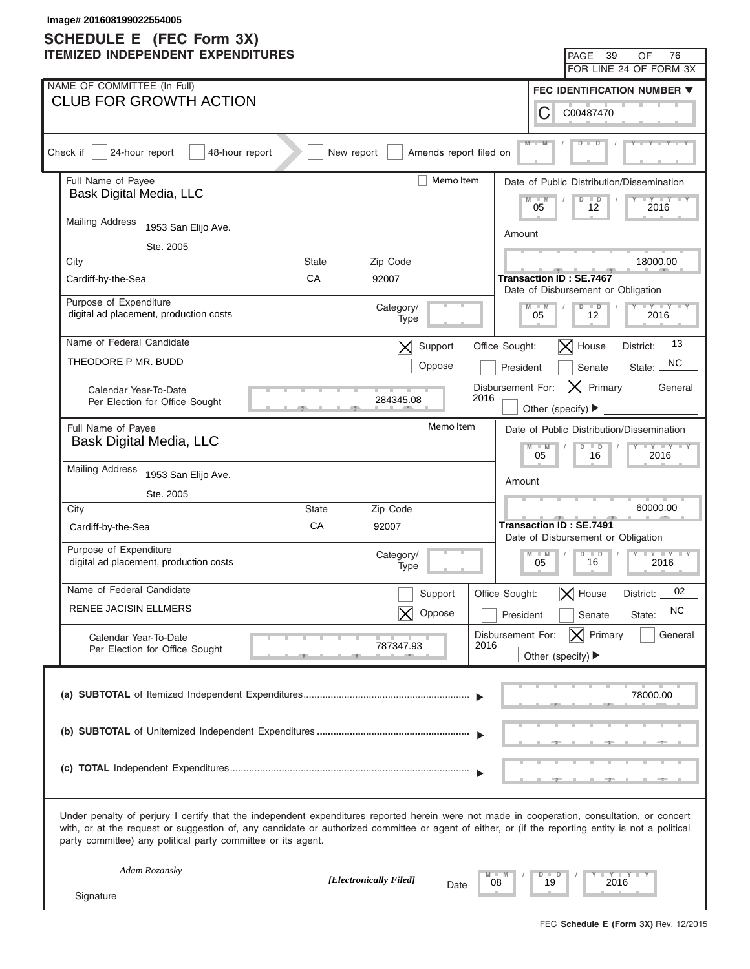|          | Image# 201608199022554005<br><b>SCHEDULE E</b> (FEC Form 3X)                                                                                                                                                                                                                                                                                                      |              |                          |                           |               |                                                                |                                                                  |
|----------|-------------------------------------------------------------------------------------------------------------------------------------------------------------------------------------------------------------------------------------------------------------------------------------------------------------------------------------------------------------------|--------------|--------------------------|---------------------------|---------------|----------------------------------------------------------------|------------------------------------------------------------------|
|          | <b>ITEMIZED INDEPENDENT EXPENDITURES</b>                                                                                                                                                                                                                                                                                                                          |              |                          |                           |               | 39<br><b>PAGE</b>                                              | 76<br>OF                                                         |
|          |                                                                                                                                                                                                                                                                                                                                                                   |              |                          |                           |               |                                                                | FOR LINE 24 OF FORM 3X                                           |
|          | NAME OF COMMITTEE (In Full)                                                                                                                                                                                                                                                                                                                                       |              |                          |                           |               |                                                                | FEC IDENTIFICATION NUMBER ▼                                      |
|          | <b>CLUB FOR GROWTH ACTION</b>                                                                                                                                                                                                                                                                                                                                     |              |                          |                           | С             | C00487470                                                      |                                                                  |
| Check if | 24-hour report<br>48-hour report                                                                                                                                                                                                                                                                                                                                  | New report   | Amends report filed on   |                           |               |                                                                |                                                                  |
|          | Full Name of Payee                                                                                                                                                                                                                                                                                                                                                |              | Memo Item                |                           |               |                                                                | Date of Public Distribution/Dissemination                        |
|          | Bask Digital Media, LLC                                                                                                                                                                                                                                                                                                                                           |              |                          |                           | $-M$<br>05    | $\overline{D}$<br>$\overline{\phantom{a}}$<br>12               | $+Y+Y$<br>2016                                                   |
|          | <b>Mailing Address</b><br>1953 San Elijo Ave.                                                                                                                                                                                                                                                                                                                     |              |                          |                           | Amount        |                                                                |                                                                  |
|          | Ste. 2005                                                                                                                                                                                                                                                                                                                                                         |              |                          |                           |               |                                                                |                                                                  |
|          | City                                                                                                                                                                                                                                                                                                                                                              | State        | Zip Code                 |                           |               |                                                                | 18000.00                                                         |
|          | Cardiff-by-the-Sea                                                                                                                                                                                                                                                                                                                                                | CA           | 92007                    |                           |               | Transaction ID : SE.7467<br>Date of Disbursement or Obligation |                                                                  |
|          | Purpose of Expenditure<br>digital ad placement, production costs                                                                                                                                                                                                                                                                                                  |              | Category/<br>Type        |                           | $M - M$<br>05 | $D$ $D$<br>12                                                  | $Y = Y = Y = Y = Y$<br>2016                                      |
|          | Name of Federal Candidate                                                                                                                                                                                                                                                                                                                                         |              |                          |                           |               |                                                                |                                                                  |
|          |                                                                                                                                                                                                                                                                                                                                                                   |              | Support<br>$\bm{\times}$ | Office Sought:            |               | $ \mathsf{X} $ House                                           | 13<br>District:                                                  |
|          | THEODORE P MR. BUDD                                                                                                                                                                                                                                                                                                                                               |              | Oppose                   |                           | President     | Senate                                                         | NC.<br>State:                                                    |
|          | Calendar Year-To-Date<br>Per Election for Office Sought                                                                                                                                                                                                                                                                                                           |              | 284345.08                | Disbursement For:<br>2016 |               | Primary<br>$ {\sf X} $<br>Other (specify) ▶                    | General                                                          |
|          | Full Name of Payee                                                                                                                                                                                                                                                                                                                                                |              | Memo Item                |                           |               |                                                                |                                                                  |
|          | Bask Digital Media, LLC                                                                                                                                                                                                                                                                                                                                           |              |                          |                           | $M - M$       | $D$ $D$                                                        | Date of Public Distribution/Dissemination<br>$Y - Y - Y - Y - I$ |
|          | <b>Mailing Address</b><br>1953 San Elijo Ave.                                                                                                                                                                                                                                                                                                                     |              |                          |                           | 05            | 16                                                             | 2016                                                             |
|          |                                                                                                                                                                                                                                                                                                                                                                   |              |                          |                           | Amount        |                                                                |                                                                  |
|          | Ste. 2005<br>City                                                                                                                                                                                                                                                                                                                                                 | <b>State</b> | Zip Code                 |                           |               |                                                                | 60000.00                                                         |
|          | Cardiff-by-the-Sea                                                                                                                                                                                                                                                                                                                                                | CA           | 92007                    |                           |               | <b>Transaction ID: SE.7491</b>                                 |                                                                  |
|          | Purpose of Expenditure                                                                                                                                                                                                                                                                                                                                            |              |                          |                           |               | Date of Disbursement or Obligation                             |                                                                  |
|          | digital ad placement, production costs                                                                                                                                                                                                                                                                                                                            |              | Category/<br>Type        |                           | $M - M$<br>05 | $D$ $D$<br>$\overline{\phantom{a}}$<br>$\blacksquare$<br>16    | $Y - Y - Y - Y - Y$<br>2016                                      |
|          | Name of Federal Candidate                                                                                                                                                                                                                                                                                                                                         |              | Support                  | Office Sought:            |               | $\bm{\times}$<br>House                                         | 02<br>District:                                                  |
|          | RENEE JACISIN ELLMERS                                                                                                                                                                                                                                                                                                                                             |              | Oppose                   |                           | President     | Senate                                                         | NC.<br>State:                                                    |
|          | Calendar Year-To-Date                                                                                                                                                                                                                                                                                                                                             |              |                          | Disbursement For:         |               | $ \mathsf{X} $ Primary                                         | General                                                          |
|          | Per Election for Office Sought                                                                                                                                                                                                                                                                                                                                    |              | 787347.93                | 2016                      |               | Other (specify) $\blacktriangleright$                          |                                                                  |
|          |                                                                                                                                                                                                                                                                                                                                                                   |              |                          |                           |               |                                                                |                                                                  |
|          |                                                                                                                                                                                                                                                                                                                                                                   |              |                          |                           |               |                                                                | 78000.00                                                         |
|          |                                                                                                                                                                                                                                                                                                                                                                   |              |                          |                           |               |                                                                |                                                                  |
|          |                                                                                                                                                                                                                                                                                                                                                                   |              |                          |                           |               |                                                                |                                                                  |
|          |                                                                                                                                                                                                                                                                                                                                                                   |              |                          |                           |               |                                                                |                                                                  |
|          |                                                                                                                                                                                                                                                                                                                                                                   |              |                          |                           |               |                                                                |                                                                  |
|          | Under penalty of perjury I certify that the independent expenditures reported herein were not made in cooperation, consultation, or concert<br>with, or at the request or suggestion of, any candidate or authorized committee or agent of either, or (if the reporting entity is not a political<br>party committee) any political party committee or its agent. |              |                          |                           |               |                                                                |                                                                  |
|          | Adam Rozansky                                                                                                                                                                                                                                                                                                                                                     |              | [Electronically Filed]   | 08                        | $D$ $D$<br>19 | 2016                                                           | Y TYT                                                            |
|          | Signature                                                                                                                                                                                                                                                                                                                                                         |              | Date                     |                           |               |                                                                |                                                                  |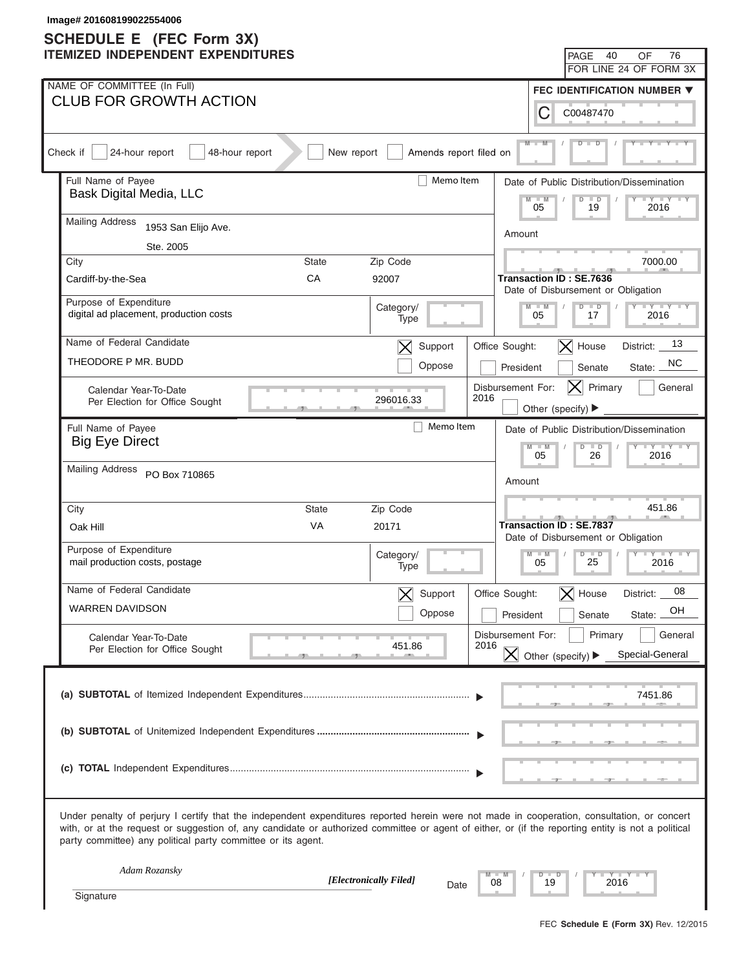| Image# 201608199022554006<br><b>SCHEDULE E</b> (FEC Form 3X)                                                                                                                                                                                                                                                                                                      |                                                                                            |
|-------------------------------------------------------------------------------------------------------------------------------------------------------------------------------------------------------------------------------------------------------------------------------------------------------------------------------------------------------------------|--------------------------------------------------------------------------------------------|
| <b>ITEMIZED INDEPENDENT EXPENDITURES</b>                                                                                                                                                                                                                                                                                                                          | 40<br>76<br><b>PAGE</b><br>OF                                                              |
|                                                                                                                                                                                                                                                                                                                                                                   | FOR LINE 24 OF FORM 3X                                                                     |
| NAME OF COMMITTEE (In Full)                                                                                                                                                                                                                                                                                                                                       | <b>FEC IDENTIFICATION NUMBER ▼</b>                                                         |
| <b>CLUB FOR GROWTH ACTION</b>                                                                                                                                                                                                                                                                                                                                     | С<br>C00487470                                                                             |
| Check if<br>24-hour report<br>48-hour report<br>New report<br>Amends report filed on                                                                                                                                                                                                                                                                              |                                                                                            |
| Full Name of Payee<br>Memo Item                                                                                                                                                                                                                                                                                                                                   | Date of Public Distribution/Dissemination                                                  |
| Bask Digital Media, LLC                                                                                                                                                                                                                                                                                                                                           | $-M$<br>$\overline{\mathsf{D}}$<br>$\overline{\phantom{a}}$<br>$+Y+Y$<br>05<br>19<br>2016  |
| <b>Mailing Address</b><br>1953 San Elijo Ave.                                                                                                                                                                                                                                                                                                                     | Amount                                                                                     |
| Ste. 2005                                                                                                                                                                                                                                                                                                                                                         |                                                                                            |
| City<br>State<br>Zip Code                                                                                                                                                                                                                                                                                                                                         | 7000.00                                                                                    |
| CA<br>92007<br>Cardiff-by-the-Sea                                                                                                                                                                                                                                                                                                                                 | Transaction ID: SE.7636<br>Date of Disbursement or Obligation                              |
| Purpose of Expenditure<br>Category/<br>digital ad placement, production costs                                                                                                                                                                                                                                                                                     | $Y = Y = Y = Y = Y$<br>$M - M$<br>$D$ $D$                                                  |
| Type                                                                                                                                                                                                                                                                                                                                                              | 05<br>2016<br>17                                                                           |
| Name of Federal Candidate<br>Support<br>$\bm{\times}$                                                                                                                                                                                                                                                                                                             | 13<br>$ \mathsf{X} $ House<br>Office Sought:<br>District:                                  |
| THEODORE P MR. BUDD<br>Oppose                                                                                                                                                                                                                                                                                                                                     | NC.<br>President<br>State:<br>Senate                                                       |
| Calendar Year-To-Date<br>2016<br>296016.33<br>Per Election for Office Sought                                                                                                                                                                                                                                                                                      | Disbursement For:<br>Primary<br>$ {\sf X} $<br>General                                     |
|                                                                                                                                                                                                                                                                                                                                                                   | Other (specify) ▶                                                                          |
| Memo Item<br>Full Name of Payee                                                                                                                                                                                                                                                                                                                                   | Date of Public Distribution/Dissemination                                                  |
| <b>Big Eye Direct</b>                                                                                                                                                                                                                                                                                                                                             | $Y - Y - Y - Y - I$<br>$M - M$<br>$D$ $D$<br>05<br>26<br>2016                              |
| <b>Mailing Address</b><br>PO Box 710865                                                                                                                                                                                                                                                                                                                           | Amount                                                                                     |
|                                                                                                                                                                                                                                                                                                                                                                   |                                                                                            |
| City<br><b>State</b><br>Zip Code                                                                                                                                                                                                                                                                                                                                  | 451.86                                                                                     |
| VA<br>Oak Hill<br>20171                                                                                                                                                                                                                                                                                                                                           | <b>Transaction ID: SE.7837</b><br>Date of Disbursement or Obligation                       |
| Purpose of Expenditure<br>Category/<br>mail production costs, postage<br>Type                                                                                                                                                                                                                                                                                     | $D$ $D$<br>$M - M$<br>$Y - Y - Y - Y - IY$<br>$\overline{\phantom{a}}$<br>25<br>05<br>2016 |
| Name of Federal Candidate<br>Support                                                                                                                                                                                                                                                                                                                              | 08<br>Office Sought:<br>$\bm{\times}$<br>House<br>District:                                |
| <b>WARREN DAVIDSON</b><br>Oppose                                                                                                                                                                                                                                                                                                                                  | OН<br>President<br>Senate<br>State:                                                        |
|                                                                                                                                                                                                                                                                                                                                                                   | Disbursement For:<br>Primary<br>General                                                    |
| Calendar Year-To-Date<br>2016<br>451.86<br>Per Election for Office Sought                                                                                                                                                                                                                                                                                         | $ \mathsf{X} $ Other (specify) $\blacktriangleright$<br>Special-General                    |
|                                                                                                                                                                                                                                                                                                                                                                   |                                                                                            |
|                                                                                                                                                                                                                                                                                                                                                                   | 7451.86                                                                                    |
|                                                                                                                                                                                                                                                                                                                                                                   |                                                                                            |
|                                                                                                                                                                                                                                                                                                                                                                   |                                                                                            |
|                                                                                                                                                                                                                                                                                                                                                                   |                                                                                            |
| Under penalty of perjury I certify that the independent expenditures reported herein were not made in cooperation, consultation, or concert<br>with, or at the request or suggestion of, any candidate or authorized committee or agent of either, or (if the reporting entity is not a political<br>party committee) any political party committee or its agent. |                                                                                            |
| Adam Rozansky<br>[Electronically Filed]                                                                                                                                                                                                                                                                                                                           | Y TY TY<br>$D$ $D$                                                                         |
| 08<br>Date<br>Signature                                                                                                                                                                                                                                                                                                                                           | 19<br>2016                                                                                 |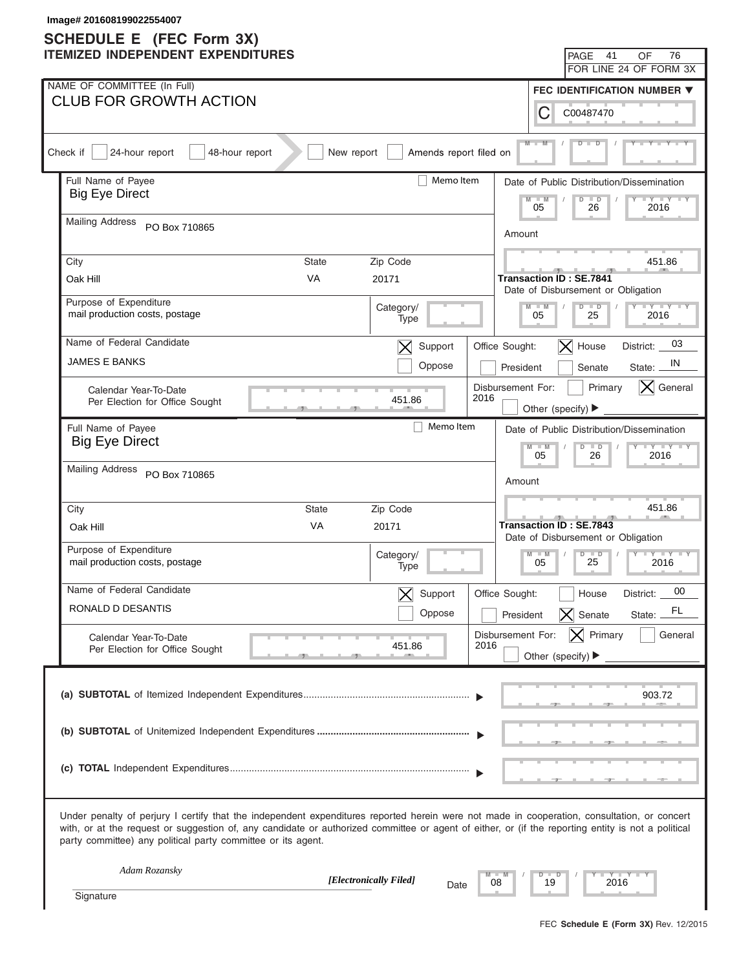| Image# 201608199022554007<br><b>SCHEDULE E</b> (FEC Form 3X)                                                                                                                                                                                                                                                                                                      |                        |                          |                   |                                       |                                                  |                                                                  |
|-------------------------------------------------------------------------------------------------------------------------------------------------------------------------------------------------------------------------------------------------------------------------------------------------------------------------------------------------------------------|------------------------|--------------------------|-------------------|---------------------------------------|--------------------------------------------------|------------------------------------------------------------------|
| <b>ITEMIZED INDEPENDENT EXPENDITURES</b>                                                                                                                                                                                                                                                                                                                          |                        |                          |                   |                                       | PAGE 41                                          | 76<br>OF                                                         |
|                                                                                                                                                                                                                                                                                                                                                                   |                        |                          |                   |                                       |                                                  | FOR LINE 24 OF FORM 3X                                           |
| NAME OF COMMITTEE (In Full)                                                                                                                                                                                                                                                                                                                                       |                        |                          |                   |                                       |                                                  | FEC IDENTIFICATION NUMBER ▼                                      |
| <b>CLUB FOR GROWTH ACTION</b>                                                                                                                                                                                                                                                                                                                                     |                        |                          |                   | С                                     | C00487470                                        |                                                                  |
| Check if<br>24-hour report<br>48-hour report                                                                                                                                                                                                                                                                                                                      | New report             | Amends report filed on   |                   | $M -$                                 |                                                  |                                                                  |
| Full Name of Payee                                                                                                                                                                                                                                                                                                                                                |                        | Memo Item                |                   |                                       |                                                  | Date of Public Distribution/Dissemination                        |
| <b>Big Eye Direct</b>                                                                                                                                                                                                                                                                                                                                             |                        |                          |                   | $M - M$<br>05                         | $\Box$<br>$\overline{D}$<br>26                   | $\Box Y \Box Y$<br>2016                                          |
| <b>Mailing Address</b><br>PO Box 710865                                                                                                                                                                                                                                                                                                                           |                        |                          |                   | Amount                                |                                                  |                                                                  |
|                                                                                                                                                                                                                                                                                                                                                                   |                        |                          |                   |                                       |                                                  |                                                                  |
| City<br>State<br><b>VA</b><br>Oak Hill                                                                                                                                                                                                                                                                                                                            |                        | Zip Code<br>20171        |                   |                                       | <b>Transaction ID: SE.7841</b>                   | 451.86                                                           |
|                                                                                                                                                                                                                                                                                                                                                                   |                        |                          |                   |                                       | Date of Disbursement or Obligation               |                                                                  |
| Purpose of Expenditure<br>mail production costs, postage                                                                                                                                                                                                                                                                                                          |                        | Category/<br>Type        |                   | $M - M$<br>05                         | $D$ $D$<br>25                                    | $Y = Y = Y = Y = Y$<br>2016                                      |
| Name of Federal Candidate                                                                                                                                                                                                                                                                                                                                         |                        | Support<br>$\bm{\times}$ | Office Sought:    |                                       | $ \mathsf{X} $ House                             | 03<br>District:                                                  |
| <b>JAMES E BANKS</b>                                                                                                                                                                                                                                                                                                                                              |                        | Oppose                   |                   | President                             | Senate                                           | IN.<br>State:                                                    |
| Calendar Year-To-Date                                                                                                                                                                                                                                                                                                                                             |                        |                          | Disbursement For: |                                       | Primary                                          | $ \mathsf{X} $ General                                           |
| Per Election for Office Sought                                                                                                                                                                                                                                                                                                                                    |                        | 451.86                   | 2016              | Other (specify) ▶                     |                                                  |                                                                  |
| Full Name of Payee                                                                                                                                                                                                                                                                                                                                                |                        | Memo Item                |                   |                                       |                                                  |                                                                  |
| <b>Big Eye Direct</b>                                                                                                                                                                                                                                                                                                                                             |                        |                          |                   | $M - M$                               | $D$ $D$                                          | Date of Public Distribution/Dissemination<br>$Y - Y - Y - Y - I$ |
|                                                                                                                                                                                                                                                                                                                                                                   |                        |                          |                   | 05                                    | 26                                               | 2016                                                             |
| <b>Mailing Address</b><br>PO Box 710865                                                                                                                                                                                                                                                                                                                           |                        |                          |                   | Amount                                |                                                  |                                                                  |
|                                                                                                                                                                                                                                                                                                                                                                   |                        |                          |                   |                                       |                                                  |                                                                  |
| City<br><b>State</b>                                                                                                                                                                                                                                                                                                                                              |                        | Zip Code                 |                   |                                       | <b>Transaction ID: SE.7843</b>                   | 451.86                                                           |
| VA<br>Oak Hill                                                                                                                                                                                                                                                                                                                                                    |                        | 20171                    |                   |                                       | Date of Disbursement or Obligation               |                                                                  |
| Purpose of Expenditure<br>mail production costs, postage                                                                                                                                                                                                                                                                                                          |                        | Category/<br>Type        |                   | $M - M$<br>05                         | $D$ $D$<br>$\vert \vert$<br>$\blacksquare$<br>25 | 2016                                                             |
| Name of Federal Candidate                                                                                                                                                                                                                                                                                                                                         |                        | Support                  | Office Sought:    |                                       | House                                            | 00<br>District:                                                  |
| RONALD D DESANTIS                                                                                                                                                                                                                                                                                                                                                 |                        | Oppose                   |                   | President                             | Senate<br>$\bm{\times}$                          | FL<br>State:                                                     |
|                                                                                                                                                                                                                                                                                                                                                                   |                        |                          | Disbursement For: |                                       | $ \mathsf{X} $ Primary                           | General                                                          |
| Calendar Year-To-Date<br>Per Election for Office Sought                                                                                                                                                                                                                                                                                                           |                        | 451.86                   | 2016              | Other (specify) $\blacktriangleright$ |                                                  |                                                                  |
|                                                                                                                                                                                                                                                                                                                                                                   |                        |                          |                   |                                       |                                                  |                                                                  |
|                                                                                                                                                                                                                                                                                                                                                                   |                        |                          |                   |                                       |                                                  | 903.72                                                           |
|                                                                                                                                                                                                                                                                                                                                                                   |                        |                          |                   |                                       |                                                  |                                                                  |
|                                                                                                                                                                                                                                                                                                                                                                   |                        |                          |                   |                                       |                                                  |                                                                  |
|                                                                                                                                                                                                                                                                                                                                                                   |                        |                          |                   |                                       |                                                  |                                                                  |
|                                                                                                                                                                                                                                                                                                                                                                   |                        |                          |                   |                                       |                                                  |                                                                  |
|                                                                                                                                                                                                                                                                                                                                                                   |                        |                          |                   |                                       |                                                  |                                                                  |
| Under penalty of perjury I certify that the independent expenditures reported herein were not made in cooperation, consultation, or concert<br>with, or at the request or suggestion of, any candidate or authorized committee or agent of either, or (if the reporting entity is not a political<br>party committee) any political party committee or its agent. |                        |                          |                   |                                       |                                                  |                                                                  |
| Adam Rozansky                                                                                                                                                                                                                                                                                                                                                     |                        |                          |                   |                                       |                                                  |                                                                  |
|                                                                                                                                                                                                                                                                                                                                                                   | [Electronically Filed] | Date                     | 08                | $D$ $D$<br>19                         | 2016                                             | Y TYT                                                            |
| Signature                                                                                                                                                                                                                                                                                                                                                         |                        |                          |                   |                                       |                                                  |                                                                  |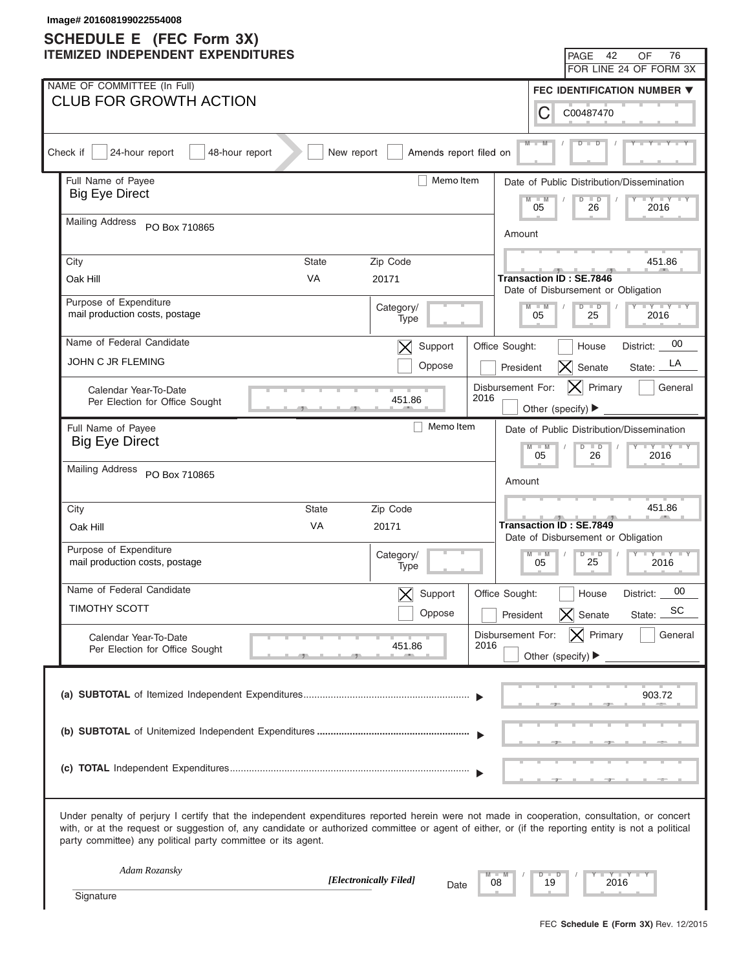| Image# 201608199022554008<br><b>SCHEDULE E</b> (FEC Form 3X)                                                                                                                                                                                                                                                                                                      |                                                                                                                                 |
|-------------------------------------------------------------------------------------------------------------------------------------------------------------------------------------------------------------------------------------------------------------------------------------------------------------------------------------------------------------------|---------------------------------------------------------------------------------------------------------------------------------|
| <b>ITEMIZED INDEPENDENT EXPENDITURES</b>                                                                                                                                                                                                                                                                                                                          | 42<br>76<br>PAGE<br>OF                                                                                                          |
|                                                                                                                                                                                                                                                                                                                                                                   | FOR LINE 24 OF FORM 3X                                                                                                          |
| NAME OF COMMITTEE (In Full)<br><b>CLUB FOR GROWTH ACTION</b>                                                                                                                                                                                                                                                                                                      | <b>FEC IDENTIFICATION NUMBER ▼</b>                                                                                              |
|                                                                                                                                                                                                                                                                                                                                                                   | С<br>C00487470                                                                                                                  |
| Check if<br>24-hour report<br>48-hour report<br>New report<br>Amends report filed on                                                                                                                                                                                                                                                                              | $M -$                                                                                                                           |
| Memo Item<br>Full Name of Payee                                                                                                                                                                                                                                                                                                                                   | Date of Public Distribution/Dissemination                                                                                       |
| <b>Big Eye Direct</b>                                                                                                                                                                                                                                                                                                                                             | $-M$<br>$\Box$<br>$\overline{D}$<br>$+Y+Y$<br>05<br>26<br>2016                                                                  |
| <b>Mailing Address</b><br>PO Box 710865                                                                                                                                                                                                                                                                                                                           | Amount                                                                                                                          |
| City<br>Zip Code<br>State                                                                                                                                                                                                                                                                                                                                         | 451.86                                                                                                                          |
| <b>VA</b><br>Oak Hill<br>20171                                                                                                                                                                                                                                                                                                                                    | <b>Transaction ID: SE.7846</b>                                                                                                  |
| Purpose of Expenditure<br>Category/                                                                                                                                                                                                                                                                                                                               | Date of Disbursement or Obligation<br>$Y = Y = Y = Y = Y$<br>$M - M$<br>$D$ $D$                                                 |
| mail production costs, postage<br>Type                                                                                                                                                                                                                                                                                                                            | 05<br>25<br>2016                                                                                                                |
| Name of Federal Candidate<br>Support<br>$\bm{\times}$                                                                                                                                                                                                                                                                                                             | 00<br>Office Sought:<br>House<br>District:                                                                                      |
| JOHN C JR FLEMING<br>Oppose                                                                                                                                                                                                                                                                                                                                       | LA<br>Senate<br>President<br>$ \boldsymbol{\mathsf{X}} $<br>State:                                                              |
| Calendar Year-To-Date<br>451.86                                                                                                                                                                                                                                                                                                                                   | Disbursement For:<br>$ \mathsf{X} $ Primary<br>General<br>2016                                                                  |
| Per Election for Office Sought                                                                                                                                                                                                                                                                                                                                    | Other (specify) ▶                                                                                                               |
| Memo Item<br>Full Name of Payee<br><b>Big Eye Direct</b>                                                                                                                                                                                                                                                                                                          | Date of Public Distribution/Dissemination                                                                                       |
|                                                                                                                                                                                                                                                                                                                                                                   | $Y - Y - Y - Y - I$<br>$M - M$<br>$D$ $D$<br>05<br>2016<br>26                                                                   |
| <b>Mailing Address</b><br>PO Box 710865                                                                                                                                                                                                                                                                                                                           | Amount                                                                                                                          |
| City<br><b>State</b><br>Zip Code                                                                                                                                                                                                                                                                                                                                  | 451.86                                                                                                                          |
| VA<br>Oak Hill<br>20171                                                                                                                                                                                                                                                                                                                                           | <b>Transaction ID: SE.7849</b>                                                                                                  |
| Purpose of Expenditure                                                                                                                                                                                                                                                                                                                                            | Date of Disbursement or Obligation<br>$D$ $\Box$<br>$Y - Y - Y - Y - Y$<br>$M - M$<br>$\vert \vert$<br>$\overline{\phantom{a}}$ |
| Category/<br>mail production costs, postage<br>Type                                                                                                                                                                                                                                                                                                               | 25<br>05<br>2016                                                                                                                |
| Name of Federal Candidate<br>Support                                                                                                                                                                                                                                                                                                                              | 00<br>Office Sought:<br>House<br>District:                                                                                      |
| <b>TIMOTHY SCOTT</b><br>Oppose                                                                                                                                                                                                                                                                                                                                    | SC<br>Senate<br>President<br>$\vert\boldsymbol{\times}\vert$<br>State:                                                          |
| Calendar Year-To-Date<br>451.86                                                                                                                                                                                                                                                                                                                                   | $ \mathsf{X} $ Primary<br>General<br>Disbursement For:<br>2016                                                                  |
| Per Election for Office Sought                                                                                                                                                                                                                                                                                                                                    | Other (specify) $\blacktriangleright$                                                                                           |
|                                                                                                                                                                                                                                                                                                                                                                   |                                                                                                                                 |
|                                                                                                                                                                                                                                                                                                                                                                   | 903.72                                                                                                                          |
|                                                                                                                                                                                                                                                                                                                                                                   |                                                                                                                                 |
|                                                                                                                                                                                                                                                                                                                                                                   |                                                                                                                                 |
|                                                                                                                                                                                                                                                                                                                                                                   |                                                                                                                                 |
| Under penalty of perjury I certify that the independent expenditures reported herein were not made in cooperation, consultation, or concert<br>with, or at the request or suggestion of, any candidate or authorized committee or agent of either, or (if the reporting entity is not a political<br>party committee) any political party committee or its agent. |                                                                                                                                 |
| Adam Rozansky<br>[Electronically Filed]                                                                                                                                                                                                                                                                                                                           | Y TYT<br>$D$ $D$                                                                                                                |
| Date<br>Signature                                                                                                                                                                                                                                                                                                                                                 | 08<br>19<br>2016                                                                                                                |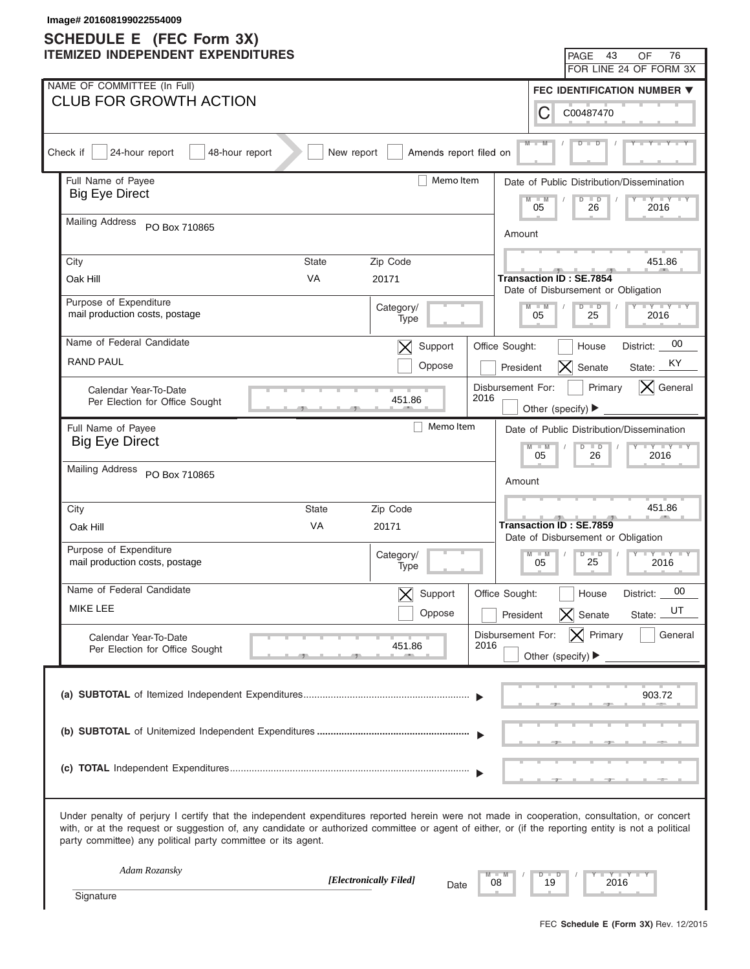|          | Image# 201608199022554009<br><b>SCHEDULE E</b> (FEC Form 3X)                                                                                                                                                                                                                                                                                                      |            |                          |      |                                |                                                  |                                           |
|----------|-------------------------------------------------------------------------------------------------------------------------------------------------------------------------------------------------------------------------------------------------------------------------------------------------------------------------------------------------------------------|------------|--------------------------|------|--------------------------------|--------------------------------------------------|-------------------------------------------|
|          | <b>ITEMIZED INDEPENDENT EXPENDITURES</b>                                                                                                                                                                                                                                                                                                                          |            |                          |      |                                | PAGE 43                                          | 76<br>OF                                  |
|          |                                                                                                                                                                                                                                                                                                                                                                   |            |                          |      |                                |                                                  | FOR LINE 24 OF FORM 3X                    |
|          | NAME OF COMMITTEE (In Full)<br><b>CLUB FOR GROWTH ACTION</b>                                                                                                                                                                                                                                                                                                      |            |                          |      |                                |                                                  | FEC IDENTIFICATION NUMBER ▼               |
|          |                                                                                                                                                                                                                                                                                                                                                                   |            |                          |      | С                              | C00487470                                        |                                           |
| Check if | 24-hour report<br>48-hour report                                                                                                                                                                                                                                                                                                                                  | New report | Amends report filed on   |      | $M -$                          |                                                  |                                           |
|          | Full Name of Payee                                                                                                                                                                                                                                                                                                                                                |            | Memo Item                |      |                                |                                                  | Date of Public Distribution/Dissemination |
|          | <b>Big Eye Direct</b>                                                                                                                                                                                                                                                                                                                                             |            |                          |      | $M - M$<br>05                  | $\Box$<br>$\overline{D}$<br>26                   | $\Box Y \Box Y$<br>2016                   |
|          | <b>Mailing Address</b><br>PO Box 710865                                                                                                                                                                                                                                                                                                                           |            |                          |      | Amount                         |                                                  |                                           |
| City     | State                                                                                                                                                                                                                                                                                                                                                             |            | Zip Code                 |      |                                |                                                  | 451.86                                    |
|          | <b>VA</b><br>Oak Hill                                                                                                                                                                                                                                                                                                                                             |            | 20171                    |      | <b>Transaction ID: SE.7854</b> |                                                  |                                           |
|          | Purpose of Expenditure                                                                                                                                                                                                                                                                                                                                            |            | Category/                |      | $M - M$                        | Date of Disbursement or Obligation<br>$D$ $D$    | $Y = Y = Y = Y = Y$                       |
|          | mail production costs, postage                                                                                                                                                                                                                                                                                                                                    |            | Type                     |      | 05                             | 25                                               | 2016                                      |
|          | Name of Federal Candidate                                                                                                                                                                                                                                                                                                                                         |            | Support<br>$\bm{\times}$ |      | Office Sought:                 | House                                            | 00<br>District:                           |
|          | <b>RAND PAUL</b>                                                                                                                                                                                                                                                                                                                                                  |            | Oppose                   |      | President                      | $ \boldsymbol{\mathsf{X}} $<br>Senate            | ΚY<br>State:                              |
|          | Calendar Year-To-Date                                                                                                                                                                                                                                                                                                                                             |            |                          | 2016 | Disbursement For:              | Primary                                          | $ \mathsf{X} $ General                    |
|          | Per Election for Office Sought                                                                                                                                                                                                                                                                                                                                    |            | 451.86                   |      |                                | Other (specify) ▶                                |                                           |
|          | Full Name of Payee<br><b>Big Eye Direct</b>                                                                                                                                                                                                                                                                                                                       |            | Memo Item                |      |                                |                                                  | Date of Public Distribution/Dissemination |
|          |                                                                                                                                                                                                                                                                                                                                                                   |            |                          |      | $M - M$<br>05                  | $D$ $D$<br>26                                    | $Y - Y - Y - Y - I$<br>2016               |
|          | <b>Mailing Address</b><br>PO Box 710865                                                                                                                                                                                                                                                                                                                           |            |                          |      | Amount                         |                                                  |                                           |
|          | City<br><b>State</b>                                                                                                                                                                                                                                                                                                                                              |            | Zip Code                 |      |                                |                                                  | 451.86                                    |
|          | VA<br>Oak Hill                                                                                                                                                                                                                                                                                                                                                    |            | 20171                    |      | <b>Transaction ID: SE.7859</b> |                                                  |                                           |
|          | Purpose of Expenditure                                                                                                                                                                                                                                                                                                                                            |            |                          |      |                                | Date of Disbursement or Obligation               |                                           |
|          | mail production costs, postage                                                                                                                                                                                                                                                                                                                                    |            | Category/<br>Type        |      | $M - M$<br>05                  | $D$ $D$<br>$\vert \vert$<br>$\blacksquare$<br>25 | 2016                                      |
|          | Name of Federal Candidate                                                                                                                                                                                                                                                                                                                                         |            | Support                  |      | Office Sought:                 | House                                            | 00<br>District:                           |
|          | MIKE LEE                                                                                                                                                                                                                                                                                                                                                          |            | Oppose                   |      | President                      | Senate<br>$\vert\boldsymbol{\times}\vert$        | UT<br>State:                              |
|          | Calendar Year-To-Date                                                                                                                                                                                                                                                                                                                                             |            | 451.86                   | 2016 | Disbursement For:              | $ \mathsf{X} $ Primary                           | General                                   |
|          | Per Election for Office Sought                                                                                                                                                                                                                                                                                                                                    |            |                          |      |                                | Other (specify) $\blacktriangleright$            |                                           |
|          |                                                                                                                                                                                                                                                                                                                                                                   |            |                          |      |                                |                                                  |                                           |
|          |                                                                                                                                                                                                                                                                                                                                                                   |            |                          |      |                                |                                                  | 903.72                                    |
|          |                                                                                                                                                                                                                                                                                                                                                                   |            |                          |      |                                |                                                  |                                           |
|          |                                                                                                                                                                                                                                                                                                                                                                   |            |                          |      |                                |                                                  |                                           |
|          |                                                                                                                                                                                                                                                                                                                                                                   |            |                          |      |                                |                                                  |                                           |
|          | Under penalty of perjury I certify that the independent expenditures reported herein were not made in cooperation, consultation, or concert<br>with, or at the request or suggestion of, any candidate or authorized committee or agent of either, or (if the reporting entity is not a political<br>party committee) any political party committee or its agent. |            |                          |      |                                |                                                  |                                           |
|          | Adam Rozansky                                                                                                                                                                                                                                                                                                                                                     |            | [Electronically Filed]   |      | $D$ $D$                        |                                                  | Y TYT                                     |
|          | Signature                                                                                                                                                                                                                                                                                                                                                         |            | Date                     | 08   | 19                             | 2016                                             |                                           |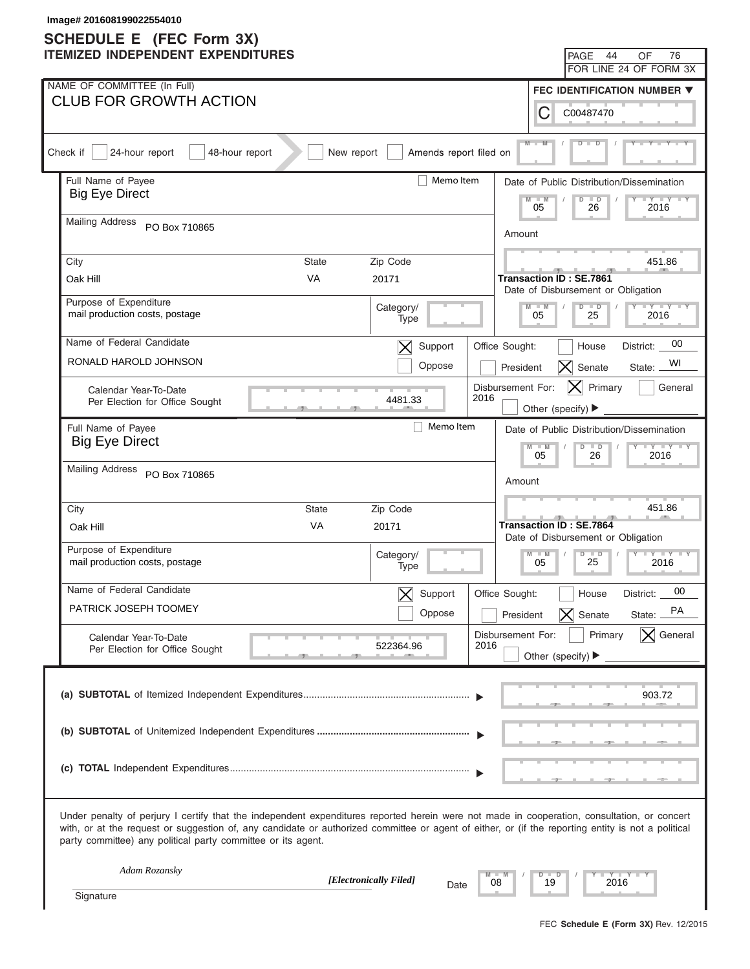| Image# 201608199022554010<br><b>SCHEDULE E</b> (FEC Form 3X)                                                                                                                                                                                                                                                                                                      |                                                                                     |
|-------------------------------------------------------------------------------------------------------------------------------------------------------------------------------------------------------------------------------------------------------------------------------------------------------------------------------------------------------------------|-------------------------------------------------------------------------------------|
| <b>ITEMIZED INDEPENDENT EXPENDITURES</b>                                                                                                                                                                                                                                                                                                                          | PAGE 44<br>76<br>OF                                                                 |
|                                                                                                                                                                                                                                                                                                                                                                   | FOR LINE 24 OF FORM 3X                                                              |
| NAME OF COMMITTEE (In Full)<br><b>CLUB FOR GROWTH ACTION</b>                                                                                                                                                                                                                                                                                                      | FEC IDENTIFICATION NUMBER ▼                                                         |
|                                                                                                                                                                                                                                                                                                                                                                   | С<br>C00487470                                                                      |
| Check if<br>24-hour report<br>48-hour report<br>New report<br>Amends report filed on                                                                                                                                                                                                                                                                              | $M -$                                                                               |
| Memo Item<br>Full Name of Payee<br><b>Big Eye Direct</b>                                                                                                                                                                                                                                                                                                          | Date of Public Distribution/Dissemination                                           |
|                                                                                                                                                                                                                                                                                                                                                                   | $M - M$<br>$\Gamma Y$ $\Gamma Y$<br>$\Box$<br>D<br>05<br>26<br>2016                 |
| <b>Mailing Address</b><br>PO Box 710865                                                                                                                                                                                                                                                                                                                           | Amount                                                                              |
| City<br><b>State</b><br>Zip Code                                                                                                                                                                                                                                                                                                                                  | 451.86                                                                              |
| <b>VA</b><br>Oak Hill<br>20171                                                                                                                                                                                                                                                                                                                                    | Transaction ID : SE.7861                                                            |
| Purpose of Expenditure                                                                                                                                                                                                                                                                                                                                            | Date of Disbursement or Obligation<br>$Y - Y - Y - Y - IY$<br>$M - M$<br>$D$ $D$    |
| Category/<br>mail production costs, postage<br>Type                                                                                                                                                                                                                                                                                                               | 05<br>25<br>2016                                                                    |
| Name of Federal Candidate<br>Support<br>$\bm{\times}$                                                                                                                                                                                                                                                                                                             | 00<br>Office Sought:<br>House<br>District:                                          |
| RONALD HAROLD JOHNSON<br>Oppose                                                                                                                                                                                                                                                                                                                                   | WI<br>$ X $ Senate<br>President<br>State:                                           |
| Calendar Year-To-Date                                                                                                                                                                                                                                                                                                                                             | Disbursement For:<br>$ \mathsf{X} $ Primary<br>General                              |
| 2016<br>4481.33<br>Per Election for Office Sought                                                                                                                                                                                                                                                                                                                 | Other (specify) $\blacktriangleright$                                               |
| Memo Item<br>Full Name of Payee                                                                                                                                                                                                                                                                                                                                   | Date of Public Distribution/Dissemination                                           |
| <b>Big Eye Direct</b>                                                                                                                                                                                                                                                                                                                                             | $Y - Y - Y - Y - Y$<br>$M - M$<br>$D$ $D$<br>05<br>26<br>2016                       |
| <b>Mailing Address</b><br>PO Box 710865                                                                                                                                                                                                                                                                                                                           | Amount                                                                              |
|                                                                                                                                                                                                                                                                                                                                                                   |                                                                                     |
| City<br><b>State</b><br>Zip Code                                                                                                                                                                                                                                                                                                                                  | 451.86<br><b>Transaction ID: SE.7864</b>                                            |
| VA<br>Oak Hill<br>20171                                                                                                                                                                                                                                                                                                                                           | Date of Disbursement or Obligation                                                  |
| Purpose of Expenditure<br>Category/<br>mail production costs, postage<br>Type                                                                                                                                                                                                                                                                                     | $D$ $D$ $I$<br>$Y - Y - Y - Y - Y$<br>$M - M$<br>$\blacksquare$<br>25<br>05<br>2016 |
| Name of Federal Candidate<br>Support                                                                                                                                                                                                                                                                                                                              | 00<br>Office Sought:<br>House<br>District:                                          |
| PATRICK JOSEPH TOOMEY<br>Oppose                                                                                                                                                                                                                                                                                                                                   | PA<br>$\bm{\times}$<br>Senate<br>President<br>State:                                |
| Calendar Year-To-Date                                                                                                                                                                                                                                                                                                                                             | $ \times $ General<br>Disbursement For:<br>Primary                                  |
| 2016<br>522364.96<br>Per Election for Office Sought                                                                                                                                                                                                                                                                                                               | Other (specify) ▶                                                                   |
|                                                                                                                                                                                                                                                                                                                                                                   | 903.72                                                                              |
|                                                                                                                                                                                                                                                                                                                                                                   |                                                                                     |
|                                                                                                                                                                                                                                                                                                                                                                   |                                                                                     |
|                                                                                                                                                                                                                                                                                                                                                                   |                                                                                     |
|                                                                                                                                                                                                                                                                                                                                                                   |                                                                                     |
| Under penalty of perjury I certify that the independent expenditures reported herein were not made in cooperation, consultation, or concert<br>with, or at the request or suggestion of, any candidate or authorized committee or agent of either, or (if the reporting entity is not a political<br>party committee) any political party committee or its agent. |                                                                                     |
| Adam Rozansky<br>[Electronically Filed]                                                                                                                                                                                                                                                                                                                           | $Y - Y - I$<br>$D$ $D$                                                              |
| Date<br>Signature                                                                                                                                                                                                                                                                                                                                                 | 08<br>19<br>2016                                                                    |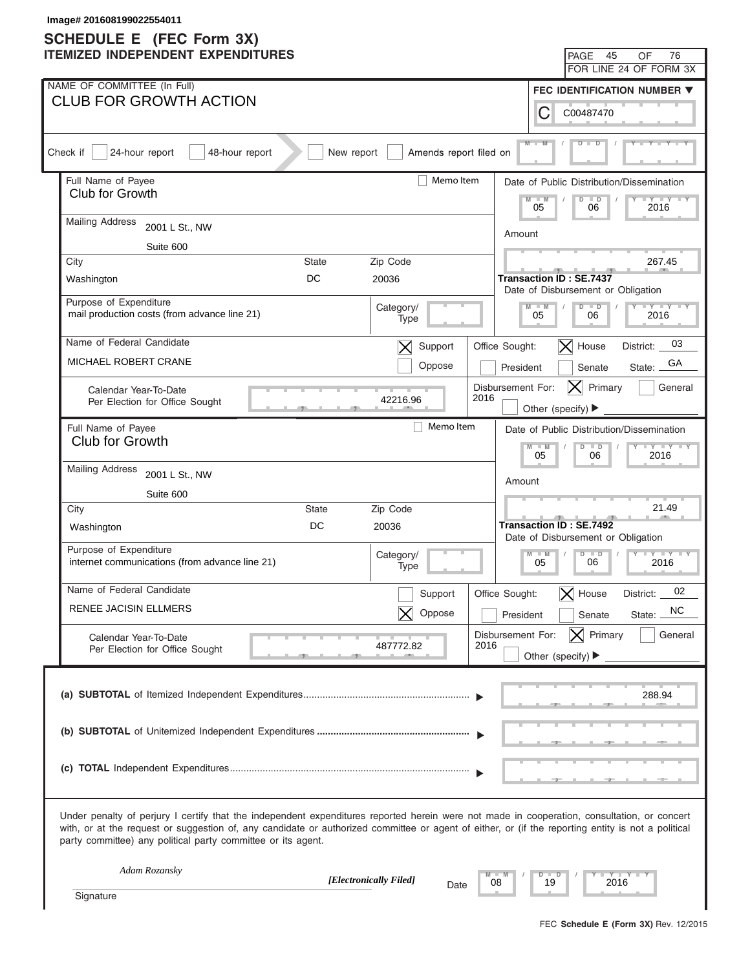# **SCHEDULE E (FEC Form 3X)**

| Image# 201608199022554011                                                                                                                                                                                                                                                                                                                                         |                                                                                                                |
|-------------------------------------------------------------------------------------------------------------------------------------------------------------------------------------------------------------------------------------------------------------------------------------------------------------------------------------------------------------------|----------------------------------------------------------------------------------------------------------------|
| <b>SCHEDULE E</b> (FEC Form 3X)<br><b>ITEMIZED INDEPENDENT EXPENDITURES</b>                                                                                                                                                                                                                                                                                       | 45<br>OF<br>76<br>PAGE                                                                                         |
|                                                                                                                                                                                                                                                                                                                                                                   | FOR LINE 24 OF FORM 3X                                                                                         |
| NAME OF COMMITTEE (In Full)                                                                                                                                                                                                                                                                                                                                       | FEC IDENTIFICATION NUMBER ▼                                                                                    |
| <b>CLUB FOR GROWTH ACTION</b>                                                                                                                                                                                                                                                                                                                                     | C<br>C00487470                                                                                                 |
| 24-hour report<br>Check if<br>48-hour report<br>New report<br>Amends report filed on                                                                                                                                                                                                                                                                              | $M -$                                                                                                          |
|                                                                                                                                                                                                                                                                                                                                                                   |                                                                                                                |
| Full Name of Payee<br>Memo Item<br>Club for Growth                                                                                                                                                                                                                                                                                                                | Date of Public Distribution/Dissemination<br>$M - M$<br>$\overline{D}$<br>$\Box$<br>$+Y+Y$<br>05<br>06<br>2016 |
| <b>Mailing Address</b><br>2001 L St., NW                                                                                                                                                                                                                                                                                                                          | Amount                                                                                                         |
| Suite 600                                                                                                                                                                                                                                                                                                                                                         |                                                                                                                |
| City<br><b>State</b><br>Zip Code                                                                                                                                                                                                                                                                                                                                  | 267.45                                                                                                         |
| DC<br>20036<br>Washington                                                                                                                                                                                                                                                                                                                                         | <b>Transaction ID: SE.7437</b><br>Date of Disbursement or Obligation                                           |
| Purpose of Expenditure<br>Category/<br>mail production costs (from advance line 21)<br>Type                                                                                                                                                                                                                                                                       | $Y = Y = Y = Y = Y$<br>$D$ $D$<br>$M - M$<br>05<br>06<br>2016                                                  |
| Name of Federal Candidate<br>Support<br>$\bm{\times}$                                                                                                                                                                                                                                                                                                             | 03<br>$ \mathsf{X} $ House<br>Office Sought:<br>District:                                                      |
| MICHAEL ROBERT CRANE<br>Oppose                                                                                                                                                                                                                                                                                                                                    | GА<br>President<br>Senate<br>State:                                                                            |
| Calendar Year-To-Date<br>2016<br>42216.96<br>Per Election for Office Sought                                                                                                                                                                                                                                                                                       | Disbursement For:<br>Primary<br>General<br> X <br>Other (specify) ▶                                            |
| Memo Item<br>Full Name of Payee                                                                                                                                                                                                                                                                                                                                   | Date of Public Distribution/Dissemination                                                                      |
| <b>Club for Growth</b>                                                                                                                                                                                                                                                                                                                                            | $Y - Y - Y - Y - IY$<br>$M - M$<br>$D$ $D$                                                                     |
| <b>Mailing Address</b><br>2001 L St., NW                                                                                                                                                                                                                                                                                                                          | 05<br>06<br>2016                                                                                               |
| Suite 600                                                                                                                                                                                                                                                                                                                                                         | Amount                                                                                                         |
| Zip Code<br><b>State</b><br>City                                                                                                                                                                                                                                                                                                                                  | 21.49                                                                                                          |
| DC<br>20036<br>Washington                                                                                                                                                                                                                                                                                                                                         | <b>Transaction ID: SE.7492</b><br>Date of Disbursement or Obligation                                           |
| Purpose of Expenditure<br>Category/<br>internet communications (from advance line 21)<br>Type                                                                                                                                                                                                                                                                     | $M - M$<br>$D$ $D$<br>$Y - Y - Y - Y - IY$<br>06<br>05<br>2016                                                 |
| Name of Federal Candidate<br>Support                                                                                                                                                                                                                                                                                                                              | 02<br>Office Sought:<br>$\bm{\times}$<br>House<br>District:                                                    |
| RENEE JACISIN ELLMERS<br>Oppose                                                                                                                                                                                                                                                                                                                                   | NC<br>President<br>Senate<br>State:                                                                            |
| Calendar Year-To-Date                                                                                                                                                                                                                                                                                                                                             | $ \mathsf{X} $ Primary<br>General<br>Disbursement For:                                                         |
| 2016<br>487772.82<br>Per Election for Office Sought                                                                                                                                                                                                                                                                                                               | Other (specify) $\blacktriangleright$                                                                          |
|                                                                                                                                                                                                                                                                                                                                                                   | 288.94                                                                                                         |
|                                                                                                                                                                                                                                                                                                                                                                   |                                                                                                                |
|                                                                                                                                                                                                                                                                                                                                                                   |                                                                                                                |
| Under penalty of perjury I certify that the independent expenditures reported herein were not made in cooperation, consultation, or concert<br>with, or at the request or suggestion of, any candidate or authorized committee or agent of either, or (if the reporting entity is not a political<br>party committee) any political party committee or its agent. |                                                                                                                |
| Adam Rozansky<br>[Electronically Filed]<br>08                                                                                                                                                                                                                                                                                                                     | Y T Y T<br>$D$ $D$<br>19<br>2016                                                                               |
| Date<br>Signature                                                                                                                                                                                                                                                                                                                                                 |                                                                                                                |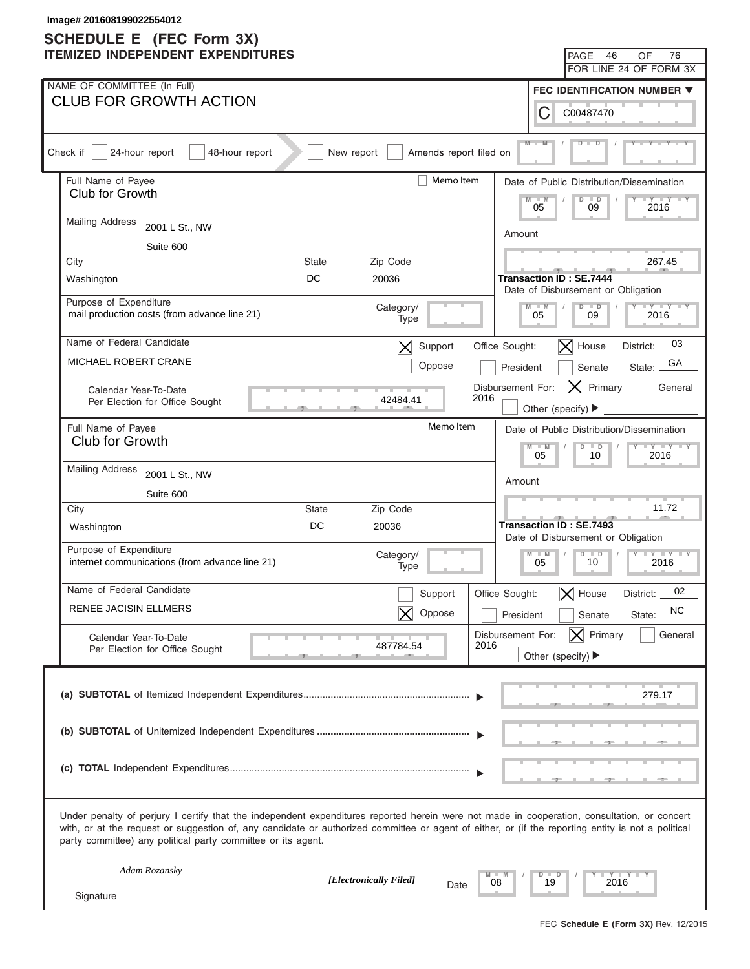| Image# 201608199022554012<br><b>SCHEDULE E</b> (FEC Form 3X)                                                                                                                                                                                                                                                                                                      |                                                                      |
|-------------------------------------------------------------------------------------------------------------------------------------------------------------------------------------------------------------------------------------------------------------------------------------------------------------------------------------------------------------------|----------------------------------------------------------------------|
| <b>ITEMIZED INDEPENDENT EXPENDITURES</b>                                                                                                                                                                                                                                                                                                                          | 46<br>76<br>PAGE<br>OF                                               |
|                                                                                                                                                                                                                                                                                                                                                                   | FOR LINE 24 OF FORM 3X                                               |
| NAME OF COMMITTEE (In Full)                                                                                                                                                                                                                                                                                                                                       | FEC IDENTIFICATION NUMBER ▼                                          |
| <b>CLUB FOR GROWTH ACTION</b>                                                                                                                                                                                                                                                                                                                                     | С<br>C00487470                                                       |
| Amends report filed on<br>Check if<br>24-hour report<br>48-hour report<br>New report                                                                                                                                                                                                                                                                              | $M -$                                                                |
| Memo Item<br>Full Name of Payee                                                                                                                                                                                                                                                                                                                                   | Date of Public Distribution/Dissemination                            |
| Club for Growth                                                                                                                                                                                                                                                                                                                                                   | $-W$<br>$\overline{D}$<br>$\Box$<br>$+Y+Y$<br>05<br>09<br>2016       |
| <b>Mailing Address</b><br>2001 L St., NW                                                                                                                                                                                                                                                                                                                          | Amount                                                               |
| Suite 600                                                                                                                                                                                                                                                                                                                                                         |                                                                      |
| Zip Code<br>City<br><b>State</b>                                                                                                                                                                                                                                                                                                                                  | 267.45                                                               |
| DC<br>20036<br>Washington                                                                                                                                                                                                                                                                                                                                         | <b>Transaction ID: SE.7444</b><br>Date of Disbursement or Obligation |
| Purpose of Expenditure<br>Category/<br>mail production costs (from advance line 21)<br>Type                                                                                                                                                                                                                                                                       | $Y = Y = Y = Y = Y$<br>$D$ $D$<br>$M - M$<br>05<br>09<br>2016        |
| Name of Federal Candidate<br>Support<br>$\bm{\times}$                                                                                                                                                                                                                                                                                                             | 03<br>$ \mathsf{X} $ House<br>Office Sought:<br>District:            |
| MICHAEL ROBERT CRANE<br>Oppose                                                                                                                                                                                                                                                                                                                                    | GА<br>President<br>Senate<br>State:                                  |
| Calendar Year-To-Date<br>2016<br>42484.41<br>Per Election for Office Sought                                                                                                                                                                                                                                                                                       | Disbursement For:<br>Primary<br>General<br> X <br>Other (specify) ▶  |
| Memo Item<br>Full Name of Payee                                                                                                                                                                                                                                                                                                                                   | Date of Public Distribution/Dissemination                            |
| Club for Growth                                                                                                                                                                                                                                                                                                                                                   | $Y - Y - Y - Y - IY$<br>$M - M$<br>$D$ $D$<br>05<br>10<br>2016       |
| <b>Mailing Address</b><br>2001 L St., NW                                                                                                                                                                                                                                                                                                                          |                                                                      |
| Suite 600                                                                                                                                                                                                                                                                                                                                                         | Amount                                                               |
| City<br>State<br>Zip Code                                                                                                                                                                                                                                                                                                                                         | 11.72                                                                |
| DC<br>20036<br>Washington                                                                                                                                                                                                                                                                                                                                         | Transaction ID: SE.7493<br>Date of Disbursement or Obligation        |
| Purpose of Expenditure<br>Category/<br>internet communications (from advance line 21)<br>Type                                                                                                                                                                                                                                                                     | $M - M$<br>$D$ $D$<br>$Y$ $Y$ $Y$ $Y$ $Y$<br>10<br>05<br>2016        |
| Name of Federal Candidate<br>Support                                                                                                                                                                                                                                                                                                                              | 02<br>Office Sought:<br>$\bm{\times}$<br>House<br>District:          |
| <b>RENEE JACISIN ELLMERS</b><br>Oppose                                                                                                                                                                                                                                                                                                                            | <b>NC</b><br>President<br>Senate<br>State:                           |
| Calendar Year-To-Date                                                                                                                                                                                                                                                                                                                                             | $ \mathsf{X} $ Primary<br>General<br>Disbursement For:               |
| 2016<br>487784.54<br>Per Election for Office Sought                                                                                                                                                                                                                                                                                                               | Other (specify) $\blacktriangleright$                                |
|                                                                                                                                                                                                                                                                                                                                                                   | 279.17                                                               |
|                                                                                                                                                                                                                                                                                                                                                                   |                                                                      |
|                                                                                                                                                                                                                                                                                                                                                                   |                                                                      |
| Under penalty of perjury I certify that the independent expenditures reported herein were not made in cooperation, consultation, or concert<br>with, or at the request or suggestion of, any candidate or authorized committee or agent of either, or (if the reporting entity is not a political<br>party committee) any political party committee or its agent. |                                                                      |
| Adam Rozansky<br>[Electronically Filed]<br>08                                                                                                                                                                                                                                                                                                                     | $Y - Y - I$<br>$\Box$<br>D<br>19<br>2016                             |
| Date<br>Signature                                                                                                                                                                                                                                                                                                                                                 |                                                                      |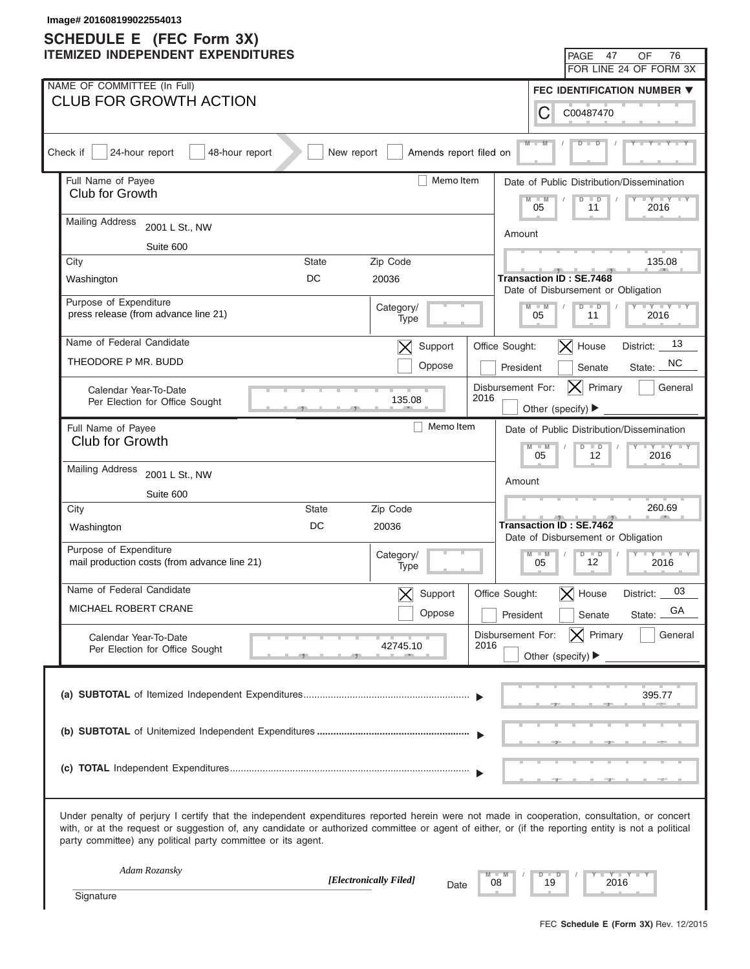| Image# 201608199022554013<br><b>SCHEDULE E</b> (FEC Form 3X)                                                                                                                                                                                                                                                                                                      |                                                                           |
|-------------------------------------------------------------------------------------------------------------------------------------------------------------------------------------------------------------------------------------------------------------------------------------------------------------------------------------------------------------------|---------------------------------------------------------------------------|
| <b>ITEMIZED INDEPENDENT EXPENDITURES</b>                                                                                                                                                                                                                                                                                                                          | 47<br>OF<br>76<br>PAGE                                                    |
|                                                                                                                                                                                                                                                                                                                                                                   | FOR LINE 24 OF FORM 3X                                                    |
| NAME OF COMMITTEE (In Full)                                                                                                                                                                                                                                                                                                                                       | FEC IDENTIFICATION NUMBER ▼                                               |
| <b>CLUB FOR GROWTH ACTION</b>                                                                                                                                                                                                                                                                                                                                     | С<br>C00487470                                                            |
| Amends report filed on<br>Check if<br>24-hour report<br>48-hour report<br>New report                                                                                                                                                                                                                                                                              | $M -$                                                                     |
| Memo Item<br>Full Name of Payee                                                                                                                                                                                                                                                                                                                                   | Date of Public Distribution/Dissemination                                 |
| Club for Growth                                                                                                                                                                                                                                                                                                                                                   | $M - M$<br>$\overline{D}$<br>$+Y+Y$<br>$\blacksquare$<br>05<br>11<br>2016 |
| <b>Mailing Address</b><br>2001 L St., NW                                                                                                                                                                                                                                                                                                                          | Amount                                                                    |
| Suite 600                                                                                                                                                                                                                                                                                                                                                         |                                                                           |
| City<br>Zip Code<br><b>State</b>                                                                                                                                                                                                                                                                                                                                  | 135.08                                                                    |
| DC<br>20036<br>Washington                                                                                                                                                                                                                                                                                                                                         | <b>Transaction ID: SE.7468</b><br>Date of Disbursement or Obligation      |
| Purpose of Expenditure<br>Category/<br>press release (from advance line 21)<br>Type                                                                                                                                                                                                                                                                               | $Y = Y = Y = Y = Y$<br>$M - M$<br>$D$ $D$<br>05<br>2016<br>11             |
| Name of Federal Candidate<br>Support<br>$\bm{\times}$                                                                                                                                                                                                                                                                                                             | 13<br>$\vert$ X House<br>Office Sought:<br>District:                      |
| THEODORE P MR. BUDD<br>Oppose                                                                                                                                                                                                                                                                                                                                     | NC.<br>President<br>Senate<br>State:                                      |
| Calendar Year-To-Date<br>2016<br>135.08<br>Per Election for Office Sought                                                                                                                                                                                                                                                                                         | Disbursement For:<br>Primary<br>General<br>IXI                            |
|                                                                                                                                                                                                                                                                                                                                                                   | Other (specify) ▶                                                         |
| Memo Item<br>Full Name of Payee<br>Club for Growth                                                                                                                                                                                                                                                                                                                | Date of Public Distribution/Dissemination                                 |
|                                                                                                                                                                                                                                                                                                                                                                   | $Y - Y - Y - Y - IY$<br>$M - M$<br>$D$ $D$<br>05<br>12<br>2016            |
| <b>Mailing Address</b><br>2001 L St., NW                                                                                                                                                                                                                                                                                                                          | Amount                                                                    |
| Suite 600                                                                                                                                                                                                                                                                                                                                                         |                                                                           |
| City<br>State<br>Zip Code                                                                                                                                                                                                                                                                                                                                         | 260.69                                                                    |
| DC<br>20036<br>Washington                                                                                                                                                                                                                                                                                                                                         | Transaction ID: SE.7462<br>Date of Disbursement or Obligation             |
| Purpose of Expenditure<br>Category/<br>mail production costs (from advance line 21)<br>Type                                                                                                                                                                                                                                                                       | $M - M$<br>$D$ $D$<br>$Y$ $Y$ $Y$ $Y$ $Y$<br>12<br>05<br>2016             |
| Name of Federal Candidate<br>Support<br>$\bm{\times}$                                                                                                                                                                                                                                                                                                             | 03<br>Office Sought:<br>$\bm{\times}$<br>House<br>District:               |
| MICHAEL ROBERT CRANE<br>Oppose                                                                                                                                                                                                                                                                                                                                    | GA<br>Senate<br>President<br>State:                                       |
| Calendar Year-To-Date                                                                                                                                                                                                                                                                                                                                             | $ \mathsf{X} $ Primary<br>General<br>Disbursement For:                    |
| 2016<br>42745.10<br>Per Election for Office Sought                                                                                                                                                                                                                                                                                                                | Other (specify) $\blacktriangleright$                                     |
|                                                                                                                                                                                                                                                                                                                                                                   | 395.77                                                                    |
|                                                                                                                                                                                                                                                                                                                                                                   |                                                                           |
|                                                                                                                                                                                                                                                                                                                                                                   |                                                                           |
| Under penalty of perjury I certify that the independent expenditures reported herein were not made in cooperation, consultation, or concert<br>with, or at the request or suggestion of, any candidate or authorized committee or agent of either, or (if the reporting entity is not a political<br>party committee) any political party committee or its agent. |                                                                           |
| Adam Rozansky<br>[Electronically Filed]<br>08                                                                                                                                                                                                                                                                                                                     | Y Y T<br>$\Box$<br>D<br>19<br>2016                                        |
| Date<br>Signature                                                                                                                                                                                                                                                                                                                                                 |                                                                           |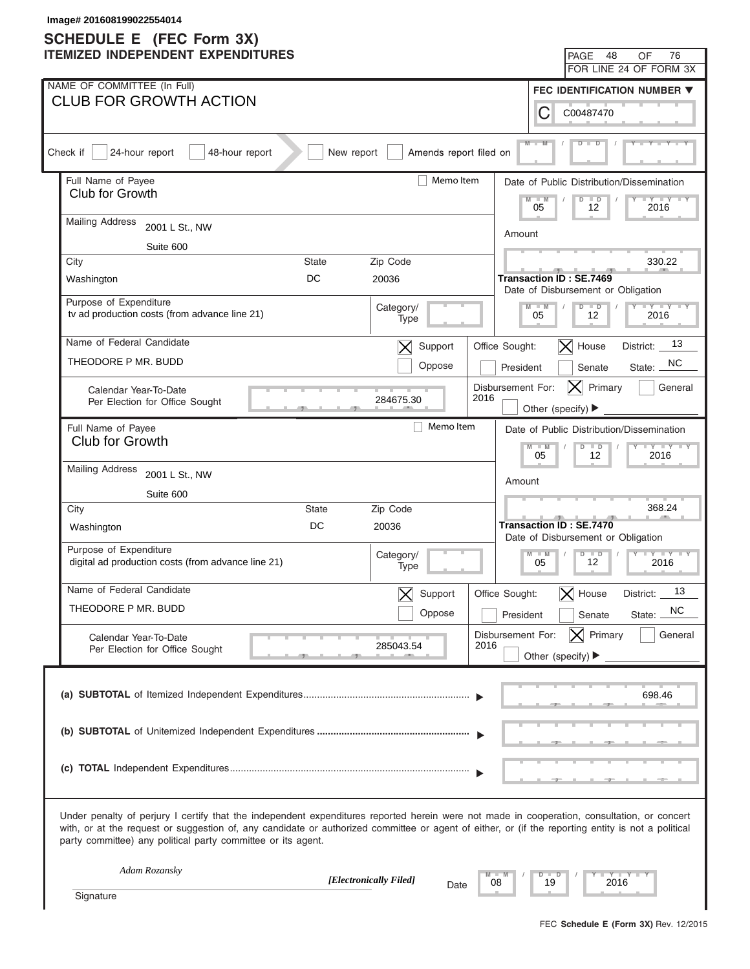| Image# 201608199022554014<br><b>SCHEDULE E</b> (FEC Form 3X)                                                                                                                                                                                                                                                                                                      |                                                                             |
|-------------------------------------------------------------------------------------------------------------------------------------------------------------------------------------------------------------------------------------------------------------------------------------------------------------------------------------------------------------------|-----------------------------------------------------------------------------|
| <b>ITEMIZED INDEPENDENT EXPENDITURES</b>                                                                                                                                                                                                                                                                                                                          | 48<br>76<br>PAGE<br>OF                                                      |
|                                                                                                                                                                                                                                                                                                                                                                   | FOR LINE 24 OF FORM 3X                                                      |
| NAME OF COMMITTEE (In Full)                                                                                                                                                                                                                                                                                                                                       | FEC IDENTIFICATION NUMBER ▼                                                 |
| <b>CLUB FOR GROWTH ACTION</b>                                                                                                                                                                                                                                                                                                                                     | С<br>C00487470                                                              |
| Amends report filed on<br>Check if<br>24-hour report<br>48-hour report<br>New report                                                                                                                                                                                                                                                                              | $M -$                                                                       |
| Memo Item<br>Full Name of Payee                                                                                                                                                                                                                                                                                                                                   | Date of Public Distribution/Dissemination                                   |
| Club for Growth                                                                                                                                                                                                                                                                                                                                                   | $M - M$<br>$\overline{D}$<br>$\Box$<br>$+Y+Y$<br>05<br>12<br>2016           |
| <b>Mailing Address</b><br>2001 L St., NW                                                                                                                                                                                                                                                                                                                          | Amount                                                                      |
| Suite 600                                                                                                                                                                                                                                                                                                                                                         |                                                                             |
| Zip Code<br>City<br><b>State</b>                                                                                                                                                                                                                                                                                                                                  | 330.22                                                                      |
| DC<br>20036<br>Washington                                                                                                                                                                                                                                                                                                                                         | <b>Transaction ID: SE.7469</b><br>Date of Disbursement or Obligation        |
| Purpose of Expenditure<br>Category/<br>tv ad production costs (from advance line 21)<br>Type                                                                                                                                                                                                                                                                      | $Y = Y = Y = Y = Y$<br>$D$ $D$<br>$M - M$<br>05<br>12<br>2016               |
| Name of Federal Candidate<br>Support<br>$\bm{\times}$                                                                                                                                                                                                                                                                                                             | 13<br>$\vert$ X House<br>Office Sought:<br>District:                        |
| THEODORE P MR. BUDD<br>Oppose                                                                                                                                                                                                                                                                                                                                     | NC.<br>President<br>Senate<br>State:                                        |
| Calendar Year-To-Date<br>284675.30<br>Per Election for Office Sought                                                                                                                                                                                                                                                                                              | Disbursement For:<br>Primary<br>General<br> X <br>2016<br>Other (specify) ▶ |
| Memo Item<br>Full Name of Payee                                                                                                                                                                                                                                                                                                                                   | Date of Public Distribution/Dissemination                                   |
| Club for Growth                                                                                                                                                                                                                                                                                                                                                   | $Y - Y - Y - Y - IY$<br>$M - M$<br>$D$ $D$                                  |
| <b>Mailing Address</b><br>2001 L St., NW                                                                                                                                                                                                                                                                                                                          | 05<br>12<br>2016                                                            |
| Suite 600                                                                                                                                                                                                                                                                                                                                                         | Amount                                                                      |
| City<br>State<br>Zip Code                                                                                                                                                                                                                                                                                                                                         | 368.24                                                                      |
| DC<br>20036<br>Washington                                                                                                                                                                                                                                                                                                                                         | <b>Transaction ID: SE.7470</b><br>Date of Disbursement or Obligation        |
| Purpose of Expenditure<br>Category/<br>digital ad production costs (from advance line 21)<br>Type                                                                                                                                                                                                                                                                 | $M - M$<br>$D$ $D$<br>$Y - Y - Y - Y - IY$<br>12<br>05<br>2016              |
| Name of Federal Candidate<br>Support<br>$\bm{\times}$                                                                                                                                                                                                                                                                                                             | 13<br>Office Sought:<br>$\bm{\times}$<br>House<br>District:                 |
| THEODORE P MR. BUDD<br>Oppose                                                                                                                                                                                                                                                                                                                                     | <b>NC</b><br>State:<br>President<br>Senate                                  |
| Calendar Year-To-Date                                                                                                                                                                                                                                                                                                                                             | $ \mathsf{X} $ Primary<br>General<br>Disbursement For:                      |
| 285043.54<br>Per Election for Office Sought                                                                                                                                                                                                                                                                                                                       | 2016<br>Other (specify) $\blacktriangleright$                               |
|                                                                                                                                                                                                                                                                                                                                                                   | 698.46                                                                      |
|                                                                                                                                                                                                                                                                                                                                                                   |                                                                             |
|                                                                                                                                                                                                                                                                                                                                                                   |                                                                             |
| Under penalty of perjury I certify that the independent expenditures reported herein were not made in cooperation, consultation, or concert<br>with, or at the request or suggestion of, any candidate or authorized committee or agent of either, or (if the reporting entity is not a political<br>party committee) any political party committee or its agent. |                                                                             |
| Adam Rozansky<br>[Electronically Filed]                                                                                                                                                                                                                                                                                                                           | Y TYT<br>$\Box$<br>D<br>19<br>2016<br>08                                    |
| Date<br>Signature                                                                                                                                                                                                                                                                                                                                                 |                                                                             |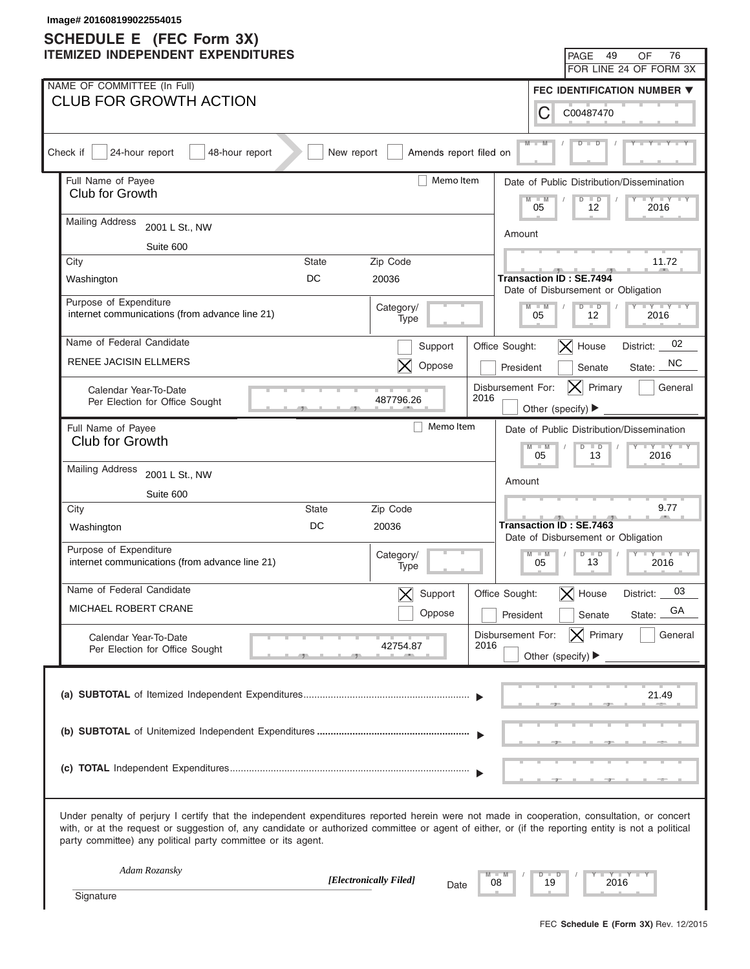| Image# 201608199022554015                                                                                                                                                                                                                                                                                                                                         |              |                          |                           |                   |                                                                      |                                           |
|-------------------------------------------------------------------------------------------------------------------------------------------------------------------------------------------------------------------------------------------------------------------------------------------------------------------------------------------------------------------|--------------|--------------------------|---------------------------|-------------------|----------------------------------------------------------------------|-------------------------------------------|
| <b>SCHEDULE E</b> (FEC Form 3X)<br><b>ITEMIZED INDEPENDENT EXPENDITURES</b>                                                                                                                                                                                                                                                                                       |              |                          |                           |                   | 49<br>PAGE                                                           | 76<br>OF                                  |
|                                                                                                                                                                                                                                                                                                                                                                   |              |                          |                           |                   |                                                                      | FOR LINE 24 OF FORM 3X                    |
| NAME OF COMMITTEE (In Full)                                                                                                                                                                                                                                                                                                                                       |              |                          |                           |                   |                                                                      | FEC IDENTIFICATION NUMBER ▼               |
| <b>CLUB FOR GROWTH ACTION</b>                                                                                                                                                                                                                                                                                                                                     |              |                          |                           | С                 | C00487470                                                            |                                           |
| Check if<br>24-hour report<br>48-hour report                                                                                                                                                                                                                                                                                                                      | New report   | Amends report filed on   |                           | $M -$             |                                                                      |                                           |
| Full Name of Payee                                                                                                                                                                                                                                                                                                                                                |              | Memo Item                |                           |                   |                                                                      | Date of Public Distribution/Dissemination |
| Club for Growth                                                                                                                                                                                                                                                                                                                                                   |              |                          |                           | $M - M$<br>05     | $\overline{D}$<br>$\Box$<br>12                                       | $+Y+Y$<br>2016                            |
| <b>Mailing Address</b><br>2001 L St., NW                                                                                                                                                                                                                                                                                                                          |              |                          |                           | Amount            |                                                                      |                                           |
| Suite 600                                                                                                                                                                                                                                                                                                                                                         |              |                          |                           |                   |                                                                      |                                           |
| City                                                                                                                                                                                                                                                                                                                                                              | <b>State</b> | Zip Code                 |                           |                   |                                                                      | 11.72                                     |
| Washington                                                                                                                                                                                                                                                                                                                                                        | DC           | 20036                    |                           |                   | <b>Transaction ID: SE.7494</b><br>Date of Disbursement or Obligation |                                           |
| Purpose of Expenditure<br>internet communications (from advance line 21)                                                                                                                                                                                                                                                                                          |              | Category/<br>Type        |                           | $M - M$<br>05     | $D$ $D$<br>12                                                        | $Y = Y = Y = Y = Y$<br>2016               |
| Name of Federal Candidate                                                                                                                                                                                                                                                                                                                                         |              | Support                  | Office Sought:            |                   | $ \mathsf{X} $ House                                                 | 02<br>District:                           |
| <b>RENEE JACISIN ELLMERS</b>                                                                                                                                                                                                                                                                                                                                      |              | Oppose                   |                           | President         | Senate                                                               | NC.<br>State:                             |
| Calendar Year-To-Date<br>Per Election for Office Sought                                                                                                                                                                                                                                                                                                           |              | 487796.26                | Disbursement For:<br>2016 |                   | Primary<br>IXI<br>Other (specify) ▶                                  | General                                   |
| Full Name of Payee                                                                                                                                                                                                                                                                                                                                                |              | Memo Item                |                           |                   |                                                                      | Date of Public Distribution/Dissemination |
| Club for Growth                                                                                                                                                                                                                                                                                                                                                   |              |                          |                           | $M - M$           | $D$ $D$                                                              | $Y - Y - Y - Y - Y$                       |
| <b>Mailing Address</b><br>2001 L St., NW                                                                                                                                                                                                                                                                                                                          |              |                          |                           | 05                | 13                                                                   | 2016                                      |
| Suite 600                                                                                                                                                                                                                                                                                                                                                         |              |                          |                           | Amount            |                                                                      |                                           |
| City                                                                                                                                                                                                                                                                                                                                                              | State        | Zip Code                 |                           |                   |                                                                      | 9.77                                      |
| Washington                                                                                                                                                                                                                                                                                                                                                        | DC           | 20036                    |                           |                   | Transaction ID: SE.7463<br>Date of Disbursement or Obligation        |                                           |
| Purpose of Expenditure<br>internet communications (from advance line 21)                                                                                                                                                                                                                                                                                          |              | Category/<br>Type        |                           | $M - M$<br>05     | $D$ $D$<br>13                                                        | $Y - Y - Y - Y - IY$<br>2016              |
| Name of Federal Candidate                                                                                                                                                                                                                                                                                                                                         |              | Support<br>$\bm{\times}$ | Office Sought:            |                   | $\bm{\times}$<br>House                                               | 03<br>District:                           |
| MICHAEL ROBERT CRANE                                                                                                                                                                                                                                                                                                                                              |              | Oppose                   |                           | President         | Senate                                                               | GA<br>State:                              |
| Calendar Year-To-Date                                                                                                                                                                                                                                                                                                                                             |              |                          | Disbursement For:         |                   | $ \mathsf{X} $ Primary                                               | General                                   |
| Per Election for Office Sought                                                                                                                                                                                                                                                                                                                                    |              | 42754.87                 | 2016                      |                   | Other (specify) $\blacktriangleright$                                |                                           |
|                                                                                                                                                                                                                                                                                                                                                                   |              |                          |                           |                   |                                                                      | 21.49                                     |
|                                                                                                                                                                                                                                                                                                                                                                   |              |                          |                           |                   |                                                                      |                                           |
|                                                                                                                                                                                                                                                                                                                                                                   |              |                          |                           |                   |                                                                      |                                           |
| Under penalty of perjury I certify that the independent expenditures reported herein were not made in cooperation, consultation, or concert<br>with, or at the request or suggestion of, any candidate or authorized committee or agent of either, or (if the reporting entity is not a political<br>party committee) any political party committee or its agent. |              |                          |                           |                   |                                                                      |                                           |
| Adam Rozansky                                                                                                                                                                                                                                                                                                                                                     |              | [Electronically Filed]   | 08                        | $\Box$<br>D<br>19 | 2016                                                                 | $Y - Y - I$                               |
| Signature                                                                                                                                                                                                                                                                                                                                                         |              | Date                     |                           |                   |                                                                      |                                           |
|                                                                                                                                                                                                                                                                                                                                                                   |              |                          |                           |                   |                                                                      |                                           |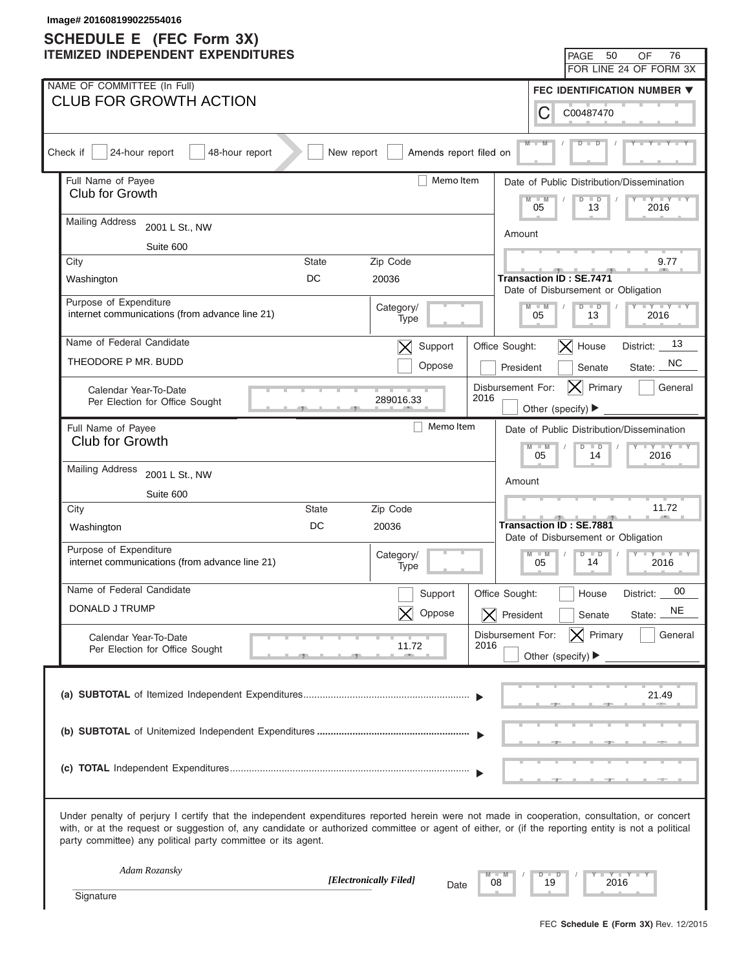# **SCHEDULE E (FEC Form 3X)**

| Image# 201608199022554016<br><b>SCHEDULE E</b> (FEC Form 3X)                                                                                                                                                                                                                                                                                                      |                                                                           |
|-------------------------------------------------------------------------------------------------------------------------------------------------------------------------------------------------------------------------------------------------------------------------------------------------------------------------------------------------------------------|---------------------------------------------------------------------------|
| <b>ITEMIZED INDEPENDENT EXPENDITURES</b>                                                                                                                                                                                                                                                                                                                          | 50<br>76<br>PAGE<br>OF                                                    |
|                                                                                                                                                                                                                                                                                                                                                                   | FOR LINE 24 OF FORM 3X                                                    |
| NAME OF COMMITTEE (In Full)                                                                                                                                                                                                                                                                                                                                       | FEC IDENTIFICATION NUMBER ▼                                               |
| <b>CLUB FOR GROWTH ACTION</b>                                                                                                                                                                                                                                                                                                                                     | С<br>C00487470                                                            |
| Amends report filed on<br>Check if<br>24-hour report<br>48-hour report<br>New report                                                                                                                                                                                                                                                                              | $M -$                                                                     |
| Memo Item<br>Full Name of Payee                                                                                                                                                                                                                                                                                                                                   | Date of Public Distribution/Dissemination                                 |
| Club for Growth                                                                                                                                                                                                                                                                                                                                                   | $M - M$<br>$\overline{D}$<br>$\blacksquare$<br>$+Y+Y$<br>05<br>13<br>2016 |
| <b>Mailing Address</b><br>2001 L St., NW                                                                                                                                                                                                                                                                                                                          | Amount                                                                    |
| Suite 600                                                                                                                                                                                                                                                                                                                                                         |                                                                           |
| Zip Code<br>City<br><b>State</b>                                                                                                                                                                                                                                                                                                                                  | 9.77                                                                      |
| DC<br>20036<br>Washington                                                                                                                                                                                                                                                                                                                                         | <b>Transaction ID: SE.7471</b><br>Date of Disbursement or Obligation      |
| Purpose of Expenditure<br>Category/<br>internet communications (from advance line 21)<br>Type                                                                                                                                                                                                                                                                     | $Y = Y = Y = Y = Y$<br>$D$ $D$<br>$M - M$<br>05<br>13<br>2016             |
| Name of Federal Candidate<br>Support<br>$\bm{\times}$                                                                                                                                                                                                                                                                                                             | 13<br>$ \mathsf{X} $ House<br>Office Sought:<br>District:                 |
| THEODORE P MR. BUDD<br>Oppose                                                                                                                                                                                                                                                                                                                                     | NC.<br>President<br>Senate<br>State:                                      |
| Calendar Year-To-Date<br>2016<br>289016.33<br>Per Election for Office Sought                                                                                                                                                                                                                                                                                      | Disbursement For:<br>Primary<br>General<br>IXI<br>Other (specify) ▶       |
| Memo Item<br>Full Name of Payee                                                                                                                                                                                                                                                                                                                                   | Date of Public Distribution/Dissemination                                 |
| Club for Growth                                                                                                                                                                                                                                                                                                                                                   | $Y - Y - Y - Y - IY$<br>$M - M$<br>$D$ $D$                                |
| <b>Mailing Address</b><br>2001 L St., NW                                                                                                                                                                                                                                                                                                                          | 05<br>14<br>2016                                                          |
| Suite 600                                                                                                                                                                                                                                                                                                                                                         | Amount                                                                    |
| City<br>State<br>Zip Code                                                                                                                                                                                                                                                                                                                                         | 11.72                                                                     |
| DC<br>20036<br>Washington                                                                                                                                                                                                                                                                                                                                         | <b>Transaction ID: SE.7881</b><br>Date of Disbursement or Obligation      |
| Purpose of Expenditure<br>Category/<br>internet communications (from advance line 21)<br>Type                                                                                                                                                                                                                                                                     | $M - M$<br>$D$ $D$<br>$Y - Y - Y - Y - IY$<br>14<br>05<br>2016            |
| Name of Federal Candidate<br>Support                                                                                                                                                                                                                                                                                                                              | 00<br>Office Sought:<br>District:<br>House                                |
| DONALD J TRUMP<br>Oppose                                                                                                                                                                                                                                                                                                                                          | NE<br>$\overline{\mathsf{X}}$ President<br>Senate<br>State:               |
| Calendar Year-To-Date                                                                                                                                                                                                                                                                                                                                             | $ \mathsf{X} $ Primary<br>General<br>Disbursement For:                    |
| 2016<br>11.72<br>Per Election for Office Sought                                                                                                                                                                                                                                                                                                                   | Other (specify) $\blacktriangleright$                                     |
|                                                                                                                                                                                                                                                                                                                                                                   | 21.49                                                                     |
|                                                                                                                                                                                                                                                                                                                                                                   |                                                                           |
|                                                                                                                                                                                                                                                                                                                                                                   |                                                                           |
| Under penalty of perjury I certify that the independent expenditures reported herein were not made in cooperation, consultation, or concert<br>with, or at the request or suggestion of, any candidate or authorized committee or agent of either, or (if the reporting entity is not a political<br>party committee) any political party committee or its agent. |                                                                           |
| Adam Rozansky<br>[Electronically Filed]                                                                                                                                                                                                                                                                                                                           | $Y - Y - I$<br>D<br>−<br>19<br>2016<br>08                                 |
| Date<br>Signature                                                                                                                                                                                                                                                                                                                                                 |                                                                           |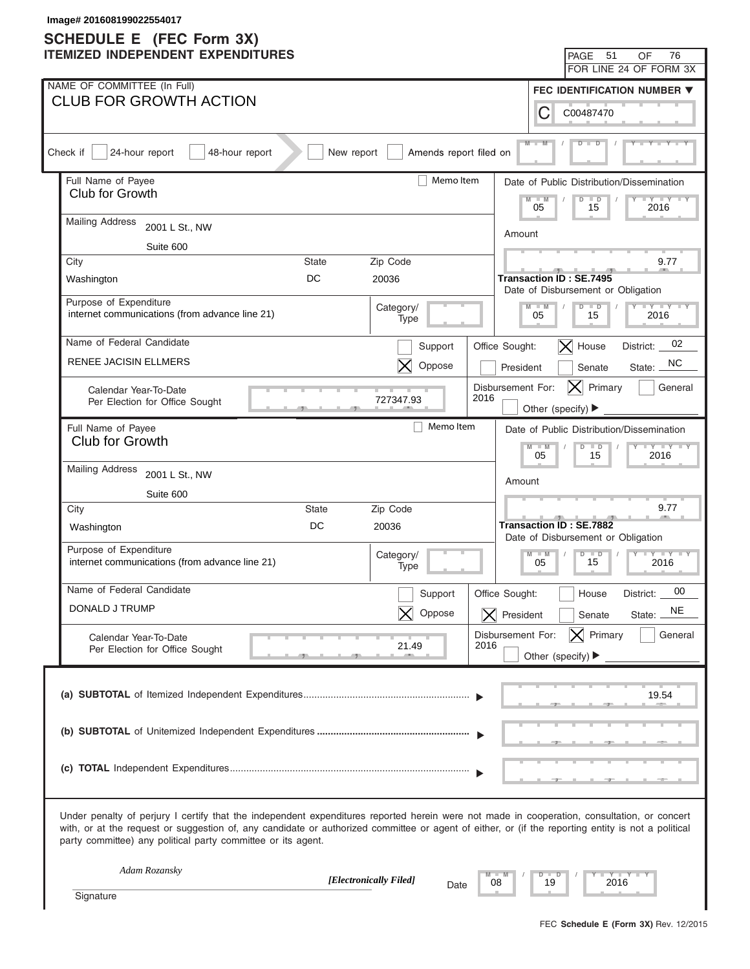| Image# 201608199022554017                                                                                                                                                                                                                                                                                                                                         |                                                                           |
|-------------------------------------------------------------------------------------------------------------------------------------------------------------------------------------------------------------------------------------------------------------------------------------------------------------------------------------------------------------------|---------------------------------------------------------------------------|
| <b>SCHEDULE E</b> (FEC Form 3X)<br><b>ITEMIZED INDEPENDENT EXPENDITURES</b>                                                                                                                                                                                                                                                                                       | 51<br>76<br>PAGE<br>OF                                                    |
|                                                                                                                                                                                                                                                                                                                                                                   | FOR LINE 24 OF FORM 3X                                                    |
| NAME OF COMMITTEE (In Full)                                                                                                                                                                                                                                                                                                                                       | FEC IDENTIFICATION NUMBER ▼                                               |
| <b>CLUB FOR GROWTH ACTION</b>                                                                                                                                                                                                                                                                                                                                     | С<br>C00487470                                                            |
| Amends report filed on<br>Check if<br>24-hour report<br>48-hour report<br>New report                                                                                                                                                                                                                                                                              | $M -$                                                                     |
| Memo Item<br>Full Name of Payee                                                                                                                                                                                                                                                                                                                                   | Date of Public Distribution/Dissemination                                 |
| Club for Growth                                                                                                                                                                                                                                                                                                                                                   | $M - M$<br>$\overline{D}$<br>$\blacksquare$<br>$+Y+Y$<br>05<br>15<br>2016 |
| <b>Mailing Address</b><br>2001 L St., NW                                                                                                                                                                                                                                                                                                                          | Amount                                                                    |
| Suite 600                                                                                                                                                                                                                                                                                                                                                         |                                                                           |
| Zip Code<br>City<br><b>State</b>                                                                                                                                                                                                                                                                                                                                  | 9.77                                                                      |
| DC<br>20036<br>Washington                                                                                                                                                                                                                                                                                                                                         | <b>Transaction ID: SE.7495</b><br>Date of Disbursement or Obligation      |
| Purpose of Expenditure<br>Category/<br>internet communications (from advance line 21)<br>Type                                                                                                                                                                                                                                                                     | $Y = Y = Y = Y = Y$<br>$D$ $D$<br>$M - M$<br>05<br>15<br>2016             |
| Name of Federal Candidate<br>Support                                                                                                                                                                                                                                                                                                                              | 02<br>$ \mathsf{X} $ House<br>Office Sought:<br>District:                 |
| <b>RENEE JACISIN ELLMERS</b><br>Oppose                                                                                                                                                                                                                                                                                                                            | NC.<br>President<br>Senate<br>State:                                      |
| Calendar Year-To-Date<br>2016<br>727347.93<br>Per Election for Office Sought                                                                                                                                                                                                                                                                                      | Disbursement For:<br>Primary<br>General<br>IXI<br>Other (specify) ▶       |
| Memo Item<br>Full Name of Payee                                                                                                                                                                                                                                                                                                                                   | Date of Public Distribution/Dissemination                                 |
| Club for Growth                                                                                                                                                                                                                                                                                                                                                   | $Y - Y - Y - Y - Y$<br>$M - M$<br>$D$ $D$                                 |
| <b>Mailing Address</b><br>2001 L St., NW                                                                                                                                                                                                                                                                                                                          | 05<br>15<br>2016                                                          |
| Suite 600                                                                                                                                                                                                                                                                                                                                                         | Amount                                                                    |
| City<br>State<br>Zip Code                                                                                                                                                                                                                                                                                                                                         | 9.77                                                                      |
| DC<br>20036<br>Washington                                                                                                                                                                                                                                                                                                                                         | Transaction ID: SE.7882<br>Date of Disbursement or Obligation             |
| Purpose of Expenditure<br>Category/<br>internet communications (from advance line 21)<br>Type                                                                                                                                                                                                                                                                     | $M - M$<br>$D$ $D$<br>$Y - Y - Y - Y - IY$<br>15<br>05<br>2016            |
| Name of Federal Candidate<br>Support                                                                                                                                                                                                                                                                                                                              | 00<br>Office Sought:<br>District:<br>House                                |
| DONALD J TRUMP<br>Oppose                                                                                                                                                                                                                                                                                                                                          | NE<br>$\overline{\mathsf{X}}$ President<br>Senate<br>State:               |
| Calendar Year-To-Date                                                                                                                                                                                                                                                                                                                                             | $ \mathsf{X} $ Primary<br>General<br>Disbursement For:                    |
| 2016<br>21.49<br>Per Election for Office Sought                                                                                                                                                                                                                                                                                                                   | Other (specify) $\blacktriangleright$                                     |
|                                                                                                                                                                                                                                                                                                                                                                   | 19.54                                                                     |
|                                                                                                                                                                                                                                                                                                                                                                   |                                                                           |
|                                                                                                                                                                                                                                                                                                                                                                   |                                                                           |
| Under penalty of perjury I certify that the independent expenditures reported herein were not made in cooperation, consultation, or concert<br>with, or at the request or suggestion of, any candidate or authorized committee or agent of either, or (if the reporting entity is not a political<br>party committee) any political party committee or its agent. |                                                                           |
| Adam Rozansky<br>[Electronically Filed]                                                                                                                                                                                                                                                                                                                           | $Y - Y - I$<br>D<br>−<br>19<br>2016<br>08                                 |
| Date<br>Signature                                                                                                                                                                                                                                                                                                                                                 |                                                                           |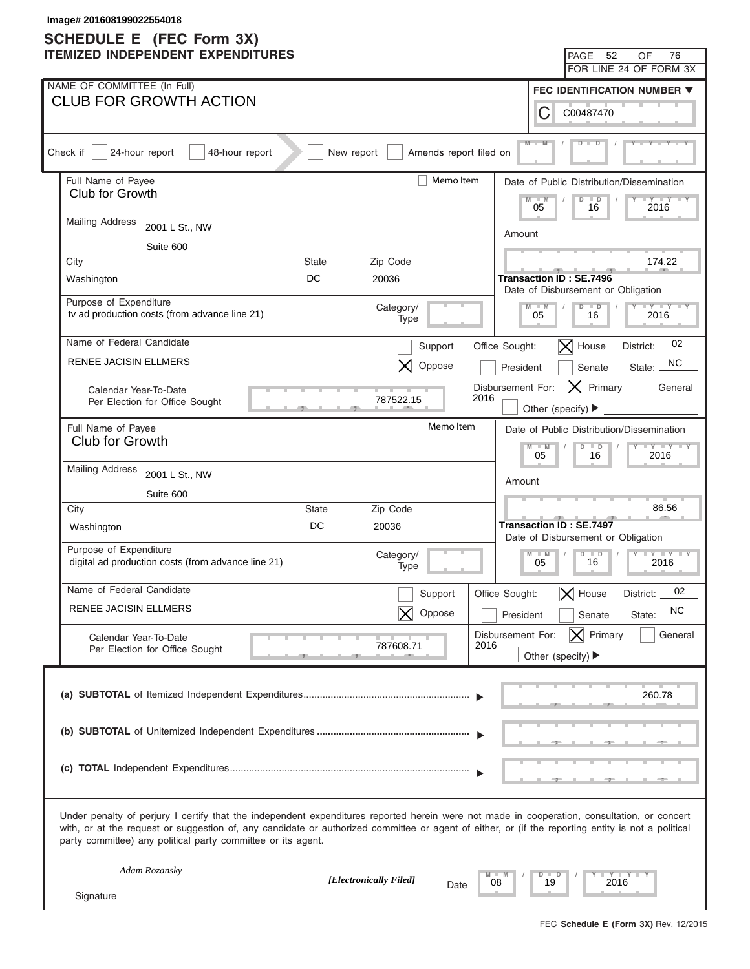| Image# 201608199022554018<br><b>SCHEDULE E</b> (FEC Form 3X)                                                                                                                                                                                                                                                                                                      |              |                        |                           |                   |                                                                      |                                           |
|-------------------------------------------------------------------------------------------------------------------------------------------------------------------------------------------------------------------------------------------------------------------------------------------------------------------------------------------------------------------|--------------|------------------------|---------------------------|-------------------|----------------------------------------------------------------------|-------------------------------------------|
| <b>ITEMIZED INDEPENDENT EXPENDITURES</b>                                                                                                                                                                                                                                                                                                                          |              |                        |                           |                   | 52<br>PAGE                                                           | 76<br>OF                                  |
|                                                                                                                                                                                                                                                                                                                                                                   |              |                        |                           |                   |                                                                      | FOR LINE 24 OF FORM 3X                    |
| NAME OF COMMITTEE (In Full)                                                                                                                                                                                                                                                                                                                                       |              |                        |                           |                   |                                                                      | FEC IDENTIFICATION NUMBER ▼               |
| <b>CLUB FOR GROWTH ACTION</b>                                                                                                                                                                                                                                                                                                                                     |              |                        |                           | C                 | C00487470                                                            |                                           |
| Check if<br>24-hour report<br>48-hour report                                                                                                                                                                                                                                                                                                                      | New report   | Amends report filed on |                           | $M -$             |                                                                      |                                           |
| Full Name of Payee                                                                                                                                                                                                                                                                                                                                                |              | Memo Item              |                           |                   |                                                                      | Date of Public Distribution/Dissemination |
| Club for Growth                                                                                                                                                                                                                                                                                                                                                   |              |                        |                           | $M - M$<br>05     | $\overline{D}$<br>$\blacksquare$<br>16                               | $\cdots$ $\cdots$<br>2016                 |
| <b>Mailing Address</b><br>2001 L St., NW                                                                                                                                                                                                                                                                                                                          |              |                        | Amount                    |                   |                                                                      |                                           |
| Suite 600                                                                                                                                                                                                                                                                                                                                                         |              |                        |                           |                   |                                                                      |                                           |
| City                                                                                                                                                                                                                                                                                                                                                              | <b>State</b> | Zip Code               |                           |                   |                                                                      | 174.22                                    |
| Washington                                                                                                                                                                                                                                                                                                                                                        | DC           | 20036                  |                           |                   | <b>Transaction ID: SE.7496</b><br>Date of Disbursement or Obligation |                                           |
| Purpose of Expenditure<br>tv ad production costs (from advance line 21)                                                                                                                                                                                                                                                                                           |              | Category/<br>Type      |                           | $M - M$<br>05     | $D$ $D$<br>16                                                        | $Y = Y = Y + Y + Y$<br>2016               |
| Name of Federal Candidate                                                                                                                                                                                                                                                                                                                                         |              | Support                | Office Sought:            |                   | $\vert$ X House                                                      | 02<br>District:                           |
| RENEE JACISIN ELLMERS                                                                                                                                                                                                                                                                                                                                             |              | Oppose                 | President                 |                   | Senate                                                               | NC.<br>State:                             |
| Calendar Year-To-Date<br>Per Election for Office Sought                                                                                                                                                                                                                                                                                                           |              | 787522.15              | Disbursement For:<br>2016 |                   | Primary<br>IXI<br>Other (specify) ▶                                  | General                                   |
| Full Name of Payee                                                                                                                                                                                                                                                                                                                                                |              | Memo Item              |                           |                   |                                                                      | Date of Public Distribution/Dissemination |
| Club for Growth                                                                                                                                                                                                                                                                                                                                                   |              |                        |                           | $M - M$           | $D$ $D$                                                              | $Y - Y - Y - Y - Y$                       |
| <b>Mailing Address</b><br>2001 L St., NW                                                                                                                                                                                                                                                                                                                          |              |                        |                           | 05                | 16                                                                   | 2016                                      |
| Suite 600                                                                                                                                                                                                                                                                                                                                                         |              |                        | Amount                    |                   |                                                                      |                                           |
| City                                                                                                                                                                                                                                                                                                                                                              | State        | Zip Code               |                           |                   |                                                                      | 86.56                                     |
| Washington                                                                                                                                                                                                                                                                                                                                                        | DC           | 20036                  |                           |                   | <b>Transaction ID: SE.7497</b><br>Date of Disbursement or Obligation |                                           |
| Purpose of Expenditure<br>digital ad production costs (from advance line 21)                                                                                                                                                                                                                                                                                      |              | Category/<br>Type      |                           | $M - M$<br>05     | $D$ $D$<br>16                                                        | $Y - Y - Y - Y - IY$<br>2016              |
| Name of Federal Candidate                                                                                                                                                                                                                                                                                                                                         |              | Support                | Office Sought:            |                   | $\bm{\times}$<br>House                                               | 02<br>District:                           |
| RENEE JACISIN ELLMERS                                                                                                                                                                                                                                                                                                                                             |              | Oppose                 | President                 |                   | Senate                                                               | <b>NC</b><br>State:                       |
| Calendar Year-To-Date                                                                                                                                                                                                                                                                                                                                             |              |                        | Disbursement For:         |                   | $ \mathsf{X} $ Primary                                               | General                                   |
| Per Election for Office Sought                                                                                                                                                                                                                                                                                                                                    |              | 787608.71              | 2016                      |                   | Other (specify) $\blacktriangleright$                                |                                           |
|                                                                                                                                                                                                                                                                                                                                                                   |              |                        |                           |                   |                                                                      | 260.78                                    |
|                                                                                                                                                                                                                                                                                                                                                                   |              |                        |                           |                   |                                                                      |                                           |
|                                                                                                                                                                                                                                                                                                                                                                   |              |                        |                           |                   |                                                                      |                                           |
| Under penalty of perjury I certify that the independent expenditures reported herein were not made in cooperation, consultation, or concert<br>with, or at the request or suggestion of, any candidate or authorized committee or agent of either, or (if the reporting entity is not a political<br>party committee) any political party committee or its agent. |              |                        |                           |                   |                                                                      |                                           |
| Adam Rozansky                                                                                                                                                                                                                                                                                                                                                     |              | [Electronically Filed] | 08                        | $\Box$<br>D<br>19 | 2016                                                                 | Y TY                                      |
| Signature                                                                                                                                                                                                                                                                                                                                                         |              | Date                   |                           |                   |                                                                      |                                           |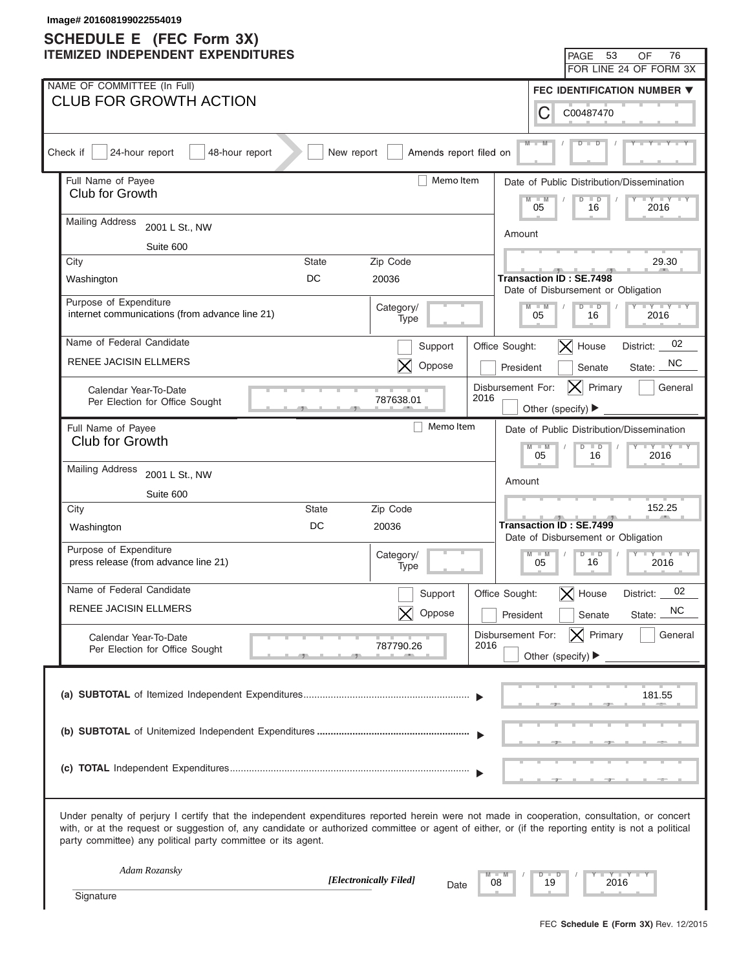| Image# 201608199022554019<br><b>SCHEDULE E</b> (FEC Form 3X)                                                                                                                                                                                                                                                                                                      |                                                                      |
|-------------------------------------------------------------------------------------------------------------------------------------------------------------------------------------------------------------------------------------------------------------------------------------------------------------------------------------------------------------------|----------------------------------------------------------------------|
| <b>ITEMIZED INDEPENDENT EXPENDITURES</b>                                                                                                                                                                                                                                                                                                                          | - 53<br>76<br>PAGE<br>OF                                             |
|                                                                                                                                                                                                                                                                                                                                                                   | FOR LINE 24 OF FORM 3X                                               |
| NAME OF COMMITTEE (In Full)                                                                                                                                                                                                                                                                                                                                       | FEC IDENTIFICATION NUMBER ▼                                          |
| <b>CLUB FOR GROWTH ACTION</b><br>С                                                                                                                                                                                                                                                                                                                                | C00487470                                                            |
| $M - 1$<br>Check if<br>24-hour report<br>48-hour report<br>New report<br>Amends report filed on                                                                                                                                                                                                                                                                   |                                                                      |
| Full Name of Payee<br>Memo Item<br>Club for Growth                                                                                                                                                                                                                                                                                                                | Date of Public Distribution/Dissemination                            |
| $-W$<br>05                                                                                                                                                                                                                                                                                                                                                        | $\Box Y \Box Y$<br>$\Box$<br>D<br>2016<br>16                         |
| <b>Mailing Address</b><br>2001 L St., NW<br>Amount                                                                                                                                                                                                                                                                                                                |                                                                      |
| Suite 600                                                                                                                                                                                                                                                                                                                                                         |                                                                      |
| City<br>State<br>Zip Code                                                                                                                                                                                                                                                                                                                                         | 29.30                                                                |
| DC<br>20036<br><b>Transaction ID: SE.7498</b><br>Washington                                                                                                                                                                                                                                                                                                       | Date of Disbursement or Obligation                                   |
| Purpose of Expenditure<br>Category/<br>$M - M$                                                                                                                                                                                                                                                                                                                    | $Y - Y - Y - Y - Y$<br>$D$ $D$                                       |
| internet communications (from advance line 21)<br>05<br>Type                                                                                                                                                                                                                                                                                                      | 16<br>2016                                                           |
| Name of Federal Candidate<br>Office Sought:<br>Support                                                                                                                                                                                                                                                                                                            | 02<br>$\vert$ House<br>District:                                     |
| <b>RENEE JACISIN ELLMERS</b><br>Oppose<br>President                                                                                                                                                                                                                                                                                                               | NC<br>Senate<br>State:                                               |
| Disbursement For:<br>Calendar Year-To-Date                                                                                                                                                                                                                                                                                                                        | $ \mathsf{X} $ Primary<br>General                                    |
| 2016<br>787638.01<br>Per Election for Office Sought                                                                                                                                                                                                                                                                                                               | Other (specify) ▶                                                    |
| Memo Item<br>Full Name of Payee                                                                                                                                                                                                                                                                                                                                   | Date of Public Distribution/Dissemination                            |
| <b>Club for Growth</b><br>$M - M$<br>05                                                                                                                                                                                                                                                                                                                           | $Y - Y - Y - Y - Y$<br>$D$ $D$<br>2016<br>16                         |
| <b>Mailing Address</b><br>2001 L St., NW                                                                                                                                                                                                                                                                                                                          |                                                                      |
| Amount<br>Suite 600                                                                                                                                                                                                                                                                                                                                               |                                                                      |
| City<br><b>State</b><br>Zip Code                                                                                                                                                                                                                                                                                                                                  | 152.25                                                               |
| DC<br>20036<br>Washington                                                                                                                                                                                                                                                                                                                                         | <b>Transaction ID: SE.7499</b><br>Date of Disbursement or Obligation |
| Purpose of Expenditure<br>Category/<br>$M - M$                                                                                                                                                                                                                                                                                                                    | $D$ $D$ $I$<br>$Y - Y - Y - Y - Y$<br>$\vert$ /                      |
| press release (from advance line 21)<br>05<br>Type                                                                                                                                                                                                                                                                                                                | 16<br>2016                                                           |
| Name of Federal Candidate<br>Office Sought:<br>Support                                                                                                                                                                                                                                                                                                            | 02<br>$\vert$ House<br>District:                                     |
| RENEE JACISIN ELLMERS<br>Oppose<br>President                                                                                                                                                                                                                                                                                                                      | NC<br>Senate<br>State:                                               |
| Disbursement For:<br>Calendar Year-To-Date                                                                                                                                                                                                                                                                                                                        | $ \mathsf{X} $ Primary<br>General                                    |
| 2016<br>787790.26<br>Per Election for Office Sought                                                                                                                                                                                                                                                                                                               | Other (specify) $\blacktriangleright$                                |
|                                                                                                                                                                                                                                                                                                                                                                   |                                                                      |
|                                                                                                                                                                                                                                                                                                                                                                   | 181.55                                                               |
|                                                                                                                                                                                                                                                                                                                                                                   |                                                                      |
|                                                                                                                                                                                                                                                                                                                                                                   |                                                                      |
|                                                                                                                                                                                                                                                                                                                                                                   |                                                                      |
| Under penalty of perjury I certify that the independent expenditures reported herein were not made in cooperation, consultation, or concert<br>with, or at the request or suggestion of, any candidate or authorized committee or agent of either, or (if the reporting entity is not a political<br>party committee) any political party committee or its agent. |                                                                      |
| Adam Rozansky<br>$D$ $D$                                                                                                                                                                                                                                                                                                                                          | Y TY                                                                 |
| [Electronically Filed]<br>08<br>19<br>Date<br>Signature                                                                                                                                                                                                                                                                                                           | 2016                                                                 |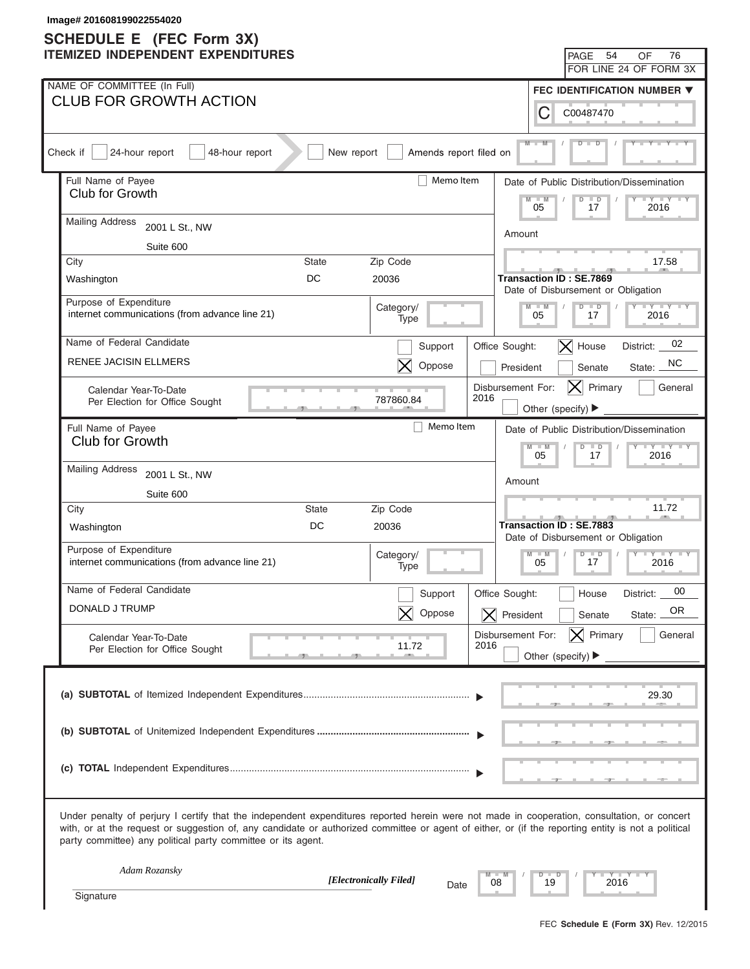| Image# 201608199022554020                                                                                                                                                                                                                                                                                                                                         |                                                                                         |
|-------------------------------------------------------------------------------------------------------------------------------------------------------------------------------------------------------------------------------------------------------------------------------------------------------------------------------------------------------------------|-----------------------------------------------------------------------------------------|
| <b>SCHEDULE E</b> (FEC Form 3X)<br><b>ITEMIZED INDEPENDENT EXPENDITURES</b>                                                                                                                                                                                                                                                                                       | 54<br>76<br>PAGE<br>OF                                                                  |
|                                                                                                                                                                                                                                                                                                                                                                   | FOR LINE 24 OF FORM 3X                                                                  |
| NAME OF COMMITTEE (In Full)                                                                                                                                                                                                                                                                                                                                       | FEC IDENTIFICATION NUMBER ▼                                                             |
| <b>CLUB FOR GROWTH ACTION</b>                                                                                                                                                                                                                                                                                                                                     | С<br>C00487470                                                                          |
| Check if<br>24-hour report<br>48-hour report<br>New report                                                                                                                                                                                                                                                                                                        | $M -$<br>Amends report filed on                                                         |
| Full Name of Payee                                                                                                                                                                                                                                                                                                                                                | Memo Item<br>Date of Public Distribution/Dissemination                                  |
| Club for Growth                                                                                                                                                                                                                                                                                                                                                   | $M - M$<br>$\overline{D}$<br>$\Box$<br>$+Y+Y$<br>05<br>17<br>2016                       |
| <b>Mailing Address</b><br>2001 L St., NW                                                                                                                                                                                                                                                                                                                          | Amount                                                                                  |
| Suite 600                                                                                                                                                                                                                                                                                                                                                         |                                                                                         |
| Zip Code<br>City<br><b>State</b>                                                                                                                                                                                                                                                                                                                                  | 17.58                                                                                   |
| DC<br>20036<br>Washington                                                                                                                                                                                                                                                                                                                                         | <b>Transaction ID: SE.7869</b><br>Date of Disbursement or Obligation                    |
| Purpose of Expenditure<br>Category/<br>internet communications (from advance line 21)<br>Type                                                                                                                                                                                                                                                                     | $Y = Y = Y = Y = Y$<br>$D$ $D$<br>$M - M$<br>05<br>2016<br>17                           |
| Name of Federal Candidate                                                                                                                                                                                                                                                                                                                                         | 02<br>$ \mathsf{X} $ House<br>Support<br>Office Sought:<br>District:                    |
| <b>RENEE JACISIN ELLMERS</b>                                                                                                                                                                                                                                                                                                                                      | NC.<br>Oppose<br>President<br>Senate<br>State:                                          |
| Calendar Year-To-Date<br>787860.84<br>Per Election for Office Sought                                                                                                                                                                                                                                                                                              | Disbursement For:<br>Primary<br>General<br>IXI<br>2016<br>Other (specify) ▶             |
| Full Name of Payee                                                                                                                                                                                                                                                                                                                                                | Memo Item                                                                               |
| Club for Growth                                                                                                                                                                                                                                                                                                                                                   | Date of Public Distribution/Dissemination<br>$Y - Y - Y - Y - IY$<br>$M - M$<br>$D$ $D$ |
| <b>Mailing Address</b><br>2001 L St., NW                                                                                                                                                                                                                                                                                                                          | 05<br>2016<br>17                                                                        |
| Suite 600                                                                                                                                                                                                                                                                                                                                                         | Amount                                                                                  |
| City<br>State<br>Zip Code                                                                                                                                                                                                                                                                                                                                         | 11.72                                                                                   |
| DC<br>20036<br>Washington                                                                                                                                                                                                                                                                                                                                         | Transaction ID: SE.7883<br>Date of Disbursement or Obligation                           |
| Purpose of Expenditure<br>Category/<br>internet communications (from advance line 21)<br>Type                                                                                                                                                                                                                                                                     | $M - M$<br>$D$ $D$<br>$Y - Y - Y - Y - IY$<br>17<br>05<br>2016                          |
| Name of Federal Candidate                                                                                                                                                                                                                                                                                                                                         | 00<br>Office Sought:<br>Support<br>District:<br>House                                   |
| DONALD J TRUMP                                                                                                                                                                                                                                                                                                                                                    | OR.<br>Oppose<br>$\overline{\mathsf{X}}$ President<br>Senate<br>State:                  |
| Calendar Year-To-Date                                                                                                                                                                                                                                                                                                                                             | $ \mathsf{X} $ Primary<br>General<br>Disbursement For:                                  |
| 11.72<br>Per Election for Office Sought                                                                                                                                                                                                                                                                                                                           | 2016<br>Other (specify) $\blacktriangleright$                                           |
|                                                                                                                                                                                                                                                                                                                                                                   | 29.30                                                                                   |
|                                                                                                                                                                                                                                                                                                                                                                   |                                                                                         |
|                                                                                                                                                                                                                                                                                                                                                                   |                                                                                         |
| Under penalty of perjury I certify that the independent expenditures reported herein were not made in cooperation, consultation, or concert<br>with, or at the request or suggestion of, any candidate or authorized committee or agent of either, or (if the reporting entity is not a political<br>party committee) any political party committee or its agent. |                                                                                         |
| Adam Rozansky<br>[Electronically Filed]                                                                                                                                                                                                                                                                                                                           | $Y - Y - I$<br>D<br>−<br>19<br>2016<br>08<br>Date                                       |
| Signature                                                                                                                                                                                                                                                                                                                                                         |                                                                                         |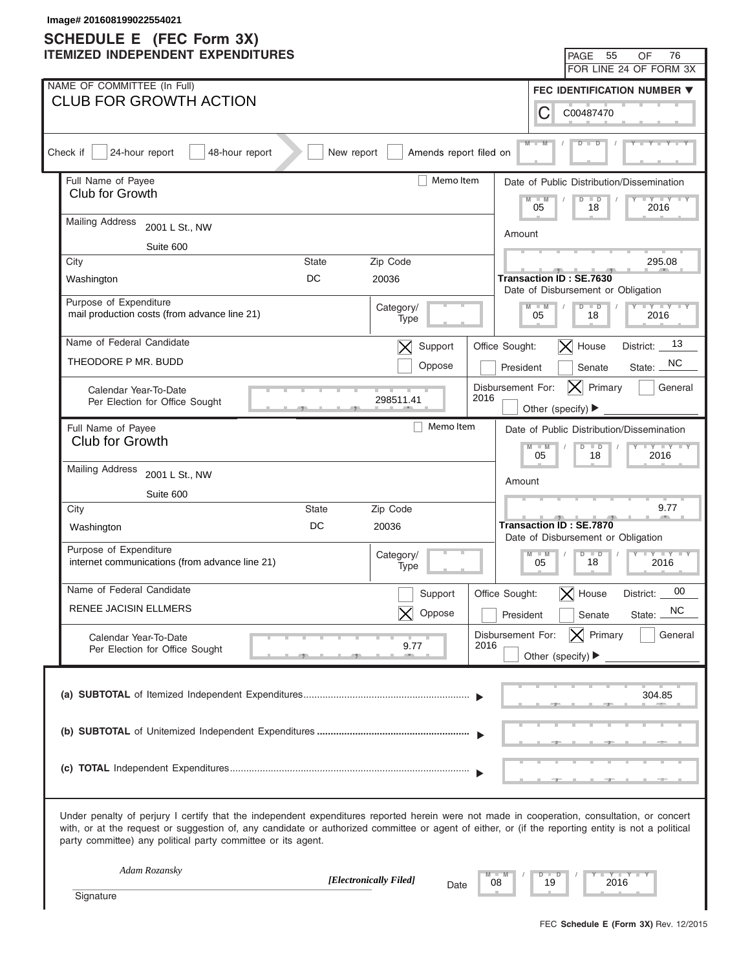| Image# 201608199022554021<br><b>SCHEDULE E</b> (FEC Form 3X)                                                                                                                                                                                                                                                                                                      |                          |                                                |                                                          |
|-------------------------------------------------------------------------------------------------------------------------------------------------------------------------------------------------------------------------------------------------------------------------------------------------------------------------------------------------------------------|--------------------------|------------------------------------------------|----------------------------------------------------------|
| <b>ITEMIZED INDEPENDENT EXPENDITURES</b>                                                                                                                                                                                                                                                                                                                          |                          |                                                | 55<br>76<br>PAGE<br>OF                                   |
|                                                                                                                                                                                                                                                                                                                                                                   |                          |                                                | FOR LINE 24 OF FORM 3X                                   |
| NAME OF COMMITTEE (In Full)                                                                                                                                                                                                                                                                                                                                       |                          |                                                | FEC IDENTIFICATION NUMBER ▼                              |
| <b>CLUB FOR GROWTH ACTION</b>                                                                                                                                                                                                                                                                                                                                     |                          | С                                              | C00487470                                                |
| Check if<br>24-hour report<br>48-hour report<br>New report                                                                                                                                                                                                                                                                                                        | Amends report filed on   | $M -$                                          |                                                          |
| Full Name of Payee                                                                                                                                                                                                                                                                                                                                                | Memo Item                |                                                | Date of Public Distribution/Dissemination                |
| Club for Growth                                                                                                                                                                                                                                                                                                                                                   |                          | $-W$<br>05                                     | $\overline{D}$<br>$\blacksquare$<br>$+Y+Y$<br>18<br>2016 |
| <b>Mailing Address</b><br>2001 L St., NW                                                                                                                                                                                                                                                                                                                          |                          | Amount                                         |                                                          |
| Suite 600                                                                                                                                                                                                                                                                                                                                                         |                          |                                                |                                                          |
| City<br><b>State</b>                                                                                                                                                                                                                                                                                                                                              | Zip Code                 |                                                | 295.08                                                   |
| DC<br>Washington                                                                                                                                                                                                                                                                                                                                                  | 20036                    | <b>Transaction ID: SE.7630</b>                 | Date of Disbursement or Obligation                       |
| Purpose of Expenditure<br>mail production costs (from advance line 21)                                                                                                                                                                                                                                                                                            | Category/<br>Type        | $M - M$<br>05                                  | $Y = Y = Y = Y = Y$<br>$D$ $D$<br>18<br>2016             |
| Name of Federal Candidate                                                                                                                                                                                                                                                                                                                                         | Support<br>$\bm{\times}$ | Office Sought:                                 | 13<br>$\vert$ X House<br>District:                       |
| THEODORE P MR. BUDD                                                                                                                                                                                                                                                                                                                                               | Oppose                   | President                                      | NC.<br>Senate<br>State:                                  |
| Calendar Year-To-Date<br>Per Election for Office Sought                                                                                                                                                                                                                                                                                                           | 298511.41                | Disbursement For:<br>2016<br>Other (specify) ▶ | Primary<br>General<br>IXI                                |
| Full Name of Payee                                                                                                                                                                                                                                                                                                                                                | Memo Item                |                                                | Date of Public Distribution/Dissemination                |
| Club for Growth                                                                                                                                                                                                                                                                                                                                                   |                          | $M - M$                                        | $Y - Y - Y - Y - Y$<br>$D$ $D$                           |
| <b>Mailing Address</b><br>2001 L St., NW                                                                                                                                                                                                                                                                                                                          |                          | 05                                             | 2016<br>18                                               |
| Suite 600                                                                                                                                                                                                                                                                                                                                                         |                          | Amount                                         |                                                          |
| City<br>State                                                                                                                                                                                                                                                                                                                                                     | Zip Code                 |                                                | 9.77                                                     |
| DC<br>Washington                                                                                                                                                                                                                                                                                                                                                  | 20036                    | <b>Transaction ID: SE.7870</b>                 | Date of Disbursement or Obligation                       |
| Purpose of Expenditure<br>internet communications (from advance line 21)                                                                                                                                                                                                                                                                                          | Category/<br>Type        | $M - M$<br>05                                  | $D$ $D$<br>$Y - Y - Y - Y - IY$<br>18<br>2016            |
| Name of Federal Candidate                                                                                                                                                                                                                                                                                                                                         | Support                  | Office Sought:<br>$\bm{\times}$                | 00<br>House<br>District:                                 |
| <b>RENEE JACISIN ELLMERS</b>                                                                                                                                                                                                                                                                                                                                      | Oppose                   | President                                      | NC<br>Senate<br>State:                                   |
| Calendar Year-To-Date                                                                                                                                                                                                                                                                                                                                             |                          | Disbursement For:<br>2016                      | $ \mathsf{X} $ Primary<br>General                        |
| Per Election for Office Sought                                                                                                                                                                                                                                                                                                                                    | 9.77                     | Other (specify) $\blacktriangleright$          |                                                          |
|                                                                                                                                                                                                                                                                                                                                                                   |                          |                                                | 304.85                                                   |
|                                                                                                                                                                                                                                                                                                                                                                   |                          |                                                |                                                          |
|                                                                                                                                                                                                                                                                                                                                                                   |                          |                                                |                                                          |
| Under penalty of perjury I certify that the independent expenditures reported herein were not made in cooperation, consultation, or concert<br>with, or at the request or suggestion of, any candidate or authorized committee or agent of either, or (if the reporting entity is not a political<br>party committee) any political party committee or its agent. |                          |                                                |                                                          |
| Adam Rozansky                                                                                                                                                                                                                                                                                                                                                     | [Electronically Filed]   | $\Box$<br>D<br>19<br>08                        | $Y - Y - I$<br>2016                                      |
| Signature                                                                                                                                                                                                                                                                                                                                                         | Date                     |                                                |                                                          |
|                                                                                                                                                                                                                                                                                                                                                                   |                          |                                                |                                                          |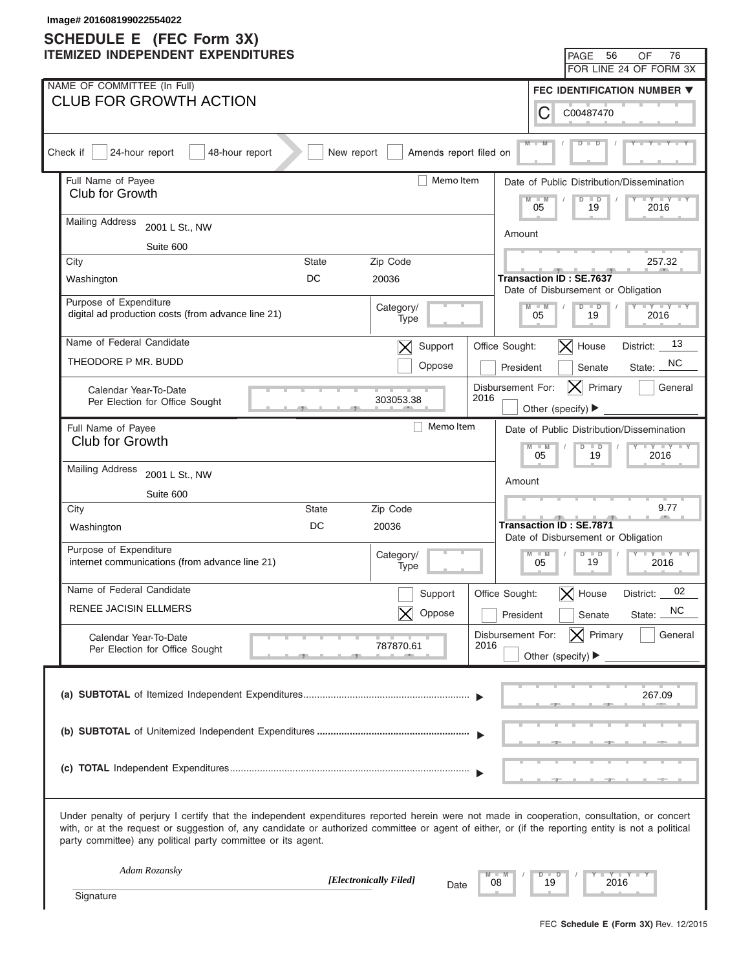| Image# 201608199022554022<br><b>SCHEDULE E</b> (FEC Form 3X)                                                                                                                                                                                                                                                                                                      |                                                                                   |
|-------------------------------------------------------------------------------------------------------------------------------------------------------------------------------------------------------------------------------------------------------------------------------------------------------------------------------------------------------------------|-----------------------------------------------------------------------------------|
| <b>ITEMIZED INDEPENDENT EXPENDITURES</b>                                                                                                                                                                                                                                                                                                                          | 56<br>76<br>PAGE<br>OF                                                            |
|                                                                                                                                                                                                                                                                                                                                                                   | FOR LINE 24 OF FORM 3X                                                            |
| NAME OF COMMITTEE (In Full)                                                                                                                                                                                                                                                                                                                                       | FEC IDENTIFICATION NUMBER ▼                                                       |
| <b>CLUB FOR GROWTH ACTION</b>                                                                                                                                                                                                                                                                                                                                     | С<br>C00487470                                                                    |
| Check if<br>24-hour report<br>48-hour report<br>New report                                                                                                                                                                                                                                                                                                        | $M -$<br>Amends report filed on                                                   |
| Full Name of Payee                                                                                                                                                                                                                                                                                                                                                | Memo Item<br>Date of Public Distribution/Dissemination                            |
| Club for Growth                                                                                                                                                                                                                                                                                                                                                   | $-W$<br>$\overline{D}$<br>$\blacksquare$<br>$\cdots$ $\cdots$<br>05<br>19<br>2016 |
| <b>Mailing Address</b><br>2001 L St., NW                                                                                                                                                                                                                                                                                                                          | Amount                                                                            |
| Suite 600                                                                                                                                                                                                                                                                                                                                                         |                                                                                   |
| Zip Code<br>City<br><b>State</b>                                                                                                                                                                                                                                                                                                                                  | 257.32                                                                            |
| DC<br>20036<br>Washington                                                                                                                                                                                                                                                                                                                                         | <b>Transaction ID: SE.7637</b><br>Date of Disbursement or Obligation              |
| Purpose of Expenditure<br>Category/<br>digital ad production costs (from advance line 21)<br>Type                                                                                                                                                                                                                                                                 | $Y = Y = Y = Y = Y$<br>$D$ $D$<br>$M - M$<br>05<br>19<br>2016                     |
| Name of Federal Candidate<br>Support<br>$\bm{\times}$                                                                                                                                                                                                                                                                                                             | 13<br>$\vert$ X House<br>Office Sought:<br>District:                              |
| THEODORE P MR. BUDD<br>Oppose                                                                                                                                                                                                                                                                                                                                     | NC.<br>President<br>Senate<br>State:                                              |
| Calendar Year-To-Date<br>303053.38<br>Per Election for Office Sought                                                                                                                                                                                                                                                                                              | Disbursement For:<br>Primary<br>General<br> X <br>2016<br>Other (specify) ▶       |
| Full Name of Payee                                                                                                                                                                                                                                                                                                                                                | Memo Item<br>Date of Public Distribution/Dissemination                            |
| Club for Growth                                                                                                                                                                                                                                                                                                                                                   | $Y - Y - Y - Y - Y$<br>$M - M$<br>$D$ $D$                                         |
| <b>Mailing Address</b><br>2001 L St., NW                                                                                                                                                                                                                                                                                                                          | 05<br>19<br>2016                                                                  |
| Suite 600                                                                                                                                                                                                                                                                                                                                                         | Amount                                                                            |
| City<br>State<br>Zip Code                                                                                                                                                                                                                                                                                                                                         | 9.77                                                                              |
| DC<br>20036<br>Washington                                                                                                                                                                                                                                                                                                                                         | <b>Transaction ID: SE.7871</b><br>Date of Disbursement or Obligation              |
| Purpose of Expenditure<br>Category/<br>internet communications (from advance line 21)<br>Type                                                                                                                                                                                                                                                                     | $M - M$<br>$D$ $D$<br>$Y - Y - Y - Y - IY$<br>19<br>05<br>2016                    |
| Name of Federal Candidate<br>Support                                                                                                                                                                                                                                                                                                                              | 02<br>Office Sought:<br>$\bm{\times}$<br>House<br>District:                       |
| <b>RENEE JACISIN ELLMERS</b><br>Oppose                                                                                                                                                                                                                                                                                                                            | <b>NC</b><br>President<br>Senate<br>State:                                        |
| Calendar Year-To-Date                                                                                                                                                                                                                                                                                                                                             | $ \mathsf{X} $ Primary<br>General<br>Disbursement For:                            |
| 787870.61<br>Per Election for Office Sought                                                                                                                                                                                                                                                                                                                       | 2016<br>Other (specify) $\blacktriangleright$                                     |
|                                                                                                                                                                                                                                                                                                                                                                   | 267.09                                                                            |
|                                                                                                                                                                                                                                                                                                                                                                   |                                                                                   |
|                                                                                                                                                                                                                                                                                                                                                                   |                                                                                   |
| Under penalty of perjury I certify that the independent expenditures reported herein were not made in cooperation, consultation, or concert<br>with, or at the request or suggestion of, any candidate or authorized committee or agent of either, or (if the reporting entity is not a political<br>party committee) any political party committee or its agent. |                                                                                   |
| Adam Rozansky<br>[Electronically Filed]                                                                                                                                                                                                                                                                                                                           | $Y - Y - I$<br>$\Box$<br>D<br>19<br>2016<br>08                                    |
| Signature                                                                                                                                                                                                                                                                                                                                                         | Date                                                                              |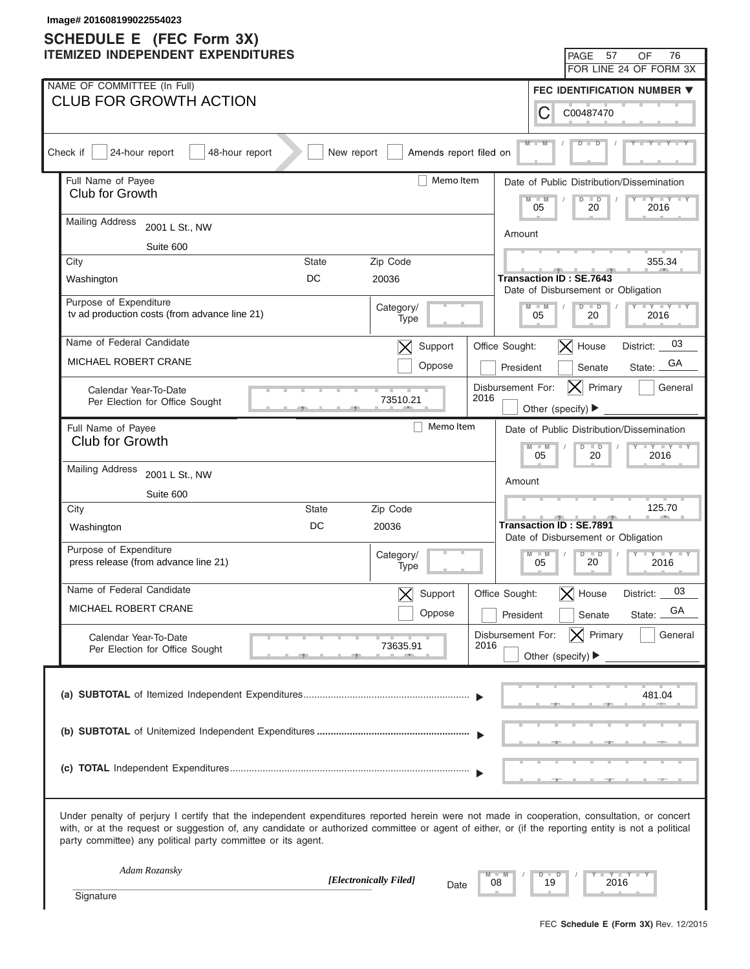| Image# 201608199022554023<br><b>SCHEDULE E</b> (FEC Form 3X)                                                                                                                                                                                                                                                                                                      |                                                                                                                |
|-------------------------------------------------------------------------------------------------------------------------------------------------------------------------------------------------------------------------------------------------------------------------------------------------------------------------------------------------------------------|----------------------------------------------------------------------------------------------------------------|
| <b>ITEMIZED INDEPENDENT EXPENDITURES</b>                                                                                                                                                                                                                                                                                                                          | 57<br>76<br>PAGE<br>OF                                                                                         |
|                                                                                                                                                                                                                                                                                                                                                                   | FOR LINE 24 OF FORM 3X                                                                                         |
| NAME OF COMMITTEE (In Full)                                                                                                                                                                                                                                                                                                                                       | FEC IDENTIFICATION NUMBER ▼                                                                                    |
| <b>CLUB FOR GROWTH ACTION</b>                                                                                                                                                                                                                                                                                                                                     | С<br>C00487470                                                                                                 |
| Check if<br>24-hour report<br>48-hour report<br>New report<br>Amends report filed on                                                                                                                                                                                                                                                                              | $M -$                                                                                                          |
| Full Name of Payee<br>Memo Item                                                                                                                                                                                                                                                                                                                                   | Date of Public Distribution/Dissemination                                                                      |
| Club for Growth                                                                                                                                                                                                                                                                                                                                                   | $-M$<br>$\Box Y \Box Y$<br>$\Box$<br>D<br>05<br>20<br>2016                                                     |
| <b>Mailing Address</b><br>2001 L St., NW                                                                                                                                                                                                                                                                                                                          | Amount                                                                                                         |
| Suite 600                                                                                                                                                                                                                                                                                                                                                         |                                                                                                                |
| City<br>State<br>Zip Code                                                                                                                                                                                                                                                                                                                                         | 355.34                                                                                                         |
| DC<br>20036<br>Washington                                                                                                                                                                                                                                                                                                                                         | <b>Transaction ID: SE.7643</b><br>Date of Disbursement or Obligation                                           |
| Purpose of Expenditure<br>Category/                                                                                                                                                                                                                                                                                                                               | $Y - Y - Y - Y - Y$<br>$M - M$<br>$D$ $D$                                                                      |
| tv ad production costs (from advance line 21)<br>Type                                                                                                                                                                                                                                                                                                             | 05<br>20<br>2016                                                                                               |
| Name of Federal Candidate<br>Support<br>$\bm{\times}$                                                                                                                                                                                                                                                                                                             | 03<br>$\vert$ House<br>Office Sought:<br>District:                                                             |
| MICHAEL ROBERT CRANE<br>Oppose                                                                                                                                                                                                                                                                                                                                    | GА<br>President<br>Senate<br>State:                                                                            |
| Calendar Year-To-Date                                                                                                                                                                                                                                                                                                                                             | Disbursement For:<br>$ \mathsf{X} $ Primary<br>General                                                         |
| 2016<br>73510.21<br>Per Election for Office Sought                                                                                                                                                                                                                                                                                                                | Other (specify) ▶                                                                                              |
| Memo Item<br>Full Name of Payee                                                                                                                                                                                                                                                                                                                                   | Date of Public Distribution/Dissemination                                                                      |
| <b>Club for Growth</b>                                                                                                                                                                                                                                                                                                                                            | $Y - Y - Y - Y - Y$<br>$M - M$<br>$D$ $D$<br>05<br>2016<br>20                                                  |
| <b>Mailing Address</b><br>2001 L St., NW                                                                                                                                                                                                                                                                                                                          |                                                                                                                |
| Suite 600                                                                                                                                                                                                                                                                                                                                                         | Amount                                                                                                         |
| City<br><b>State</b><br>Zip Code                                                                                                                                                                                                                                                                                                                                  | 125.70                                                                                                         |
| DC<br>20036<br>Washington                                                                                                                                                                                                                                                                                                                                         | <b>Transaction ID: SE.7891</b>                                                                                 |
| Purpose of Expenditure<br>Category/                                                                                                                                                                                                                                                                                                                               | Date of Disbursement or Obligation<br>$D$ $D$<br>$Y$ $Y$ $Y$ $Y$ $Y$<br>$M - M$<br>$\vert$ /<br>$\blacksquare$ |
| press release (from advance line 21)<br>Type                                                                                                                                                                                                                                                                                                                      | 20<br>05<br>2016                                                                                               |
| Name of Federal Candidate<br>Support                                                                                                                                                                                                                                                                                                                              | 03<br>$\vert$ House<br>Office Sought:<br>District:                                                             |
| MICHAEL ROBERT CRANE<br>Oppose                                                                                                                                                                                                                                                                                                                                    | GA<br>President<br>Senate<br>State:                                                                            |
| Calendar Year-To-Date                                                                                                                                                                                                                                                                                                                                             | $ \mathsf{X} $ Primary<br>Disbursement For:<br>General                                                         |
| 2016<br>73635.91<br>Per Election for Office Sought                                                                                                                                                                                                                                                                                                                | Other (specify) $\blacktriangleright$                                                                          |
|                                                                                                                                                                                                                                                                                                                                                                   |                                                                                                                |
|                                                                                                                                                                                                                                                                                                                                                                   | 481.04                                                                                                         |
|                                                                                                                                                                                                                                                                                                                                                                   |                                                                                                                |
|                                                                                                                                                                                                                                                                                                                                                                   |                                                                                                                |
|                                                                                                                                                                                                                                                                                                                                                                   |                                                                                                                |
|                                                                                                                                                                                                                                                                                                                                                                   |                                                                                                                |
| Under penalty of perjury I certify that the independent expenditures reported herein were not made in cooperation, consultation, or concert<br>with, or at the request or suggestion of, any candidate or authorized committee or agent of either, or (if the reporting entity is not a political<br>party committee) any political party committee or its agent. |                                                                                                                |
| Adam Rozansky<br>[Electronically Filed]                                                                                                                                                                                                                                                                                                                           | Y TY<br>$D$ $D$                                                                                                |
| 08<br>Date<br>Signature                                                                                                                                                                                                                                                                                                                                           | 19<br>2016                                                                                                     |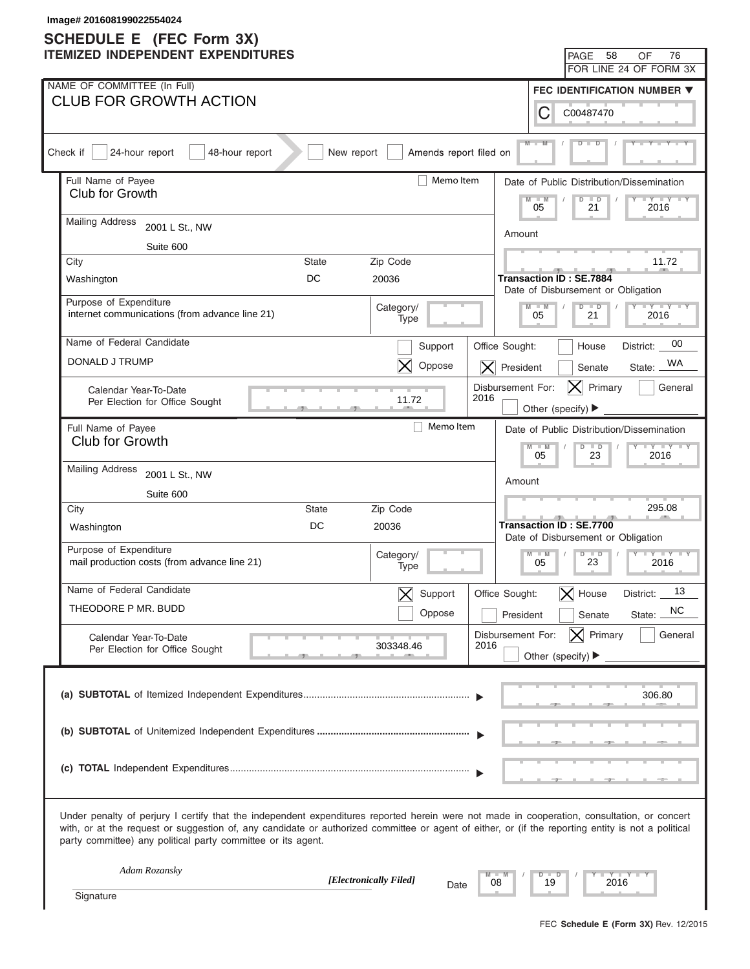# **SCHEDULE E (FEC Form 3X)**

| <b>SCHEDULE E</b> (FEC Form 3X)<br><b>ITEMIZED INDEPENDENT EXPENDITURES</b><br>58<br>PAGE<br>OF<br>FOR LINE 24 OF FORM 3X<br>NAME OF COMMITTEE (In Full)<br><b>FEC IDENTIFICATION NUMBER ▼</b><br><b>CLUB FOR GROWTH ACTION</b><br>C<br>C00487470                                                                                                                 | 76      |
|-------------------------------------------------------------------------------------------------------------------------------------------------------------------------------------------------------------------------------------------------------------------------------------------------------------------------------------------------------------------|---------|
|                                                                                                                                                                                                                                                                                                                                                                   |         |
|                                                                                                                                                                                                                                                                                                                                                                   |         |
|                                                                                                                                                                                                                                                                                                                                                                   |         |
|                                                                                                                                                                                                                                                                                                                                                                   |         |
| $M -$<br>24-hour report<br>Check if<br>48-hour report<br>New report<br>Amends report filed on                                                                                                                                                                                                                                                                     |         |
|                                                                                                                                                                                                                                                                                                                                                                   |         |
| Full Name of Payee<br>Memo Item<br>Date of Public Distribution/Dissemination<br>Club for Growth<br>$M - M$<br>$\overline{D}$<br>$\Box$<br>$+Y+Y$<br>21<br>05                                                                                                                                                                                                      |         |
| 2016<br><b>Mailing Address</b><br>2001 L St., NW<br>Amount                                                                                                                                                                                                                                                                                                        |         |
| Suite 600                                                                                                                                                                                                                                                                                                                                                         |         |
| 11.72<br>City<br><b>State</b><br>Zip Code                                                                                                                                                                                                                                                                                                                         |         |
| DC<br>20036<br>Washington<br><b>Transaction ID: SE.7884</b><br>Date of Disbursement or Obligation                                                                                                                                                                                                                                                                 |         |
| Purpose of Expenditure<br>$Y = Y = Y = Y = Y$<br>Category/<br>$M - M$<br>$D$ $D$<br>internet communications (from advance line 21)<br>05<br>21<br>2016<br>Type                                                                                                                                                                                                    |         |
| Name of Federal Candidate<br>Support<br>Office Sought:<br>House<br>District:                                                                                                                                                                                                                                                                                      | 00      |
| DONALD J TRUMP<br>Oppose<br>$ \mathsf{X} $ President<br>Senate<br>State:                                                                                                                                                                                                                                                                                          | WA      |
| Disbursement For:<br>Primary<br>IXI.<br>Calendar Year-To-Date<br>2016<br>11.72<br>Per Election for Office Sought<br>Other (specify) ▶                                                                                                                                                                                                                             | General |
| Memo Item<br>Full Name of Payee<br>Date of Public Distribution/Dissemination                                                                                                                                                                                                                                                                                      |         |
| <b>Club for Growth</b><br>$Y - Y - Y - Y - IY$<br>$M - M$<br>$D$ $D$<br>05<br>23<br>2016                                                                                                                                                                                                                                                                          |         |
| <b>Mailing Address</b><br>2001 L St., NW                                                                                                                                                                                                                                                                                                                          |         |
| Amount<br>Suite 600                                                                                                                                                                                                                                                                                                                                               |         |
| 295.08<br>Zip Code<br><b>State</b><br>City                                                                                                                                                                                                                                                                                                                        |         |
| <b>Transaction ID: SE.7700</b><br>DC<br>20036<br>Washington<br>Date of Disbursement or Obligation                                                                                                                                                                                                                                                                 |         |
| Purpose of Expenditure<br>$M - M$<br>$D$ $D$<br>Category/<br>$Y - Y - Y - Y - IY$<br>mail production costs (from advance line 21)<br>23<br>05<br>2016<br>Type                                                                                                                                                                                                     |         |
| Name of Federal Candidate<br>Support<br>$\bm{\times}$<br>Office Sought:<br>$\bm{\times}$<br>House<br>District:                                                                                                                                                                                                                                                    | 13      |
| THEODORE P MR. BUDD<br>Oppose<br>State:<br>President<br>Senate                                                                                                                                                                                                                                                                                                    | NC      |
| $ \mathsf{X} $ Primary<br>Disbursement For:<br>Calendar Year-To-Date<br>303348.46<br>2016<br>Per Election for Office Sought                                                                                                                                                                                                                                       | General |
| Other (specify) $\blacktriangleright$                                                                                                                                                                                                                                                                                                                             |         |
| 306.80                                                                                                                                                                                                                                                                                                                                                            |         |
|                                                                                                                                                                                                                                                                                                                                                                   |         |
|                                                                                                                                                                                                                                                                                                                                                                   |         |
| Under penalty of perjury I certify that the independent expenditures reported herein were not made in cooperation, consultation, or concert<br>with, or at the request or suggestion of, any candidate or authorized committee or agent of either, or (if the reporting entity is not a political<br>party committee) any political party committee or its agent. |         |
| Adam Rozansky<br>$Y = Y -$<br>$D$ $D$<br>[Electronically Filed]<br>19<br>2016<br>08                                                                                                                                                                                                                                                                               |         |
| Date<br>Signature                                                                                                                                                                                                                                                                                                                                                 |         |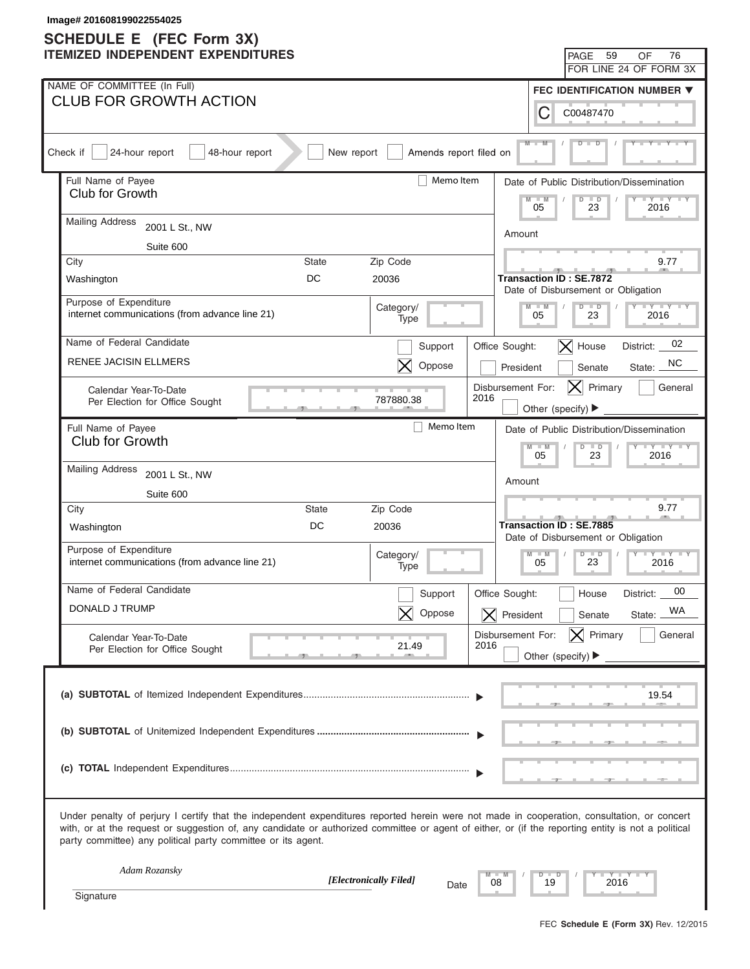| Image# 201608199022554025<br><b>SCHEDULE E</b> (FEC Form 3X)                                                                                                                                                                                                                                                                                                      |              |                        |                                             |                                       |                                                                      |                                           |
|-------------------------------------------------------------------------------------------------------------------------------------------------------------------------------------------------------------------------------------------------------------------------------------------------------------------------------------------------------------------|--------------|------------------------|---------------------------------------------|---------------------------------------|----------------------------------------------------------------------|-------------------------------------------|
| <b>ITEMIZED INDEPENDENT EXPENDITURES</b>                                                                                                                                                                                                                                                                                                                          |              |                        |                                             |                                       | PAGE 59                                                              | 76<br>OF                                  |
|                                                                                                                                                                                                                                                                                                                                                                   |              |                        |                                             |                                       |                                                                      | FOR LINE 24 OF FORM 3X                    |
| NAME OF COMMITTEE (In Full)                                                                                                                                                                                                                                                                                                                                       |              |                        |                                             |                                       |                                                                      | FEC IDENTIFICATION NUMBER ▼               |
| <b>CLUB FOR GROWTH ACTION</b>                                                                                                                                                                                                                                                                                                                                     |              |                        |                                             | С                                     | C00487470                                                            |                                           |
| 24-hour report<br>Check if<br>48-hour report                                                                                                                                                                                                                                                                                                                      | New report   | Amends report filed on |                                             | $M -$                                 |                                                                      |                                           |
| Full Name of Payee                                                                                                                                                                                                                                                                                                                                                |              | Memo Item              |                                             |                                       |                                                                      | Date of Public Distribution/Dissemination |
| Club for Growth                                                                                                                                                                                                                                                                                                                                                   |              |                        |                                             | $M - M$<br>05                         | $\overline{D}$<br>$\overline{\phantom{a}}$<br>23                     | $+Y+Y$<br>2016                            |
| <b>Mailing Address</b><br>2001 L St., NW                                                                                                                                                                                                                                                                                                                          |              |                        | Amount                                      |                                       |                                                                      |                                           |
| Suite 600                                                                                                                                                                                                                                                                                                                                                         |              |                        |                                             |                                       |                                                                      |                                           |
| City                                                                                                                                                                                                                                                                                                                                                              | <b>State</b> | Zip Code               |                                             |                                       |                                                                      | 9.77                                      |
| Washington                                                                                                                                                                                                                                                                                                                                                        | DC           | 20036                  |                                             |                                       | <b>Transaction ID: SE.7872</b><br>Date of Disbursement or Obligation |                                           |
| Purpose of Expenditure<br>internet communications (from advance line 21)                                                                                                                                                                                                                                                                                          |              | Category/<br>Type      |                                             | $M - M$<br>05                         | $D$ $D$<br>23                                                        | $Y - Y - Y - Y - Y$<br>2016               |
| Name of Federal Candidate                                                                                                                                                                                                                                                                                                                                         |              | Support                | Office Sought:                              |                                       | $\vert$ House                                                        | 02<br>District:                           |
| <b>RENEE JACISIN ELLMERS</b>                                                                                                                                                                                                                                                                                                                                      |              | Oppose                 | President                                   |                                       | Senate                                                               | NC.<br>State:                             |
| Calendar Year-To-Date                                                                                                                                                                                                                                                                                                                                             |              |                        | Disbursement For:<br>2016                   |                                       | $\vert\boldsymbol{\mathsf{X}}\vert$<br>Primary                       | General                                   |
| Per Election for Office Sought                                                                                                                                                                                                                                                                                                                                    |              | 787880.38              |                                             | Other (specify) ▶                     |                                                                      |                                           |
| Full Name of Payee                                                                                                                                                                                                                                                                                                                                                |              | Memo Item              |                                             |                                       |                                                                      | Date of Public Distribution/Dissemination |
| Club for Growth                                                                                                                                                                                                                                                                                                                                                   |              |                        |                                             | $M - M$<br>05                         | $D$ $D$<br>23                                                        | $Y - Y - Y - Y - Y$<br>2016               |
| <b>Mailing Address</b><br>2001 L St., NW                                                                                                                                                                                                                                                                                                                          |              |                        |                                             |                                       |                                                                      |                                           |
| Suite 600                                                                                                                                                                                                                                                                                                                                                         |              |                        | Amount                                      |                                       |                                                                      |                                           |
| City                                                                                                                                                                                                                                                                                                                                                              | <b>State</b> | Zip Code               |                                             |                                       |                                                                      | 9.77                                      |
| Washington                                                                                                                                                                                                                                                                                                                                                        | DC           | 20036                  |                                             |                                       | <b>Transaction ID: SE.7885</b><br>Date of Disbursement or Obligation |                                           |
| Purpose of Expenditure<br>internet communications (from advance line 21)                                                                                                                                                                                                                                                                                          |              | Category/<br>Type      |                                             | $M - M$<br>05                         | $D$ $D$<br>23                                                        | $Y - Y - Y - Y - Y$<br>2016               |
| Name of Federal Candidate                                                                                                                                                                                                                                                                                                                                         |              |                        |                                             |                                       |                                                                      | 00                                        |
| DONALD J TRUMP                                                                                                                                                                                                                                                                                                                                                    |              | Support<br>Oppose      | Office Sought:<br>$\vert X \vert$ President |                                       | House<br>Senate                                                      | District:<br>WA<br>State:                 |
|                                                                                                                                                                                                                                                                                                                                                                   |              |                        | Disbursement For:                           |                                       | $ \mathsf{X} $ Primary                                               | General                                   |
| Calendar Year-To-Date<br>Per Election for Office Sought                                                                                                                                                                                                                                                                                                           |              | 21.49                  | 2016                                        | Other (specify) $\blacktriangleright$ |                                                                      |                                           |
|                                                                                                                                                                                                                                                                                                                                                                   |              |                        |                                             |                                       |                                                                      | 19.54                                     |
|                                                                                                                                                                                                                                                                                                                                                                   |              |                        |                                             |                                       |                                                                      |                                           |
|                                                                                                                                                                                                                                                                                                                                                                   |              |                        |                                             |                                       |                                                                      |                                           |
| Under penalty of perjury I certify that the independent expenditures reported herein were not made in cooperation, consultation, or concert<br>with, or at the request or suggestion of, any candidate or authorized committee or agent of either, or (if the reporting entity is not a political<br>party committee) any political party committee or its agent. |              |                        |                                             |                                       |                                                                      |                                           |
| Adam Rozansky                                                                                                                                                                                                                                                                                                                                                     |              | [Electronically Filed] | 08                                          | $\Box$<br>ъ<br>19                     | 2016                                                                 | Y TYT                                     |
| Signature                                                                                                                                                                                                                                                                                                                                                         |              | Date                   |                                             |                                       |                                                                      |                                           |
|                                                                                                                                                                                                                                                                                                                                                                   |              |                        |                                             |                                       |                                                                      |                                           |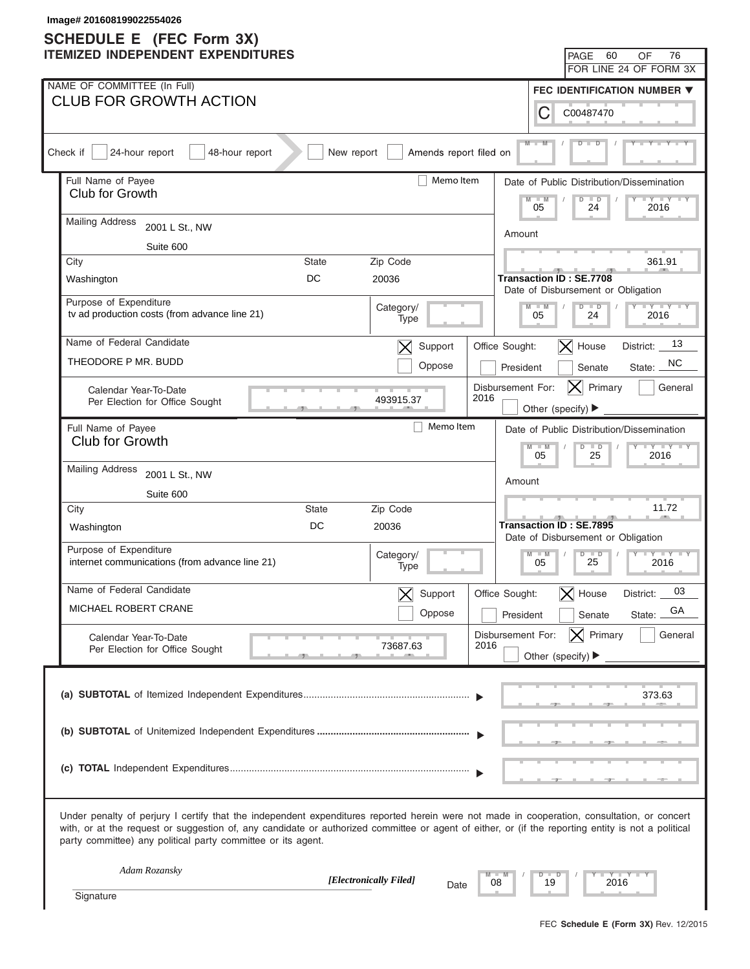| Image# 201608199022554026<br><b>SCHEDULE E</b> (FEC Form 3X)                                                                                                                                                                                                                                                                                                      |                                                                      |
|-------------------------------------------------------------------------------------------------------------------------------------------------------------------------------------------------------------------------------------------------------------------------------------------------------------------------------------------------------------------|----------------------------------------------------------------------|
| <b>ITEMIZED INDEPENDENT EXPENDITURES</b>                                                                                                                                                                                                                                                                                                                          | 60<br>76<br>PAGE<br>OF                                               |
|                                                                                                                                                                                                                                                                                                                                                                   | FOR LINE 24 OF FORM 3X                                               |
| NAME OF COMMITTEE (In Full)                                                                                                                                                                                                                                                                                                                                       | FEC IDENTIFICATION NUMBER ▼                                          |
| <b>CLUB FOR GROWTH ACTION</b>                                                                                                                                                                                                                                                                                                                                     | С<br>C00487470                                                       |
| Amends report filed on<br>Check if<br>24-hour report<br>48-hour report<br>New report                                                                                                                                                                                                                                                                              | $M -$                                                                |
| Memo Item<br>Full Name of Payee                                                                                                                                                                                                                                                                                                                                   | Date of Public Distribution/Dissemination                            |
| Club for Growth                                                                                                                                                                                                                                                                                                                                                   | $-W$<br>$\overline{D}$<br>$\Box$<br>$+Y+Y$<br>24<br>05<br>2016       |
| <b>Mailing Address</b><br>2001 L St., NW                                                                                                                                                                                                                                                                                                                          | Amount                                                               |
| Suite 600                                                                                                                                                                                                                                                                                                                                                         |                                                                      |
| Zip Code<br>City<br><b>State</b>                                                                                                                                                                                                                                                                                                                                  | 361.91                                                               |
| DC<br>20036<br>Washington                                                                                                                                                                                                                                                                                                                                         | <b>Transaction ID: SE.7708</b><br>Date of Disbursement or Obligation |
| Purpose of Expenditure<br>Category/<br>tv ad production costs (from advance line 21)<br>Type                                                                                                                                                                                                                                                                      | $Y = Y = Y = Y = Y$<br>$D$ $D$<br>$M - M$<br>05<br>24<br>2016        |
| Name of Federal Candidate<br>Support<br>$\bm{\times}$                                                                                                                                                                                                                                                                                                             | 13<br>$\vert$ X House<br>Office Sought:<br>District:                 |
| THEODORE P MR. BUDD<br>Oppose                                                                                                                                                                                                                                                                                                                                     | NC.<br>President<br>Senate<br>State:                                 |
| Calendar Year-To-Date<br>2016<br>493915.37<br>Per Election for Office Sought                                                                                                                                                                                                                                                                                      | Disbursement For:<br>Primary<br>General<br>IXI<br>Other (specify) ▶  |
| Memo Item<br>Full Name of Payee                                                                                                                                                                                                                                                                                                                                   | Date of Public Distribution/Dissemination                            |
| Club for Growth                                                                                                                                                                                                                                                                                                                                                   | $Y - Y - Y - Y - Y$<br>$M - M$<br>$D$ $D$<br>05<br>25<br>2016        |
| <b>Mailing Address</b><br>2001 L St., NW                                                                                                                                                                                                                                                                                                                          |                                                                      |
| Suite 600                                                                                                                                                                                                                                                                                                                                                         | Amount                                                               |
| City<br>State<br>Zip Code                                                                                                                                                                                                                                                                                                                                         | 11.72                                                                |
| DC<br>20036<br>Washington                                                                                                                                                                                                                                                                                                                                         | Transaction ID: SE.7895<br>Date of Disbursement or Obligation        |
| Purpose of Expenditure<br>Category/<br>internet communications (from advance line 21)<br>Type                                                                                                                                                                                                                                                                     | $M - M$<br>$D$ $D$<br>$Y - Y - Y - Y - I - Y$<br>25<br>05<br>2016    |
| Name of Federal Candidate<br>Support                                                                                                                                                                                                                                                                                                                              | 03<br>Office Sought:<br>$\bm{\times}$<br>House<br>District:          |
| MICHAEL ROBERT CRANE<br>Oppose                                                                                                                                                                                                                                                                                                                                    | GA<br>President<br>Senate<br>State:                                  |
| Calendar Year-To-Date                                                                                                                                                                                                                                                                                                                                             | $ \mathsf{X} $ Primary<br>General<br>Disbursement For:               |
| 2016<br>73687.63<br>Per Election for Office Sought                                                                                                                                                                                                                                                                                                                | Other (specify) $\blacktriangleright$                                |
|                                                                                                                                                                                                                                                                                                                                                                   | 373.63                                                               |
|                                                                                                                                                                                                                                                                                                                                                                   |                                                                      |
|                                                                                                                                                                                                                                                                                                                                                                   |                                                                      |
| Under penalty of perjury I certify that the independent expenditures reported herein were not made in cooperation, consultation, or concert<br>with, or at the request or suggestion of, any candidate or authorized committee or agent of either, or (if the reporting entity is not a political<br>party committee) any political party committee or its agent. |                                                                      |
| Adam Rozansky<br>[Electronically Filed]<br>08                                                                                                                                                                                                                                                                                                                     | $Y - Y - I$<br>$\Box$<br>D<br>19<br>2016                             |
| Date<br>Signature                                                                                                                                                                                                                                                                                                                                                 |                                                                      |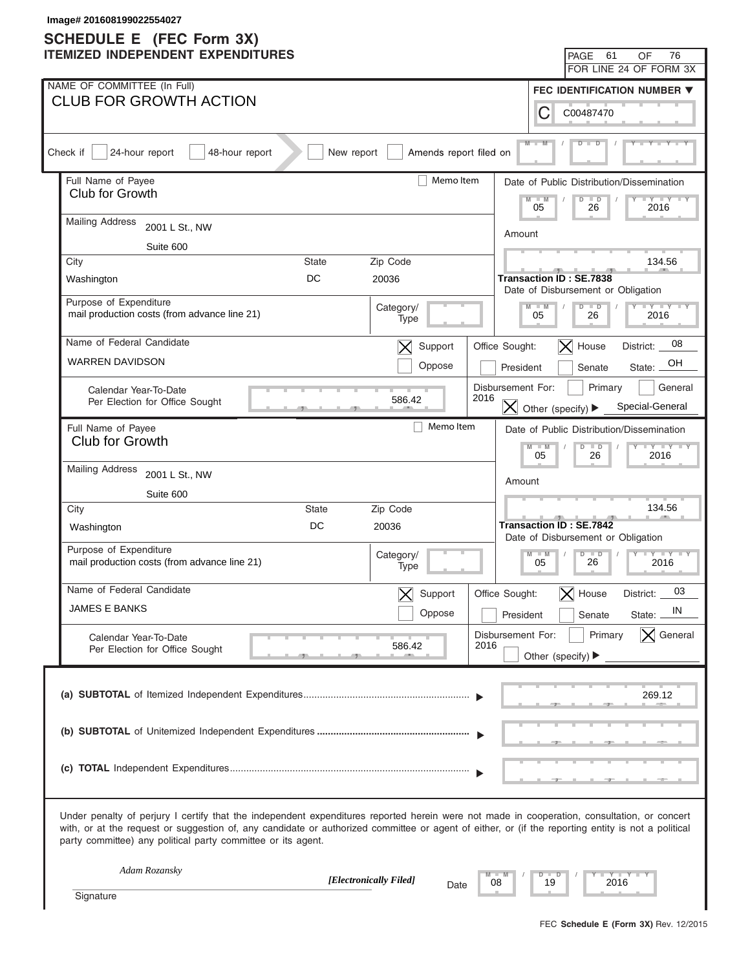| Image# 201608199022554027<br><b>SCHEDULE E</b> (FEC Form 3X)                                                                                                                                                                                                                                                                                                      |              |                                    |                           |               |                                                                      |                                           |
|-------------------------------------------------------------------------------------------------------------------------------------------------------------------------------------------------------------------------------------------------------------------------------------------------------------------------------------------------------------------|--------------|------------------------------------|---------------------------|---------------|----------------------------------------------------------------------|-------------------------------------------|
| <b>ITEMIZED INDEPENDENT EXPENDITURES</b>                                                                                                                                                                                                                                                                                                                          |              |                                    |                           |               | 61<br>PAGE                                                           | 76<br>OF                                  |
|                                                                                                                                                                                                                                                                                                                                                                   |              |                                    |                           |               |                                                                      | FOR LINE 24 OF FORM 3X                    |
| NAME OF COMMITTEE (In Full)                                                                                                                                                                                                                                                                                                                                       |              |                                    |                           |               |                                                                      | FEC IDENTIFICATION NUMBER ▼               |
| <b>CLUB FOR GROWTH ACTION</b>                                                                                                                                                                                                                                                                                                                                     |              |                                    |                           | C             | C00487470                                                            |                                           |
| Check if<br>24-hour report<br>48-hour report                                                                                                                                                                                                                                                                                                                      | New report   | Amends report filed on             |                           | $M -$         |                                                                      |                                           |
| Full Name of Payee                                                                                                                                                                                                                                                                                                                                                |              | Memo Item                          |                           |               |                                                                      | Date of Public Distribution/Dissemination |
| Club for Growth                                                                                                                                                                                                                                                                                                                                                   |              |                                    |                           | $-W$<br>05    | $\overline{D}$<br>$\Box$<br>26                                       | $\cdots$ $\cdots$<br>2016                 |
| <b>Mailing Address</b><br>2001 L St., NW                                                                                                                                                                                                                                                                                                                          | Amount       |                                    |                           |               |                                                                      |                                           |
| Suite 600                                                                                                                                                                                                                                                                                                                                                         |              |                                    |                           |               |                                                                      |                                           |
| City                                                                                                                                                                                                                                                                                                                                                              | <b>State</b> | Zip Code                           |                           |               |                                                                      | 134.56                                    |
| Washington                                                                                                                                                                                                                                                                                                                                                        | DC           | 20036                              |                           |               | <b>Transaction ID: SE.7838</b><br>Date of Disbursement or Obligation |                                           |
| Purpose of Expenditure<br>mail production costs (from advance line 21)                                                                                                                                                                                                                                                                                            |              | Category/<br>Type                  |                           | $M - M$<br>05 | $D$ $D$<br>26                                                        | $Y - Y - Y - Y - IY$<br>2016              |
| Name of Federal Candidate                                                                                                                                                                                                                                                                                                                                         |              | Support<br>$\bm{\times}$           | Office Sought:            |               | $ \mathsf{X} $ House                                                 | 08<br>District:                           |
| <b>WARREN DAVIDSON</b>                                                                                                                                                                                                                                                                                                                                            |              | Oppose                             |                           | President     | Senate                                                               | OН<br>State:                              |
| Calendar Year-To-Date                                                                                                                                                                                                                                                                                                                                             |              | 586.42                             | Disbursement For:<br>2016 |               | Primary                                                              | General                                   |
| Per Election for Office Sought                                                                                                                                                                                                                                                                                                                                    |              |                                    |                           |               | $ \mathsf{X} $ Other (specify) $\blacktriangleright$                 | Special-General                           |
| Full Name of Payee                                                                                                                                                                                                                                                                                                                                                |              | Memo Item                          |                           |               |                                                                      | Date of Public Distribution/Dissemination |
| Club for Growth                                                                                                                                                                                                                                                                                                                                                   |              |                                    |                           | $M - M$<br>05 | $D$ $D$<br>26                                                        | $+Y+Y+Y$<br>2016                          |
| <b>Mailing Address</b><br>2001 L St., NW                                                                                                                                                                                                                                                                                                                          |              |                                    |                           |               |                                                                      |                                           |
| Suite 600                                                                                                                                                                                                                                                                                                                                                         |              |                                    |                           | Amount        |                                                                      |                                           |
| City                                                                                                                                                                                                                                                                                                                                                              | State        | Zip Code                           |                           |               |                                                                      | 134.56                                    |
| Washington                                                                                                                                                                                                                                                                                                                                                        | DC           | 20036                              |                           |               | Transaction ID: SE.7842<br>Date of Disbursement or Obligation        |                                           |
| Purpose of Expenditure<br>mail production costs (from advance line 21)                                                                                                                                                                                                                                                                                            |              | Category/<br>Type                  |                           | $M - M$<br>05 | $D$ $D$<br>26                                                        | $   +$ $+$ $ +$ $+$ $+$ $+$<br>2016       |
| Name of Federal Candidate                                                                                                                                                                                                                                                                                                                                         |              |                                    |                           |               |                                                                      |                                           |
| <b>JAMES E BANKS</b>                                                                                                                                                                                                                                                                                                                                              |              | Support<br>$\bm{\times}$<br>Oppose | Office Sought:            | President     | $\bm{\times}$<br>House<br>Senate                                     | 03<br>District:<br>IN<br>State:           |
|                                                                                                                                                                                                                                                                                                                                                                   |              |                                    |                           |               |                                                                      | $\times$ General                          |
| Calendar Year-To-Date<br>Per Election for Office Sought                                                                                                                                                                                                                                                                                                           |              | 586.42                             | Disbursement For:<br>2016 |               | Primary<br>Other (specify) $\blacktriangleright$                     |                                           |
|                                                                                                                                                                                                                                                                                                                                                                   |              |                                    |                           |               |                                                                      |                                           |
|                                                                                                                                                                                                                                                                                                                                                                   |              |                                    |                           |               |                                                                      | 269.12                                    |
|                                                                                                                                                                                                                                                                                                                                                                   |              |                                    |                           |               |                                                                      |                                           |
|                                                                                                                                                                                                                                                                                                                                                                   |              |                                    |                           |               |                                                                      |                                           |
|                                                                                                                                                                                                                                                                                                                                                                   |              |                                    |                           |               |                                                                      |                                           |
|                                                                                                                                                                                                                                                                                                                                                                   |              |                                    |                           |               |                                                                      |                                           |
|                                                                                                                                                                                                                                                                                                                                                                   |              |                                    |                           |               |                                                                      |                                           |
| Under penalty of perjury I certify that the independent expenditures reported herein were not made in cooperation, consultation, or concert<br>with, or at the request or suggestion of, any candidate or authorized committee or agent of either, or (if the reporting entity is not a political<br>party committee) any political party committee or its agent. |              |                                    |                           |               |                                                                      |                                           |
| Adam Rozansky                                                                                                                                                                                                                                                                                                                                                     |              | [Electronically Filed]             |                           | $\Box$<br>D   |                                                                      | Y TY                                      |
| Signature                                                                                                                                                                                                                                                                                                                                                         |              | Date                               | 08                        | 19            |                                                                      | 2016                                      |
|                                                                                                                                                                                                                                                                                                                                                                   |              |                                    |                           |               |                                                                      |                                           |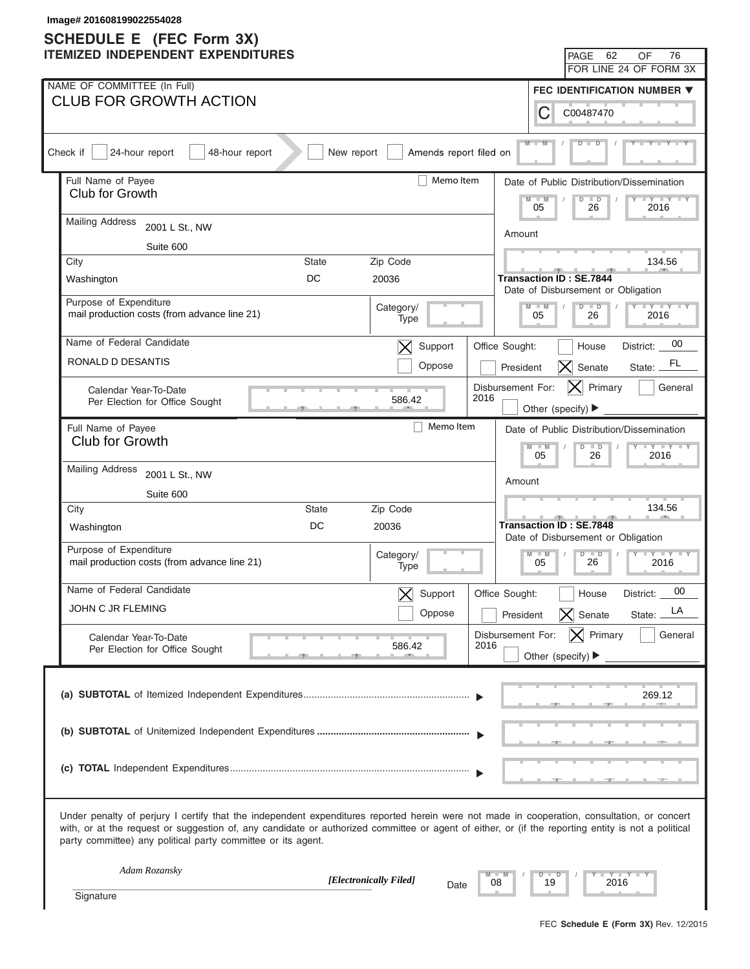| Image# 201608199022554028<br><b>SCHEDULE E</b> (FEC Form 3X)                                                                                                                                                                                                                                                                                                      |              |                                   |                           |                                                                      |                                                              |
|-------------------------------------------------------------------------------------------------------------------------------------------------------------------------------------------------------------------------------------------------------------------------------------------------------------------------------------------------------------------|--------------|-----------------------------------|---------------------------|----------------------------------------------------------------------|--------------------------------------------------------------|
| <b>ITEMIZED INDEPENDENT EXPENDITURES</b>                                                                                                                                                                                                                                                                                                                          |              |                                   |                           | PAGE                                                                 | 76<br>62<br>OF                                               |
|                                                                                                                                                                                                                                                                                                                                                                   |              |                                   |                           |                                                                      | FOR LINE 24 OF FORM 3X                                       |
| NAME OF COMMITTEE (In Full)<br><b>CLUB FOR GROWTH ACTION</b>                                                                                                                                                                                                                                                                                                      |              |                                   |                           |                                                                      | <b>FEC IDENTIFICATION NUMBER ▼</b>                           |
|                                                                                                                                                                                                                                                                                                                                                                   |              |                                   |                           | C<br>C00487470                                                       |                                                              |
| Check if<br>24-hour report<br>48-hour report                                                                                                                                                                                                                                                                                                                      | New report   | Amends report filed on            |                           | $M -$                                                                |                                                              |
| Full Name of Payee<br>Club for Growth                                                                                                                                                                                                                                                                                                                             |              | Memo Item                         |                           | $-M$<br>$\Box$                                                       | Date of Public Distribution/Dissemination<br>$\Box Y \Box Y$ |
| <b>Mailing Address</b>                                                                                                                                                                                                                                                                                                                                            |              | $\overline{D}$<br>05<br>26        | 2016                      |                                                                      |                                                              |
| 2001 L St., NW<br>Suite 600                                                                                                                                                                                                                                                                                                                                       |              |                                   | Amount                    |                                                                      |                                                              |
| City                                                                                                                                                                                                                                                                                                                                                              | <b>State</b> | Zip Code                          |                           |                                                                      | 134.56                                                       |
| Washington                                                                                                                                                                                                                                                                                                                                                        | DC           | 20036                             |                           | <b>Transaction ID: SE.7844</b><br>Date of Disbursement or Obligation |                                                              |
| Purpose of Expenditure<br>mail production costs (from advance line 21)                                                                                                                                                                                                                                                                                            |              | Category/<br>Type                 |                           | $D$ $D$<br>$M - M$<br>05<br>26                                       | $Y - Y - Y - Y - Y$<br>2016                                  |
| Name of Federal Candidate                                                                                                                                                                                                                                                                                                                                         |              | Support<br>$\mathsf{X}\mathsf{I}$ | Office Sought:            | House                                                                | 00<br>District:                                              |
| RONALD D DESANTIS                                                                                                                                                                                                                                                                                                                                                 |              | Oppose                            | President                 | Senate                                                               | FL<br>State:                                                 |
| Calendar Year-To-Date<br>Per Election for Office Sought                                                                                                                                                                                                                                                                                                           |              | 586.42                            | Disbursement For:<br>2016 | Other (specify) $\blacktriangleright$                                | $\vert X \vert$ Primary<br>General                           |
| Full Name of Payee                                                                                                                                                                                                                                                                                                                                                |              | Memo Item                         |                           |                                                                      | Date of Public Distribution/Dissemination                    |
| Club for Growth                                                                                                                                                                                                                                                                                                                                                   |              |                                   |                           | $M - M$<br>$\overline{D}$<br>05                                      | $Y - Y - Y - Y - Y$<br>$\blacksquare$<br>26<br>2016          |
| <b>Mailing Address</b><br>2001 L St., NW                                                                                                                                                                                                                                                                                                                          |              |                                   | Amount                    |                                                                      |                                                              |
| Suite 600                                                                                                                                                                                                                                                                                                                                                         |              |                                   |                           |                                                                      |                                                              |
| City                                                                                                                                                                                                                                                                                                                                                              | <b>State</b> | Zip Code                          |                           |                                                                      | 134.56                                                       |
| Washington                                                                                                                                                                                                                                                                                                                                                        | DC           | 20036                             |                           | <b>Transaction ID: SE.7848</b>                                       | Date of Disbursement or Obligation                           |
| Purpose of Expenditure<br>mail production costs (from advance line 21)                                                                                                                                                                                                                                                                                            |              | Category/<br>Type                 |                           | $D$ $D$<br>$M - M$<br>26<br>05                                       | $\blacksquare$<br>2016                                       |
| Name of Federal Candidate                                                                                                                                                                                                                                                                                                                                         |              | Support<br>$\bm{\times}$          | Office Sought:            | House                                                                | 00<br>District:                                              |
| JOHN C JR FLEMING                                                                                                                                                                                                                                                                                                                                                 |              | Oppose                            | President                 | $\vert\boldsymbol{\times}\vert$<br>Senate                            | LA<br>State:                                                 |
| Calendar Year-To-Date<br>Per Election for Office Sought                                                                                                                                                                                                                                                                                                           |              | 586.42                            | Disbursement For:<br>2016 |                                                                      | $ \mathsf{X} $ Primary<br>General                            |
|                                                                                                                                                                                                                                                                                                                                                                   |              |                                   |                           | Other (specify) $\blacktriangleright$                                |                                                              |
|                                                                                                                                                                                                                                                                                                                                                                   |              |                                   |                           |                                                                      | 269.12                                                       |
|                                                                                                                                                                                                                                                                                                                                                                   |              |                                   |                           |                                                                      |                                                              |
|                                                                                                                                                                                                                                                                                                                                                                   |              |                                   |                           |                                                                      |                                                              |
| Under penalty of perjury I certify that the independent expenditures reported herein were not made in cooperation, consultation, or concert<br>with, or at the request or suggestion of, any candidate or authorized committee or agent of either, or (if the reporting entity is not a political<br>party committee) any political party committee or its agent. |              |                                   |                           |                                                                      |                                                              |
| Adam Rozansky                                                                                                                                                                                                                                                                                                                                                     |              | [Electronically Filed]            | 08                        | $D$ $D$<br>19                                                        | $-Y - Y - Y$<br>2016                                         |
| Signature                                                                                                                                                                                                                                                                                                                                                         |              | Date                              |                           |                                                                      |                                                              |
|                                                                                                                                                                                                                                                                                                                                                                   |              |                                   |                           |                                                                      |                                                              |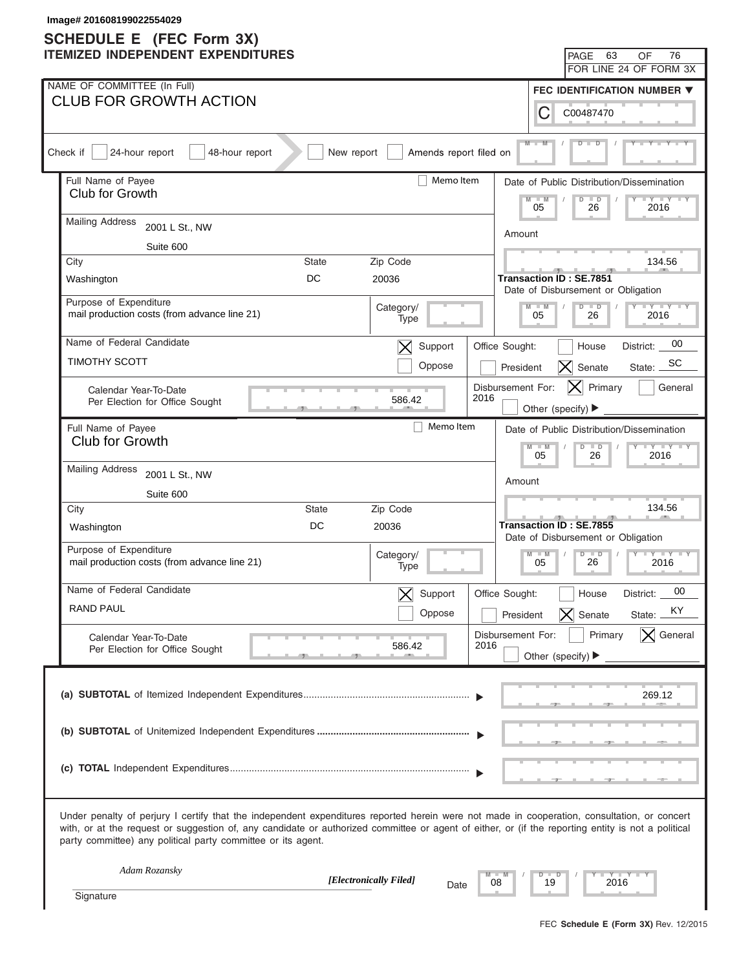| Image# 201608199022554029<br><b>SCHEDULE E</b> (FEC Form 3X)                                                                                                                                                                                                                                                                                                      |              |                                    |                           |                                       |                                                                      |                                           |
|-------------------------------------------------------------------------------------------------------------------------------------------------------------------------------------------------------------------------------------------------------------------------------------------------------------------------------------------------------------------|--------------|------------------------------------|---------------------------|---------------------------------------|----------------------------------------------------------------------|-------------------------------------------|
| <b>ITEMIZED INDEPENDENT EXPENDITURES</b>                                                                                                                                                                                                                                                                                                                          |              |                                    |                           |                                       | PAGE 63                                                              | OF<br>76                                  |
|                                                                                                                                                                                                                                                                                                                                                                   |              |                                    |                           |                                       |                                                                      | FOR LINE 24 OF FORM 3X                    |
| NAME OF COMMITTEE (In Full)                                                                                                                                                                                                                                                                                                                                       |              |                                    |                           |                                       |                                                                      | FEC IDENTIFICATION NUMBER ▼               |
| <b>CLUB FOR GROWTH ACTION</b>                                                                                                                                                                                                                                                                                                                                     |              |                                    |                           | С                                     | C00487470                                                            |                                           |
| 24-hour report<br>Check if<br>48-hour report                                                                                                                                                                                                                                                                                                                      | New report   | Amends report filed on             |                           | $M -$                                 |                                                                      |                                           |
| Full Name of Payee<br>Club for Growth                                                                                                                                                                                                                                                                                                                             |              | Memo Item                          |                           |                                       |                                                                      | Date of Public Distribution/Dissemination |
|                                                                                                                                                                                                                                                                                                                                                                   |              |                                    |                           | $M - M$<br>05                         | $\overline{D}$<br>$\Box$<br>26                                       | $+Y+Y$<br>2016                            |
| <b>Mailing Address</b><br>2001 L St., NW                                                                                                                                                                                                                                                                                                                          |              |                                    | Amount                    |                                       |                                                                      |                                           |
| Suite 600                                                                                                                                                                                                                                                                                                                                                         |              |                                    |                           |                                       |                                                                      |                                           |
| City                                                                                                                                                                                                                                                                                                                                                              | <b>State</b> | Zip Code                           |                           |                                       |                                                                      | 134.56                                    |
| Washington                                                                                                                                                                                                                                                                                                                                                        | DC           | 20036                              |                           |                                       | <b>Transaction ID: SE.7851</b><br>Date of Disbursement or Obligation |                                           |
| Purpose of Expenditure<br>mail production costs (from advance line 21)                                                                                                                                                                                                                                                                                            |              | Category/<br>Type                  |                           | $M - M$<br>05                         | $D$ $D$<br>26                                                        | $Y - Y - Y - Y - Y$<br>2016               |
| Name of Federal Candidate                                                                                                                                                                                                                                                                                                                                         |              | Support<br>$\bm{\times}$           | Office Sought:            |                                       | House                                                                | 00<br>District:                           |
| <b>TIMOTHY SCOTT</b>                                                                                                                                                                                                                                                                                                                                              |              | Oppose                             |                           | President                             | $\mathsf{X}$<br>Senate                                               | SС<br>State:                              |
| Calendar Year-To-Date                                                                                                                                                                                                                                                                                                                                             |              |                                    | Disbursement For:         |                                       | $ \mathsf{X} $ Primary                                               | General                                   |
| Per Election for Office Sought                                                                                                                                                                                                                                                                                                                                    |              | 586.42                             | 2016                      | Other (specify) ▶                     |                                                                      |                                           |
| Full Name of Payee                                                                                                                                                                                                                                                                                                                                                |              | Memo Item                          |                           |                                       |                                                                      | Date of Public Distribution/Dissemination |
| Club for Growth                                                                                                                                                                                                                                                                                                                                                   |              |                                    |                           | $M - M$<br>05                         | $D$ $D$<br>26                                                        | $Y - Y - Y - Y - Y$<br>2016               |
| <b>Mailing Address</b><br>2001 L St., NW                                                                                                                                                                                                                                                                                                                          |              |                                    |                           |                                       |                                                                      |                                           |
| Suite 600                                                                                                                                                                                                                                                                                                                                                         |              |                                    |                           | Amount                                |                                                                      |                                           |
| City                                                                                                                                                                                                                                                                                                                                                              | <b>State</b> | Zip Code                           |                           |                                       |                                                                      | 134.56                                    |
| Washington                                                                                                                                                                                                                                                                                                                                                        | DC           | 20036                              |                           |                                       | <b>Transaction ID: SE.7855</b><br>Date of Disbursement or Obligation |                                           |
| Purpose of Expenditure<br>mail production costs (from advance line 21)                                                                                                                                                                                                                                                                                            |              | Category/<br>Type                  |                           | $M - M$<br>05                         | $D$ $D$<br>26                                                        | $Y - Y - Y - Y - Y$<br>2016               |
| Name of Federal Candidate                                                                                                                                                                                                                                                                                                                                         |              |                                    |                           |                                       |                                                                      | 00                                        |
| RAND PAUL                                                                                                                                                                                                                                                                                                                                                         |              | Support<br>$\bm{\times}$<br>Oppose | Office Sought:            |                                       | House<br>Senate                                                      | District:<br>KY                           |
|                                                                                                                                                                                                                                                                                                                                                                   |              |                                    |                           | President                             | $\mathsf{X}% _{0}$                                                   | State:                                    |
| Calendar Year-To-Date<br>Per Election for Office Sought                                                                                                                                                                                                                                                                                                           |              | 586.42                             | Disbursement For:<br>2016 | Other (specify) $\blacktriangleright$ | Primary                                                              | $\vert$ General                           |
|                                                                                                                                                                                                                                                                                                                                                                   |              |                                    |                           |                                       |                                                                      |                                           |
|                                                                                                                                                                                                                                                                                                                                                                   |              |                                    |                           |                                       |                                                                      | 269.12                                    |
|                                                                                                                                                                                                                                                                                                                                                                   |              |                                    |                           |                                       |                                                                      |                                           |
|                                                                                                                                                                                                                                                                                                                                                                   |              |                                    |                           |                                       |                                                                      |                                           |
|                                                                                                                                                                                                                                                                                                                                                                   |              |                                    |                           |                                       |                                                                      |                                           |
|                                                                                                                                                                                                                                                                                                                                                                   |              |                                    |                           |                                       |                                                                      |                                           |
|                                                                                                                                                                                                                                                                                                                                                                   |              |                                    |                           |                                       |                                                                      |                                           |
| Under penalty of perjury I certify that the independent expenditures reported herein were not made in cooperation, consultation, or concert<br>with, or at the request or suggestion of, any candidate or authorized committee or agent of either, or (if the reporting entity is not a political<br>party committee) any political party committee or its agent. |              |                                    |                           |                                       |                                                                      |                                           |
| Adam Rozansky                                                                                                                                                                                                                                                                                                                                                     |              | [Electronically Filed]             | 08                        | $D$ $D$<br>19                         | 2016                                                                 | YIYIY                                     |
| Signature                                                                                                                                                                                                                                                                                                                                                         |              | Date                               |                           |                                       |                                                                      |                                           |
|                                                                                                                                                                                                                                                                                                                                                                   |              |                                    |                           |                                       |                                                                      |                                           |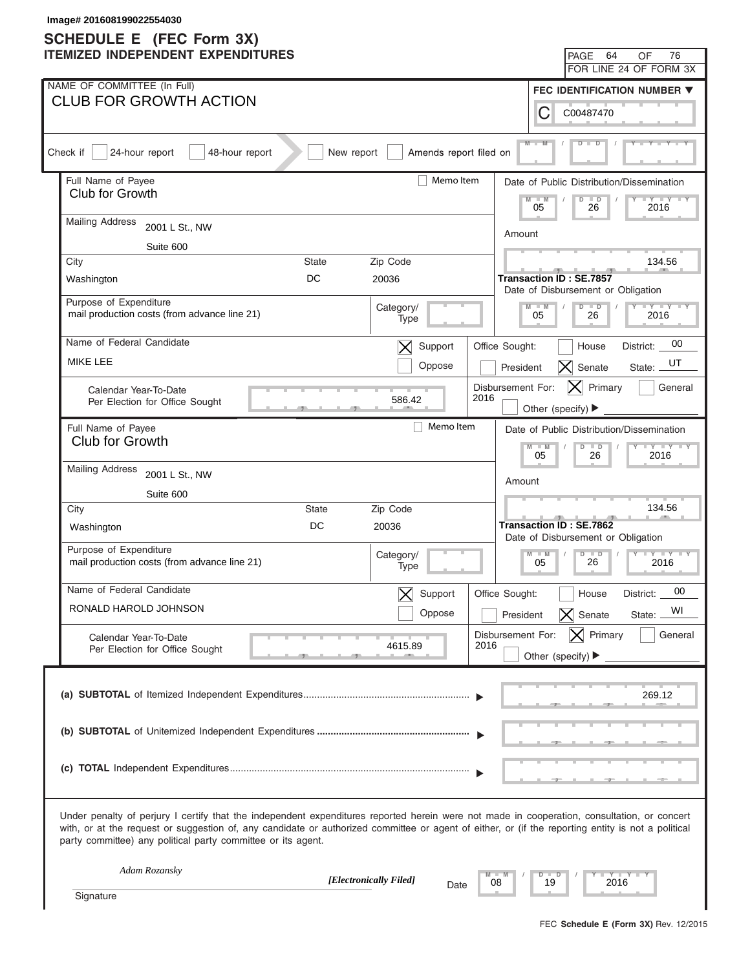| Image# 201608199022554030<br><b>SCHEDULE E</b> (FEC Form 3X)                                                                                                                                                                                                                                                                                                      |                                                                                  |
|-------------------------------------------------------------------------------------------------------------------------------------------------------------------------------------------------------------------------------------------------------------------------------------------------------------------------------------------------------------------|----------------------------------------------------------------------------------|
| <b>ITEMIZED INDEPENDENT EXPENDITURES</b>                                                                                                                                                                                                                                                                                                                          | 76<br>64<br>PAGE<br>OF                                                           |
|                                                                                                                                                                                                                                                                                                                                                                   | FOR LINE 24 OF FORM 3X                                                           |
| NAME OF COMMITTEE (In Full)                                                                                                                                                                                                                                                                                                                                       | FEC IDENTIFICATION NUMBER ▼                                                      |
| <b>CLUB FOR GROWTH ACTION</b>                                                                                                                                                                                                                                                                                                                                     | C<br>C00487470                                                                   |
| Check if<br>24-hour report<br>48-hour report<br>New report                                                                                                                                                                                                                                                                                                        | $M -$<br>Amends report filed on                                                  |
| Full Name of Payee<br>Club for Growth                                                                                                                                                                                                                                                                                                                             | Memo Item<br>Date of Public Distribution/Dissemination                           |
| <b>Mailing Address</b>                                                                                                                                                                                                                                                                                                                                            | $-M$<br>$\Box$<br>$\Box Y \Box Y$<br>$\overline{D}$<br>05<br>26<br>2016          |
| 2001 L St., NW<br>Suite 600                                                                                                                                                                                                                                                                                                                                       | Amount                                                                           |
| City<br>Zip Code<br><b>State</b>                                                                                                                                                                                                                                                                                                                                  | 134.56                                                                           |
| DC<br>20036<br>Washington                                                                                                                                                                                                                                                                                                                                         | <b>Transaction ID: SE.7857</b>                                                   |
| Purpose of Expenditure                                                                                                                                                                                                                                                                                                                                            | Date of Disbursement or Obligation                                               |
| Category/<br>mail production costs (from advance line 21)                                                                                                                                                                                                                                                                                                         | $Y - Y - Y - Y - Y$<br>$D$ $D$<br>$M - M$<br>05<br>26<br>2016<br>Type            |
| Name of Federal Candidate                                                                                                                                                                                                                                                                                                                                         | 00<br>Support<br>$\mathsf{X}\mathsf{I}$<br>Office Sought:<br>House<br>District:  |
| <b>MIKE LEE</b>                                                                                                                                                                                                                                                                                                                                                   | UT<br>Oppose<br>$\vert X \vert$<br>Senate<br>State:<br>President                 |
| Calendar Year-To-Date<br>Per Election for Office Sought                                                                                                                                                                                                                                                                                                           | $\vert X \vert$ Primary<br>Disbursement For:<br>General<br>2016<br>586.42        |
|                                                                                                                                                                                                                                                                                                                                                                   | Other (specify) $\blacktriangleright$                                            |
| Full Name of Payee<br>Club for Growth                                                                                                                                                                                                                                                                                                                             | Memo Item<br>Date of Public Distribution/Dissemination<br>$Y - Y - Y - Y - Y$    |
| <b>Mailing Address</b>                                                                                                                                                                                                                                                                                                                                            | $M - M$<br>$D$ $D$<br>05<br>26<br>2016                                           |
| 2001 L St., NW                                                                                                                                                                                                                                                                                                                                                    | Amount                                                                           |
| Suite 600                                                                                                                                                                                                                                                                                                                                                         | 134.56                                                                           |
| Zip Code<br>City<br><b>State</b><br>DC<br>20036<br>Washington                                                                                                                                                                                                                                                                                                     | <b>Transaction ID: SE.7862</b>                                                   |
|                                                                                                                                                                                                                                                                                                                                                                   | Date of Disbursement or Obligation                                               |
| Purpose of Expenditure<br>Category/<br>mail production costs (from advance line 21)                                                                                                                                                                                                                                                                               | $D$ $\Box$ $D$<br>$M$ $-M$<br>$\Box$<br>26<br>05<br>2016<br>Type                 |
| Name of Federal Candidate                                                                                                                                                                                                                                                                                                                                         | 00<br>Support<br>Office Sought:<br>House<br>District:                            |
| RONALD HAROLD JOHNSON                                                                                                                                                                                                                                                                                                                                             | WI<br>Oppose<br>$\vert\boldsymbol{\times}\vert$<br>Senate<br>President<br>State: |
| Calendar Year-To-Date<br>4615.89                                                                                                                                                                                                                                                                                                                                  | $ \mathsf{X} $ Primary<br>General<br>Disbursement For:<br>2016                   |
| Per Election for Office Sought                                                                                                                                                                                                                                                                                                                                    | Other (specify) $\blacktriangleright$                                            |
|                                                                                                                                                                                                                                                                                                                                                                   |                                                                                  |
|                                                                                                                                                                                                                                                                                                                                                                   | 269.12                                                                           |
|                                                                                                                                                                                                                                                                                                                                                                   |                                                                                  |
|                                                                                                                                                                                                                                                                                                                                                                   |                                                                                  |
|                                                                                                                                                                                                                                                                                                                                                                   |                                                                                  |
| Under penalty of perjury I certify that the independent expenditures reported herein were not made in cooperation, consultation, or concert<br>with, or at the request or suggestion of, any candidate or authorized committee or agent of either, or (if the reporting entity is not a political<br>party committee) any political party committee or its agent. |                                                                                  |
| Adam Rozansky<br>[Electronically Filed]                                                                                                                                                                                                                                                                                                                           | $-Y - Y - Y$<br>$D$ $D$<br>19<br>2016<br>08                                      |
| Signature                                                                                                                                                                                                                                                                                                                                                         | Date                                                                             |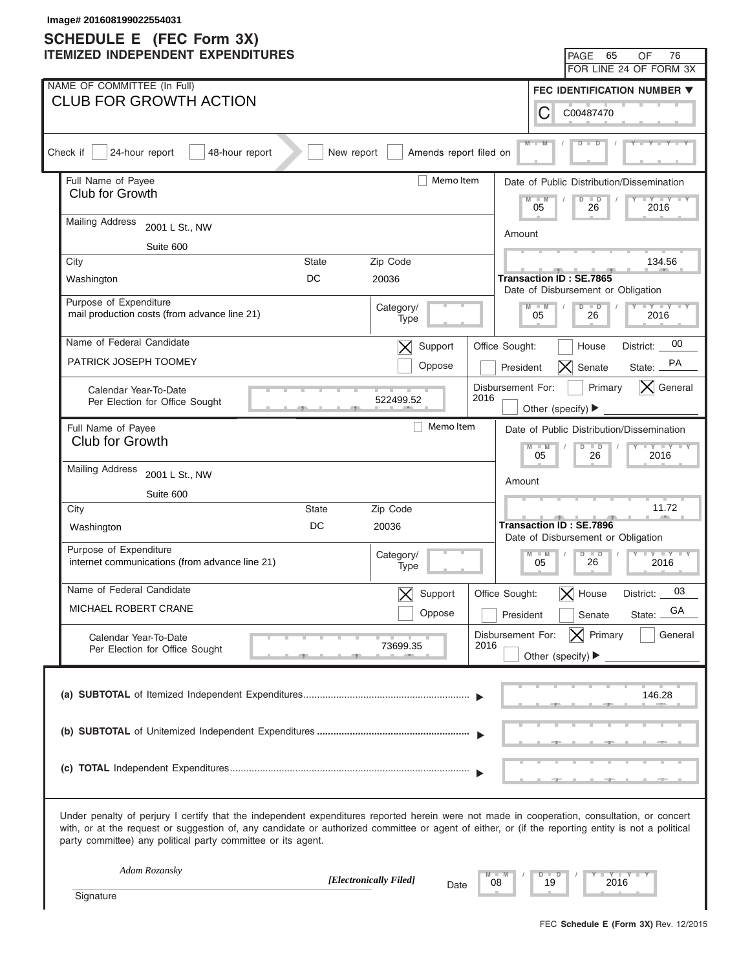| Image# 201608199022554031<br><b>SCHEDULE E</b> (FEC Form 3X)                                                                                                                                                                                                                                                                                                      |                                                                             |
|-------------------------------------------------------------------------------------------------------------------------------------------------------------------------------------------------------------------------------------------------------------------------------------------------------------------------------------------------------------------|-----------------------------------------------------------------------------|
| <b>ITEMIZED INDEPENDENT EXPENDITURES</b>                                                                                                                                                                                                                                                                                                                          | 65<br>76<br>PAGE<br>OF                                                      |
|                                                                                                                                                                                                                                                                                                                                                                   | FOR LINE 24 OF FORM 3X                                                      |
| NAME OF COMMITTEE (In Full)                                                                                                                                                                                                                                                                                                                                       | FEC IDENTIFICATION NUMBER ▼                                                 |
| <b>CLUB FOR GROWTH ACTION</b>                                                                                                                                                                                                                                                                                                                                     | С<br>C00487470                                                              |
| Amends report filed on<br>Check if<br>24-hour report<br>48-hour report<br>New report                                                                                                                                                                                                                                                                              | $M -$                                                                       |
| Memo Item<br>Full Name of Payee                                                                                                                                                                                                                                                                                                                                   | Date of Public Distribution/Dissemination                                   |
| Club for Growth                                                                                                                                                                                                                                                                                                                                                   | $-W$<br>$\overline{D}$<br>$\blacksquare$<br>$+Y+Y$<br>05<br>26<br>2016      |
| <b>Mailing Address</b><br>2001 L St., NW                                                                                                                                                                                                                                                                                                                          | Amount                                                                      |
| Suite 600                                                                                                                                                                                                                                                                                                                                                         |                                                                             |
| Zip Code<br>City<br><b>State</b>                                                                                                                                                                                                                                                                                                                                  | 134.56                                                                      |
| DC<br>20036<br>Washington                                                                                                                                                                                                                                                                                                                                         | <b>Transaction ID: SE.7865</b><br>Date of Disbursement or Obligation        |
| Purpose of Expenditure<br>Category/<br>mail production costs (from advance line 21)<br>Type                                                                                                                                                                                                                                                                       | $Y = Y = Y = Y = Y$<br>$D$ $D$<br>$M - M$<br>05<br>26<br>2016               |
| Name of Federal Candidate<br>Support<br>$\bm{\times}$                                                                                                                                                                                                                                                                                                             | 00<br>Office Sought:<br>House<br>District:                                  |
| PATRICK JOSEPH TOOMEY<br>Oppose                                                                                                                                                                                                                                                                                                                                   | PA<br>$ \boldsymbol{\mathsf{X}} $<br>Senate<br>State:<br>President          |
| Calendar Year-To-Date<br>2016<br>522499.52<br>Per Election for Office Sought                                                                                                                                                                                                                                                                                      | $ \mathsf{X} $ General<br>Disbursement For:<br>Primary<br>Other (specify) ▶ |
| Memo Item<br>Full Name of Payee                                                                                                                                                                                                                                                                                                                                   | Date of Public Distribution/Dissemination                                   |
| Club for Growth                                                                                                                                                                                                                                                                                                                                                   | $Y - Y - Y - Y - IY$<br>$M - M$<br>$D$ $D$                                  |
| <b>Mailing Address</b><br>2001 L St., NW                                                                                                                                                                                                                                                                                                                          | 05<br>26<br>2016                                                            |
| Suite 600                                                                                                                                                                                                                                                                                                                                                         | Amount                                                                      |
| City<br>State<br>Zip Code                                                                                                                                                                                                                                                                                                                                         | 11.72                                                                       |
| DC<br>20036<br>Washington                                                                                                                                                                                                                                                                                                                                         | <b>Transaction ID: SE.7896</b><br>Date of Disbursement or Obligation        |
| Purpose of Expenditure<br>Category/<br>internet communications (from advance line 21)<br>Type                                                                                                                                                                                                                                                                     | $M - M$<br>$D$ $\Box$ $D$<br>$Y - Y - Y - Y - I - Y$<br>26<br>05<br>2016    |
| Name of Federal Candidate<br>Support                                                                                                                                                                                                                                                                                                                              | 03<br>Office Sought:<br>$\bm{\times}$<br>House<br>District:                 |
| MICHAEL ROBERT CRANE<br>Oppose                                                                                                                                                                                                                                                                                                                                    | GA<br>President<br>Senate<br>State:                                         |
| Calendar Year-To-Date                                                                                                                                                                                                                                                                                                                                             | $ \mathsf{X} $ Primary<br>General<br>Disbursement For:                      |
| 2016<br>73699.35<br>Per Election for Office Sought                                                                                                                                                                                                                                                                                                                | Other (specify) $\blacktriangleright$                                       |
|                                                                                                                                                                                                                                                                                                                                                                   | 146.28                                                                      |
|                                                                                                                                                                                                                                                                                                                                                                   |                                                                             |
|                                                                                                                                                                                                                                                                                                                                                                   |                                                                             |
| Under penalty of perjury I certify that the independent expenditures reported herein were not made in cooperation, consultation, or concert<br>with, or at the request or suggestion of, any candidate or authorized committee or agent of either, or (if the reporting entity is not a political<br>party committee) any political party committee or its agent. |                                                                             |
| Adam Rozansky<br>[Electronically Filed]<br>08                                                                                                                                                                                                                                                                                                                     | $Y - Y - I$<br>$\Box$<br>D<br>19<br>2016                                    |
| Date<br>Signature                                                                                                                                                                                                                                                                                                                                                 |                                                                             |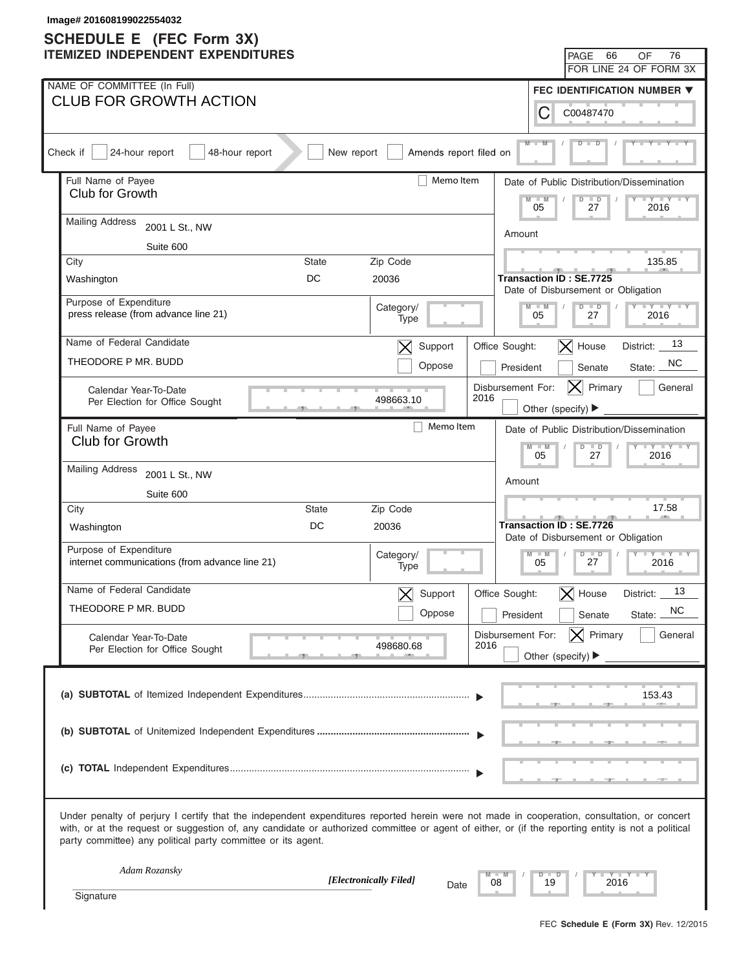| Image# 201608199022554032<br><b>SCHEDULE E</b> (FEC Form 3X)                                                                                                                                                                                                                                                                                                      |                                                                                                            |
|-------------------------------------------------------------------------------------------------------------------------------------------------------------------------------------------------------------------------------------------------------------------------------------------------------------------------------------------------------------------|------------------------------------------------------------------------------------------------------------|
| <b>ITEMIZED INDEPENDENT EXPENDITURES</b>                                                                                                                                                                                                                                                                                                                          | - 66<br>76<br><b>PAGE</b><br>OF                                                                            |
|                                                                                                                                                                                                                                                                                                                                                                   | FOR LINE 24 OF FORM 3X                                                                                     |
| NAME OF COMMITTEE (In Full)                                                                                                                                                                                                                                                                                                                                       | FEC IDENTIFICATION NUMBER ▼                                                                                |
| <b>CLUB FOR GROWTH ACTION</b>                                                                                                                                                                                                                                                                                                                                     | С<br>C00487470                                                                                             |
| Check if<br>24-hour report<br>48-hour report<br>New report<br>Amends report filed on                                                                                                                                                                                                                                                                              | $M -$                                                                                                      |
| Full Name of Payee<br>Memo Item<br>Club for Growth                                                                                                                                                                                                                                                                                                                | Date of Public Distribution/Dissemination<br>$\overline{\mathsf{M}}$<br>$\Box$<br>$\overline{D}$<br>$+Y+Y$ |
| <b>Mailing Address</b><br>2001 L St., NW                                                                                                                                                                                                                                                                                                                          | 05<br>27<br>2016                                                                                           |
| Suite 600                                                                                                                                                                                                                                                                                                                                                         | Amount                                                                                                     |
| City<br>Zip Code<br>State                                                                                                                                                                                                                                                                                                                                         | 135.85                                                                                                     |
| <b>DC</b><br>20036<br>Washington                                                                                                                                                                                                                                                                                                                                  | <b>Transaction ID: SE.7725</b><br>Date of Disbursement or Obligation                                       |
| Purpose of Expenditure<br>Category/<br>press release (from advance line 21)<br>Type                                                                                                                                                                                                                                                                               | $Y = Y = Y = Y = Y$<br>$M - M$<br>$D$ $D$<br>05<br>27<br>2016                                              |
| Name of Federal Candidate<br>Support<br>$\bm{\times}$                                                                                                                                                                                                                                                                                                             | 13<br>$ \mathsf{X} $ House<br>Office Sought:<br>District:                                                  |
| THEODORE P MR. BUDD<br>Oppose                                                                                                                                                                                                                                                                                                                                     | NC.<br>President<br>State:<br>Senate                                                                       |
| Calendar Year-To-Date<br>498663.10<br>Per Election for Office Sought                                                                                                                                                                                                                                                                                              | Disbursement For:<br>Primary<br> X <br>General<br>2016<br>Other (specify) ▶                                |
| Memo Item<br>Full Name of Payee                                                                                                                                                                                                                                                                                                                                   | Date of Public Distribution/Dissemination                                                                  |
| Club for Growth                                                                                                                                                                                                                                                                                                                                                   | $Y - Y - Y - Y - I$<br>$M - M$<br>$D$ $D$                                                                  |
|                                                                                                                                                                                                                                                                                                                                                                   | 05<br>2016<br>27                                                                                           |
| <b>Mailing Address</b><br>2001 L St., NW                                                                                                                                                                                                                                                                                                                          | Amount                                                                                                     |
| Suite 600                                                                                                                                                                                                                                                                                                                                                         |                                                                                                            |
| City<br><b>State</b><br>Zip Code                                                                                                                                                                                                                                                                                                                                  | 17.58                                                                                                      |
| DC<br>20036<br>Washington                                                                                                                                                                                                                                                                                                                                         | <b>Transaction ID: SE.7726</b><br>Date of Disbursement or Obligation                                       |
| Purpose of Expenditure<br>Category/<br>internet communications (from advance line 21)<br>Type                                                                                                                                                                                                                                                                     | $M - M$<br>$D$ $\Box$<br>$Y - Y - Y - Y + Y$<br>$\vert \vert$<br>27<br>05<br>2016                          |
| Name of Federal Candidate<br>Support                                                                                                                                                                                                                                                                                                                              | 13<br>Office Sought:<br>$\bm{\times}$<br>House<br>District:                                                |
| THEODORE P MR. BUDD<br>Oppose                                                                                                                                                                                                                                                                                                                                     | NC.<br>President<br>Senate<br>State:                                                                       |
| Calendar Year-To-Date<br>498680.68<br>Per Election for Office Sought                                                                                                                                                                                                                                                                                              | $ \mathsf{X} $ Primary<br>Disbursement For:<br>General<br>2016                                             |
|                                                                                                                                                                                                                                                                                                                                                                   | Other (specify) $\blacktriangleright$                                                                      |
|                                                                                                                                                                                                                                                                                                                                                                   | 153.43                                                                                                     |
|                                                                                                                                                                                                                                                                                                                                                                   |                                                                                                            |
|                                                                                                                                                                                                                                                                                                                                                                   |                                                                                                            |
|                                                                                                                                                                                                                                                                                                                                                                   |                                                                                                            |
| Under penalty of perjury I certify that the independent expenditures reported herein were not made in cooperation, consultation, or concert<br>with, or at the request or suggestion of, any candidate or authorized committee or agent of either, or (if the reporting entity is not a political<br>party committee) any political party committee or its agent. |                                                                                                            |
| Adam Rozansky<br>[Electronically Filed]                                                                                                                                                                                                                                                                                                                           | Y TYT<br>₽<br>$\Box$<br>08<br>19<br>2016                                                                   |
| Date<br>Signature                                                                                                                                                                                                                                                                                                                                                 |                                                                                                            |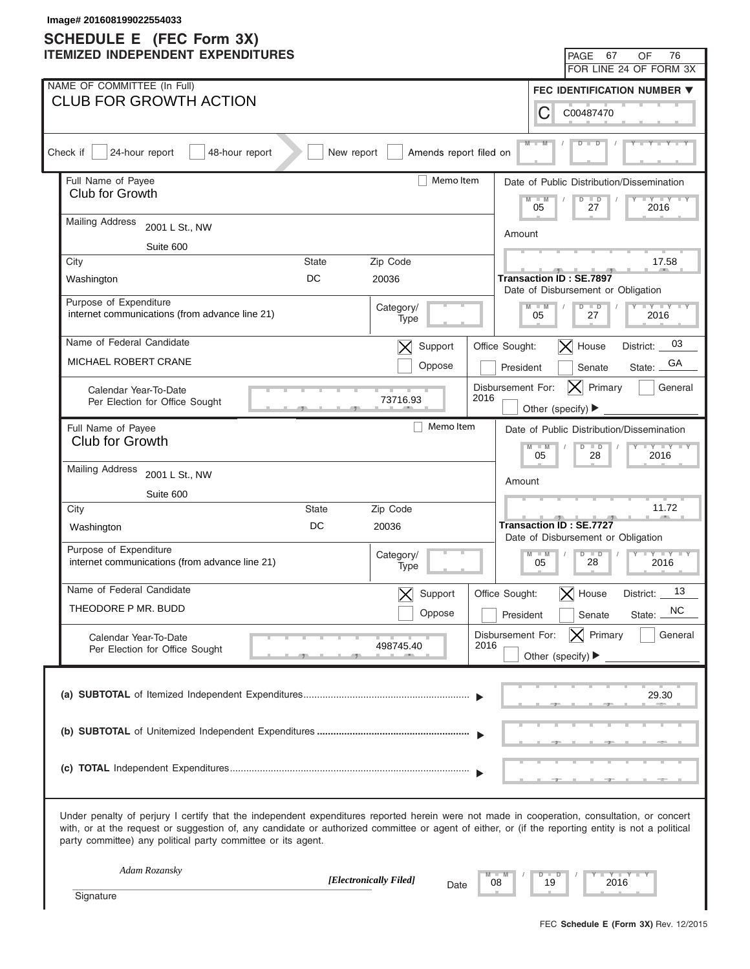| Image# 201608199022554033                                                                                                                                                                                                                                                                                                                                         |                                                                                                           |
|-------------------------------------------------------------------------------------------------------------------------------------------------------------------------------------------------------------------------------------------------------------------------------------------------------------------------------------------------------------------|-----------------------------------------------------------------------------------------------------------|
| <b>SCHEDULE E</b> (FEC Form 3X)<br><b>ITEMIZED INDEPENDENT EXPENDITURES</b>                                                                                                                                                                                                                                                                                       | 67<br>76<br>PAGE<br>OF                                                                                    |
|                                                                                                                                                                                                                                                                                                                                                                   | FOR LINE 24 OF FORM 3X                                                                                    |
| NAME OF COMMITTEE (In Full)                                                                                                                                                                                                                                                                                                                                       | FEC IDENTIFICATION NUMBER ▼                                                                               |
| <b>CLUB FOR GROWTH ACTION</b>                                                                                                                                                                                                                                                                                                                                     | С<br>C00487470                                                                                            |
| Amends report filed on<br>Check if<br>24-hour report<br>48-hour report<br>New report                                                                                                                                                                                                                                                                              | $M -$                                                                                                     |
| Memo Item<br>Full Name of Payee                                                                                                                                                                                                                                                                                                                                   | Date of Public Distribution/Dissemination                                                                 |
| Club for Growth                                                                                                                                                                                                                                                                                                                                                   | $M - M$<br>$\overline{D}$<br>$\blacksquare$<br>$+Y+Y$<br>27<br>05<br>2016                                 |
| <b>Mailing Address</b><br>2001 L St., NW                                                                                                                                                                                                                                                                                                                          | Amount                                                                                                    |
| Suite 600                                                                                                                                                                                                                                                                                                                                                         |                                                                                                           |
| Zip Code<br>City<br><b>State</b>                                                                                                                                                                                                                                                                                                                                  | 17.58                                                                                                     |
| DC<br>20036<br>Washington                                                                                                                                                                                                                                                                                                                                         | <b>Transaction ID: SE.7897</b><br>Date of Disbursement or Obligation                                      |
| Purpose of Expenditure<br>Category/<br>internet communications (from advance line 21)<br>Type                                                                                                                                                                                                                                                                     | $Y = Y = Y = Y = Y$<br>$D$ $D$<br>$M - M$<br>05<br>27<br>2016                                             |
| Name of Federal Candidate<br>Support<br>$\bm{\times}$                                                                                                                                                                                                                                                                                                             | 03<br>$ \mathsf{X} $ House<br>Office Sought:<br>District:                                                 |
| MICHAEL ROBERT CRANE<br>Oppose                                                                                                                                                                                                                                                                                                                                    | GА<br>President<br>Senate<br>State:                                                                       |
| Calendar Year-To-Date<br>2016<br>73716.93<br>Per Election for Office Sought                                                                                                                                                                                                                                                                                       | Disbursement For:<br>Primary<br>General<br>Other (specify) ▶                                              |
| Memo Item<br>Full Name of Payee                                                                                                                                                                                                                                                                                                                                   | Date of Public Distribution/Dissemination                                                                 |
| Club for Growth                                                                                                                                                                                                                                                                                                                                                   | $Y - Y - Y - Y - Y$<br>$M - M$<br>$D$ $D$                                                                 |
| <b>Mailing Address</b><br>2001 L St., NW                                                                                                                                                                                                                                                                                                                          | 05<br>2016<br>28                                                                                          |
| Suite 600                                                                                                                                                                                                                                                                                                                                                         | Amount                                                                                                    |
| City<br>State<br>Zip Code                                                                                                                                                                                                                                                                                                                                         | 11.72                                                                                                     |
| DC<br>20036<br>Washington                                                                                                                                                                                                                                                                                                                                         | <b>Transaction ID: SE.7727</b>                                                                            |
| Purpose of Expenditure<br>Category/<br>internet communications (from advance line 21)<br>Type                                                                                                                                                                                                                                                                     | Date of Disbursement or Obligation<br>$M - M$<br>$D$ $D$<br>$Y - Y - Y - Y - I - Y$<br>28<br>05<br>2016   |
| Name of Federal Candidate                                                                                                                                                                                                                                                                                                                                         |                                                                                                           |
| Support<br>$\bm{\times}$<br>THEODORE P MR. BUDD<br>Oppose                                                                                                                                                                                                                                                                                                         | 13<br>Office Sought:<br>$\bm{\times}$<br>House<br>District:<br><b>NC</b><br>President<br>Senate<br>State: |
| Calendar Year-To-Date                                                                                                                                                                                                                                                                                                                                             | $ \mathsf{X} $ Primary<br>General<br>Disbursement For:                                                    |
| 2016<br>498745.40<br>Per Election for Office Sought                                                                                                                                                                                                                                                                                                               | Other (specify) $\blacktriangleright$                                                                     |
|                                                                                                                                                                                                                                                                                                                                                                   | 29.30                                                                                                     |
|                                                                                                                                                                                                                                                                                                                                                                   |                                                                                                           |
|                                                                                                                                                                                                                                                                                                                                                                   |                                                                                                           |
| Under penalty of perjury I certify that the independent expenditures reported herein were not made in cooperation, consultation, or concert<br>with, or at the request or suggestion of, any candidate or authorized committee or agent of either, or (if the reporting entity is not a political<br>party committee) any political party committee or its agent. |                                                                                                           |
| Adam Rozansky<br>[Electronically Filed]<br>08                                                                                                                                                                                                                                                                                                                     | $Y - Y - I$<br>$\Box$<br>D<br>19<br>2016                                                                  |
| Date<br>Signature                                                                                                                                                                                                                                                                                                                                                 |                                                                                                           |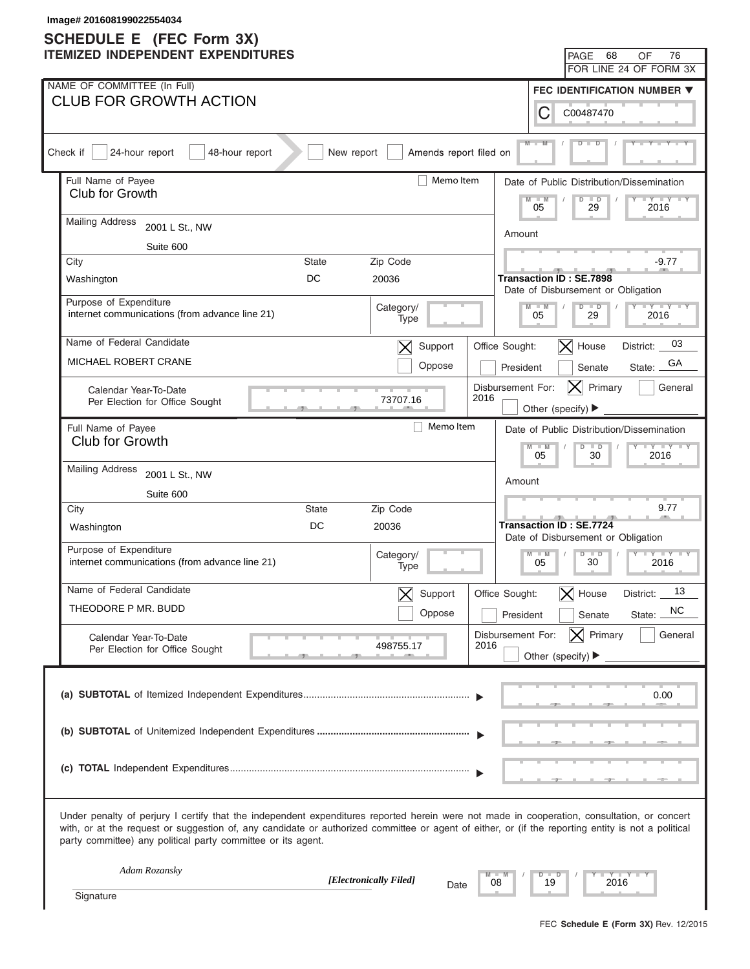| Image# 201608199022554034<br><b>SCHEDULE E</b> (FEC Form 3X)                                                                                                                                                                                                                                                                                                      |                                                                      |
|-------------------------------------------------------------------------------------------------------------------------------------------------------------------------------------------------------------------------------------------------------------------------------------------------------------------------------------------------------------------|----------------------------------------------------------------------|
| <b>ITEMIZED INDEPENDENT EXPENDITURES</b>                                                                                                                                                                                                                                                                                                                          | 68<br>76<br>PAGE<br>OF                                               |
|                                                                                                                                                                                                                                                                                                                                                                   | FOR LINE 24 OF FORM 3X                                               |
| NAME OF COMMITTEE (In Full)                                                                                                                                                                                                                                                                                                                                       | FEC IDENTIFICATION NUMBER ▼                                          |
| <b>CLUB FOR GROWTH ACTION</b>                                                                                                                                                                                                                                                                                                                                     | С<br>C00487470                                                       |
| Amends report filed on<br>Check if<br>24-hour report<br>48-hour report<br>New report                                                                                                                                                                                                                                                                              | $M -$                                                                |
| Memo Item<br>Full Name of Payee                                                                                                                                                                                                                                                                                                                                   | Date of Public Distribution/Dissemination                            |
| Club for Growth                                                                                                                                                                                                                                                                                                                                                   | $-W$<br>$\overline{D}$<br>$\Box$<br>$+Y+Y$<br>05<br>29<br>2016       |
| <b>Mailing Address</b><br>2001 L St., NW                                                                                                                                                                                                                                                                                                                          | Amount                                                               |
| Suite 600                                                                                                                                                                                                                                                                                                                                                         |                                                                      |
| Zip Code<br>City<br><b>State</b>                                                                                                                                                                                                                                                                                                                                  | $-9.77$                                                              |
| DC<br>20036<br>Washington                                                                                                                                                                                                                                                                                                                                         | <b>Transaction ID: SE.7898</b><br>Date of Disbursement or Obligation |
| Purpose of Expenditure<br>Category/<br>internet communications (from advance line 21)<br>Type                                                                                                                                                                                                                                                                     | $Y = Y = Y = Y = Y$<br>$D$ $D$<br>$M - M$<br>05<br>29<br>2016        |
| Name of Federal Candidate<br>Support<br>$\bm{\times}$                                                                                                                                                                                                                                                                                                             | 03<br>$ \mathsf{X} $ House<br>Office Sought:<br>District:            |
| MICHAEL ROBERT CRANE<br>Oppose                                                                                                                                                                                                                                                                                                                                    | GА<br>President<br>Senate<br>State:                                  |
| Calendar Year-To-Date<br>2016<br>73707.16<br>Per Election for Office Sought                                                                                                                                                                                                                                                                                       | Disbursement For:<br>Primary<br>General<br>IXI<br>Other (specify) ▶  |
| Memo Item<br>Full Name of Payee                                                                                                                                                                                                                                                                                                                                   | Date of Public Distribution/Dissemination                            |
| Club for Growth                                                                                                                                                                                                                                                                                                                                                   | $Y - Y - Y - Y - Y$<br>$M - M$<br>$D$ $D$<br>05<br>30<br>2016        |
| <b>Mailing Address</b><br>2001 L St., NW                                                                                                                                                                                                                                                                                                                          |                                                                      |
| Suite 600                                                                                                                                                                                                                                                                                                                                                         | Amount                                                               |
| City<br>State<br>Zip Code                                                                                                                                                                                                                                                                                                                                         | 9.77                                                                 |
| DC<br>20036<br>Washington                                                                                                                                                                                                                                                                                                                                         | <b>Transaction ID: SE.7724</b><br>Date of Disbursement or Obligation |
| Purpose of Expenditure<br>Category/<br>internet communications (from advance line 21)<br>Type                                                                                                                                                                                                                                                                     | $M - M$<br>$D$ $D$<br>$Y - Y - Y - Y - I - Y$<br>30<br>05<br>2016    |
| Name of Federal Candidate<br>Support<br>$\bm{\times}$                                                                                                                                                                                                                                                                                                             | 13<br>Office Sought:<br>$\bm{\times}$<br>House<br>District:          |
| THEODORE P MR. BUDD<br>Oppose                                                                                                                                                                                                                                                                                                                                     | <b>NC</b><br>President<br>Senate<br>State:                           |
| Calendar Year-To-Date                                                                                                                                                                                                                                                                                                                                             | $ \mathsf{X} $ Primary<br>General<br>Disbursement For:               |
| 2016<br>498755.17<br>Per Election for Office Sought                                                                                                                                                                                                                                                                                                               | Other (specify) $\blacktriangleright$                                |
|                                                                                                                                                                                                                                                                                                                                                                   | 0.00                                                                 |
|                                                                                                                                                                                                                                                                                                                                                                   |                                                                      |
|                                                                                                                                                                                                                                                                                                                                                                   |                                                                      |
| Under penalty of perjury I certify that the independent expenditures reported herein were not made in cooperation, consultation, or concert<br>with, or at the request or suggestion of, any candidate or authorized committee or agent of either, or (if the reporting entity is not a political<br>party committee) any political party committee or its agent. |                                                                      |
| Adam Rozansky<br>[Electronically Filed]<br>08                                                                                                                                                                                                                                                                                                                     | $Y - Y - I$<br>$\Box$<br>D<br>19<br>2016                             |
| Date<br>Signature                                                                                                                                                                                                                                                                                                                                                 |                                                                      |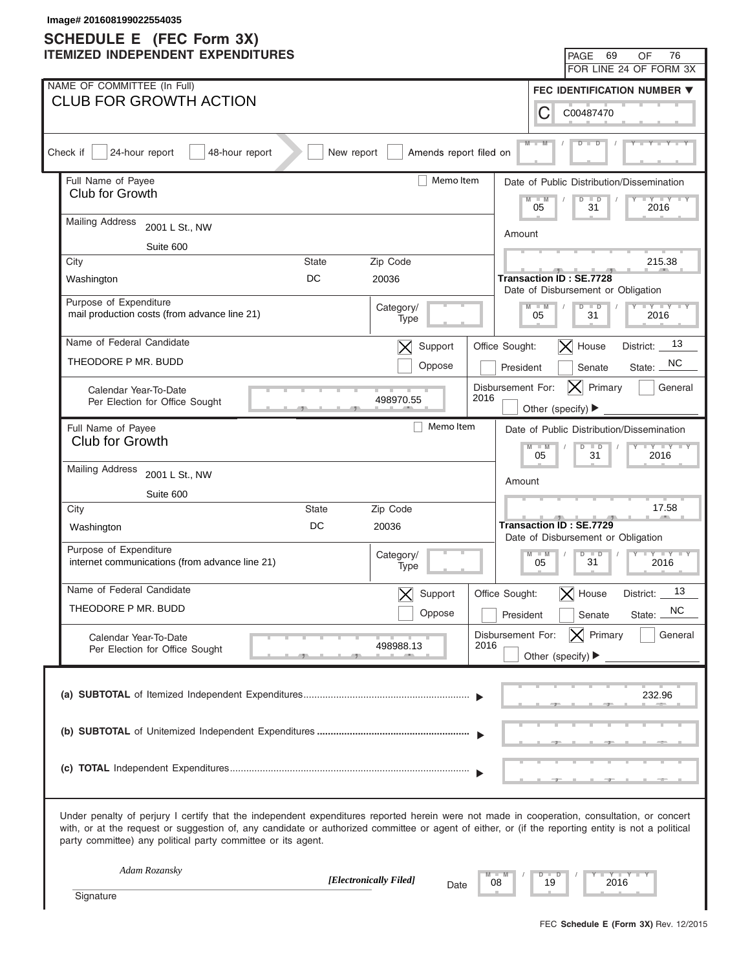| Image# 201608199022554035<br><b>SCHEDULE E</b> (FEC Form 3X)                                                                                                                                                                                                                                                                                                      |                                                                                        |
|-------------------------------------------------------------------------------------------------------------------------------------------------------------------------------------------------------------------------------------------------------------------------------------------------------------------------------------------------------------------|----------------------------------------------------------------------------------------|
| <b>ITEMIZED INDEPENDENT EXPENDITURES</b>                                                                                                                                                                                                                                                                                                                          | 69<br>76<br>PAGE<br>OF                                                                 |
|                                                                                                                                                                                                                                                                                                                                                                   | FOR LINE 24 OF FORM 3X                                                                 |
| NAME OF COMMITTEE (In Full)                                                                                                                                                                                                                                                                                                                                       | FEC IDENTIFICATION NUMBER ▼                                                            |
| <b>CLUB FOR GROWTH ACTION</b>                                                                                                                                                                                                                                                                                                                                     | С<br>C00487470                                                                         |
| Amends report filed on<br>Check if<br>24-hour report<br>48-hour report<br>New report                                                                                                                                                                                                                                                                              | $M -$                                                                                  |
| Memo Item<br>Full Name of Payee                                                                                                                                                                                                                                                                                                                                   | Date of Public Distribution/Dissemination                                              |
| Club for Growth                                                                                                                                                                                                                                                                                                                                                   | $-W$<br>$\overline{D}$<br>$\Box$<br>$\cdots$ $\cdots$<br>31<br>05<br>2016              |
| <b>Mailing Address</b><br>2001 L St., NW                                                                                                                                                                                                                                                                                                                          | Amount                                                                                 |
| Suite 600                                                                                                                                                                                                                                                                                                                                                         |                                                                                        |
| Zip Code<br>City<br><b>State</b>                                                                                                                                                                                                                                                                                                                                  | 215.38                                                                                 |
| DC<br>20036<br>Washington                                                                                                                                                                                                                                                                                                                                         | <b>Transaction ID: SE.7728</b><br>Date of Disbursement or Obligation                   |
| Purpose of Expenditure<br>Category/<br>mail production costs (from advance line 21)<br>Type                                                                                                                                                                                                                                                                       | $Y = Y = Y = Y = Y$<br>$M - M$<br>$\overline{D}$<br>$\overline{D}$<br>05<br>31<br>2016 |
| Name of Federal Candidate<br>Support<br>$\bm{\times}$                                                                                                                                                                                                                                                                                                             | 13<br>$\vert$ X House<br>Office Sought:<br>District:                                   |
| THEODORE P MR. BUDD<br>Oppose                                                                                                                                                                                                                                                                                                                                     | NC.<br>President<br>Senate<br>State:                                                   |
| Calendar Year-To-Date<br>2016<br>498970.55<br>Per Election for Office Sought                                                                                                                                                                                                                                                                                      | Disbursement For:<br>Primary<br>General<br>IXI<br>Other (specify) ▶                    |
| Memo Item<br>Full Name of Payee                                                                                                                                                                                                                                                                                                                                   | Date of Public Distribution/Dissemination                                              |
| Club for Growth                                                                                                                                                                                                                                                                                                                                                   | $Y - Y - Y - Y - IY$<br>$M - M$<br>$D$ $D$<br>05<br>31<br>2016                         |
| <b>Mailing Address</b><br>2001 L St., NW                                                                                                                                                                                                                                                                                                                          |                                                                                        |
| Suite 600                                                                                                                                                                                                                                                                                                                                                         | Amount                                                                                 |
| City<br>State<br>Zip Code                                                                                                                                                                                                                                                                                                                                         | 17.58                                                                                  |
| DC<br>20036<br>Washington                                                                                                                                                                                                                                                                                                                                         | <b>Transaction ID: SE.7729</b><br>Date of Disbursement or Obligation                   |
| Purpose of Expenditure<br>Category/<br>internet communications (from advance line 21)<br>Type                                                                                                                                                                                                                                                                     | $M - M$<br>$D$ $D$<br>$Y - Y - Y - Y - IY$<br>31<br>05<br>2016                         |
| Name of Federal Candidate<br>Support<br>$\bm{\times}$                                                                                                                                                                                                                                                                                                             | 13<br>Office Sought:<br>$\bm{\times}$<br>House<br>District:                            |
| THEODORE P MR. BUDD<br>Oppose                                                                                                                                                                                                                                                                                                                                     | <b>NC</b><br>President<br>Senate<br>State:                                             |
| Calendar Year-To-Date                                                                                                                                                                                                                                                                                                                                             | $ \mathsf{X} $ Primary<br>General<br>Disbursement For:                                 |
| 2016<br>498988.13<br>Per Election for Office Sought                                                                                                                                                                                                                                                                                                               | Other (specify) $\blacktriangleright$                                                  |
|                                                                                                                                                                                                                                                                                                                                                                   | 232.96                                                                                 |
|                                                                                                                                                                                                                                                                                                                                                                   |                                                                                        |
|                                                                                                                                                                                                                                                                                                                                                                   |                                                                                        |
| Under penalty of perjury I certify that the independent expenditures reported herein were not made in cooperation, consultation, or concert<br>with, or at the request or suggestion of, any candidate or authorized committee or agent of either, or (if the reporting entity is not a political<br>party committee) any political party committee or its agent. |                                                                                        |
| Adam Rozansky<br>[Electronically Filed]<br>08                                                                                                                                                                                                                                                                                                                     | Y Y T<br>$\Box$<br>D<br>19<br>2016                                                     |
| Date<br>Signature                                                                                                                                                                                                                                                                                                                                                 |                                                                                        |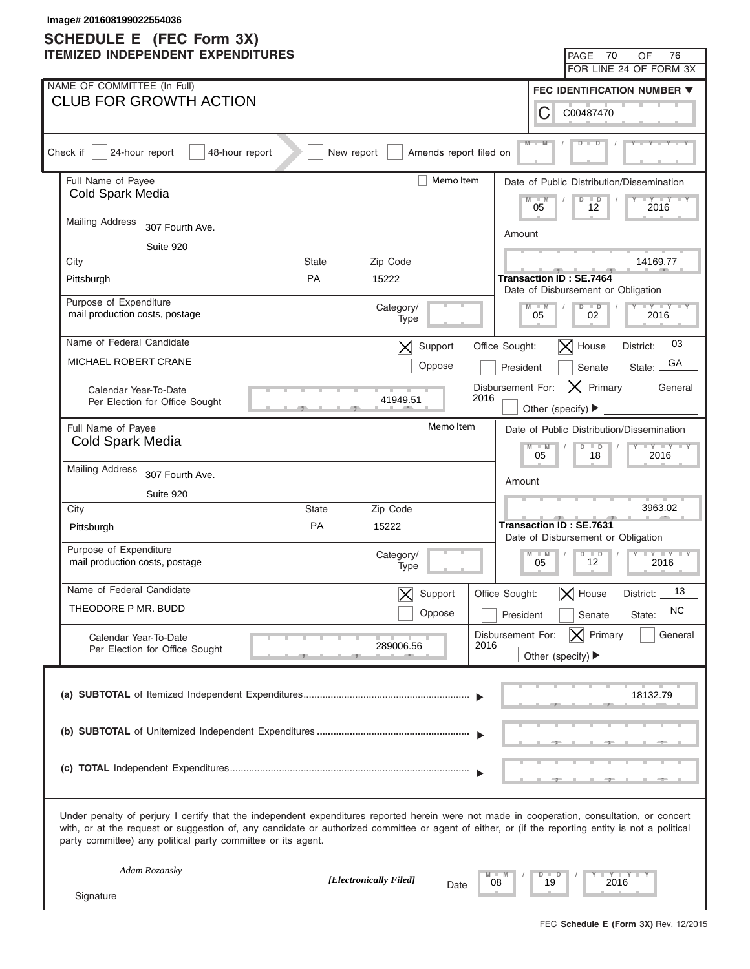| Image# 201608199022554036<br><b>SCHEDULE E</b> (FEC Form 3X)                                                                                                                                                                                                                                                                                                      |                          |                           |                                                                      |                                           |
|-------------------------------------------------------------------------------------------------------------------------------------------------------------------------------------------------------------------------------------------------------------------------------------------------------------------------------------------------------------------|--------------------------|---------------------------|----------------------------------------------------------------------|-------------------------------------------|
| <b>ITEMIZED INDEPENDENT EXPENDITURES</b>                                                                                                                                                                                                                                                                                                                          |                          |                           | PAGE                                                                 | 70<br>76<br>OF                            |
|                                                                                                                                                                                                                                                                                                                                                                   |                          |                           |                                                                      | FOR LINE 24 OF FORM 3X                    |
| NAME OF COMMITTEE (In Full)                                                                                                                                                                                                                                                                                                                                       |                          |                           |                                                                      | <b>FEC IDENTIFICATION NUMBER ▼</b>        |
| <b>CLUB FOR GROWTH ACTION</b>                                                                                                                                                                                                                                                                                                                                     |                          |                           | С<br>C00487470                                                       |                                           |
| Check if<br>24-hour report<br>48-hour report<br>New report                                                                                                                                                                                                                                                                                                        | Amends report filed on   |                           | $M -$                                                                |                                           |
| Full Name of Payee                                                                                                                                                                                                                                                                                                                                                | Memo Item                |                           |                                                                      | Date of Public Distribution/Dissemination |
| Cold Spark Media                                                                                                                                                                                                                                                                                                                                                  |                          |                           | $-M$<br>$\Box$<br>$\overline{D}$<br>05<br>12                         | $+Y+Y$<br>2016                            |
| <b>Mailing Address</b><br>307 Fourth Ave.                                                                                                                                                                                                                                                                                                                         |                          | Amount                    |                                                                      |                                           |
| Suite 920                                                                                                                                                                                                                                                                                                                                                         |                          |                           |                                                                      |                                           |
| City<br><b>State</b>                                                                                                                                                                                                                                                                                                                                              | Zip Code                 |                           |                                                                      | 14169.77                                  |
| PA<br>Pittsburgh                                                                                                                                                                                                                                                                                                                                                  | 15222                    |                           | Transaction ID : SE.7464<br>Date of Disbursement or Obligation       |                                           |
| Purpose of Expenditure                                                                                                                                                                                                                                                                                                                                            | Category/                |                           | $D$ $D$<br>$M - M$                                                   | $Y = Y = Y = Y = Y$                       |
| mail production costs, postage                                                                                                                                                                                                                                                                                                                                    | Type                     |                           | 05<br>02                                                             | 2016                                      |
| Name of Federal Candidate                                                                                                                                                                                                                                                                                                                                         | Support<br>$\bm{\times}$ | Office Sought:            | $ \mathsf{X} $ House                                                 | 03<br>District:                           |
| MICHAEL ROBERT CRANE                                                                                                                                                                                                                                                                                                                                              | Oppose                   | President                 | Senate                                                               | GA<br>State:                              |
| Calendar Year-To-Date                                                                                                                                                                                                                                                                                                                                             |                          | Disbursement For:<br>2016 | $ {\sf X} $                                                          | Primary<br>General                        |
| Per Election for Office Sought                                                                                                                                                                                                                                                                                                                                    | 41949.51                 |                           | Other (specify) ▶                                                    |                                           |
| Full Name of Payee                                                                                                                                                                                                                                                                                                                                                | Memo Item                |                           |                                                                      | Date of Public Distribution/Dissemination |
| Cold Spark Media                                                                                                                                                                                                                                                                                                                                                  |                          |                           | $M - M$<br>$D$ $D$<br>05<br>18                                       | $Y - Y - Y - Y - I$<br>2016               |
| <b>Mailing Address</b><br>307 Fourth Ave.                                                                                                                                                                                                                                                                                                                         |                          |                           |                                                                      |                                           |
| Suite 920                                                                                                                                                                                                                                                                                                                                                         |                          | Amount                    |                                                                      |                                           |
| City<br><b>State</b>                                                                                                                                                                                                                                                                                                                                              | Zip Code                 |                           |                                                                      | 3963.02                                   |
| PA<br>Pittsburgh                                                                                                                                                                                                                                                                                                                                                  | 15222                    |                           | <b>Transaction ID: SE.7631</b><br>Date of Disbursement or Obligation |                                           |
| Purpose of Expenditure                                                                                                                                                                                                                                                                                                                                            | Category/                |                           | $D$ $\Box$<br>$M - M$<br>$\vert \vert$                               | $Y - Y - Y - Y$<br>$\blacksquare$         |
| mail production costs, postage                                                                                                                                                                                                                                                                                                                                    | Type                     |                           | 12<br>05                                                             | 2016                                      |
| Name of Federal Candidate                                                                                                                                                                                                                                                                                                                                         | Support                  | Office Sought:            | $\bm{\times}$<br>House                                               | 13<br>District:                           |
| THEODORE P MR. BUDD                                                                                                                                                                                                                                                                                                                                               | Oppose                   | President                 | Senate                                                               | <b>NC</b><br>State:                       |
| Calendar Year-To-Date                                                                                                                                                                                                                                                                                                                                             |                          | Disbursement For:         | $ \mathsf{X} $ Primary                                               | General                                   |
| Per Election for Office Sought                                                                                                                                                                                                                                                                                                                                    | 289006.56                | 2016                      | Other (specify) $\blacktriangleright$                                |                                           |
|                                                                                                                                                                                                                                                                                                                                                                   |                          |                           |                                                                      |                                           |
|                                                                                                                                                                                                                                                                                                                                                                   |                          |                           |                                                                      | 18132.79                                  |
|                                                                                                                                                                                                                                                                                                                                                                   |                          |                           |                                                                      |                                           |
|                                                                                                                                                                                                                                                                                                                                                                   |                          |                           |                                                                      |                                           |
|                                                                                                                                                                                                                                                                                                                                                                   |                          |                           |                                                                      |                                           |
|                                                                                                                                                                                                                                                                                                                                                                   |                          |                           |                                                                      |                                           |
| Under penalty of perjury I certify that the independent expenditures reported herein were not made in cooperation, consultation, or concert<br>with, or at the request or suggestion of, any candidate or authorized committee or agent of either, or (if the reporting entity is not a political<br>party committee) any political party committee or its agent. |                          |                           |                                                                      |                                           |
| Adam Rozansky                                                                                                                                                                                                                                                                                                                                                     |                          |                           | $D$ $D$                                                              | Y TYT                                     |
| [Electronically Filed]<br>Signature                                                                                                                                                                                                                                                                                                                               | Date                     | 08                        | 19                                                                   | 2016                                      |
|                                                                                                                                                                                                                                                                                                                                                                   |                          |                           |                                                                      |                                           |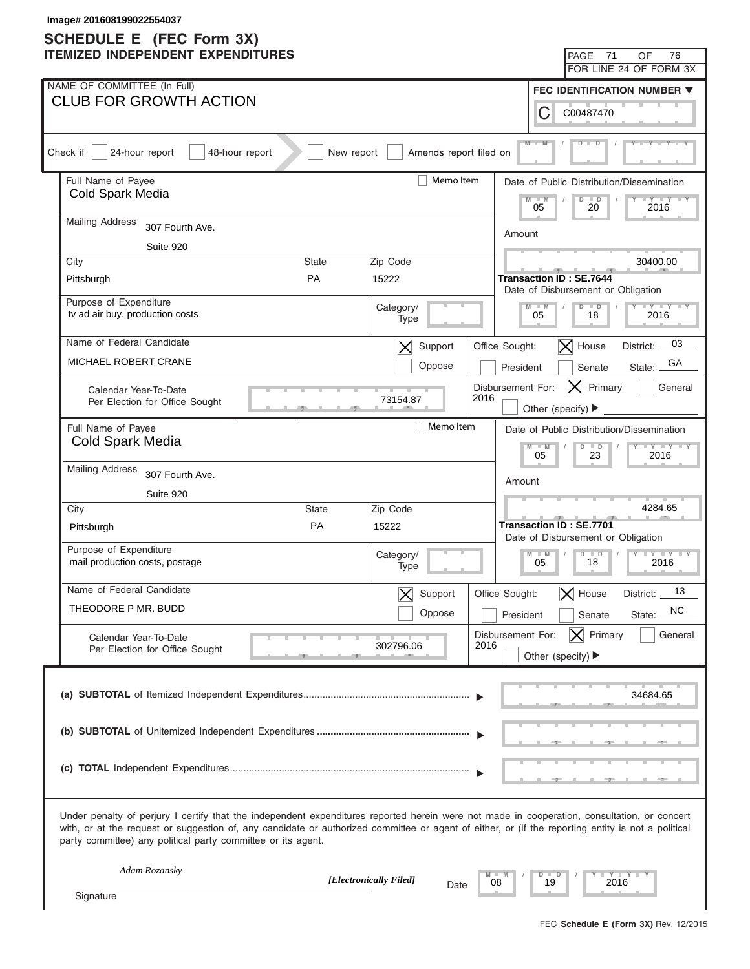| Image# 201608199022554037<br><b>SCHEDULE E</b> (FEC Form 3X)                                                                                                                                                                                                                                                                                                      |                        |                           |                                |                                                                      |                                           |  |
|-------------------------------------------------------------------------------------------------------------------------------------------------------------------------------------------------------------------------------------------------------------------------------------------------------------------------------------------------------------------|------------------------|---------------------------|--------------------------------|----------------------------------------------------------------------|-------------------------------------------|--|
| <b>ITEMIZED INDEPENDENT EXPENDITURES</b>                                                                                                                                                                                                                                                                                                                          |                        |                           |                                | 71<br>PAGE                                                           | 76<br>OF                                  |  |
|                                                                                                                                                                                                                                                                                                                                                                   |                        |                           |                                |                                                                      | FOR LINE 24 OF FORM 3X                    |  |
| NAME OF COMMITTEE (In Full)                                                                                                                                                                                                                                                                                                                                       |                        |                           |                                |                                                                      | <b>FEC IDENTIFICATION NUMBER ▼</b>        |  |
| <b>CLUB FOR GROWTH ACTION</b>                                                                                                                                                                                                                                                                                                                                     |                        |                           | С                              | C00487470                                                            |                                           |  |
| Check if<br>24-hour report<br>48-hour report<br>New report                                                                                                                                                                                                                                                                                                        | Amends report filed on |                           | $M -$                          |                                                                      |                                           |  |
| Full Name of Payee                                                                                                                                                                                                                                                                                                                                                | Memo Item              |                           |                                |                                                                      | Date of Public Distribution/Dissemination |  |
| Cold Spark Media                                                                                                                                                                                                                                                                                                                                                  |                        | M<br>05                   | $\Box$<br>$\overline{D}$<br>20 | $+Y+Y$<br>2016                                                       |                                           |  |
| <b>Mailing Address</b><br>307 Fourth Ave.                                                                                                                                                                                                                                                                                                                         |                        |                           | Amount                         |                                                                      |                                           |  |
| Suite 920                                                                                                                                                                                                                                                                                                                                                         |                        |                           |                                |                                                                      |                                           |  |
| City<br>Zip Code<br><b>State</b>                                                                                                                                                                                                                                                                                                                                  |                        |                           |                                |                                                                      | 30400.00                                  |  |
| PA<br>15222<br>Pittsburgh                                                                                                                                                                                                                                                                                                                                         |                        |                           |                                | Transaction ID : SE.7644<br>Date of Disbursement or Obligation       |                                           |  |
| Purpose of Expenditure<br>Category/<br>tv ad air buy, production costs                                                                                                                                                                                                                                                                                            |                        |                           | $M - M$<br>05                  | $D$ $D$<br>18                                                        | $Y = Y = Y = Y = Y$<br>2016               |  |
| Type                                                                                                                                                                                                                                                                                                                                                              |                        |                           |                                |                                                                      |                                           |  |
| Name of Federal Candidate<br>$\bm{\times}$                                                                                                                                                                                                                                                                                                                        | Support                | Office Sought:            |                                | $ \mathsf{X} $ House                                                 | 03<br>District:                           |  |
| <b>MICHAEL ROBERT CRANE</b>                                                                                                                                                                                                                                                                                                                                       | Oppose                 |                           | President                      | Senate                                                               | GA<br>State:                              |  |
| Calendar Year-To-Date<br>73154.87                                                                                                                                                                                                                                                                                                                                 |                        | Disbursement For:<br>2016 |                                | Primary<br>$ {\sf X} $                                               | General                                   |  |
| Per Election for Office Sought                                                                                                                                                                                                                                                                                                                                    |                        |                           |                                | Other (specify) ▶                                                    |                                           |  |
| Full Name of Payee<br>Cold Spark Media                                                                                                                                                                                                                                                                                                                            | Memo Item              |                           |                                |                                                                      | Date of Public Distribution/Dissemination |  |
|                                                                                                                                                                                                                                                                                                                                                                   |                        |                           | $M - M$<br>05                  | $D$ $D$<br>23                                                        | $Y - Y - Y - Y - I$<br>2016               |  |
| <b>Mailing Address</b><br>307 Fourth Ave.                                                                                                                                                                                                                                                                                                                         |                        |                           | Amount                         |                                                                      |                                           |  |
| Suite 920                                                                                                                                                                                                                                                                                                                                                         |                        |                           |                                |                                                                      |                                           |  |
| City<br><b>State</b><br>Zip Code                                                                                                                                                                                                                                                                                                                                  |                        |                           |                                |                                                                      | 4284.65                                   |  |
| PA<br>15222<br>Pittsburgh                                                                                                                                                                                                                                                                                                                                         |                        |                           |                                | <b>Transaction ID: SE.7701</b><br>Date of Disbursement or Obligation |                                           |  |
| Purpose of Expenditure<br>Category/<br>mail production costs, postage                                                                                                                                                                                                                                                                                             |                        |                           | $M - M$<br>05                  | $D$ $D$<br>$\vert$ /<br>$\overline{\phantom{a}}$<br>18               | $Y - Y - Y - Y$<br>2016                   |  |
| Type                                                                                                                                                                                                                                                                                                                                                              |                        |                           |                                |                                                                      |                                           |  |
| Name of Federal Candidate                                                                                                                                                                                                                                                                                                                                         | Support                | Office Sought:            |                                | $\bm{\times}$<br>House                                               | 13<br>District:                           |  |
| THEODORE P MR. BUDD                                                                                                                                                                                                                                                                                                                                               | Oppose                 |                           | President                      | Senate                                                               | <b>NC</b><br>State:                       |  |
| Calendar Year-To-Date                                                                                                                                                                                                                                                                                                                                             |                        | Disbursement For:         |                                | $ \mathsf{X} $ Primary                                               | General                                   |  |
| 302796.06<br>Per Election for Office Sought                                                                                                                                                                                                                                                                                                                       |                        | 2016                      |                                | Other (specify) $\blacktriangleright$                                |                                           |  |
|                                                                                                                                                                                                                                                                                                                                                                   |                        |                           |                                |                                                                      |                                           |  |
|                                                                                                                                                                                                                                                                                                                                                                   |                        |                           |                                |                                                                      | 34684.65                                  |  |
|                                                                                                                                                                                                                                                                                                                                                                   |                        |                           |                                |                                                                      |                                           |  |
|                                                                                                                                                                                                                                                                                                                                                                   |                        |                           |                                |                                                                      |                                           |  |
|                                                                                                                                                                                                                                                                                                                                                                   |                        |                           |                                |                                                                      |                                           |  |
|                                                                                                                                                                                                                                                                                                                                                                   |                        |                           |                                |                                                                      |                                           |  |
| Under penalty of perjury I certify that the independent expenditures reported herein were not made in cooperation, consultation, or concert<br>with, or at the request or suggestion of, any candidate or authorized committee or agent of either, or (if the reporting entity is not a political<br>party committee) any political party committee or its agent. |                        |                           |                                |                                                                      |                                           |  |
| Adam Rozansky                                                                                                                                                                                                                                                                                                                                                     |                        |                           | $D$ $D$                        |                                                                      | Y TY TY                                   |  |
| [Electronically Filed]<br>Signature                                                                                                                                                                                                                                                                                                                               | Date                   | 08                        | 19                             | 2016                                                                 |                                           |  |
|                                                                                                                                                                                                                                                                                                                                                                   |                        |                           |                                |                                                                      |                                           |  |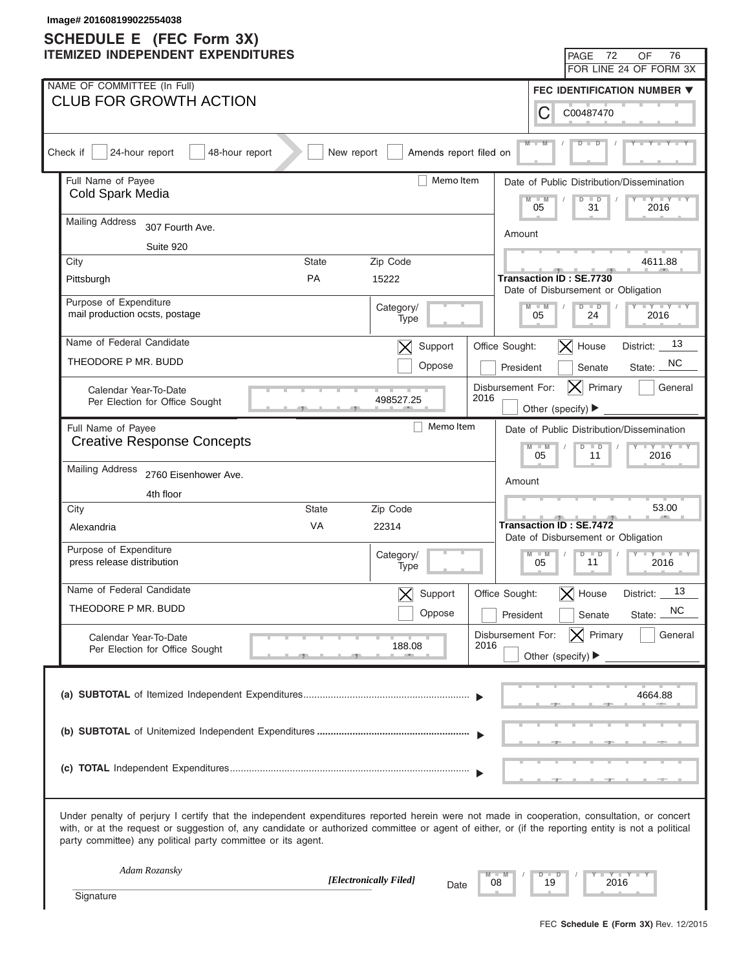| Image# 201608199022554038<br><b>SCHEDULE E</b> (FEC Form 3X)                                                                                                                                                                                                                                                                                                      |                                |                           |                                        |                                                                      |                                           |  |
|-------------------------------------------------------------------------------------------------------------------------------------------------------------------------------------------------------------------------------------------------------------------------------------------------------------------------------------------------------------------|--------------------------------|---------------------------|----------------------------------------|----------------------------------------------------------------------|-------------------------------------------|--|
| <b>ITEMIZED INDEPENDENT EXPENDITURES</b>                                                                                                                                                                                                                                                                                                                          |                                |                           |                                        | 72<br><b>PAGE</b>                                                    | 76<br>OF                                  |  |
|                                                                                                                                                                                                                                                                                                                                                                   |                                |                           |                                        |                                                                      | FOR LINE 24 OF FORM 3X                    |  |
| NAME OF COMMITTEE (In Full)                                                                                                                                                                                                                                                                                                                                       |                                |                           |                                        |                                                                      | <b>FEC IDENTIFICATION NUMBER ▼</b>        |  |
| <b>CLUB FOR GROWTH ACTION</b>                                                                                                                                                                                                                                                                                                                                     |                                |                           | С                                      | C00487470                                                            |                                           |  |
| Check if<br>24-hour report<br>48-hour report<br>New report                                                                                                                                                                                                                                                                                                        | Amends report filed on         |                           |                                        |                                                                      |                                           |  |
| Full Name of Payee                                                                                                                                                                                                                                                                                                                                                | Memo Item                      |                           |                                        |                                                                      | Date of Public Distribution/Dissemination |  |
| Cold Spark Media                                                                                                                                                                                                                                                                                                                                                  |                                | $-M$<br>05                | $\overline{D}$<br>$\blacksquare$<br>31 | $+Y+Y$<br>2016                                                       |                                           |  |
| <b>Mailing Address</b><br>307 Fourth Ave.                                                                                                                                                                                                                                                                                                                         |                                | Amount                    |                                        |                                                                      |                                           |  |
| Suite 920                                                                                                                                                                                                                                                                                                                                                         |                                |                           |                                        |                                                                      |                                           |  |
| City<br><b>State</b>                                                                                                                                                                                                                                                                                                                                              | Zip Code                       |                           |                                        |                                                                      | 4611.88                                   |  |
| PA<br>Pittsburgh                                                                                                                                                                                                                                                                                                                                                  | 15222                          |                           |                                        | <b>Transaction ID: SE.7730</b><br>Date of Disbursement or Obligation |                                           |  |
| Purpose of Expenditure                                                                                                                                                                                                                                                                                                                                            | Category/                      |                           | $M - M$                                | $D$ $D$                                                              | $Y = Y = Y = Y = Y$                       |  |
| mail production ocsts, postage                                                                                                                                                                                                                                                                                                                                    | Type                           |                           | 05                                     | 24                                                                   | 2016                                      |  |
| Name of Federal Candidate                                                                                                                                                                                                                                                                                                                                         | Support<br>$\bm{\times}$       | Office Sought:            |                                        | $ \mathsf{X} $ House                                                 | 13<br>District:                           |  |
| THEODORE P MR. BUDD                                                                                                                                                                                                                                                                                                                                               | Oppose                         | President                 |                                        | Senate                                                               | NC.<br>State:                             |  |
| Calendar Year-To-Date                                                                                                                                                                                                                                                                                                                                             |                                | Disbursement For:<br>2016 |                                        | Primary<br>$ {\sf X} $                                               | General                                   |  |
| Per Election for Office Sought                                                                                                                                                                                                                                                                                                                                    | 498527.25                      |                           | Other (specify) ▶                      |                                                                      |                                           |  |
| Full Name of Payee                                                                                                                                                                                                                                                                                                                                                | Memo Item                      |                           |                                        |                                                                      | Date of Public Distribution/Dissemination |  |
| <b>Creative Response Concepts</b>                                                                                                                                                                                                                                                                                                                                 |                                |                           | $M - M$<br>05                          | $D$ $D$<br>11                                                        | $Y - Y - Y - Y - I$<br>2016               |  |
| <b>Mailing Address</b><br>2760 Eisenhower Ave.                                                                                                                                                                                                                                                                                                                    |                                |                           |                                        |                                                                      |                                           |  |
| 4th floor                                                                                                                                                                                                                                                                                                                                                         |                                | Amount                    |                                        |                                                                      |                                           |  |
| City<br><b>State</b>                                                                                                                                                                                                                                                                                                                                              | Zip Code                       |                           |                                        |                                                                      | 53.00                                     |  |
| VA<br>Alexandria                                                                                                                                                                                                                                                                                                                                                  | 22314                          |                           |                                        | <b>Transaction ID: SE.7472</b><br>Date of Disbursement or Obligation |                                           |  |
| Purpose of Expenditure                                                                                                                                                                                                                                                                                                                                            | Category/                      |                           | $M - M$<br>$\vert \vert$               | $D$ $\Box$<br>$\blacksquare$                                         |                                           |  |
| press release distribution                                                                                                                                                                                                                                                                                                                                        | Type                           |                           | 05                                     | 11                                                                   | 2016                                      |  |
| Name of Federal Candidate                                                                                                                                                                                                                                                                                                                                         | Support                        | Office Sought:            |                                        | $\bm{\times}$<br>House                                               | 13<br>District:                           |  |
| THEODORE P MR. BUDD                                                                                                                                                                                                                                                                                                                                               | Oppose                         | President                 |                                        | Senate                                                               | <b>NC</b><br>State:                       |  |
| Calendar Year-To-Date                                                                                                                                                                                                                                                                                                                                             |                                | Disbursement For:         |                                        | $ \mathsf{X} $ Primary                                               | General                                   |  |
| Per Election for Office Sought                                                                                                                                                                                                                                                                                                                                    | 188.08                         | 2016                      | Other (specify) $\blacktriangleright$  |                                                                      |                                           |  |
|                                                                                                                                                                                                                                                                                                                                                                   |                                |                           |                                        |                                                                      |                                           |  |
|                                                                                                                                                                                                                                                                                                                                                                   |                                |                           |                                        |                                                                      | 4664.88                                   |  |
|                                                                                                                                                                                                                                                                                                                                                                   |                                |                           |                                        |                                                                      |                                           |  |
|                                                                                                                                                                                                                                                                                                                                                                   |                                |                           |                                        |                                                                      |                                           |  |
|                                                                                                                                                                                                                                                                                                                                                                   |                                |                           |                                        |                                                                      |                                           |  |
|                                                                                                                                                                                                                                                                                                                                                                   |                                |                           |                                        |                                                                      |                                           |  |
| Under penalty of perjury I certify that the independent expenditures reported herein were not made in cooperation, consultation, or concert<br>with, or at the request or suggestion of, any candidate or authorized committee or agent of either, or (if the reporting entity is not a political<br>party committee) any political party committee or its agent. |                                |                           |                                        |                                                                      |                                           |  |
| Adam Rozansky                                                                                                                                                                                                                                                                                                                                                     |                                |                           | $\Box$<br>ъ                            |                                                                      | Y TYT                                     |  |
| Signature                                                                                                                                                                                                                                                                                                                                                         | [Electronically Filed]<br>Date | 08                        | 19                                     | 2016                                                                 |                                           |  |
|                                                                                                                                                                                                                                                                                                                                                                   |                                |                           |                                        |                                                                      |                                           |  |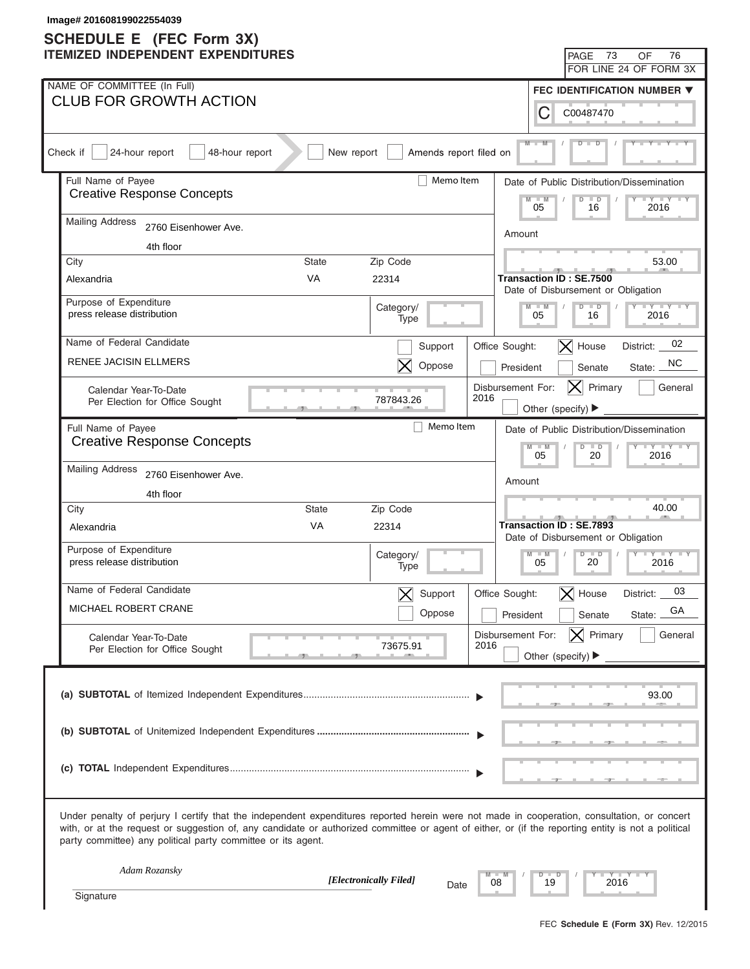| Image# 201608199022554039<br><b>SCHEDULE E</b> (FEC Form 3X) |                                                                                                                                                                                                                                                                                                                                                                   |            |                                |                |                                           |                                                                      |                                           |  |
|--------------------------------------------------------------|-------------------------------------------------------------------------------------------------------------------------------------------------------------------------------------------------------------------------------------------------------------------------------------------------------------------------------------------------------------------|------------|--------------------------------|----------------|-------------------------------------------|----------------------------------------------------------------------|-------------------------------------------|--|
|                                                              | <b>ITEMIZED INDEPENDENT EXPENDITURES</b>                                                                                                                                                                                                                                                                                                                          |            |                                |                |                                           | 73<br><b>PAGE</b>                                                    | 76<br>OF                                  |  |
|                                                              |                                                                                                                                                                                                                                                                                                                                                                   |            |                                |                |                                           |                                                                      | FOR LINE 24 OF FORM 3X                    |  |
|                                                              | NAME OF COMMITTEE (In Full)                                                                                                                                                                                                                                                                                                                                       |            |                                |                |                                           |                                                                      | FEC IDENTIFICATION NUMBER ▼               |  |
|                                                              | <b>CLUB FOR GROWTH ACTION</b>                                                                                                                                                                                                                                                                                                                                     |            |                                |                | С                                         | C00487470                                                            |                                           |  |
|                                                              | Check if<br>24-hour report<br>48-hour report                                                                                                                                                                                                                                                                                                                      | New report | Amends report filed on         |                |                                           |                                                                      |                                           |  |
|                                                              | Full Name of Payee                                                                                                                                                                                                                                                                                                                                                | Memo Item  |                                |                | Date of Public Distribution/Dissemination |                                                                      |                                           |  |
|                                                              | <b>Creative Response Concepts</b>                                                                                                                                                                                                                                                                                                                                 |            |                                |                |                                           | $\Box$<br>$\overline{D}$<br>16                                       | $+Y+Y$<br>2016                            |  |
|                                                              | <b>Mailing Address</b><br>2760 Eisenhower Ave.                                                                                                                                                                                                                                                                                                                    |            |                                |                | Amount                                    |                                                                      |                                           |  |
|                                                              | 4th floor                                                                                                                                                                                                                                                                                                                                                         |            |                                |                |                                           |                                                                      |                                           |  |
|                                                              | City<br>State                                                                                                                                                                                                                                                                                                                                                     |            | Zip Code                       |                |                                           |                                                                      | 53.00                                     |  |
|                                                              | <b>VA</b><br>Alexandria                                                                                                                                                                                                                                                                                                                                           |            | 22314                          |                |                                           | <b>Transaction ID: SE.7500</b><br>Date of Disbursement or Obligation |                                           |  |
|                                                              | Purpose of Expenditure                                                                                                                                                                                                                                                                                                                                            |            | Category/                      |                | $M - M$                                   | $D$ $D$                                                              | $Y = Y = Y = Y = Y$                       |  |
|                                                              | press release distribution                                                                                                                                                                                                                                                                                                                                        |            | Type                           |                | 05                                        | 16                                                                   | 2016                                      |  |
|                                                              | Name of Federal Candidate                                                                                                                                                                                                                                                                                                                                         |            | Support                        | Office Sought: |                                           | $ \mathsf{X} $ House                                                 | 02<br>District:                           |  |
|                                                              | RENEE JACISIN ELLMERS                                                                                                                                                                                                                                                                                                                                             |            | Oppose                         |                | President                                 | Senate                                                               | NC.<br>State:                             |  |
|                                                              | Calendar Year-To-Date                                                                                                                                                                                                                                                                                                                                             |            | 787843.26                      | 2016           | Disbursement For:                         | Primary<br> X                                                        | General                                   |  |
|                                                              | Per Election for Office Sought                                                                                                                                                                                                                                                                                                                                    |            |                                |                | Other (specify) ▶                         |                                                                      |                                           |  |
|                                                              | Full Name of Payee                                                                                                                                                                                                                                                                                                                                                |            | Memo Item                      |                |                                           |                                                                      | Date of Public Distribution/Dissemination |  |
|                                                              | <b>Creative Response Concepts</b>                                                                                                                                                                                                                                                                                                                                 |            |                                |                | $M - M$<br>05                             | $D$ $D$<br>20                                                        | $Y - Y - Y - Y - I$<br>2016               |  |
|                                                              | <b>Mailing Address</b><br>2760 Eisenhower Ave.                                                                                                                                                                                                                                                                                                                    |            |                                |                |                                           |                                                                      |                                           |  |
|                                                              | 4th floor                                                                                                                                                                                                                                                                                                                                                         |            |                                |                | Amount                                    |                                                                      |                                           |  |
|                                                              | City<br><b>State</b>                                                                                                                                                                                                                                                                                                                                              |            | Zip Code                       |                |                                           |                                                                      | 40.00                                     |  |
|                                                              | VA<br>Alexandria                                                                                                                                                                                                                                                                                                                                                  |            | 22314                          |                |                                           | <b>Transaction ID: SE.7893</b>                                       |                                           |  |
|                                                              |                                                                                                                                                                                                                                                                                                                                                                   |            |                                |                |                                           | Date of Disbursement or Obligation                                   |                                           |  |
|                                                              | Purpose of Expenditure<br>press release distribution                                                                                                                                                                                                                                                                                                              |            | Category/<br>Type              |                | $M - M$<br>05                             | $D$ $\Box$<br>$\overline{\phantom{a}}$<br>20                         | $Y - Y - Y - Y - IY$<br>2016              |  |
|                                                              | Name of Federal Candidate                                                                                                                                                                                                                                                                                                                                         |            | Support                        | Office Sought: |                                           | $\bm{\times}$<br>House                                               | 03<br>District:                           |  |
|                                                              | MICHAEL ROBERT CRANE                                                                                                                                                                                                                                                                                                                                              |            | Oppose                         |                | President                                 | Senate                                                               | GA<br>State:                              |  |
|                                                              | Calendar Year-To-Date                                                                                                                                                                                                                                                                                                                                             |            |                                |                | Disbursement For:                         | $ \mathsf{X} $ Primary                                               | General                                   |  |
|                                                              | Per Election for Office Sought                                                                                                                                                                                                                                                                                                                                    |            | 73675.91                       | 2016           |                                           | Other (specify) $\blacktriangleright$                                |                                           |  |
|                                                              |                                                                                                                                                                                                                                                                                                                                                                   |            |                                |                |                                           |                                                                      |                                           |  |
|                                                              |                                                                                                                                                                                                                                                                                                                                                                   |            |                                |                |                                           |                                                                      | 93.00                                     |  |
|                                                              |                                                                                                                                                                                                                                                                                                                                                                   |            |                                |                |                                           |                                                                      |                                           |  |
|                                                              |                                                                                                                                                                                                                                                                                                                                                                   |            |                                |                |                                           |                                                                      |                                           |  |
|                                                              |                                                                                                                                                                                                                                                                                                                                                                   |            |                                |                |                                           |                                                                      |                                           |  |
|                                                              |                                                                                                                                                                                                                                                                                                                                                                   |            |                                |                |                                           |                                                                      |                                           |  |
|                                                              | Under penalty of perjury I certify that the independent expenditures reported herein were not made in cooperation, consultation, or concert<br>with, or at the request or suggestion of, any candidate or authorized committee or agent of either, or (if the reporting entity is not a political<br>party committee) any political party committee or its agent. |            |                                |                |                                           |                                                                      |                                           |  |
|                                                              | Adam Rozansky                                                                                                                                                                                                                                                                                                                                                     |            |                                |                | $\Box$<br>ъ                               |                                                                      | Y TYT                                     |  |
|                                                              | Signature                                                                                                                                                                                                                                                                                                                                                         |            | [Electronically Filed]<br>Date | 08             | 19                                        | 2016                                                                 |                                           |  |
|                                                              |                                                                                                                                                                                                                                                                                                                                                                   |            |                                |                |                                           |                                                                      |                                           |  |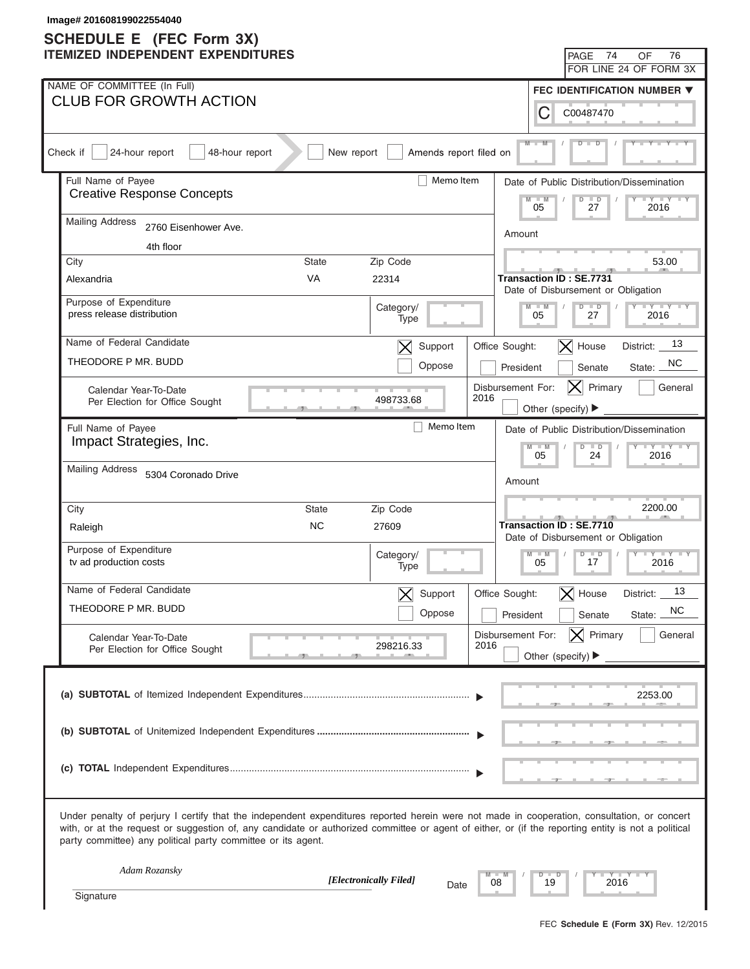| Image# 201608199022554040<br><b>SCHEDULE E</b> (FEC Form 3X) |                                                                                                                                                                                                                                                                                                                                                                   |              |                               |                                |                                           |                                                               |                                           |  |
|--------------------------------------------------------------|-------------------------------------------------------------------------------------------------------------------------------------------------------------------------------------------------------------------------------------------------------------------------------------------------------------------------------------------------------------------|--------------|-------------------------------|--------------------------------|-------------------------------------------|---------------------------------------------------------------|-------------------------------------------|--|
|                                                              | <b>ITEMIZED INDEPENDENT EXPENDITURES</b>                                                                                                                                                                                                                                                                                                                          |              |                               |                                |                                           | 74<br>PAGE                                                    | 76<br>OF                                  |  |
|                                                              |                                                                                                                                                                                                                                                                                                                                                                   |              |                               |                                |                                           |                                                               | FOR LINE 24 OF FORM 3X                    |  |
|                                                              | NAME OF COMMITTEE (In Full)                                                                                                                                                                                                                                                                                                                                       |              |                               |                                |                                           |                                                               | FEC IDENTIFICATION NUMBER ▼               |  |
|                                                              | <b>CLUB FOR GROWTH ACTION</b>                                                                                                                                                                                                                                                                                                                                     |              |                               |                                | С                                         | C00487470                                                     |                                           |  |
|                                                              | Check if<br>24-hour report<br>48-hour report                                                                                                                                                                                                                                                                                                                      | New report   | Amends report filed on        |                                | $M -$                                     |                                                               |                                           |  |
|                                                              | Full Name of Payee                                                                                                                                                                                                                                                                                                                                                | Memo Item    |                               |                                | Date of Public Distribution/Dissemination |                                                               |                                           |  |
|                                                              | <b>Creative Response Concepts</b>                                                                                                                                                                                                                                                                                                                                 |              | $\overline{\mathsf{M}}$<br>05 | $\Box$<br>$\overline{D}$<br>27 | $+Y+Y$<br>2016                            |                                                               |                                           |  |
|                                                              | <b>Mailing Address</b><br>2760 Eisenhower Ave.                                                                                                                                                                                                                                                                                                                    | Amount       |                               |                                |                                           |                                                               |                                           |  |
|                                                              | 4th floor                                                                                                                                                                                                                                                                                                                                                         |              |                               |                                |                                           |                                                               |                                           |  |
|                                                              | City                                                                                                                                                                                                                                                                                                                                                              | State        | Zip Code                      |                                |                                           |                                                               | 53.00                                     |  |
|                                                              | Alexandria                                                                                                                                                                                                                                                                                                                                                        | <b>VA</b>    | 22314                         |                                | <b>Transaction ID: SE.7731</b>            | Date of Disbursement or Obligation                            |                                           |  |
|                                                              | Purpose of Expenditure<br>press release distribution                                                                                                                                                                                                                                                                                                              |              | Category/                     |                                | $M - M$<br>05                             | $D$ $D$<br>27                                                 | $Y = Y = Y = Y = Y$<br>2016               |  |
|                                                              |                                                                                                                                                                                                                                                                                                                                                                   |              | Type                          |                                |                                           |                                                               |                                           |  |
|                                                              | Name of Federal Candidate                                                                                                                                                                                                                                                                                                                                         |              | Support<br>$\bm{\times}$      | Office Sought:                 |                                           | $ \mathsf{X} $ House                                          | 13<br>District:                           |  |
|                                                              | THEODORE P MR. BUDD                                                                                                                                                                                                                                                                                                                                               |              | Oppose                        | President                      |                                           | Senate                                                        | NC.<br>State:                             |  |
|                                                              | Calendar Year-To-Date<br>Per Election for Office Sought                                                                                                                                                                                                                                                                                                           |              | 498733.68                     | Disbursement For:<br>2016      |                                           | Primary<br> X                                                 | General                                   |  |
|                                                              |                                                                                                                                                                                                                                                                                                                                                                   |              |                               |                                | Other (specify) ▶                         |                                                               |                                           |  |
|                                                              | Full Name of Payee                                                                                                                                                                                                                                                                                                                                                |              | Memo Item                     |                                |                                           |                                                               | Date of Public Distribution/Dissemination |  |
|                                                              | Impact Strategies, Inc.                                                                                                                                                                                                                                                                                                                                           |              |                               |                                | $M - M$<br>05                             | $D$ $D$<br>24                                                 | $Y - Y - Y - Y - I$<br>2016               |  |
|                                                              | <b>Mailing Address</b><br>5304 Coronado Drive                                                                                                                                                                                                                                                                                                                     |              |                               | Amount                         |                                           |                                                               |                                           |  |
|                                                              |                                                                                                                                                                                                                                                                                                                                                                   |              |                               |                                |                                           |                                                               |                                           |  |
|                                                              | City                                                                                                                                                                                                                                                                                                                                                              | <b>State</b> | Zip Code                      |                                |                                           |                                                               | 2200.00                                   |  |
|                                                              | Raleigh                                                                                                                                                                                                                                                                                                                                                           | <b>NC</b>    | 27609                         |                                |                                           | Transaction ID: SE.7710<br>Date of Disbursement or Obligation |                                           |  |
|                                                              | Purpose of Expenditure<br>tv ad production costs                                                                                                                                                                                                                                                                                                                  |              | Category/<br>Type             |                                | $M - M$<br>$\mathbb{L}$<br>05             | $D$ $D$<br>$\blacksquare$<br>17                               | 2016                                      |  |
|                                                              | Name of Federal Candidate                                                                                                                                                                                                                                                                                                                                         |              | Support                       | Office Sought:                 | $\bm{\times}$                             | House                                                         | 13<br>District:                           |  |
|                                                              | THEODORE P MR. BUDD                                                                                                                                                                                                                                                                                                                                               |              | Oppose                        |                                |                                           |                                                               | <b>NC</b>                                 |  |
|                                                              |                                                                                                                                                                                                                                                                                                                                                                   |              |                               | President                      |                                           | Senate                                                        | State:                                    |  |
|                                                              | Calendar Year-To-Date<br>Per Election for Office Sought                                                                                                                                                                                                                                                                                                           |              | 298216.33                     | Disbursement For:<br>2016      | Other (specify) $\blacktriangleright$     | $ \mathsf{X} $ Primary                                        | General                                   |  |
|                                                              |                                                                                                                                                                                                                                                                                                                                                                   |              |                               |                                |                                           |                                                               |                                           |  |
|                                                              |                                                                                                                                                                                                                                                                                                                                                                   |              |                               |                                |                                           |                                                               | 2253.00                                   |  |
|                                                              |                                                                                                                                                                                                                                                                                                                                                                   |              |                               |                                |                                           |                                                               |                                           |  |
|                                                              |                                                                                                                                                                                                                                                                                                                                                                   |              |                               |                                |                                           |                                                               |                                           |  |
|                                                              |                                                                                                                                                                                                                                                                                                                                                                   |              |                               |                                |                                           |                                                               |                                           |  |
|                                                              |                                                                                                                                                                                                                                                                                                                                                                   |              |                               |                                |                                           |                                                               |                                           |  |
|                                                              | Under penalty of perjury I certify that the independent expenditures reported herein were not made in cooperation, consultation, or concert<br>with, or at the request or suggestion of, any candidate or authorized committee or agent of either, or (if the reporting entity is not a political<br>party committee) any political party committee or its agent. |              |                               |                                |                                           |                                                               |                                           |  |
|                                                              | Adam Rozansky                                                                                                                                                                                                                                                                                                                                                     |              | [Electronically Filed]        |                                | $D$ $D$                                   |                                                               | Y TY TY                                   |  |
|                                                              | Signature                                                                                                                                                                                                                                                                                                                                                         |              | Date                          | 08                             | 19                                        | 2016                                                          |                                           |  |
|                                                              |                                                                                                                                                                                                                                                                                                                                                                   |              |                               |                                |                                           |                                                               |                                           |  |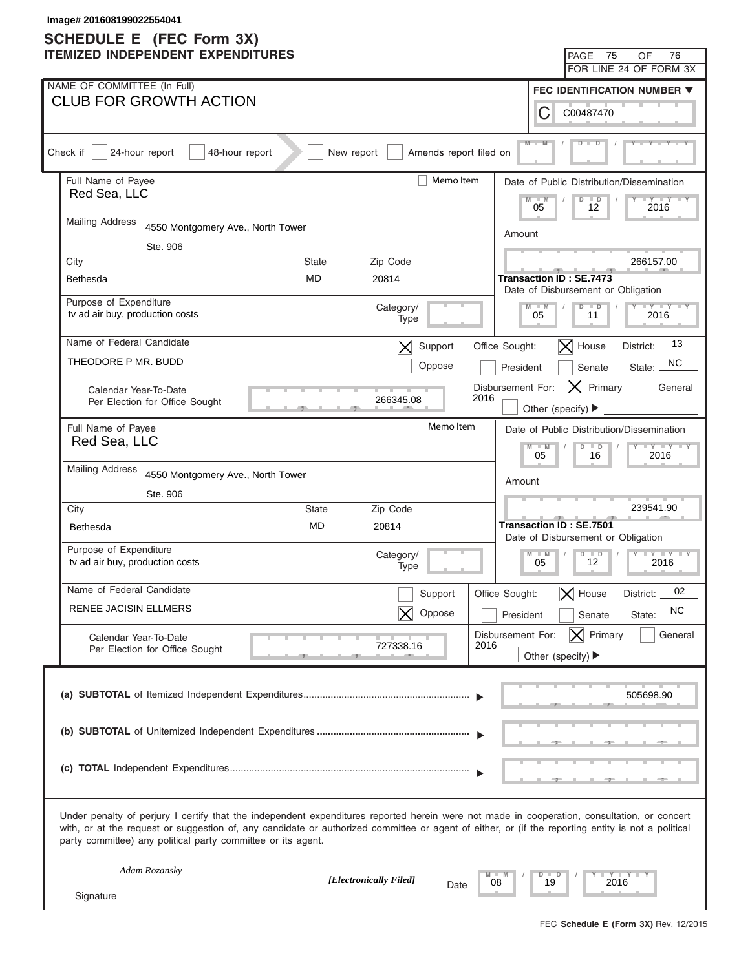| Image# 201608199022554041<br><b>SCHEDULE E</b> (FEC Form 3X) |                                                                                                                                                                                                                                                                                                                                                                   |                                                                                                     |  |  |  |  |  |  |
|--------------------------------------------------------------|-------------------------------------------------------------------------------------------------------------------------------------------------------------------------------------------------------------------------------------------------------------------------------------------------------------------------------------------------------------------|-----------------------------------------------------------------------------------------------------|--|--|--|--|--|--|
|                                                              | <b>ITEMIZED INDEPENDENT EXPENDITURES</b>                                                                                                                                                                                                                                                                                                                          | 75<br>76<br><b>PAGE</b><br>OF                                                                       |  |  |  |  |  |  |
|                                                              |                                                                                                                                                                                                                                                                                                                                                                   | FOR LINE 24 OF FORM 3X                                                                              |  |  |  |  |  |  |
|                                                              | NAME OF COMMITTEE (In Full)                                                                                                                                                                                                                                                                                                                                       | FEC IDENTIFICATION NUMBER ▼                                                                         |  |  |  |  |  |  |
|                                                              | <b>CLUB FOR GROWTH ACTION</b>                                                                                                                                                                                                                                                                                                                                     | С<br>C00487470                                                                                      |  |  |  |  |  |  |
|                                                              | Check if<br>24-hour report<br>48-hour report<br>New report<br>Amends report filed on                                                                                                                                                                                                                                                                              |                                                                                                     |  |  |  |  |  |  |
|                                                              | Full Name of Payee<br>Memo Item                                                                                                                                                                                                                                                                                                                                   | Date of Public Distribution/Dissemination                                                           |  |  |  |  |  |  |
|                                                              | Red Sea, LLC                                                                                                                                                                                                                                                                                                                                                      | $\overline{\mathsf{M}}$<br>$\overline{D}$<br>$\overline{\phantom{a}}$<br>$+Y+Y$<br>05<br>12<br>2016 |  |  |  |  |  |  |
|                                                              | <b>Mailing Address</b><br>4550 Montgomery Ave., North Tower                                                                                                                                                                                                                                                                                                       | Amount                                                                                              |  |  |  |  |  |  |
|                                                              | Ste. 906                                                                                                                                                                                                                                                                                                                                                          |                                                                                                     |  |  |  |  |  |  |
|                                                              | City<br>State<br>Zip Code                                                                                                                                                                                                                                                                                                                                         | 266157.00                                                                                           |  |  |  |  |  |  |
|                                                              | <b>MD</b><br>20814<br>Bethesda                                                                                                                                                                                                                                                                                                                                    | Transaction ID: SE.7473<br>Date of Disbursement or Obligation                                       |  |  |  |  |  |  |
|                                                              | Purpose of Expenditure<br>Category/                                                                                                                                                                                                                                                                                                                               | $Y = Y = Y = Y = Y$<br>$M - M$<br>$D$ $D$                                                           |  |  |  |  |  |  |
|                                                              | tv ad air buy, production costs<br>Type                                                                                                                                                                                                                                                                                                                           | 05<br>2016<br>11                                                                                    |  |  |  |  |  |  |
|                                                              | Name of Federal Candidate<br>Support<br>$\bm{\times}$                                                                                                                                                                                                                                                                                                             | 13<br>$ \mathsf{X} $ House<br>Office Sought:<br>District:                                           |  |  |  |  |  |  |
|                                                              | THEODORE P MR. BUDD<br>Oppose                                                                                                                                                                                                                                                                                                                                     | NC.<br>President<br>State:<br>Senate                                                                |  |  |  |  |  |  |
|                                                              | Calendar Year-To-Date<br>2016<br>266345.08                                                                                                                                                                                                                                                                                                                        | Disbursement For:<br>Primary<br>$ {\sf X} $<br>General                                              |  |  |  |  |  |  |
|                                                              | Per Election for Office Sought                                                                                                                                                                                                                                                                                                                                    | Other (specify) ▶                                                                                   |  |  |  |  |  |  |
|                                                              | Memo Item<br>Full Name of Payee                                                                                                                                                                                                                                                                                                                                   | Date of Public Distribution/Dissemination                                                           |  |  |  |  |  |  |
|                                                              | Red Sea, LLC                                                                                                                                                                                                                                                                                                                                                      | $Y - Y - Y - Y - I$<br>$M - M$<br>$D$ $D$<br>05<br>2016<br>16                                       |  |  |  |  |  |  |
|                                                              | <b>Mailing Address</b><br>4550 Montgomery Ave., North Tower                                                                                                                                                                                                                                                                                                       |                                                                                                     |  |  |  |  |  |  |
|                                                              | Ste. 906                                                                                                                                                                                                                                                                                                                                                          | Amount                                                                                              |  |  |  |  |  |  |
|                                                              | City<br><b>State</b><br>Zip Code                                                                                                                                                                                                                                                                                                                                  | 239541.90                                                                                           |  |  |  |  |  |  |
|                                                              | MD<br>20814<br><b>Bethesda</b>                                                                                                                                                                                                                                                                                                                                    | <b>Transaction ID: SE.7501</b>                                                                      |  |  |  |  |  |  |
|                                                              | Purpose of Expenditure<br>Category/                                                                                                                                                                                                                                                                                                                               | Date of Disbursement or Obligation<br>$D$ $D$<br>$M - M$<br>$Y - Y - Y - Y - IY$                    |  |  |  |  |  |  |
|                                                              | tv ad air buy, production costs<br>Type                                                                                                                                                                                                                                                                                                                           | 12<br>05<br>2016                                                                                    |  |  |  |  |  |  |
|                                                              | Name of Federal Candidate<br>Support                                                                                                                                                                                                                                                                                                                              | 02<br>Office Sought:<br>$\bm{\times}$<br>House<br>District:                                         |  |  |  |  |  |  |
|                                                              | <b>RENEE JACISIN ELLMERS</b><br>Oppose                                                                                                                                                                                                                                                                                                                            | NC.<br>President<br>Senate<br>State:                                                                |  |  |  |  |  |  |
|                                                              | Calendar Year-To-Date                                                                                                                                                                                                                                                                                                                                             | $ \mathsf{X} $ Primary<br>Disbursement For:<br>General                                              |  |  |  |  |  |  |
|                                                              | 727338.16<br>Per Election for Office Sought                                                                                                                                                                                                                                                                                                                       | 2016<br>Other (specify) $\blacktriangleright$                                                       |  |  |  |  |  |  |
|                                                              |                                                                                                                                                                                                                                                                                                                                                                   |                                                                                                     |  |  |  |  |  |  |
|                                                              |                                                                                                                                                                                                                                                                                                                                                                   | 505698.90                                                                                           |  |  |  |  |  |  |
|                                                              |                                                                                                                                                                                                                                                                                                                                                                   |                                                                                                     |  |  |  |  |  |  |
|                                                              |                                                                                                                                                                                                                                                                                                                                                                   |                                                                                                     |  |  |  |  |  |  |
|                                                              |                                                                                                                                                                                                                                                                                                                                                                   |                                                                                                     |  |  |  |  |  |  |
|                                                              |                                                                                                                                                                                                                                                                                                                                                                   |                                                                                                     |  |  |  |  |  |  |
|                                                              | Under penalty of perjury I certify that the independent expenditures reported herein were not made in cooperation, consultation, or concert<br>with, or at the request or suggestion of, any candidate or authorized committee or agent of either, or (if the reporting entity is not a political<br>party committee) any political party committee or its agent. |                                                                                                     |  |  |  |  |  |  |
|                                                              | Adam Rozansky<br>[Electronically Filed]                                                                                                                                                                                                                                                                                                                           | Y TY TY<br>$\Box$<br>ъ                                                                              |  |  |  |  |  |  |
|                                                              | Date<br>Signature                                                                                                                                                                                                                                                                                                                                                 | 08<br>19<br>2016                                                                                    |  |  |  |  |  |  |
|                                                              |                                                                                                                                                                                                                                                                                                                                                                   |                                                                                                     |  |  |  |  |  |  |